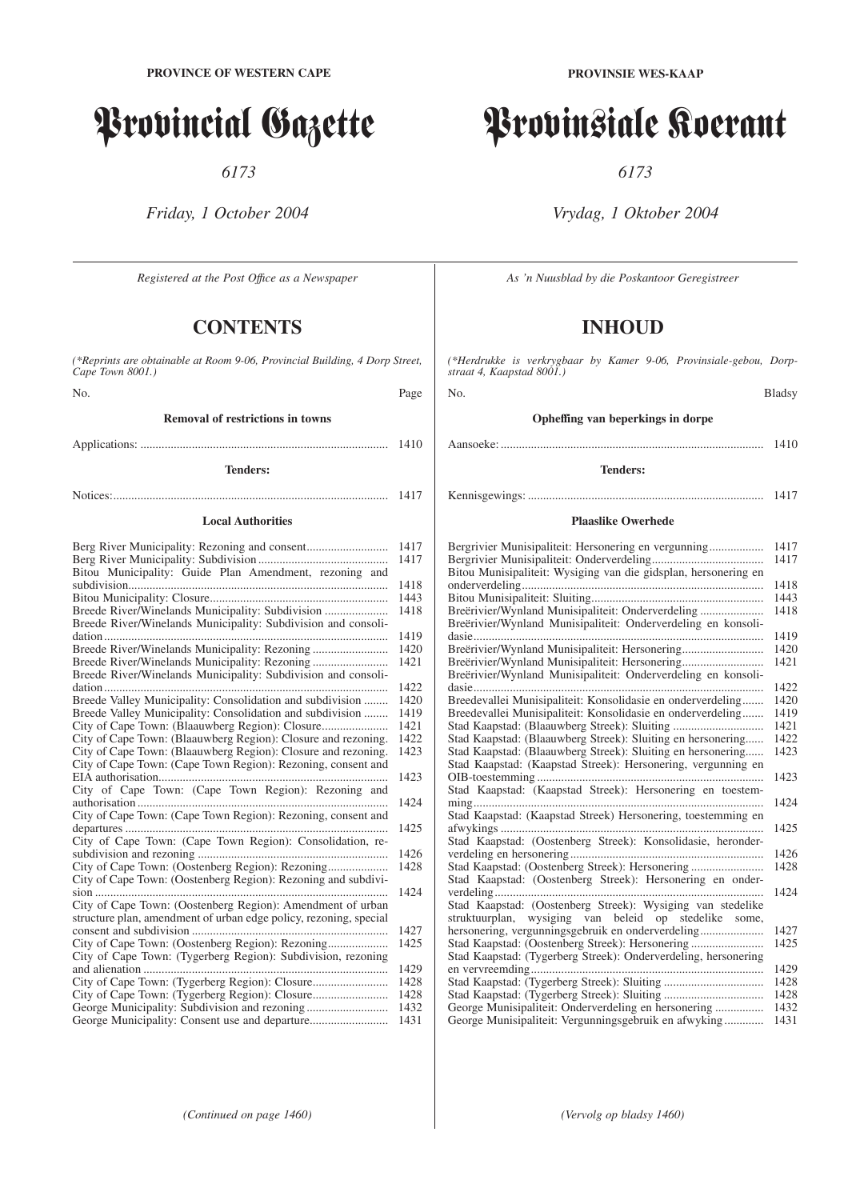# Provincial Gazette

*6173*

*Friday, 1 October 2004*

*Registered at the Post Offıce as a Newspaper*

# **CONTENTS**

*(\*Reprints are obtainable at Room 9-06, Provincial Building, 4 Dorp Street, Cape Town 8001.)*

No. Page

# **Removal of restrictions in towns**

# Applications: .................................................................................. 1410

# **Tenders:**

Notices:........................................................................................... 1417

#### **Local Authorities**

|                                                                   | 1417 |
|-------------------------------------------------------------------|------|
|                                                                   | 1417 |
| Bitou Municipality: Guide Plan Amendment, rezoning and            |      |
|                                                                   | 1418 |
|                                                                   | 1443 |
| Breede River/Winelands Municipality: Subdivision                  | 1418 |
| Breede River/Winelands Municipality: Subdivision and consoli-     |      |
|                                                                   | 1419 |
|                                                                   | 1420 |
|                                                                   | 1421 |
| Breede River/Winelands Municipality: Subdivision and consoli-     |      |
|                                                                   | 1422 |
| Breede Valley Municipality: Consolidation and subdivision         | 1420 |
| Breede Valley Municipality: Consolidation and subdivision         | 1419 |
| City of Cape Town: (Blaauwberg Region): Closure                   | 1421 |
| City of Cape Town: (Blaauwberg Region): Closure and rezoning.     | 1422 |
| City of Cape Town: (Blaauwberg Region): Closure and rezoning.     | 1423 |
| City of Cape Town: (Cape Town Region): Rezoning, consent and      |      |
|                                                                   | 1423 |
| City of Cape Town: (Cape Town Region): Rezoning and               |      |
|                                                                   | 1424 |
| City of Cape Town: (Cape Town Region): Rezoning, consent and      |      |
|                                                                   | 1425 |
| City of Cape Town: (Cape Town Region): Consolidation, re-         |      |
|                                                                   | 1426 |
|                                                                   | 1428 |
| City of Cape Town: (Oostenberg Region): Rezoning and subdivi-     |      |
|                                                                   | 1424 |
| City of Cape Town: (Oostenberg Region): Amendment of urban        |      |
| structure plan, amendment of urban edge policy, rezoning, special |      |
|                                                                   | 1427 |
| City of Cape Town: (Oostenberg Region): Rezoning                  | 1425 |
| City of Cape Town: (Tygerberg Region): Subdivision, rezoning      |      |
|                                                                   | 1429 |
|                                                                   | 1428 |
|                                                                   | 1428 |
|                                                                   | 1432 |
|                                                                   | 1431 |

**PROVINSIE WES-KAAP**

# Provinsiale Koerant

*6173*

# *Vrydag, 1 Oktober 2004*

*As 'n Nuusblad by die Poskantoor Geregistreer*

# **INHOUD**

*(\*Herdrukke is verkrygbaar by Kamer 9-06, Provinsiale-gebou, Dorpstraat 4, Kaapstad 8001.)*

No. Bladsy

# **Opheffing van beperkings in dorpe**

Aansoeke: ....................................................................................... 1410

# **Tenders:**

# Kennisgewings: .............................................................................. 1417

# **Plaaslike Owerhede**

|                                                                 | 1417 |
|-----------------------------------------------------------------|------|
| Bitou Munisipaliteit: Wysiging van die gidsplan, hersonering en | 1417 |
|                                                                 | 1418 |
|                                                                 | 1443 |
| Breërivier/Wynland Munisipaliteit: Onderverdeling               | 1418 |
| Breërivier/Wynland Munisipaliteit: Onderverdeling en konsoli-   |      |
|                                                                 | 1419 |
| Breërivier/Wynland Munisipaliteit: Hersonering                  | 1420 |
| Breërivier/Wynland Munisipaliteit: Hersonering                  | 1421 |
| Breërivier/Wynland Munisipaliteit: Onderverdeling en konsoli-   |      |
|                                                                 | 1422 |
| Breedevallei Munisipaliteit: Konsolidasie en onderverdeling     | 1420 |
| Breedevallei Munisipaliteit: Konsolidasie en onderverdeling     | 1419 |
|                                                                 | 1421 |
| Stad Kaapstad: (Blaauwberg Streek): Sluiting en hersonering     | 1422 |
| Stad Kaapstad: (Blaauwberg Streek): Sluiting en hersonering     | 1423 |
| Stad Kaapstad: (Kaapstad Streek): Hersonering, vergunning en    |      |
|                                                                 | 1423 |
| Stad Kaapstad: (Kaapstad Streek): Hersonering en toestem-       |      |
|                                                                 | 1424 |
| Stad Kaapstad: (Kaapstad Streek) Hersonering, toestemming en    |      |
|                                                                 | 1425 |
| Stad Kaapstad: (Oostenberg Streek): Konsolidasie, heronder-     |      |
|                                                                 | 1426 |
| Stad Kaapstad: (Oostenberg Streek): Hersonering                 | 1428 |
| Stad Kaapstad: (Oostenberg Streek): Hersonering en onder-       |      |
|                                                                 | 1424 |
|                                                                 |      |
| struktuurplan, wysiging van beleid op stedelike some,           |      |
| hersonering, vergunningsgebruik en onderverdeling               | 1427 |
| Stad Kaapstad: (Oostenberg Streek): Hersonering                 | 1425 |
| Stad Kaapstad: (Tygerberg Streek): Onderverdeling, hersonering  |      |
|                                                                 | 1429 |
|                                                                 | 1428 |
|                                                                 | 1428 |
|                                                                 | 1432 |
| George Munisipaliteit: Vergunningsgebruik en afwyking           | 1431 |
|                                                                 |      |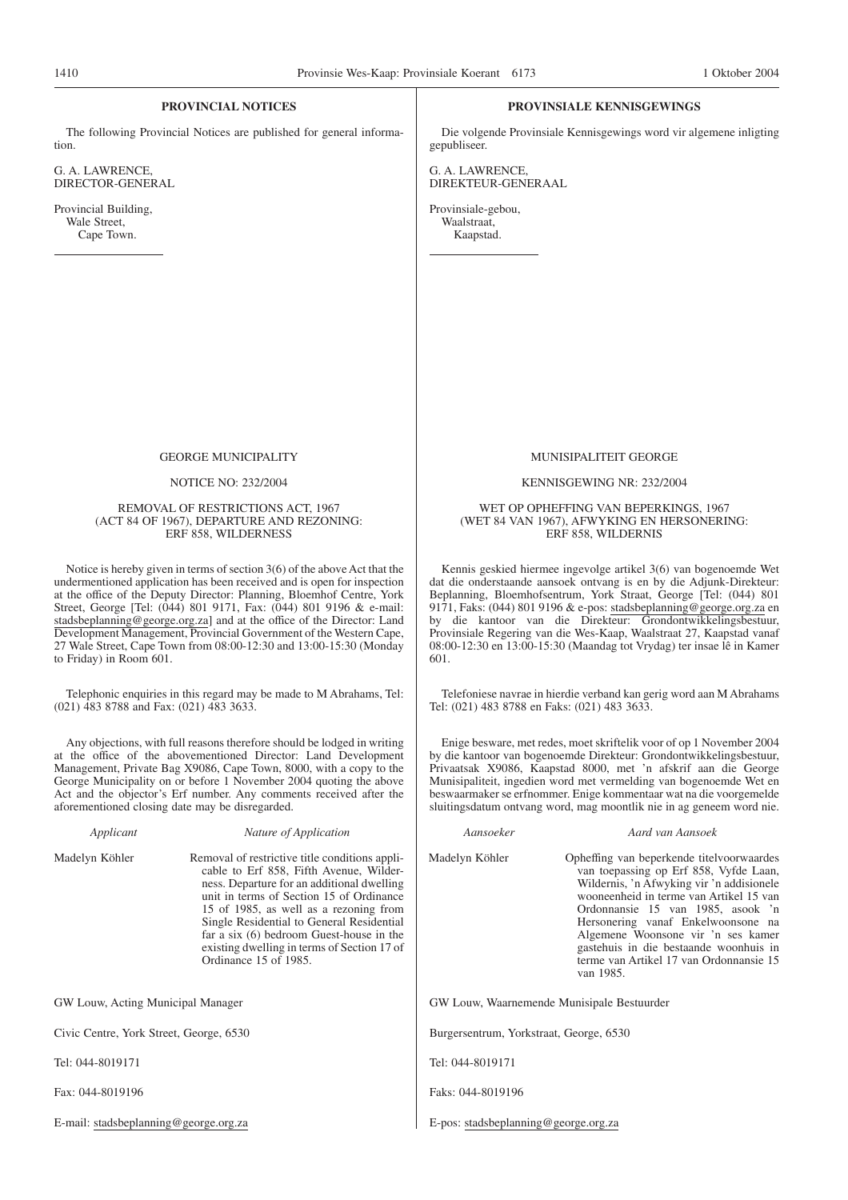#### **PROVINCIAL NOTICES**

The following Provincial Notices are published for general information.

G. A. LAWRENCE, DIRECTOR-GENERAL

Provincial Building, Wale Street, Cape Town.

#### **PROVINSIALE KENNISGEWINGS**

Die volgende Provinsiale Kennisgewings word vir algemene inligting gepubliseer.

G. A. LAWRENCE, DIREKTEUR-GENERAAL

Provinsiale-gebou, Waalstraat,

#### GEORGE MUNICIPALITY

#### NOTICE NO: 232/2004

#### REMOVAL OF RESTRICTIONS ACT, 1967 (ACT 84 OF 1967), DEPARTURE AND REZONING: ERF 858, WILDERNESS

Notice is hereby given in terms of section 3(6) of the above Act that the undermentioned application has been received and is open for inspection at the office of the Deputy Director: Planning, Bloemhof Centre, York Street, George [Tel: (044) 801 9171, Fax: (044) 801 9196 & e-mail: stadsbeplanning@george.org.za] and at the office of the Director: Land Development Management, Provincial Government of the Western Cape, 27 Wale Street, Cape Town from 08:00-12:30 and 13:00-15:30 (Monday to Friday) in Room 601.

Telephonic enquiries in this regard may be made to M Abrahams, Tel: (021) 483 8788 and Fax: (021) 483 3633.

Any objections, with full reasons therefore should be lodged in writing at the office of the abovementioned Director: Land Development Management, Private Bag X9086, Cape Town, 8000, with a copy to the George Municipality on or before 1 November 2004 quoting the above Act and the objector's Erf number. Any comments received after the aforementioned closing date may be disregarded.

|  | Applicant |
|--|-----------|
|  |           |

## *Applicant Nature of Application*

Madelyn Köhler Removal of restrictive title conditions applicable to Erf 858, Fifth Avenue, Wilderness. Departure for an additional dwelling unit in terms of Section 15 of Ordinance 15 of 1985, as well as a rezoning from Single Residential to General Residential far a six (6) bedroom Guest-house in the existing dwelling in terms of Section 17 of Ordinance 15 of 1985.

GW Louw, Acting Municipal Manager

Civic Centre, York Street, George, 6530

Tel: 044-8019171

Fax: 044-8019196

E-mail: stadsbeplanning@george.org.za

Kaapstad.

#### MUNISIPALITEIT GEORGE

#### KENNISGEWING NR: 232/2004

#### WET OP OPHEFFING VAN BEPERKINGS, 1967 (WET 84 VAN 1967), AFWYKING EN HERSONERING: ERF 858, WILDERNIS

Kennis geskied hiermee ingevolge artikel 3(6) van bogenoemde Wet dat die onderstaande aansoek ontvang is en by die Adjunk-Direkteur: Beplanning, Bloemhofsentrum, York Straat, George [Tel: (044) 801 9171, Faks: (044) 801 9196 & e-pos: stadsbeplanning@george.org.za en by die kantoor van die Direkteur: Grondontwikkelingsbestuur, Provinsiale Regering van die Wes-Kaap, Waalstraat 27, Kaapstad vanaf 08:00-12:30 en 13:00-15:30 (Maandag tot Vrydag) ter insae lê in Kamer 601.

Telefoniese navrae in hierdie verband kan gerig word aan M Abrahams Tel: (021) 483 8788 en Faks: (021) 483 3633.

Enige besware, met redes, moet skriftelik voor of op 1 November 2004 by die kantoor van bogenoemde Direkteur: Grondontwikkelingsbestuur, Privaatsak X9086, Kaapstad 8000, met 'n afskrif aan die George Munisipaliteit, ingedien word met vermelding van bogenoemde Wet en beswaarmaker se erfnommer. Enige kommentaar wat na die voorgemelde sluitingsdatum ontvang word, mag moontlik nie in ag geneem word nie.

*Aansoeker Aard van Aansoek* Madelyn Köhler Opheffing van beperkende titelvoorwaardes van toepassing op Erf 858, Vyfde Laan, Wildernis, 'n Afwyking vir 'n addisionele wooneenheid in terme van Artikel 15 van Ordonnansie 15 van 1985, asook 'n Hersonering vanaf Enkelwoonsone na Algemene Woonsone vir 'n ses kamer gastehuis in die bestaande woonhuis in terme van Artikel 17 van Ordonnansie 15 van 1985. GW Louw, Waarnemende Munisipale Bestuurder Burgersentrum, Yorkstraat, George, 6530

Tel: 044-8019171

Faks: 044-8019196

E-pos: stadsbeplanning@george.org.za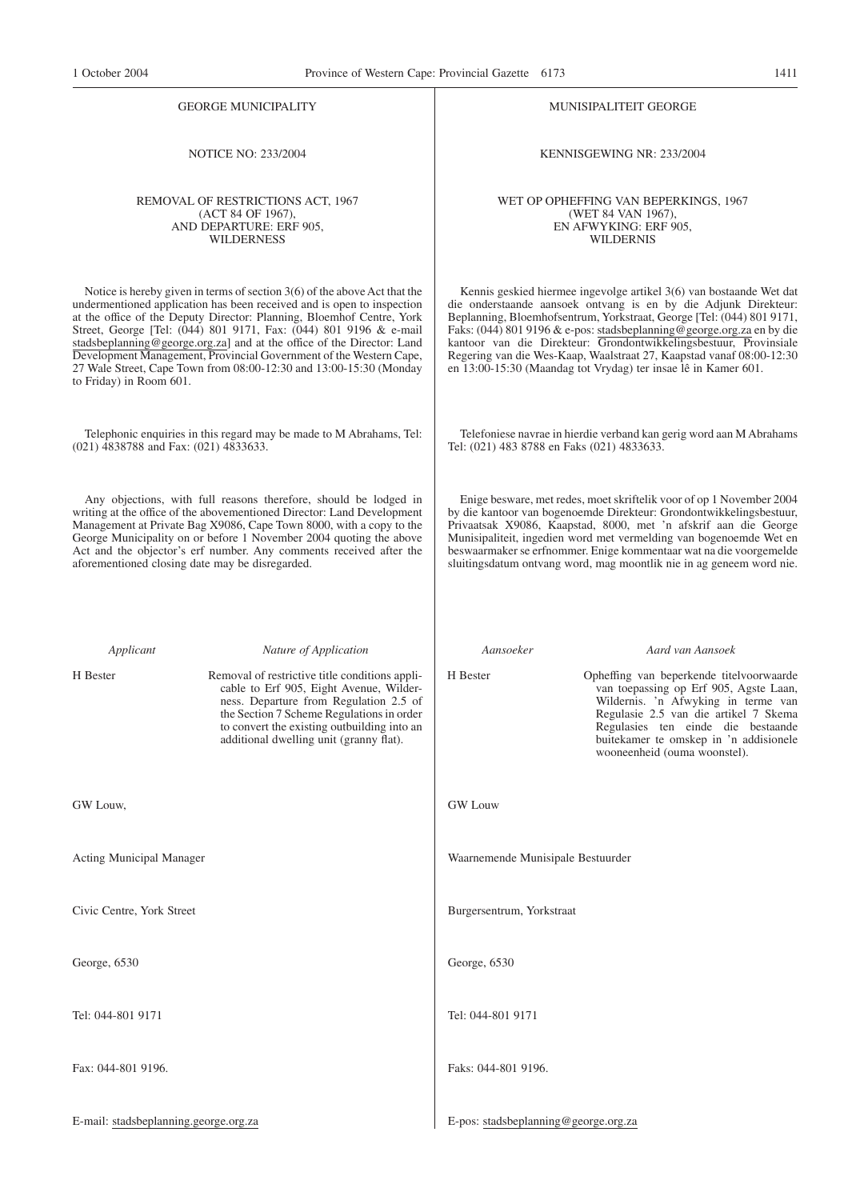NOTICE NO: 233/2004

REMOVAL OF RESTRICTIONS ACT, 1967 (ACT 84 OF 1967), AND DEPARTURE: ERF 905, WILDERNESS

Notice is hereby given in terms of section 3(6) of the above Act that the undermentioned application has been received and is open to inspection at the office of the Deputy Director: Planning, Bloemhof Centre, York Street, George [Tel: (044) 801 9171, Fax: (044) 801 9196 & e-mail stadsbeplanning@george.org.za] and at the office of the Director: Land Development Management, Provincial Government of the Western Cape, 27 Wale Street, Cape Town from 08:00-12:30 and 13:00-15:30 (Monday to Friday) in Room 601.

Telephonic enquiries in this regard may be made to M Abrahams, Tel: (021) 4838788 and Fax: (021) 4833633.

Any objections, with full reasons therefore, should be lodged in writing at the office of the abovementioned Director: Land Development Management at Private Bag X9086, Cape Town 8000, with a copy to the George Municipality on or before 1 November 2004 quoting the above Act and the objector's erf number. Any comments received after the aforementioned closing date may be disregarded.

*Applicant Nature of Application*

GW Louw,

Acting Municipal Manager

Civic Centre, York Street

George, 6530

Tel: 044-801 9171

Fax: 044-801 9196.

E-mail: stadsbeplanning.george.org.za

#### MUNISIPALITEIT GEORGE

KENNISGEWING NR: 233/2004

WET OP OPHEFFING VAN BEPERKINGS, 1967 (WET 84 VAN 1967), EN AFWYKING: ERF 905, WILDERNIS

Kennis geskied hiermee ingevolge artikel 3(6) van bostaande Wet dat die onderstaande aansoek ontvang is en by die Adjunk Direkteur: Beplanning, Bloemhofsentrum, Yorkstraat, George [Tel: (044) 801 9171, Faks: (044) 801 9196 & e-pos: stadsbeplanning@george.org.za en by die kantoor van die Direkteur: Grondontwikkelingsbestuur, Provinsiale Regering van die Wes-Kaap, Waalstraat 27, Kaapstad vanaf 08:00-12:30 en 13:00-15:30 (Maandag tot Vrydag) ter insae lê in Kamer 601.

Telefoniese navrae in hierdie verband kan gerig word aan M Abrahams Tel: (021) 483 8788 en Faks (021) 4833633.

Enige besware, met redes, moet skriftelik voor of op 1 November 2004 by die kantoor van bogenoemde Direkteur: Grondontwikkelingsbestuur, Privaatsak X9086, Kaapstad, 8000, met 'n afskrif aan die George Munisipaliteit, ingedien word met vermelding van bogenoemde Wet en beswaarmaker se erfnommer. Enige kommentaar wat na die voorgemelde sluitingsdatum ontvang word, mag moontlik nie in ag geneem word nie.

> van toepassing op Erf 905, Agste Laan, Wildernis. 'n Afwyking in terme van Regulasie 2.5 van die artikel 7 Skema Regulasies ten einde die bestaande buitekamer te omskep in 'n addisionele wooneenheid (ouma woonstel).

H Bester Removal of restrictive title conditions applicable to Erf 905, Eight Avenue, Wilderness. Departure from Regulation 2.5 of the Section 7 Scheme Regulations in order to convert the existing outbuilding into an additional dwelling unit (granny flat). *Aansoeker Aard van Aansoek* H Bester Opheffing van beperkende titelvoorwaarde GW Louw

Waarnemende Munisipale Bestuurder

Burgersentrum, Yorkstraat

George, 6530

Tel: 044-801 9171

Faks: 044-801 9196.

E-pos: stadsbeplanning@george.org.za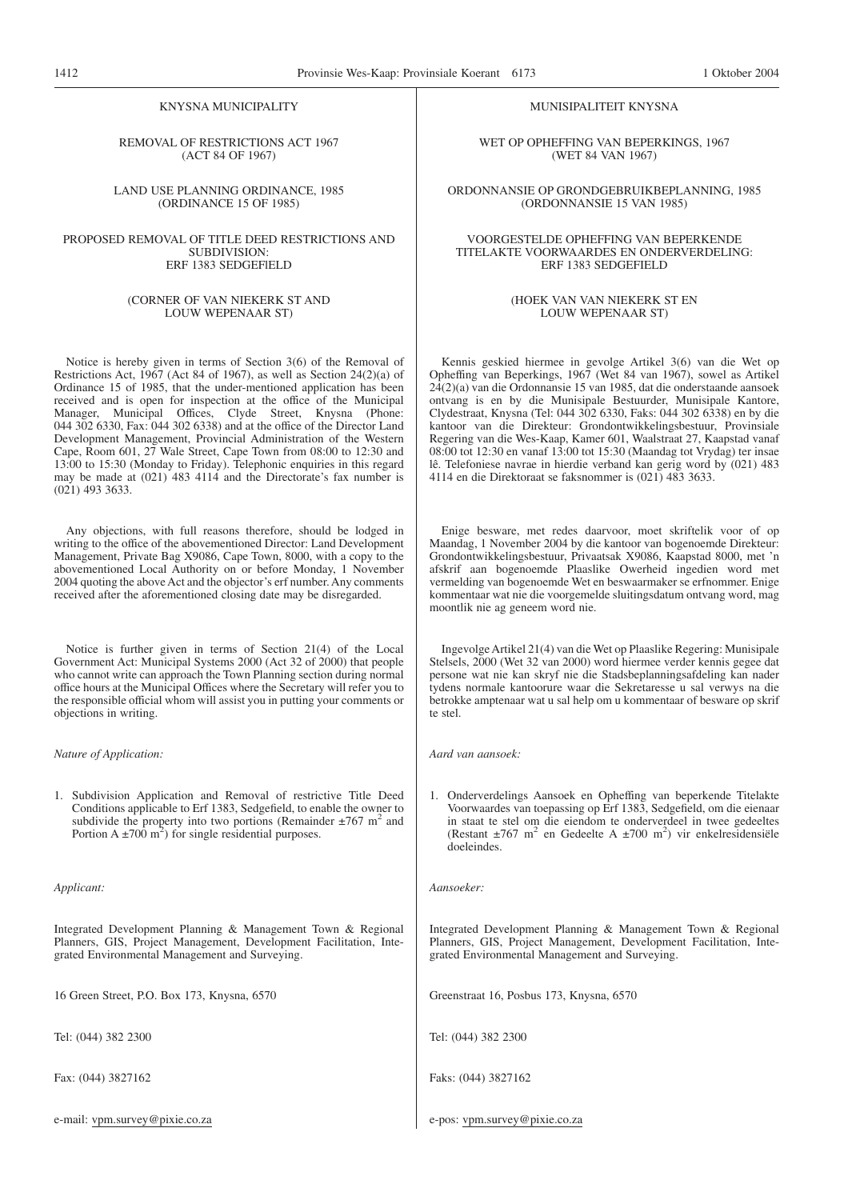#### KNYSNA MUNICIPALITY

#### REMOVAL OF RESTRICTIONS ACT 1967 (ACT 84 OF 1967)

LAND USE PLANNING ORDINANCE, 1985 (ORDINANCE 15 OF 1985)

#### PROPOSED REMOVAL OF TITLE DEED RESTRICTIONS AND SUBDIVISION: ERF 1383 SEDGEFlELD

#### (CORNER OF VAN NIEKERK ST AND LOUW WEPENAAR ST)

Notice is hereby given in terms of Section 3(6) of the Removal of Restrictions Act, 1967 (Act 84 of 1967), as well as Section 24(2)(a) of Ordinance 15 of 1985, that the under-mentioned application has been received and is open for inspection at the office of the Municipal Manager, Municipal Offices, Clyde Street, Knysna (Phone: 044 302 6330, Fax: 044 302 6338) and at the office of the Director Land Development Management, Provincial Administration of the Western Cape, Room 601, 27 Wale Street, Cape Town from 08:00 to 12:30 and 13:00 to 15:30 (Monday to Friday). Telephonic enquiries in this regard may be made at (021) 483 4114 and the Directorate's fax number is (021) 493 3633.

Any objections, with full reasons therefore, should be lodged in writing to the office of the abovementioned Director: Land Development Management, Private Bag X9086, Cape Town, 8000, with a copy to the abovementioned Local Authority on or before Monday, 1 November 2004 quoting the above Act and the objector's erf number. Any comments received after the aforementioned closing date may be disregarded.

Notice is further given in terms of Section 21(4) of the Local Government Act: Municipal Systems 2000 (Act 32 of 2000) that people who cannot write can approach the Town Planning section during normal office hours at the Municipal Offices where the Secretary will refer you to the responsible official whom will assist you in putting your comments or objections in writing.

*Nature of Application:*

1. Subdivision Application and Removal of restrictive Title Deed Conditions applicable to Erf 1383, Sedgefield, to enable the owner to subdivide the property into two portions (Remainder  $\pm$ 767 m<sup>2</sup> and Portion  $A \pm 700$  m<sup>2</sup>) for single residential purposes.

*Applicant:*

Integrated Development Planning & Management Town & Regional Planners, GIS, Project Management, Development Facilitation, Integrated Environmental Management and Surveying.

16 Green Street, P.O. Box 173, Knysna, 6570

Tel: (044) 382 2300

Fax: (044) 3827162

e-mail: vpm.survey@pixie.co.za

#### MUNISIPALITEIT KNYSNA

WET OP OPHEFFING VAN BEPERKINGS, 1967 (WET 84 VAN 1967)

ORDONNANSIE OP GRONDGEBRUIKBEPLANNING, 1985 (ORDONNANSIE 15 VAN 1985)

#### VOORGESTELDE OPHEFFING VAN BEPERKENDE TITELAKTE VOORWAARDES EN ONDERVERDELING: ERF 1383 SEDGEFIELD

#### (HOEK VAN VAN NIEKERK ST EN LOUW WEPENAAR ST)

Kennis geskied hiermee in gevolge Artikel 3(6) van die Wet op Opheffing van Beperkings, 1967 (Wet 84 van 1967), sowel as Artikel 24(2)(a) van die Ordonnansie 15 van 1985, dat die onderstaande aansoek ontvang is en by die Munisipale Bestuurder, Munisipale Kantore, Clydestraat, Knysna (Tel: 044 302 6330, Faks: 044 302 6338) en by die kantoor van die Direkteur: Grondontwikkelingsbestuur, Provinsiale Regering van die Wes-Kaap, Kamer 601, Waalstraat 27, Kaapstad vanaf 08:00 tot 12:30 en vanaf 13:00 tot 15:30 (Maandag tot Vrydag) ter insae lê. Telefoniese navrae in hierdie verband kan gerig word by (021) 483 4114 en die Direktoraat se faksnommer is (021) 483 3633.

Enige besware, met redes daarvoor, moet skriftelik voor of op Maandag, 1 November 2004 by die kantoor van bogenoemde Direkteur: Grondontwikkelingsbestuur, Privaatsak X9086, Kaapstad 8000, met 'n afskrif aan bogenoemde Plaaslike Owerheid ingedien word met vermelding van bogenoemde Wet en beswaarmaker se erfnommer. Enige kommentaar wat nie die voorgemelde sluitingsdatum ontvang word, mag moontlik nie ag geneem word nie.

Ingevolge Artikel 21(4) van die Wet op Plaaslike Regering: Munisipale Stelsels, 2000 (Wet 32 van 2000) word hiermee verder kennis gegee dat persone wat nie kan skryf nie die Stadsbeplanningsafdeling kan nader tydens normale kantoorure waar die Sekretaresse u sal verwys na die betrokke amptenaar wat u sal help om u kommentaar of besware op skrif te stel.

*Aard van aansoek:*

1. Onderverdelings Aansoek en Opheffing van beperkende Titelakte Voorwaardes van toepassing op Erf 1383, Sedgefield, om die eienaar in staat te stel om die eiendom te onderverdeel in twee gedeeltes (Restant  $\pm 767$  m<sup>2</sup> en Gedeelte A  $\pm 700$  m<sup>2</sup>) vir enkelresidensiële doeleindes.

*Aansoeker:*

Integrated Development Planning & Management Town & Regional Planners, GIS, Project Management, Development Facilitation, Integrated Environmental Management and Surveying.

Greenstraat 16, Posbus 173, Knysna, 6570

Tel: (044) 382 2300

Faks: (044) 3827162

e-pos: vpm.survey@pixie.co.za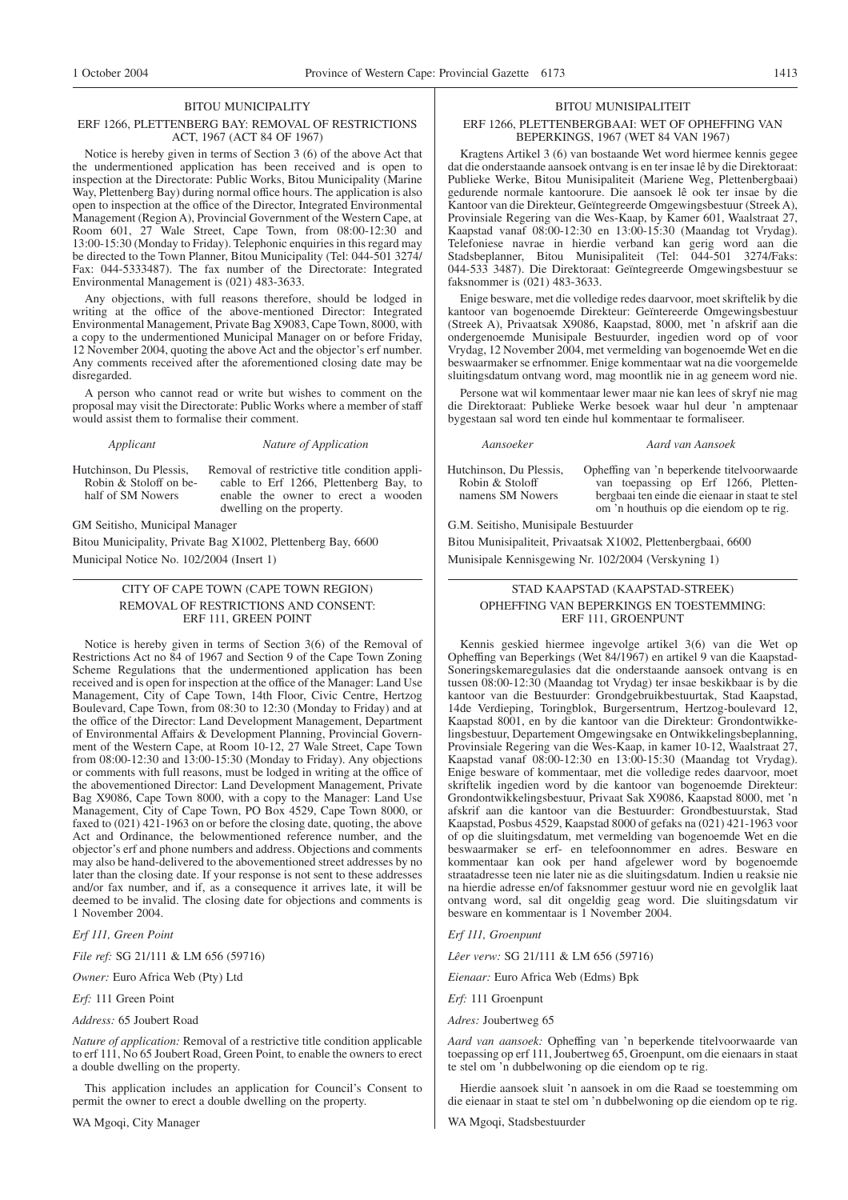#### BITOU MUNICIPALITY

#### ERF 1266, PLETTENBERG BAY: REMOVAL OF RESTRICTIONS ACT, 1967 (ACT 84 OF 1967)

Notice is hereby given in terms of Section 3 (6) of the above Act that the undermentioned application has been received and is open to inspection at the Directorate: Public Works, Bitou Municipality (Marine Way, Plettenberg Bay) during normal office hours. The application is also open to inspection at the office of the Director, Integrated Environmental Management (Region A), Provincial Government of the Western Cape, at Room 601, 27 Wale Street, Cape Town, from 08:00-12:30 and 13:00-15:30 (Monday to Friday). Telephonic enquiries in this regard may be directed to the Town Planner, Bitou Municipality (Tel: 044-501 3274/ Fax: 044-5333487). The fax number of the Directorate: Integrated Environmental Management is (021) 483-3633.

Any objections, with full reasons therefore, should be lodged in writing at the office of the above-mentioned Director: Integrated Environmental Management, Private Bag X9083, Cape Town, 8000, with a copy to the undermentioned Municipal Manager on or before Friday, 12 November 2004, quoting the above Act and the objector's erf number. Any comments received after the aforementioned closing date may be disregarded.

A person who cannot read or write but wishes to comment on the proposal may visit the Directorate: Public Works where a member of staff would assist them to formalise their comment.

*Applicant Nature of Application*

Hutchinson, Du Plessis, Robin & Stoloff on behalf of SM Nowers

Removal of restrictive title condition applicable to Erf 1266, Plettenberg Bay, to enable the owner to erect a wooden dwelling on the property.

GM Seitisho, Municipal Manager

Bitou Municipality, Private Bag X1002, Plettenberg Bay, 6600 Municipal Notice No. 102/2004 (Insert 1)

# CITY OF CAPE TOWN (CAPE TOWN REGION) REMOVAL OF RESTRICTIONS AND CONSENT: ERF 111, GREEN POINT

Notice is hereby given in terms of Section 3(6) of the Removal of Restrictions Act no 84 of 1967 and Section 9 of the Cape Town Zoning Scheme Regulations that the undermentioned application has been received and is open for inspection at the office of the Manager: Land Use Management, City of Cape Town, 14th Floor, Civic Centre, Hertzog Boulevard, Cape Town, from 08:30 to 12:30 (Monday to Friday) and at the office of the Director: Land Development Management, Department of Environmental Affairs & Development Planning, Provincial Government of the Western Cape, at Room 10-12, 27 Wale Street, Cape Town from 08:00-12:30 and 13:00-15:30 (Monday to Friday). Any objections or comments with full reasons, must be lodged in writing at the office of the abovementioned Director: Land Development Management, Private Bag X9086, Cape Town 8000, with a copy to the Manager: Land Use Management, City of Cape Town, PO Box 4529, Cape Town 8000, or faxed to (021) 421-1963 on or before the closing date, quoting, the above Act and Ordinance, the belowmentioned reference number, and the objector's erf and phone numbers and address. Objections and comments may also be hand-delivered to the abovementioned street addresses by no later than the closing date. If your response is not sent to these addresses and/or fax number, and if, as a consequence it arrives late, it will be deemed to be invalid. The closing date for objections and comments is 1 November 2004.

*Erf 111, Green Point*

*File ref:* SG 21/111 & LM 656 (59716)

*Owner:* Euro Africa Web (Pty) Ltd

*Erf:* 111 Green Point

*Address:* 65 Joubert Road

*Nature of application:* Removal of a restrictive title condition applicable to erf 111, No 65 Joubert Road, Green Point, to enable the owners to erect a double dwelling on the property.

This application includes an application for Council's Consent to permit the owner to erect a double dwelling on the property.

WA Mgoqi, City Manager

#### BITOU MUNISIPALITEIT

#### ERF 1266, PLETTENBERGBAAI: WET OF OPHEFFING VAN BEPERKINGS, 1967 (WET 84 VAN 1967)

Kragtens Artikel 3 (6) van bostaande Wet word hiermee kennis gegee dat die onderstaande aansoek ontvang is en ter insae lê by die Direktoraat: Publieke Werke, Bitou Munisipaliteit (Mariene Weg, Plettenbergbaai) gedurende normale kantoorure. Die aansoek lê ook ter insae by die Kantoor van die Direkteur, Geïntegreerde Omgewingsbestuur (Streek A), Provinsiale Regering van die Wes-Kaap, by Kamer 601, Waalstraat 27, Kaapstad vanaf 08:00-12:30 en 13:00-15:30 (Maandag tot Vrydag). Telefoniese navrae in hierdie verband kan gerig word aan die Stadsbeplanner, Bitou Munisipaliteit (Tel: 044-501 3274/Faks: 044-533 3487). Die Direktoraat: Geïntegreerde Omgewingsbestuur se faksnommer is (021) 483-3633.

Enige besware, met die volledige redes daarvoor, moet skriftelik by die kantoor van bogenoemde Direkteur: Geïntereerde Omgewingsbestuur (Streek A), Privaatsak X9086, Kaapstad, 8000, met 'n afskrif aan die ondergenoemde Munisipale Bestuurder, ingedien word op of voor Vrydag, 12 November 2004, met vermelding van bogenoemde Wet en die beswaarmaker se erfnommer. Enige kommentaar wat na die voorgemelde sluitingsdatum ontvang word, mag moontlik nie in ag geneem word nie.

Persone wat wil kommentaar lewer maar nie kan lees of skryf nie mag die Direktoraat: Publieke Werke besoek waar hul deur 'n amptenaar bygestaan sal word ten einde hul kommentaar te formaliseer.

#### *Aansoeker Aard van Aansoek*

Hutchinson, Du Plessis, Robin & Stoloff namens SM Nowers

Opheffing van 'n beperkende titelvoorwaarde van toepassing op Erf 1266, Plettenbergbaai ten einde die eienaar in staat te stel om 'n houthuis op die eiendom op te rig.

G.M. Seitisho, Munisipale Bestuurder

Bitou Munisipaliteit, Privaatsak X1002, Plettenbergbaai, 6600 Munisipale Kennisgewing Nr. 102/2004 (Verskyning 1)

# STAD KAAPSTAD (KAAPSTAD-STREEK) OPHEFFING VAN BEPERKINGS EN TOESTEMMING: ERF 111, GROENPUNT

Kennis geskied hiermee ingevolge artikel 3(6) van die Wet op Opheffing van Beperkings (Wet 84/1967) en artikel 9 van die Kaapstad-Soneringskemaregulasies dat die onderstaande aansoek ontvang is en tussen 08:00-12:30 (Maandag tot Vrydag) ter insae beskikbaar is by die kantoor van die Bestuurder: Grondgebruikbestuurtak, Stad Kaapstad, 14de Verdieping, Toringblok, Burgersentrum, Hertzog-boulevard 12, Kaapstad 8001, en by die kantoor van die Direkteur: Grondontwikkelingsbestuur, Departement Omgewingsake en Ontwikkelingsbeplanning, Provinsiale Regering van die Wes-Kaap, in kamer 10-12, Waalstraat 27, Kaapstad vanaf 08:00-12:30 en 13:00-15:30 (Maandag tot Vrydag). Enige besware of kommentaar, met die volledige redes daarvoor, moet skriftelik ingedien word by die kantoor van bogenoemde Direkteur: Grondontwikkelingsbestuur, Privaat Sak X9086, Kaapstad 8000, met 'n afskrif aan die kantoor van die Bestuurder: Grondbestuurstak, Stad Kaapstad, Posbus 4529, Kaapstad 8000 of gefaks na (021) 421-1963 voor of op die sluitingsdatum, met vermelding van bogenoemde Wet en die beswaarmaker se erf- en telefoonnommer en adres. Besware en kommentaar kan ook per hand afgelewer word by bogenoemde straatadresse teen nie later nie as die sluitingsdatum. Indien u reaksie nie na hierdie adresse en/of faksnommer gestuur word nie en gevolglik laat ontvang word, sal dit ongeldig geag word. Die sluitingsdatum vir besware en kommentaar is 1 November 2004.

*Erf 111, Groenpunt*

*Lêer verw:* SG 21/111 & LM 656 (59716)

*Eienaar:* Euro Africa Web (Edms) Bpk

*Erf:* 111 Groenpunt

*Adres:* Joubertweg 65

*Aard van aansoek:* Opheffing van 'n beperkende titelvoorwaarde van toepassing op erf 111, Joubertweg 65, Groenpunt, om die eienaars in staat te stel om 'n dubbelwoning op die eiendom op te rig.

Hierdie aansoek sluit 'n aansoek in om die Raad se toestemming om die eienaar in staat te stel om 'n dubbelwoning op die eiendom op te rig.

WA Mgoqi, Stadsbestuurder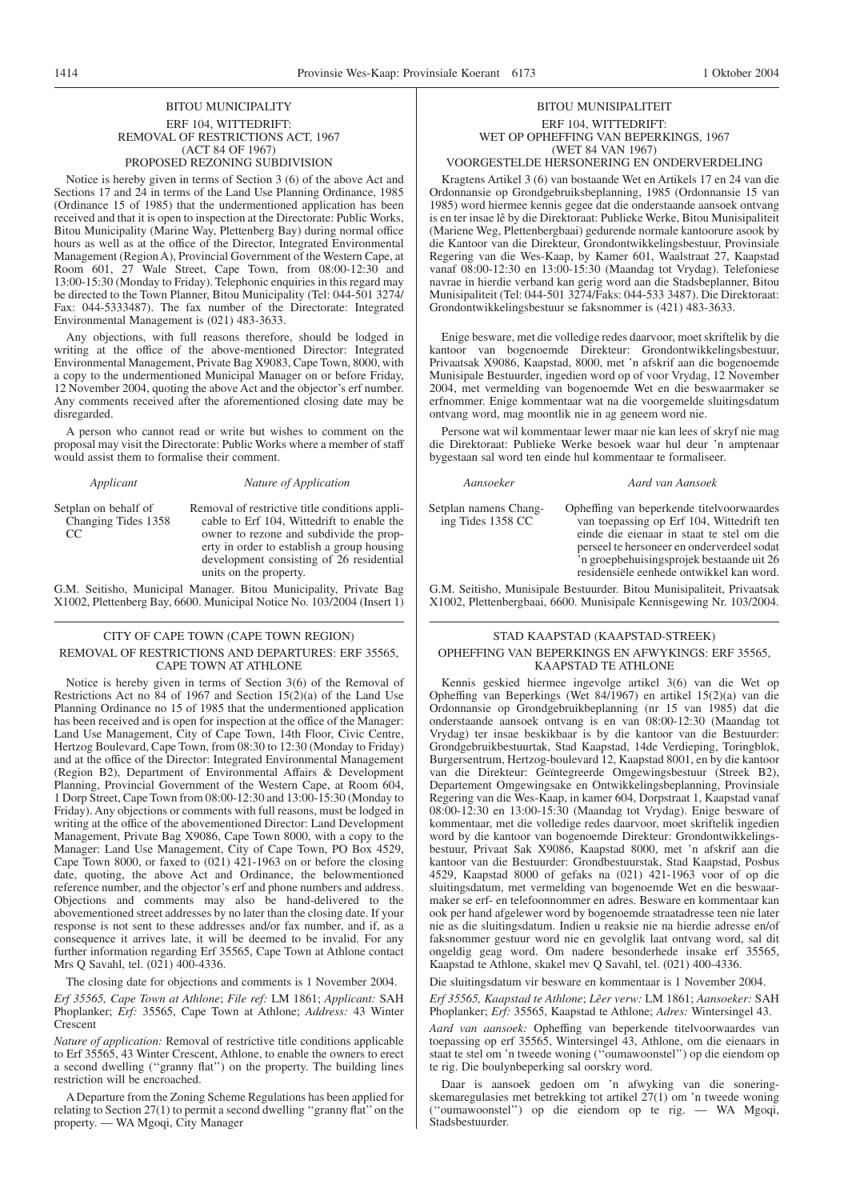#### BITOU MUNICIPALITY ERF 104, WITTEDRIFT: REMOVAL OF RESTRICTIONS ACT, 1967 (ACT 84 OF 1967) PROPOSED REZONING SUBDIVISION

Notice is hereby given in terms of Section 3 (6) of the above Act and Sections 17 and 24 in terms of the Land Use Planning Ordinance, 1985 (Ordinance 15 of 1985) that the undermentioned application has been received and that it is open to inspection at the Directorate: Public Works, Bitou Municipality (Marine Way, Plettenberg Bay) during normal office hours as well as at the office of the Director, Integrated Environmental Management (Region A), Provincial Government of the Western Cape, at Room 601, 27 Wale Street, Cape Town, from 08:00-12:30 and 13:00-15:30 (Monday to Friday). Telephonic enquiries in this regard may be directed to the Town Planner, Bitou Municipality (Tel: 044-501 3274/ Fax: 044-5333487). The fax number of the Directorate: Integrated Environmental Management is (021) 483-3633.

Any objections, with full reasons therefore, should be lodged in writing at the office of the above-mentioned Director: Integrated Environmental Management, Private Bag X9083, Cape Town, 8000, with a copy to the undermentioned Municipal Manager on or before Friday, 12 November 2004, quoting the above Act and the objector's erf number. Any comments received after the aforementioned closing date may be disregarded.

A person who cannot read or write but wishes to comment on the proposal may visit the Directorate: Public Works where a member of staff would assist them to formalise their comment.

|  | Applicant |
|--|-----------|
|  |           |

#### *Applicant Nature of Application*

Setplan on behalf of Changing Tides 1358  $CC$ 

Removal of restrictive title conditions applicable to Erf 104, Wittedrift to enable the owner to rezone and subdivide the property in order to establish a group housing development consisting of 26 residential units on the property.

G.M. Seitisho, Municipal Manager. Bitou Municipality, Private Bag X1002, Plettenberg Bay, 6600. Municipal Notice No. 103/2004 (Insert 1)

#### CITY OF CAPE TOWN (CAPE TOWN REGION) REMOVAL OF RESTRICTIONS AND DEPARTURES: ERF 35565, CAPE TOWN AT ATHLONE

Notice is hereby given in terms of Section 3(6) of the Removal of Restrictions Act no  $\overline{84}$  of 1967 and Section 15(2)(a) of the Land Use Planning Ordinance no 15 of 1985 that the undermentioned application has been received and is open for inspection at the office of the Manager: Land Use Management, City of Cape Town, 14th Floor, Civic Centre, Hertzog Boulevard, Cape Town, from 08:30 to 12:30 (Monday to Friday) and at the office of the Director: Integrated Environmental Management (Region B2), Department of Environmental Affairs & Development Planning, Provincial Government of the Western Cape, at Room 604, 1 Dorp Street, Cape Town from 08:00-12:30 and 13:00-15:30 (Monday to Friday). Any objections or comments with full reasons, must be lodged in writing at the office of the abovementioned Director: Land Development Management, Private Bag X9086, Cape Town 8000, with a copy to the Manager: Land Use Management, City of Cape Town, PO Box 4529, Cape Town 8000, or faxed to (021) 421-1963 on or before the closing date, quoting, the above Act and Ordinance, the belowmentioned reference number, and the objector's erf and phone numbers and address. Objections and comments may also be hand-delivered to the abovementioned street addresses by no later than the closing date. If your response is not sent to these addresses and/or fax number, and if, as a consequence it arrives late, it will be deemed to be invalid. For any further information regarding Erf 35565, Cape Town at Athlone contact Mrs O Savahl, tel. (021) 400-4336.

The closing date for objections and comments is 1 November 2004.

*Erf 35565, Cape Town at Athlone*; *File ref:* LM 1861; *Applicant:* SAH Phoplanker; *Erf:* 35565, Cape Town at Athlone; *Address:* 43 Winter Crescent

*Nature of application:* Removal of restrictive title conditions applicable to Erf 35565, 43 Winter Crescent, Athlone, to enable the owners to erect a second dwelling (''granny flat'') on the property. The building lines restriction will be encroached.

A Departure from the Zoning Scheme Regulations has been applied for relating to Section 27(1) to permit a second dwelling ''granny flat'' on the property. — WA Mgoqi, City Manager

# BITOU MUNISIPALITEIT ERF 104, WITTEDRIFT: WET OP OPHEFFING VAN BEPERKINGS, 1967 (WET 84 VAN 1967)

# VOORGESTELDE HERSONERING EN ONDERVERDELING

Kragtens Artikel 3 (6) van bostaande Wet en Artikels 17 en 24 van die Ordonnansie op Grondgebruiksbeplanning, 1985 (Ordonnansie 15 van 1985) word hiermee kennis gegee dat die onderstaande aansoek ontvang is en ter insae lê by die Direktoraat: Publieke Werke, Bitou Munisipaliteit (Mariene Weg, Plettenbergbaai) gedurende normale kantoorure asook by die Kantoor van die Direkteur, Grondontwikkelingsbestuur, Provinsiale Regering van die Wes-Kaap, by Kamer 601, Waalstraat 27, Kaapstad vanaf 08:00-12:30 en 13:00-15:30 (Maandag tot Vrydag). Telefoniese navrae in hierdie verband kan gerig word aan die Stadsbeplanner, Bitou Munisipaliteit (Tel: 044-501 3274/Faks: 044-533 3487). Die Direktoraat: Grondontwikkelingsbestuur se faksnommer is (421) 483-3633.

Enige besware, met die volledige redes daarvoor, moet skriftelik by die kantoor van bogenoemde Direkteur: Grondontwikkelingsbestuur, Privaatsak X9086, Kaapstad, 8000, met 'n afskrif aan die bogenoemde Munisipale Bestuurder, ingedien word op of voor Vrydag, 12 November 2004, met vermelding van bogenoemde Wet en die beswaarmaker se erfnommer. Enige kommentaar wat na die voorgemelde sluitingsdatum ontvang word, mag moontlik nie in ag geneem word nie.

Persone wat wil kommentaar lewer maar nie kan lees of skryf nie mag die Direktoraat: Publieke Werke besoek waar hul deur 'n amptenaar bygestaan sal word ten einde hul kommentaar te formaliseer.

#### *Aansoeker Aard van Aansoek*

Setplan namens Changing Tides 1358 CC Opheffing van beperkende titelvoorwaardes

van toepassing op Erf 104, Wittedrift ten einde die eienaar in staat te stel om die perseel te hersoneer en onderverdeel sodat 'n groepbehuisingsprojek bestaande uit 26 residensiële eenhede ontwikkel kan word.

G.M. Seitisho, Munisipale Bestuurder. Bitou Munisipaliteit, Privaatsak X1002, Plettenbergbaai, 6600. Munisipale Kennisgewing Nr. 103/2004.

#### STAD KAAPSTAD (KAAPSTAD-STREEK) OPHEFFING VAN BEPERKINGS EN AFWYKINGS: ERF 35565, KAAPSTAD TE ATHLONE

Kennis geskied hiermee ingevolge artikel 3(6) van die Wet op Opheffing van Beperkings (Wet 84/1967) en artikel 15(2)(a) van die Ordonnansie op Grondgebruikbeplanning (nr 15 van 1985) dat die onderstaande aansoek ontvang is en van 08:00-12:30 (Maandag tot Vrydag) ter insae beskikbaar is by die kantoor van die Bestuurder: Grondgebruikbestuurtak, Stad Kaapstad, 14de Verdieping, Toringblok, Burgersentrum, Hertzog-boulevard 12, Kaapstad 8001, en by die kantoor van die Direkteur: Geïntegreerde Omgewingsbestuur (Streek B2), Departement Omgewingsake en Ontwikkelingsbeplanning, Provinsiale Regering van die Wes-Kaap, in kamer 604, Dorpstraat 1, Kaapstad vanaf 08:00-12:30 en 13:00-15:30 (Maandag tot Vrydag). Enige besware of kommentaar, met die volledige redes daarvoor, moet skriftelik ingedien word by die kantoor van bogenoemde Direkteur: Grondontwikkelingsbestuur, Privaat Sak X9086, Kaapstad 8000, met 'n afskrif aan die kantoor van die Bestuurder: Grondbestuurstak, Stad Kaapstad, Posbus 4529, Kaapstad 8000 of gefaks na (021) 421-1963 voor of op die sluitingsdatum, met vermelding van bogenoemde Wet en die beswaarmaker se erf- en telefoonnommer en adres. Besware en kommentaar kan ook per hand afgelewer word by bogenoemde straatadresse teen nie later nie as die sluitingsdatum. Indien u reaksie nie na hierdie adresse en/of faksnommer gestuur word nie en gevolglik laat ontvang word, sal dit ongeldig geag word. Om nadere besonderhede insake erf 35565, Kaapstad te Athlone, skakel mev Q Savahl, tel. (021) 400-4336.

Die sluitingsdatum vir besware en kommentaar is 1 November 2004.

*Erf 35565, Kaapstad te Athlone*; *Lêer verw:* LM 1861; *Aansoeker:* SAH Phoplanker; *Erf:* 35565, Kaapstad te Athlone; *Adres:* Wintersingel 43.

*Aard van aansoek:* Opheffing van beperkende titelvoorwaardes van toepassing op erf 35565, Wintersingel 43, Athlone, om die eienaars in staat te stel om 'n tweede woning (''oumawoonstel'') op die eiendom op te rig. Die boulynbeperking sal oorskry word.

Daar is aansoek gedoen om 'n afwyking van die soneringskemaregulasies met betrekking tot artikel 27(1) om 'n tweede woning (''oumawoonstel'') op die eiendom op te rig. — WA Mgoqi, Stadsbestuurder.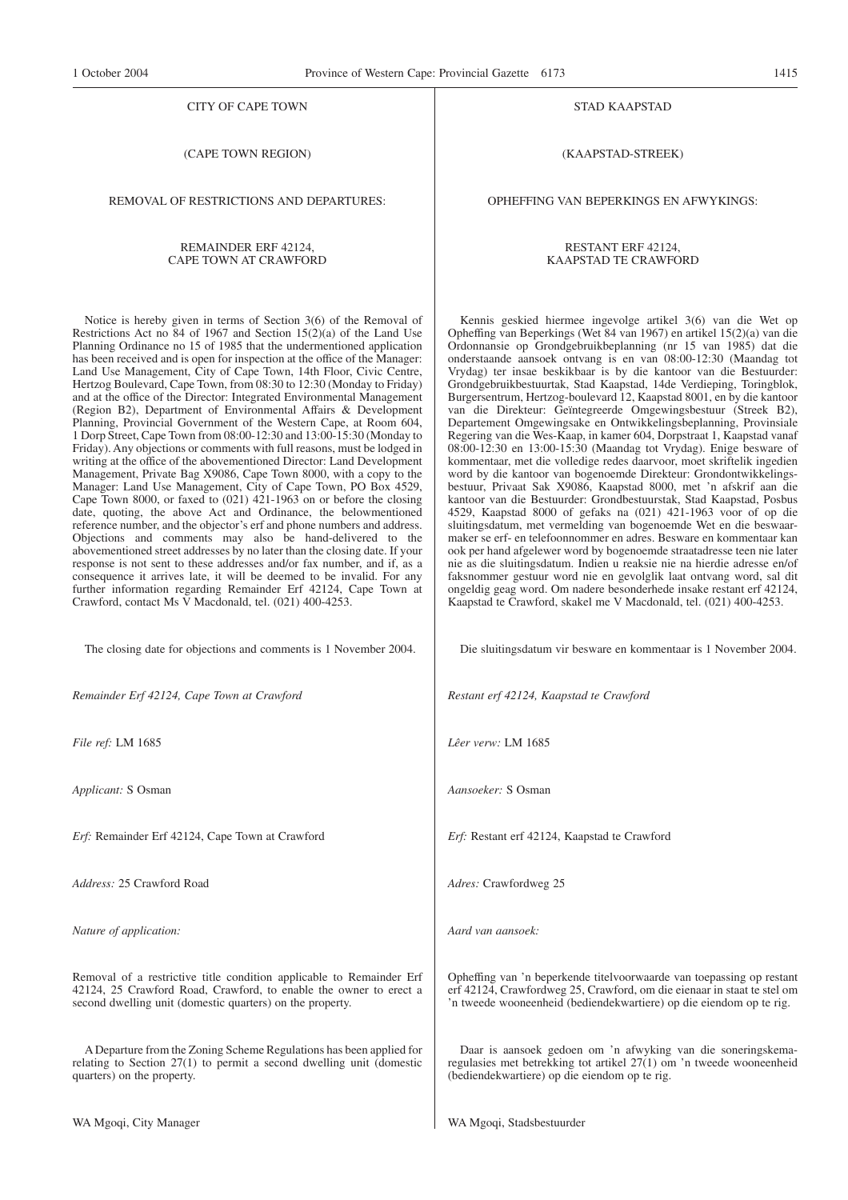#### CITY OF CAPE TOWN

(CAPE TOWN REGION)

REMOVAL OF RESTRICTIONS AND DEPARTURES:

#### REMAINDER ERF 42124, CAPE TOWN AT CRAWFORD

Notice is hereby given in terms of Section 3(6) of the Removal of Restrictions Act no 84 of 1967 and Section 15(2)(a) of the Land Use Planning Ordinance no 15 of 1985 that the undermentioned application has been received and is open for inspection at the office of the Manager: Land Use Management, City of Cape Town, 14th Floor, Civic Centre, Hertzog Boulevard, Cape Town, from 08:30 to 12:30 (Monday to Friday) and at the office of the Director: Integrated Environmental Management (Region B2), Department of Environmental Affairs & Development Planning, Provincial Government of the Western Cape, at Room 604, 1 Dorp Street, Cape Town from 08:00-12:30 and 13:00-15:30 (Monday to Friday). Any objections or comments with full reasons, must be lodged in writing at the office of the abovementioned Director: Land Development Management, Private Bag X9086, Cape Town 8000, with a copy to the Manager: Land Use Management, City of Cape Town, PO Box 4529, Cape Town 8000, or faxed to (021) 421-1963 on or before the closing date, quoting, the above Act and Ordinance, the belowmentioned reference number, and the objector's erf and phone numbers and address. Objections and comments may also be hand-delivered to the abovementioned street addresses by no later than the closing date. If your response is not sent to these addresses and/or fax number, and if, as a consequence it arrives late, it will be deemed to be invalid. For any further information regarding Remainder Erf 42124, Cape Town at Crawford, contact Ms V Macdonald, tel. (021) 400-4253.

The closing date for objections and comments is 1 November 2004.

*Remainder Erf 42124, Cape Town at Crawford*

*File ref:* LM 1685

*Applicant:* S Osman

*Erf:* Remainder Erf 42124, Cape Town at Crawford

*Address:* 25 Crawford Road

*Nature of application:*

Removal of a restrictive title condition applicable to Remainder Erf 42124, 25 Crawford Road, Crawford, to enable the owner to erect a second dwelling unit (domestic quarters) on the property.

A Departure from the Zoning Scheme Regulations has been applied for relating to Section 27(1) to permit a second dwelling unit (domestic quarters) on the property.

#### STAD KAAPSTAD

(KAAPSTAD-STREEK)

OPHEFFING VAN BEPERKINGS EN AFWYKINGS:

#### RESTANT ERF 42124, KAAPSTAD TE CRAWFORD

Kennis geskied hiermee ingevolge artikel 3(6) van die Wet op Opheffing van Beperkings (Wet 84 van 1967) en artikel 15(2)(a) van die Ordonnansie op Grondgebruikbeplanning (nr 15 van 1985) dat die onderstaande aansoek ontvang is en van 08:00-12:30 (Maandag tot Vrydag) ter insae beskikbaar is by die kantoor van die Bestuurder: Grondgebruikbestuurtak, Stad Kaapstad, 14de Verdieping, Toringblok, Burgersentrum, Hertzog-boulevard 12, Kaapstad 8001, en by die kantoor van die Direkteur: Geïntegreerde Omgewingsbestuur (Streek B2), Departement Omgewingsake en Ontwikkelingsbeplanning, Provinsiale Regering van die Wes-Kaap, in kamer 604, Dorpstraat 1, Kaapstad vanaf 08:00-12:30 en 13:00-15:30 (Maandag tot Vrydag). Enige besware of kommentaar, met die volledige redes daarvoor, moet skriftelik ingedien word by die kantoor van bogenoemde Direkteur: Grondontwikkelingsbestuur, Privaat Sak X9086, Kaapstad 8000, met 'n afskrif aan die kantoor van die Bestuurder: Grondbestuurstak, Stad Kaapstad, Posbus 4529, Kaapstad 8000 of gefaks na (021) 421-1963 voor of op die sluitingsdatum, met vermelding van bogenoemde Wet en die beswaarmaker se erf- en telefoonnommer en adres. Besware en kommentaar kan ook per hand afgelewer word by bogenoemde straatadresse teen nie later nie as die sluitingsdatum. Indien u reaksie nie na hierdie adresse en/of faksnommer gestuur word nie en gevolglik laat ontvang word, sal dit ongeldig geag word. Om nadere besonderhede insake restant erf 42124, Kaapstad te Crawford, skakel me V Macdonald, tel. (021) 400-4253.

Die sluitingsdatum vir besware en kommentaar is 1 November 2004.

*Restant erf 42124, Kaapstad te Crawford*

*Lêer verw:* LM 1685

*Aansoeker:* S Osman

*Erf:* Restant erf 42124, Kaapstad te Crawford

*Adres:* Crawfordweg 25

*Aard van aansoek:*

Opheffing van 'n beperkende titelvoorwaarde van toepassing op restant erf 42124, Crawfordweg 25, Crawford, om die eienaar in staat te stel om 'n tweede wooneenheid (bediendekwartiere) op die eiendom op te rig.

Daar is aansoek gedoen om 'n afwyking van die soneringskemaregulasies met betrekking tot artikel 27(1) om 'n tweede wooneenheid (bediendekwartiere) op die eiendom op te rig.

WA Mgoqi, Stadsbestuurder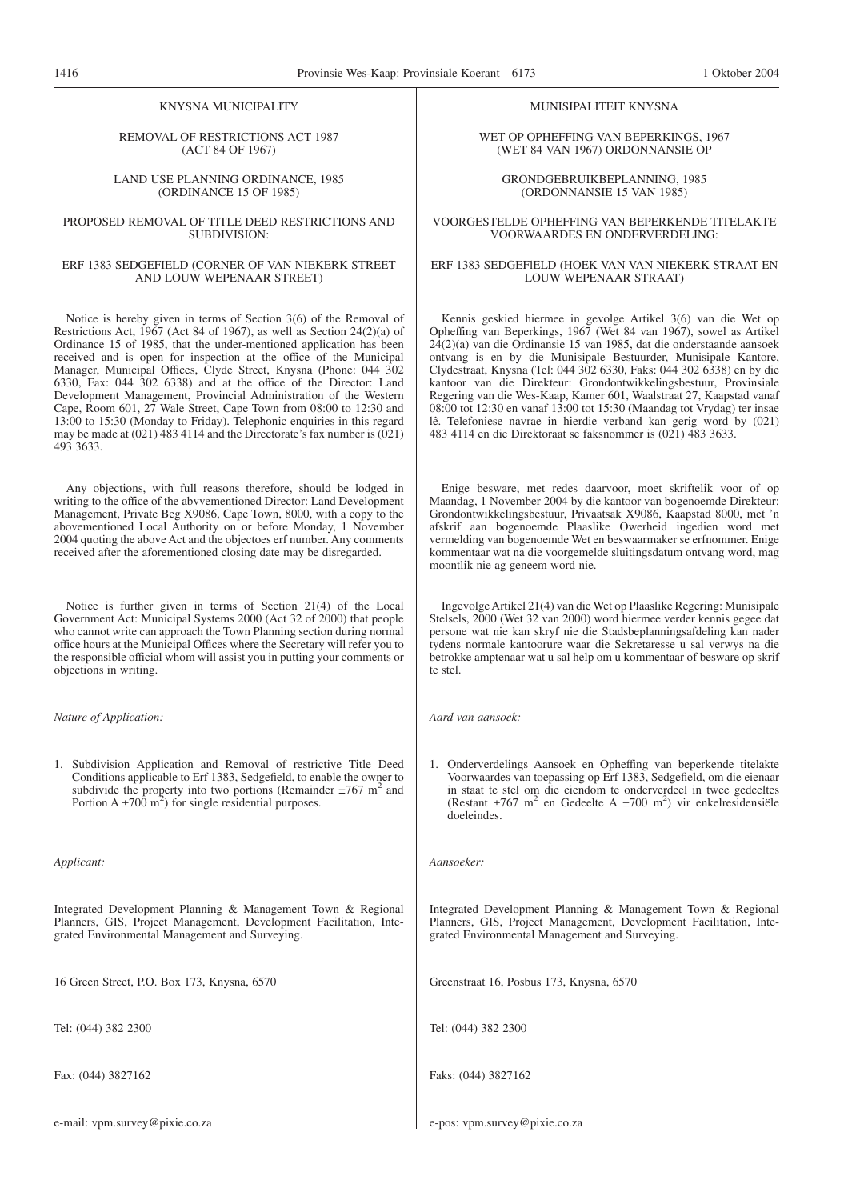#### KNYSNA MUNICIPALITY

#### REMOVAL OF RESTRICTIONS ACT 1987 (ACT 84 OF 1967)

#### LAND USE PLANNING ORDINANCE, 1985 (ORDINANCE 15 OF 1985)

#### PROPOSED REMOVAL OF TITLE DEED RESTRICTIONS AND SUBDIVISION:

#### ERF 1383 SEDGEFIELD (CORNER OF VAN NIEKERK STREET AND LOUW WEPENAAR STREET)

Notice is hereby given in terms of Section 3(6) of the Removal of Restrictions Act, 1967 (Act 84 of 1967), as well as Section 24(2)(a) of Ordinance 15 of 1985, that the under-mentioned application has been received and is open for inspection at the office of the Municipal Manager, Municipal Offices, Clyde Street, Knysna (Phone: 044 302 6330, Fax: 044 302 6338) and at the office of the Director: Land Development Management, Provincial Administration of the Western Cape, Room 601, 27 Wale Street, Cape Town from 08:00 to 12:30 and 13:00 to 15:30 (Monday to Friday). Telephonic enquiries in this regard may be made at (021) 483 4114 and the Directorate's fax number is (021) 493 3633.

Any objections, with full reasons therefore, should be lodged in writing to the office of the abvvementioned Director: Land Development Management, Private Beg X9086, Cape Town, 8000, with a copy to the abovementioned Local Authority on or before Monday, 1 November 2004 quoting the above Act and the objectoes erf number. Any comments received after the aforementioned closing date may be disregarded.

Notice is further given in terms of Section 21(4) of the Local Government Act: Municipal Systems 2000 (Act 32 of 2000) that people who cannot write can approach the Town Planning section during normal office hours at the Municipal Offices where the Secretary will refer you to the responsible official whom will assist you in putting your comments or objections in writing.

*Nature of Application:*

1. Subdivision Application and Removal of restrictive Title Deed Conditions applicable to Erf 1383, Sedgefield, to enable the owner to subdivide the property into two portions (Remainder  $\pm 767$  m<sup>2</sup> and Portion A  $\pm$ 700 m<sup>2</sup>) for single residential purposes.

*Applicant:*

Integrated Development Planning & Management Town & Regional Planners, GIS, Project Management, Development Facilitation, Integrated Environmental Management and Surveying.

16 Green Street, P.O. Box 173, Knysna, 6570

Tel: (044) 382 2300

Fax: (044) 3827162

e-mail: vpm.survey@pixie.co.za

#### MUNISIPALITEIT KNYSNA

WET OP OPHEFFING VAN BEPERKINGS, 1967 (WET 84 VAN 1967) ORDONNANSIE OP

GRONDGEBRUIKBEPLANNING, 1985 (ORDONNANSIE 15 VAN 1985)

#### VOORGESTELDE OPHEFFING VAN BEPERKENDE TITELAKTE VOORWAARDES EN ONDERVERDELING:

#### ERF 1383 SEDGEFlELD (HOEK VAN VAN NIEKERK STRAAT EN LOUW WEPENAAR STRAAT)

Kennis geskied hiermee in gevolge Artikel 3(6) van die Wet op Opheffing van Beperkings, 1967 (Wet 84 van 1967), sowel as Artikel 24(2)(a) van die Ordinansie 15 van 1985, dat die onderstaande aansoek ontvang is en by die Munisipale Bestuurder, Munisipale Kantore, Clydestraat, Knysna (Tel: 044 302 6330, Faks: 044 302 6338) en by die kantoor van die Direkteur: Grondontwikkelingsbestuur, Provinsiale Regering van die Wes-Kaap, Kamer 601, Waalstraat 27, Kaapstad vanaf 08:00 tot 12:30 en vanaf 13:00 tot 15:30 (Maandag tot Vrydag) ter insae lê. Telefoniese navrae in hierdie verband kan gerig word by (021) 483 4114 en die Direktoraat se faksnommer is (021) 483 3633.

Enige besware, met redes daarvoor, moet skriftelik voor of op Maandag, 1 November 2004 by die kantoor van bogenoemde Direkteur: Grondontwikkelingsbestuur, Privaatsak X9086, Kaapstad 8000, met 'n afskrif aan bogenoemde Plaaslike Owerheid ingedien word met vermelding van bogenoemde Wet en beswaarmaker se erfnommer. Enige kommentaar wat na die voorgemelde sluitingsdatum ontvang word, mag moontlik nie ag geneem word nie.

Ingevolge Artikel 21(4) van die Wet op Plaaslike Regering: Munisipale Stelsels, 2000 (Wet 32 van 2000) word hiermee verder kennis gegee dat persone wat nie kan skryf nie die Stadsbeplanningsafdeling kan nader tydens normale kantoorure waar die Sekretaresse u sal verwys na die betrokke amptenaar wat u sal help om u kommentaar of besware op skrif te stel.

*Aard van aansoek:*

1. Onderverdelings Aansoek en Opheffing van beperkende titelakte Voorwaardes van toepassing op Erf 1383, Sedgefield, om die eienaar in staat te stel om die eiendom te onderverdeel in twee gedeeltes (Restant  $\pm 767$  m<sup>2</sup> en Gedeelte A  $\pm 700$  m<sup>2</sup>) vir enkelresidensiële doeleindes.

*Aansoeker:*

Integrated Development Planning & Management Town & Regional Planners, GIS, Project Management, Development Facilitation, Integrated Environmental Management and Surveying.

Greenstraat 16, Posbus 173, Knysna, 6570

Tel: (044) 382 2300

Faks: (044) 3827162

e-pos: vpm.survey@pixie.co.za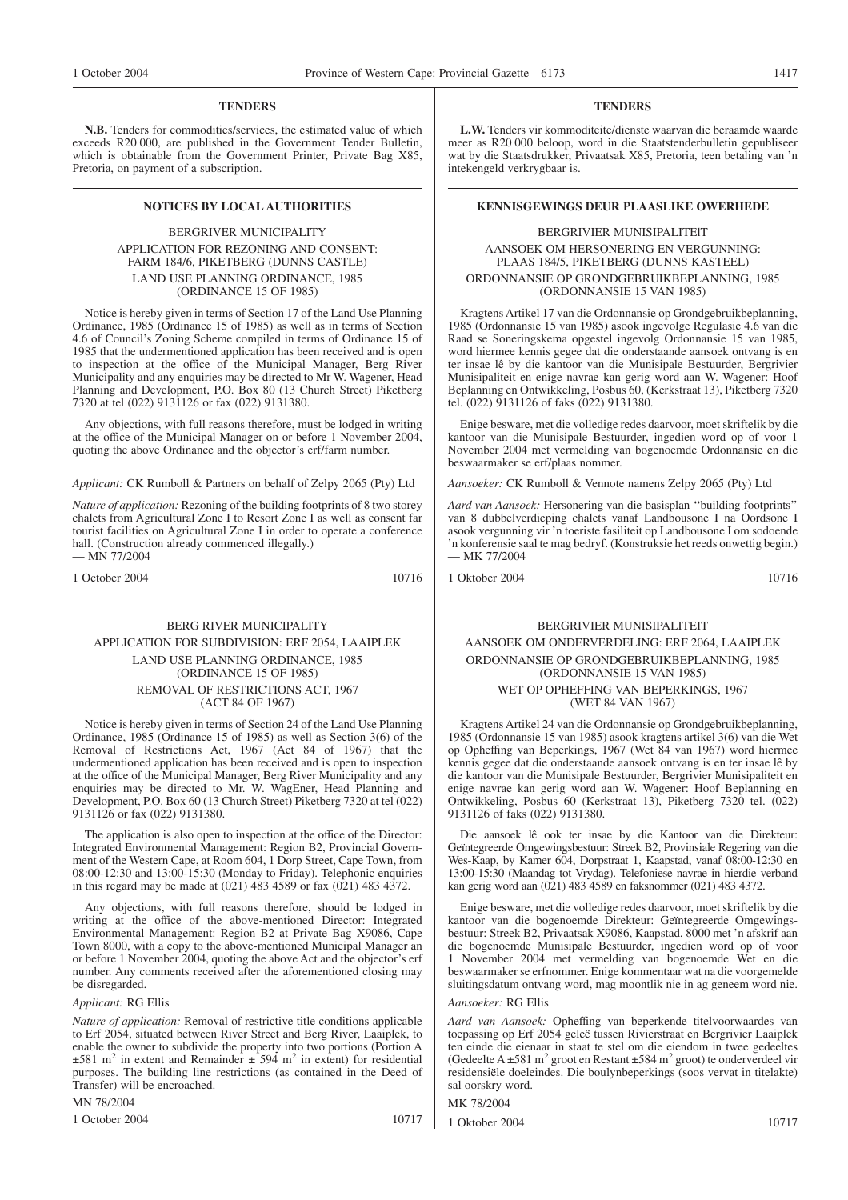#### **TENDERS**

**N.B.** Tenders for commodities/services, the estimated value of which exceeds R20 000, are published in the Government Tender Bulletin, which is obtainable from the Government Printer, Private Bag X85, Pretoria, on payment of a subscription.

### BERGRIVER MUNICIPALITY APPLICATION FOR REZONING AND CONSENT: FARM 184/6, PIKETBERG (DUNNS CASTLE) LAND USE PLANNING ORDINANCE, 1985 (ORDINANCE 15 OF 1985)

Notice is hereby given in terms of Section 17 of the Land Use Planning Ordinance, 1985 (Ordinance 15 of 1985) as well as in terms of Section 4.6 of Council's Zoning Scheme compiled in terms of Ordinance 15 of 1985 that the undermentioned application has been received and is open to inspection at the office of the Municipal Manager, Berg River Municipality and any enquiries may be directed to Mr W. Wagener, Head Planning and Development, P.O. Box 80 (13 Church Street) Piketberg 7320 at tel (022) 9131126 or fax (022) 9131380.

Any objections, with full reasons therefore, must be lodged in writing at the office of the Municipal Manager on or before 1 November 2004, quoting the above Ordinance and the objector's erf/farm number.

*Applicant:* CK Rumboll & Partners on behalf of Zelpy 2065 (Pty) Ltd

*Nature of application:* Rezoning of the building footprints of 8 two storey chalets from Agricultural Zone I to Resort Zone I as well as consent far tourist facilities on Agricultural Zone I in order to operate a conference hall. (Construction already commenced illegally.) — MN 77/2004

1 October 2004 10716

# BERG RIVER MUNICIPALITY APPLICATION FOR SUBDIVISION: ERF 2054, LAAIPLEK LAND USE PLANNING ORDINANCE, 1985 (ORDINANCE 15 OF 1985) REMOVAL OF RESTRICTIONS ACT, 1967 (ACT 84 OF 1967)

Notice is hereby given in terms of Section 24 of the Land Use Planning Ordinance, 1985 (Ordinance 15 of 1985) as well as Section 3(6) of the Removal of Restrictions Act, 1967 (Act 84 of 1967) that the undermentioned application has been received and is open to inspection at the office of the Municipal Manager, Berg River Municipality and any enquiries may be directed to Mr. W. WagEner, Head Planning and Development, P.O. Box 60 (13 Church Street) Piketberg 7320 at tel (022) 9131126 or fax (022) 9131380.

The application is also open to inspection at the office of the Director: Integrated Environmental Management: Region B2, Provincial Government of the Western Cape, at Room 604, 1 Dorp Street, Cape Town, from 08:00-12:30 and 13:00-15:30 (Monday to Friday). Telephonic enquiries in this regard may be made at (021) 483 4589 or fax (021) 483 4372.

Any objections, with full reasons therefore, should be lodged in writing at the office of the above-mentioned Director: Integrated Environmental Management: Region B2 at Private Bag X9086, Cape Town 8000, with a copy to the above-mentioned Municipal Manager an or before 1 November 2004, quoting the above Act and the objector's erf number. Any comments received after the aforementioned closing may be disregarded.

#### *Applicant:* RG Ellis

*Nature of application:* Removal of restrictive title conditions applicable to Erf 2054, situated between River Street and Berg River, Laaiplek, to enable the owner to subdivide the property into two portions (Portion A  $\pm 581$  m<sup>2</sup> in extent and Remainder  $\pm 594$  m<sup>2</sup> in extent) for residential purposes. The building line restrictions (as contained in the Deed of Transfer) will be encroached.

MN 78/2004

1 October 2004 10717

#### **TENDERS**

**L.W.** Tenders vir kommoditeite/dienste waarvan die beraamde waarde meer as R20 000 beloop, word in die Staatstenderbulletin gepubliseer wat by die Staatsdrukker, Privaatsak X85, Pretoria, teen betaling van 'n intekengeld verkrygbaar is.

#### **NOTICES BY LOCAL AUTHORITIES KENNISGEWINGS DEUR PLAASLIKE OWERHEDE**

### BERGRIVIER MUNISIPALITElT AANSOEK OM HERSONERING EN VERGUNNING: PLAAS 184/5, PIKETBERG (DUNNS KASTEEL) ORDONNANSIE OP GRONDGEBRUIKBEPLANNING, 1985 (ORDONNANSIE 15 VAN 1985)

Kragtens Artikel 17 van die Ordonnansie op Grondgebruikbeplanning, 1985 (Ordonnansie 15 van 1985) asook ingevolge Regulasie 4.6 van die Raad se Soneringskema opgestel ingevolg Ordonnansie 15 van 1985, word hiermee kennis gegee dat die onderstaande aansoek ontvang is en ter insae lê by die kantoor van die Munisipale Bestuurder, Bergrivier Munisipaliteit en enige navrae kan gerig word aan W. Wagener: Hoof Beplanning en Ontwikkeling, Posbus 60, (Kerkstraat 13), Piketberg 7320 tel. (022) 9131126 of faks (022) 9131380.

Enige besware, met die volledige redes daarvoor, moet skriftelik by die kantoor van die Munisipale Bestuurder, ingedien word op of voor 1 November 2004 met vermelding van bogenoemde Ordonnansie en die beswaarmaker se erf/plaas nommer.

*Aansoeker:* CK Rumboll & Vennote namens Zelpy 2065 (Pty) Ltd

*Aard van Aansoek:* Hersonering van die basisplan ''building footprints'' van 8 dubbelverdieping chalets vanaf Landbousone I na Oordsone I asook vergunning vir 'n toeriste fasiliteit op Landbousone I om sodoende 'n konferensie saal te mag bedryf. (Konstruksie het reeds onwettig begin.) — MK 77/2004

1 Oktober 2004 10716

# BERGRIVIER MUNISIPALITEIT AANSOEK OM ONDERVERDELING: ERF 2064, LAAIPLEK ORDONNANSIE OP GRONDGEBRUIKBEPLANNING, 1985 (ORDONNANSIE 15 VAN 1985) WET OP OPHEFFING VAN BEPERKINGS, 1967 (WET 84 VAN 1967)

Kragtens Artikel 24 van die Ordonnansie op Grondgebruikbeplanning, 1985 (Ordonnansie 15 van 1985) asook kragtens artikel 3(6) van die Wet op Opheffing van Beperkings, 1967 (Wet 84 van 1967) word hiermee kennis gegee dat die onderstaande aansoek ontvang is en ter insae lê by die kantoor van die Munisipale Bestuurder, Bergrivier Munisipaliteit en enige navrae kan gerig word aan W. Wagener: Hoof Beplanning en Ontwikkeling, Posbus 60 (Kerkstraat 13), Piketberg 7320 tel. (022) 9131126 of faks (022) 9131380.

Die aansoek lê ook ter insae by die Kantoor van die Direkteur: Geïntegreerde Omgewingsbestuur: Streek B2, Provinsiale Regering van die Wes-Kaap, by Kamer 604, Dorpstraat 1, Kaapstad, vanaf 08:00-12:30 en 13:00-15:30 (Maandag tot Vrydag). Telefoniese navrae in hierdie verband kan gerig word aan (021) 483 4589 en faksnommer (021) 483 4372.

Enige besware, met die volledige redes daarvoor, moet skriftelik by die kantoor van die bogenoemde Direkteur: Geïntegreerde Omgewingsbestuur: Streek B2, Privaatsak X9086, Kaapstad, 8000 met 'n afskrif aan die bogenoemde Munisipale Bestuurder, ingedien word op of voor 1 November 2004 met vermelding van bogenoemde Wet en die beswaarmaker se erfnommer. Enige kommentaar wat na die voorgemelde sluitingsdatum ontvang word, mag moontlik nie in ag geneem word nie.

# *Aansoeker:* RG Ellis

*Aard van Aansoek:* Opheffing van beperkende titelvoorwaardes van toepassing op Erf 2054 geleë tussen Rivierstraat en Bergrivier Laaiplek ten einde die eienaar in staat te stel om die eiendom in twee gedeeltes (Gedeelte A  $\pm$ 581 m<sup>2</sup> groot en Restant  $\pm$ 584 m<sup>2</sup> groot) te onderverdeel vir residensiële doeleindes. Die boulynbeperkings (soos vervat in titelakte) sal oorskry word.

MK 78/2004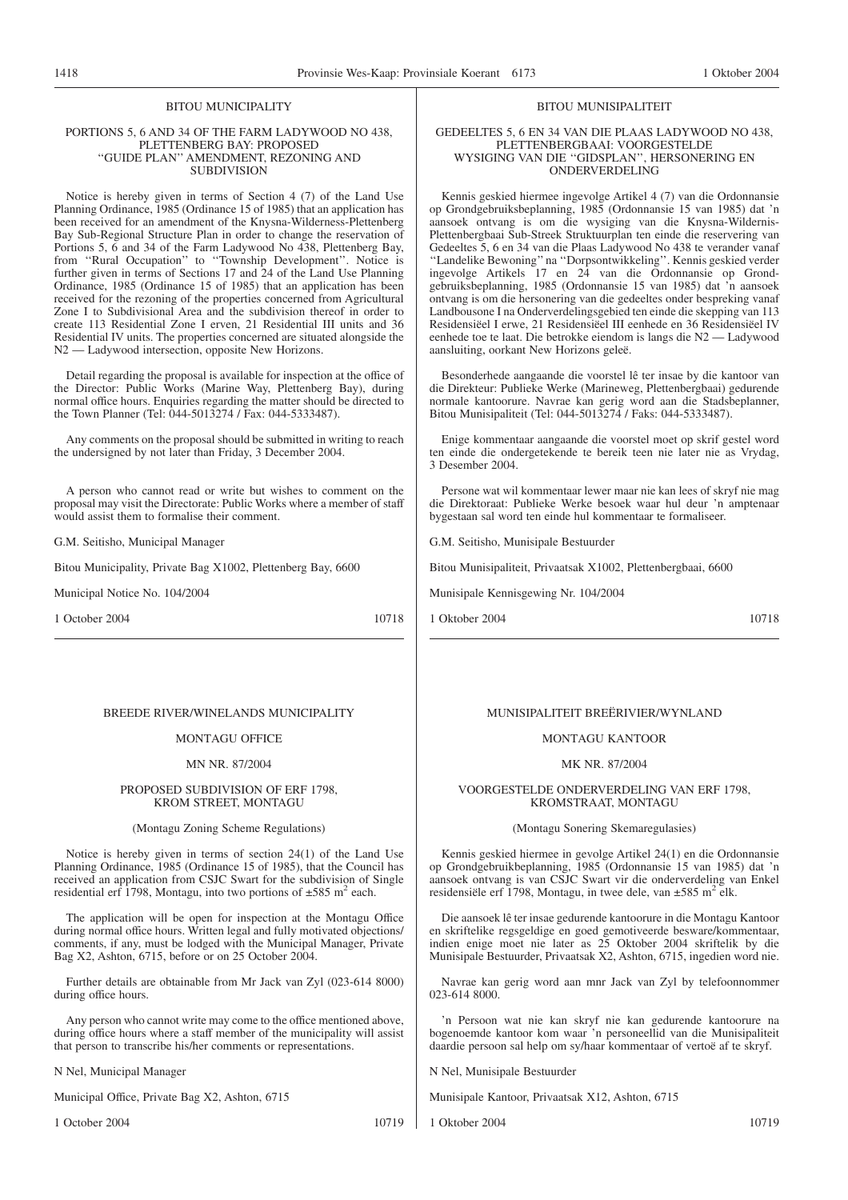#### BITOU MUNICIPALITY

#### PORTIONS 5, 6 AND 34 OF THE FARM LADYWOOD NO 438, PLETTENBERG BAY: PROPOSED ''GUIDE PLAN'' AMENDMENT, REZONING AND SUBDIVISION

Notice is hereby given in terms of Section 4 (7) of the Land Use Planning Ordinance, 1985 (Ordinance 15 of 1985) that an application has been received for an amendment of the Knysna-Wilderness-Plettenberg Bay Sub-Regional Structure Plan in order to change the reservation of Portions 5, 6 and 34 of the Farm Ladywood No 438, Plettenberg Bay, from "Rural Occupation" to "Township Development". Notice is further given in terms of Sections 17 and 24 of the Land Use Planning Ordinance, 1985 (Ordinance 15 of 1985) that an application has been received for the rezoning of the properties concerned from Agricultural Zone I to Subdivisional Area and the subdivision thereof in order to create 113 Residential Zone I erven, 21 Residential III units and 36 Residential IV units. The properties concerned are situated alongside the N2 — Ladywood intersection, opposite New Horizons.

Detail regarding the proposal is available for inspection at the office of the Director: Public Works (Marine Way, Plettenberg Bay), during normal office hours. Enquiries regarding the matter should be directed to the Town Planner (Tel: 044-5013274 / Fax: 044-5333487).

Any comments on the proposal should be submitted in writing to reach the undersigned by not later than Friday, 3 December 2004.

A person who cannot read or write but wishes to comment on the proposal may visit the Directorate: Public Works where a member of staff would assist them to formalise their comment.

G.M. Seitisho, Municipal Manager

Bitou Municipality, Private Bag X1002, Plettenberg Bay, 6600

Municipal Notice No. 104/2004

1 October 2004 10718

#### BREEDE RIVER/WINELANDS MUNICIPALITY

#### MONTAGU OFFICE

#### MN NR. 87/2004

#### PROPOSED SUBDIVISION OF ERF 1798, KROM STREET, MONTAGU

#### (Montagu Zoning Scheme Regulations)

Notice is hereby given in terms of section 24(1) of the Land Use Planning Ordinance, 1985 (Ordinance 15 of 1985), that the Council has received an application from CSJC Swart for the subdivision of Single residential erf 1798, Montagu, into two portions of  $\pm 585$  m<sup>2</sup> each.

The application will be open for inspection at the Montagu Office during normal office hours. Written legal and fully motivated objections/ comments, if any, must be lodged with the Municipal Manager, Private Bag X2, Ashton, 6715, before or on 25 October 2004.

Further details are obtainable from Mr Jack van Zyl (023-614 8000) during office hours.

Any person who cannot write may come to the office mentioned above, during office hours where a staff member of the municipality will assist that person to transcribe his/her comments or representations.

N Nel, Municipal Manager

Municipal Office, Private Bag X2, Ashton, 6715

1 October 2004 10719

#### MUNISIPALITEIT BREËRIVIER/WYNLAND

BITOU MUNISIPALITEIT GEDEELTES 5, 6 EN 34 VAN DIE PLAAS LADYWOOD NO 438, PLETTENBERGBAAI: VOORGESTELDE WYSIGING VAN DIE ''GIDSPLAN'', HERSONERING EN ONDERVERDELING Kennis geskied hiermee ingevolge Artikel 4 (7) van die Ordonnansie op Grondgebruiksbeplanning, 1985 (Ordonnansie 15 van 1985) dat 'n aansoek ontvang is om die wysiging van die Knysna-Wildernis-Plettenbergbaai Sub-Streek Struktuurplan ten einde die reservering van Gedeeltes 5, 6 en 34 van die Plaas Ladywood No 438 te verander vanaf ''Landelike Bewoning''na ''Dorpsontwikkeling''. Kennis geskied verder ingevolge Artikels 17 en 24 van die Ordonnansie op Grondgebruiksbeplanning, 1985 (Ordonnansie 15 van 1985) dat 'n aansoek ontvang is om die hersonering van die gedeeltes onder bespreking vanaf Landbousone I na Onderverdelingsgebied ten einde die skepping van 113 Residensiëel I erwe, 21 Residensiëel III eenhede en 36 Residensiëel IV eenhede toe te laat. Die betrokke eiendom is langs die N2 — Ladywood

Besonderhede aangaande die voorstel lê ter insae by die kantoor van die Direkteur: Publieke Werke (Marineweg, Plettenbergbaai) gedurende normale kantoorure. Navrae kan gerig word aan die Stadsbeplanner, Bitou Munisipaliteit (Tel: 044-5013274 / Faks: 044-5333487).

Enige kommentaar aangaande die voorstel moet op skrif gestel word ten einde die ondergetekende te bereik teen nie later nie as Vrydag,

Persone wat wil kommentaar lewer maar nie kan lees of skryf nie mag die Direktoraat: Publieke Werke besoek waar hul deur 'n amptenaar

bygestaan sal word ten einde hul kommentaar te formaliseer.

Bitou Munisipaliteit, Privaatsak X1002, Plettenbergbaai, 6600

#### MONTAGU KANTOOR

#### MK NR. 87/2004

VOORGESTELDE ONDERVERDELING VAN ERF 1798, KROMSTRAAT, MONTAGU

#### (Montagu Sonering Skemaregulasies)

Kennis geskied hiermee in gevolge Artikel 24(1) en die Ordonnansie op Grondgebruikbeplanning, 1985 (Ordonnansie 15 van 1985) dat 'n aansoek ontvang is van CSJC Swart vir die onderverdeling van Enkel residensiële erf 1798, Montagu, in twee dele, van ±585 m2 elk.

Die aansoek lê ter insae gedurende kantoorure in die Montagu Kantoor en skriftelike regsgeldige en goed gemotiveerde besware/kommentaar, indien enige moet nie later as 25 Oktober 2004 skriftelik by die Munisipale Bestuurder, Privaatsak X2, Ashton, 6715, ingedien word nie.

Navrae kan gerig word aan mnr Jack van Zyl by telefoonnommer 023-614 8000

'n Persoon wat nie kan skryf nie kan gedurende kantoorure na bogenoemde kantoor kom waar 'n personeellid van die Munisipaliteit daardie persoon sal help om sy/haar kommentaar of vertoë af te skryf.

N Nel, Munisipale Bestuurder

Munisipale Kantoor, Privaatsak X12, Ashton, 6715

1 Oktober 2004 10719

1 Oktober 2004 10718

3 Desember 2004.

aansluiting, oorkant New Horizons geleë.

G.M. Seitisho, Munisipale Bestuurder

Munisipale Kennisgewing Nr. 104/2004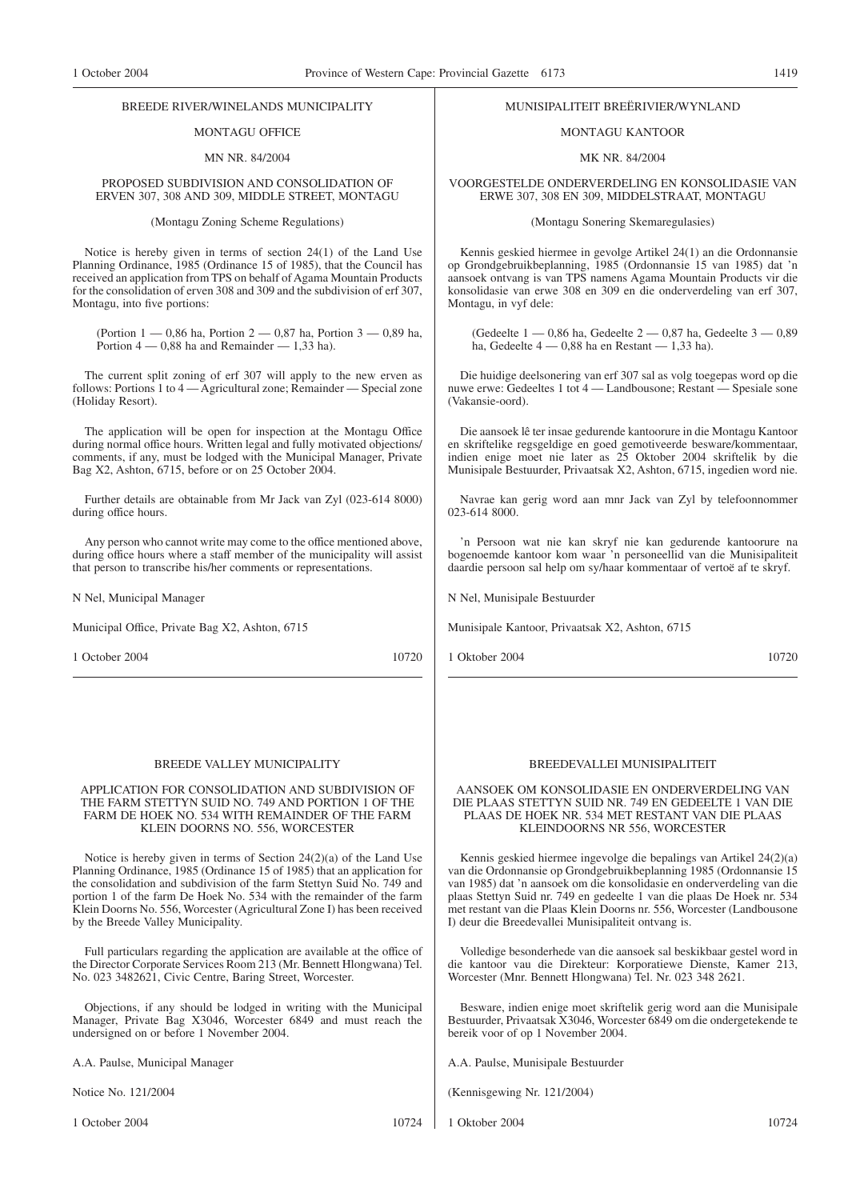# MONTAGU OFFICE

#### MN NR. 84/2004

#### PROPOSED SUBDIVISION AND CONSOLIDATION OF ERVEN 307, 308 AND 309, MIDDLE STREET, MONTAGU

(Montagu Zoning Scheme Regulations)

Notice is hereby given in terms of section 24(1) of the Land Use Planning Ordinance, 1985 (Ordinance 15 of 1985), that the Council has received an application from TPS on behalf of Agama Mountain Products for the consolidation of erven 308 and 309 and the subdivision of erf 307, Montagu, into five portions:

(Portion 1 — 0,86 ha, Portion 2 — 0,87 ha, Portion 3 — 0,89 ha, Portion  $4 - 0.88$  ha and Remainder  $- 1.33$  ha).

The current split zoning of erf 307 will apply to the new erven as follows: Portions 1 to  $4 -$  Agricultural zone; Remainder  $-$  Special zone (Holiday Resort).

The application will be open for inspection at the Montagu Office during normal office hours. Written legal and fully motivated objections/ comments, if any, must be lodged with the Municipal Manager, Private Bag X2, Ashton, 6715, before or on 25 October 2004.

Further details are obtainable from Mr Jack van Zyl (023-614 8000) during office hours.

Any person who cannot write may come to the office mentioned above, during office hours where a staff member of the municipality will assist that person to transcribe his/her comments or representations.

N Nel, Municipal Manager

Municipal Office, Private Bag X2, Ashton, 6715

1 October 2004 10720

#### BREEDE VALLEY MUNICIPALITY

#### APPLICATION FOR CONSOLIDATION AND SUBDIVISION OF THE FARM STETTYN SUID NO. 749 AND PORTION 1 OF THE FARM DE HOEK NO. 534 WITH REMAINDER OF THE FARM KLEIN DOORNS NO. 556, WORCESTER

Notice is hereby given in terms of Section 24(2)(a) of the Land Use Planning Ordinance, 1985 (Ordinance 15 of 1985) that an application for the consolidation and subdivision of the farm Stettyn Suid No. 749 and portion 1 of the farm De Hoek No. 534 with the remainder of the farm Klein Doorns No. 556, Worcester (Agricultural Zone I) has been received by the Breede Valley Municipality.

Full particulars regarding the application are available at the office of the Director Corporate Services Room 213 (Mr. Bennett Hlongwana) Tel. No. 023 3482621, Civic Centre, Baring Street, Worcester.

Objections, if any should be lodged in writing with the Municipal Manager, Private Bag X3046, Worcester 6849 and must reach the undersigned on or before 1 November 2004.

A.A. Paulse, Municipal Manager

Notice No. 121/2004

1 October 2004 10724

# MUNISIPALITEIT BREËRIVIER/WYNLAND

#### MONTAGU KANTOOR

MK NR. 84/2004

VOORGESTELDE ONDERVERDELING EN KONSOLIDASIE VAN ERWE 307, 308 EN 309, MIDDELSTRAAT, MONTAGU

(Montagu Sonering Skemaregulasies)

Kennis geskied hiermee in gevolge Artikel 24(1) an die Ordonnansie op Grondgebruikbeplanning, 1985 (Ordonnansie 15 van 1985) dat 'n aansoek ontvang is van TPS namens Agama Mountain Products vir die konsolidasie van erwe 308 en 309 en die onderverdeling van erf 307, Montagu, in vyf dele:

(Gedeelte 1 — 0,86 ha, Gedeelte 2 — 0,87 ha, Gedeelte 3 — 0,89 ha, Gedeelte 4 — 0,88 ha en Restant — 1,33 ha).

Die huidige deelsonering van erf 307 sal as volg toegepas word op die nuwe erwe: Gedeeltes 1 tot  $4 -$  Landbousone: Restant  $-$  Spesiale sone (Vakansie-oord).

Die aansoek lê ter insae gedurende kantoorure in die Montagu Kantoor en skriftelike regsgeldige en goed gemotiveerde besware/kommentaar, indien enige moet nie later as 25 Oktober 2004 skriftelik by die Munisipale Bestuurder, Privaatsak X2, Ashton, 6715, ingedien word nie.

Navrae kan gerig word aan mnr Jack van Zyl by telefoonnommer 023-614 8000.

'n Persoon wat nie kan skryf nie kan gedurende kantoorure na bogenoemde kantoor kom waar 'n personeellid van die Munisipaliteit daardie persoon sal help om sy/haar kommentaar of vertoë af te skryf.

N Nel, Munisipale Bestuurder

Munisipale Kantoor, Privaatsak X2, Ashton, 6715

1 Oktober 2004 10720

# BREEDEVALLEI MUNISIPALITEIT

#### AANSOEK OM KONSOLIDASIE EN ONDERVERDELING VAN DIE PLAAS STETTYN SUID NR. 749 EN GEDEELTE 1 VAN DIE PLAAS DE HOEK NR. 534 MET RESTANT VAN DIE PLAAS KLEINDOORNS NR 556, WORCESTER

Kennis geskied hiermee ingevolge die bepalings van Artikel 24(2)(a) van die Ordonnansie op Grondgebruikbeplanning 1985 (Ordonnansie 15 van 1985) dat 'n aansoek om die konsolidasie en onderverdeling van die plaas Stettyn Suid nr. 749 en gedeelte 1 van die plaas De Hoek nr. 534 met restant van die Plaas Klein Doorns nr. 556, Worcester (Landbousone I) deur die Breedevallei Munisipaliteit ontvang is.

Volledige besonderhede van die aansoek sal beskikbaar gestel word in die kantoor vau die Direkteur: Korporatiewe Dienste, Kamer 213, Worcester (Mnr. Bennett Hlongwana) Tel. Nr. 023 348 2621.

Besware, indien enige moet skriftelik gerig word aan die Munisipale Bestuurder, Privaatsak X3046, Worcester 6849 om die ondergetekende te bereik voor of op 1 November 2004.

A.A. Paulse, Munisipale Bestuurder

(Kennisgewing Nr. 121/2004)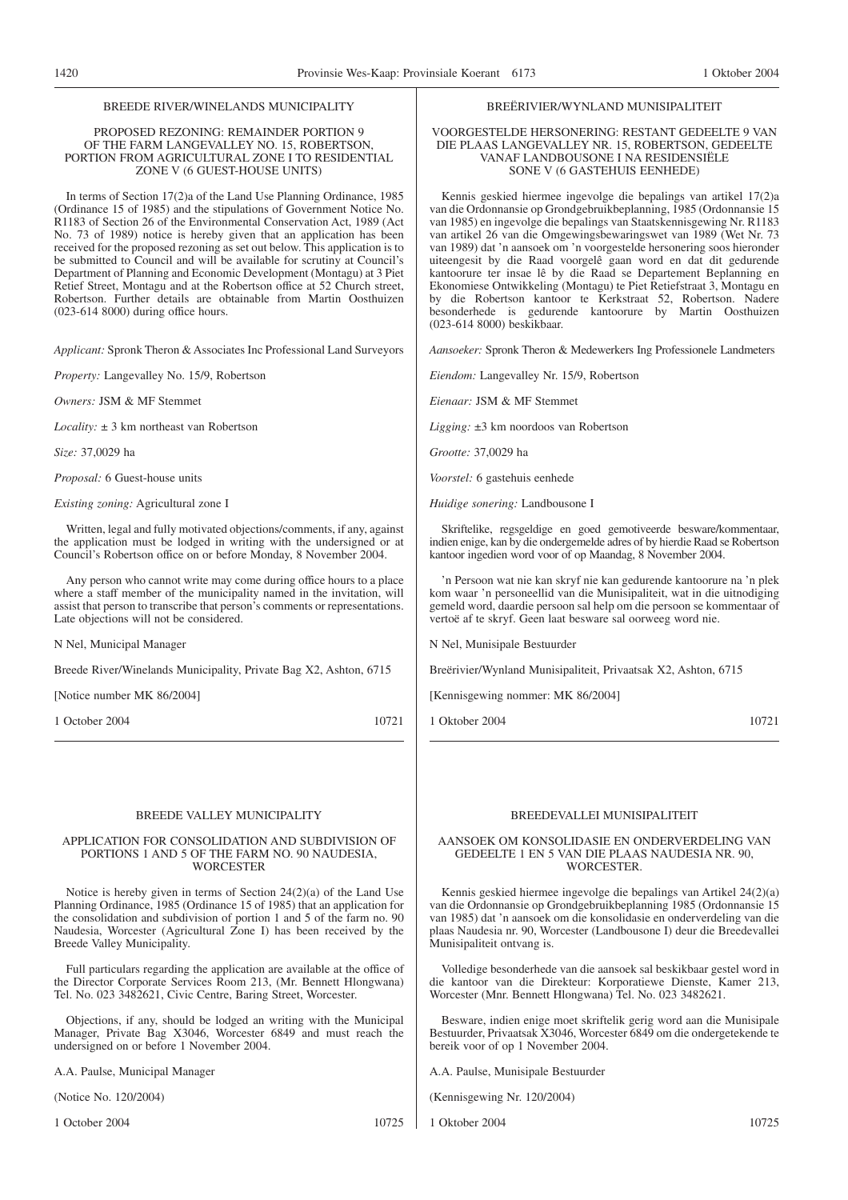PROPOSED REZONING: REMAINDER PORTION 9 OF THE FARM LANGEVALLEY NO. 15, ROBERTSON, PORTION FROM AGRICULTURAL ZONE I TO RESIDENTIAL ZONE V (6 GUEST-HOUSE UNITS)

In terms of Section 17(2)a of the Land Use Planning Ordinance, 1985 (Ordinance 15 of 1985) and the stipulations of Government Notice No. R1183 of Section 26 of the Environmental Conservation Act, 1989 (Act No. 73 of 1989) notice is hereby given that an application has been received for the proposed rezoning as set out below. This application is to be submitted to Council and will be available for scrutiny at Council's Department of Planning and Economic Development (Montagu) at 3 Piet Retief Street, Montagu and at the Robertson office at 52 Church street, Robertson. Further details are obtainable from Martin Oosthuizen (023-614 8000) during office hours.

*Applicant:* Spronk Theron & Associates Inc Professional Land Surveyors

*Property:* Langevalley No. 15/9, Robertson

*Owners:* JSM & MF Stemmet

*Locality:* ± 3 km northeast van Robertson

*Size:* 37,0029 ha

*Proposal:* 6 Guest-house units

*Existing zoning:* Agricultural zone I

Written, legal and fully motivated objections/comments, if any, against the application must be lodged in writing with the undersigned or at Council's Robertson office on or before Monday, 8 November 2004.

Any person who cannot write may come during office hours to a place where a staff member of the municipality named in the invitation, will assist that person to transcribe that person's comments or representations. Late objections will not be considered.

N Nel, Municipal Manager

Breede River/Winelands Municipality, Private Bag X2, Ashton, 6715

[Notice number MK 86/2004]

1 October 2004 10721

#### BREEDE VALLEY MUNICIPALITY

#### APPLICATION FOR CONSOLIDATION AND SUBDIVISION OF PORTIONS 1 AND 5 OF THE FARM NO. 90 NAUDESIA, **WORCESTER**

Notice is hereby given in terms of Section 24(2)(a) of the Land Use Planning Ordinance, 1985 (Ordinance 15 of 1985) that an application for the consolidation and subdivision of portion 1 and 5 of the farm no. 90 Naudesia, Worcester (Agricultural Zone I) has been received by the Breede Valley Municipality.

Full particulars regarding the application are available at the office of the Director Corporate Services Room 213, (Mr. Bennett Hlongwana) Tel. No. 023 3482621, Civic Centre, Baring Street, Worcester.

Objections, if any, should be lodged an writing with the Municipal Manager, Private Bag X3046, Worcester 6849 and must reach the undersigned on or before 1 November 2004.

A.A. Paulse, Municipal Manager

(Notice No. 120/2004)

1 October 2004 10725

#### BREËRIVIER/WYNLAND MUNISIPALITEIT

#### VOORGESTELDE HERSONERING: RESTANT GEDEELTE 9 VAN DIE PLAAS LANGEVALLEY NR. 15, ROBERTSON, GEDEELTE VANAF LANDBOUSONE I NA RESIDENSIËLE SONE V (6 GASTEHUIS EENHEDE)

Kennis geskied hiermee ingevolge die bepalings van artikel 17(2)a van die Ordonnansie op Grondgebruikbeplanning, 1985 (Ordonnansie 15 van 1985) en ingevolge die bepalings van Staatskennisgewing Nr. R1183 van artikel 26 van die Omgewingsbewaringswet van 1989 (Wet Nr. 73 van 1989) dat 'n aansoek om 'n voorgestelde hersonering soos hieronder uiteengesit by die Raad voorgelê gaan word en dat dit gedurende kantoorure ter insae lê by die Raad se Departement Beplanning en Ekonomiese Ontwikkeling (Montagu) te Piet Retiefstraat 3, Montagu en by die Robertson kantoor te Kerkstraat 52, Robertson. Nadere besonderhede is gedurende kantoorure by Martin Oosthuizen (023-614 8000) beskikbaar.

*Aansoeker:* Spronk Theron & Medewerkers Ing Professionele Landmeters

*Eiendom:* Langevalley Nr. 15/9, Robertson

*Eienaar:* JSM & MF Stemmet

*Ligging:* ±3 km noordoos van Robertson

*Grootte:* 37,0029 ha

*Voorstel:* 6 gastehuis eenhede

*Huidige sonering:* Landbousone I

Skriftelike, regsgeldige en goed gemotiveerde besware/kommentaar, indien enige, kan by die ondergemelde adres of by hierdie Raad se Robertson kantoor ingedien word voor of op Maandag, 8 November 2004.

'n Persoon wat nie kan skryf nie kan gedurende kantoorure na 'n plek kom waar 'n personeellid van die Munisipaliteit, wat in die uitnodiging gemeld word, daardie persoon sal help om die persoon se kommentaar of vertoë af te skryf. Geen laat besware sal oorweeg word nie.

N Nel, Munisipale Bestuurder

Breërivier/Wynland Munisipaliteit, Privaatsak X2, Ashton, 6715

[Kennisgewing nommer: MK 86/2004]

1 Oktober 2004 10721

### BREEDEVALLEI MUNISIPALITEIT

#### AANSOEK OM KONSOLIDASIE EN ONDERVERDELING VAN GEDEELTE 1 EN 5 VAN DIE PLAAS NAUDESIA NR. 90, WORCESTER.

Kennis geskied hiermee ingevolge die bepalings van Artikel 24(2)(a) van die Ordonnansie op Grondgebruikbeplanning 1985 (Ordonnansie 15 van 1985) dat 'n aansoek om die konsolidasie en onderverdeling van die plaas Naudesia nr. 90, Worcester (Landbousone I) deur die Breedevallei Munisipaliteit ontvang is.

Volledige besonderhede van die aansoek sal beskikbaar gestel word in die kantoor van die Direkteur: Korporatiewe Dienste, Kamer 213, Worcester (Mnr. Bennett Hlongwana) Tel. No. 023 3482621.

Besware, indien enige moet skriftelik gerig word aan die Munisipale Bestuurder, Privaatsak X3046, Worcester 6849 om die ondergetekende te bereik voor of op 1 November 2004.

A.A. Paulse, Munisipale Bestuurder

(Kennisgewing Nr. 120/2004)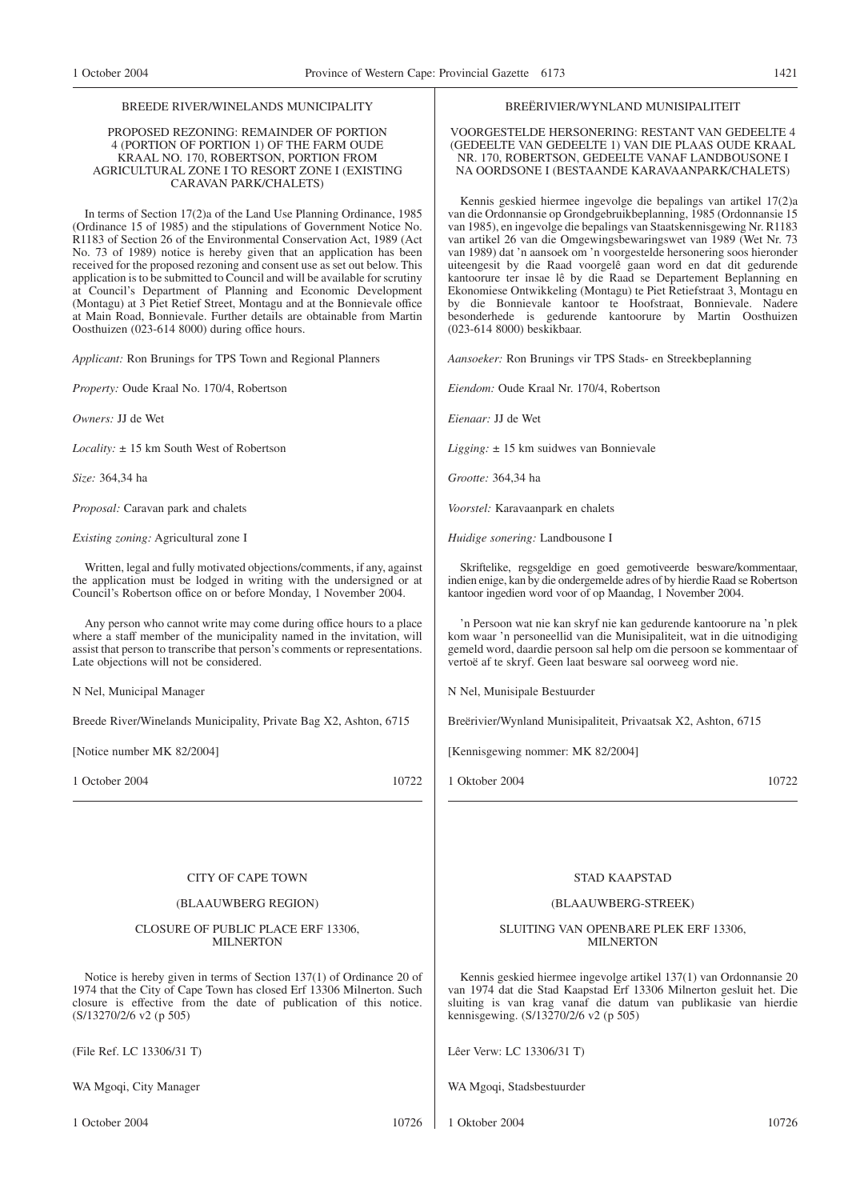#### PROPOSED REZONING: REMAINDER OF PORTION 4 (PORTION OF PORTION 1) OF THE FARM OUDE KRAAL NO. 170, ROBERTSON, PORTION FROM AGRICULTURAL ZONE I TO RESORT ZONE I (EXISTING CARAVAN PARK/CHALETS)

In terms of Section 17(2)a of the Land Use Planning Ordinance, 1985 (Ordinance 15 of 1985) and the stipulations of Government Notice No. R1183 of Section 26 of the Environmental Conservation Act, 1989 (Act No. 73 of 1989) notice is hereby given that an application has been received for the proposed rezoning and consent use as set out below. This application is to be submitted to Council and will be available for scrutiny at Council's Department of Planning and Economic Development (Montagu) at 3 Piet Retief Street, Montagu and at the Bonnievale office at Main Road, Bonnievale. Further details are obtainable from Martin Oosthuizen (023-614 8000) during office hours.

*Applicant:* Ron Brunings for TPS Town and Regional Planners

*Property:* Oude Kraal No. 170/4, Robertson

*Owners:* JJ de Wet

*Locality:* ± 15 km South West of Robertson

*Size:* 364,34 ha

*Proposal:* Caravan park and chalets

*Existing zoning:* Agricultural zone I

Written, legal and fully motivated objections/comments, if any, against the application must be lodged in writing with the undersigned or at Council's Robertson office on or before Monday, 1 November 2004.

Any person who cannot write may come during office hours to a place where a staff member of the municipality named in the invitation, will assist that person to transcribe that person's comments or representations. Late objections will not be considered.

N Nel, Municipal Manager

Breede River/Winelands Municipality, Private Bag X2, Ashton, 6715

[Notice number MK 82/2004]

1 October 2004 10722

#### CITY OF CAPE TOWN

#### (BLAAUWBERG REGION)

#### CLOSURE OF PUBLIC PLACE ERF 13306, **MILNERTON**

Notice is hereby given in terms of Section 137(1) of Ordinance 20 of 1974 that the City of Cape Town has closed Erf 13306 Milnerton. Such closure is effective from the date of publication of this notice. (S/13270/2/6 v2 (p 505)

(File Ref. LC 13306/31 T)

WA Mgoqi, City Manager

1 October 2004 10726

#### BREËRIVIER/WYNLAND MUNISIPALITEIT

VOORGESTELDE HERSONERING: RESTANT VAN GEDEELTE 4 (GEDEELTE VAN GEDEELTE 1) VAN DIE PLAAS OUDE KRAAL NR. 170, ROBERTSON, GEDEELTE VANAF LANDBOUSONE I NA OORDSONE I (BESTAANDE KARAVAANPARK/CHALETS)

Kennis geskied hiermee ingevolge die bepalings van artikel 17(2)a van die Ordonnansie op Grondgebruikbeplanning, 1985 (Ordonnansie 15 van 1985), en ingevolge die bepalings van Staatskennisgewing Nr. R1183 van artikel 26 van die Omgewingsbewaringswet van 1989 (Wet Nr. 73 van 1989) dat 'n aansoek om 'n voorgestelde hersonering soos hieronder uiteengesit by die Raad voorgelê gaan word en dat dit gedurende kantoorure ter insae lê by die Raad se Departement Beplanning en Ekonomiese Ontwikkeling (Montagu) te Piet Retiefstraat 3, Montagu en by die Bonnievale kantoor te Hoofstraat, Bonnievale. Nadere besonderhede is gedurende kantoorure by Martin Oosthuizen (023-614 8000) beskikbaar.

*Aansoeker:* Ron Brunings vir TPS Stads- en Streekbeplanning

*Eiendom:* Oude Kraal Nr. 170/4, Robertson

*Eienaar:* JJ de Wet

*Ligging:* ± 15 km suidwes van Bonnievale

*Grootte:* 364,34 ha

*Voorstel:* Karavaanpark en chalets

*Huidige sonering:* Landbousone I

Skriftelike, regsgeldige en goed gemotiveerde besware/kommentaar, indien enige, kan by die ondergemelde adres of by hierdie Raad se Robertson kantoor ingedien word voor of op Maandag, 1 November 2004.

'n Persoon wat nie kan skryf nie kan gedurende kantoorure na 'n plek kom waar 'n personeellid van die Munisipaliteit, wat in die uitnodiging gemeld word, daardie persoon sal help om die persoon se kommentaar of vertoë af te skryf. Geen laat besware sal oorweeg word nie.

N Nel, Munisipale Bestuurder

Breërivier/Wynland Munisipaliteit, Privaatsak X2, Ashton, 6715

[Kennisgewing nommer: MK 82/2004]

1 Oktober 2004 10722

#### STAD KAAPSTAD

#### (BLAAUWBERG-STREEK)

SLUITING VAN OPENBARE PLEK ERF 13306, **MILNERTON** 

Kennis geskied hiermee ingevolge artikel 137(1) van Ordonnansie 20 van 1974 dat die Stad Kaapstad Erf 13306 Milnerton gesluit het. Die sluiting is van krag vanaf die datum van publikasie van hierdie kennisgewing. (S/13270/2/6 v2 (p 505)

Lêer Verw: LC 13306/31 T)

WA Mgoqi, Stadsbestuurder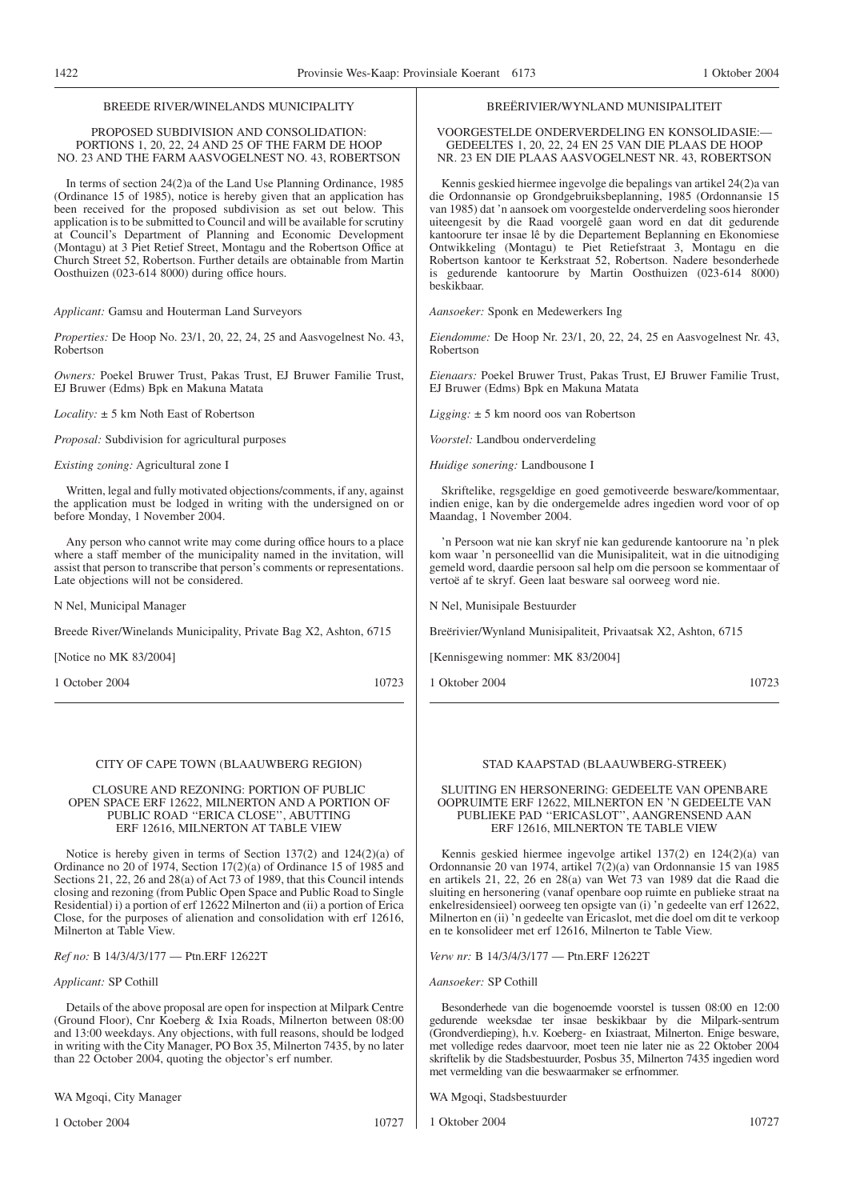#### PROPOSED SUBDIVISION AND CONSOLIDATION: PORTIONS 1, 20, 22, 24 AND 25 OF THE FARM DE HOOP NO. 23 AND THE FARM AASVOGELNEST NO. 43, ROBERTSON

In terms of section 24(2)a of the Land Use Planning Ordinance, 1985 (Ordinance 15 of 1985), notice is hereby given that an application has been received for the proposed subdivision as set out below. This application is to be submitted to Council and will be available for scrutiny at Council's Department of Planning and Economic Development (Montagu) at 3 Piet Retief Street, Montagu and the Robertson Office at Church Street 52, Robertson. Further details are obtainable from Martin Oosthuizen (023-614 8000) during office hours.

*Applicant:* Gamsu and Houterman Land Surveyors

*Properties:* De Hoop No. 23/1, 20, 22, 24, 25 and Aasvogelnest No. 43, Robertson

*Owners:* Poekel Bruwer Trust, Pakas Trust, EJ Bruwer Familie Trust, EJ Bruwer (Edms) Bpk en Makuna Matata

*Locality:* ± 5 km Noth East of Robertson

*Proposal:* Subdivision for agricultural purposes

*Existing zoning:* Agricultural zone I

Written, legal and fully motivated objections/comments, if any, against the application must be lodged in writing with the undersigned on or before Monday, 1 November 2004.

Any person who cannot write may come during office hours to a place where a staff member of the municipality named in the invitation, will assist that person to transcribe that person's comments or representations. Late objections will not be considered.

N Nel, Municipal Manager

Breede River/Winelands Municipality, Private Bag X2, Ashton, 6715

[Notice no MK 83/2004]

1 October 2004 10723

#### CITY OF CAPE TOWN (BLAAUWBERG REGION)

#### CLOSURE AND REZONING: PORTION OF PUBLIC OPEN SPACE ERF 12622, MILNERTON AND A PORTION OF PUBLIC ROAD ''ERICA CLOSE'', ABUTTING ERF 12616, MILNERTON AT TABLE VIEW

Notice is hereby given in terms of Section 137(2) and 124(2)(a) of Ordinance no 20 of 1974, Section 17(2)(a) of Ordinance 15 of 1985 and Sections 21, 22, 26 and 28(a) of Act 73 of 1989, that this Council intends closing and rezoning (from Public Open Space and Public Road to Single Residential) i) a portion of erf 12622 Milnerton and (ii) a portion of Erica Close, for the purposes of alienation and consolidation with erf 12616, Milnerton at Table View.

*Ref no:* B 14/3/4/3/177 — Ptn.ERF 12622T

#### *Applicant:* SP Cothill

Details of the above proposal are open for inspection at Milpark Centre (Ground Floor), Cnr Koeberg & Ixia Roads, Milnerton between 08:00 and 13:00 weekdays. Any objections, with full reasons, should be lodged in writing with the City Manager, PO Box 35, Milnerton 7435, by no later than 22 October 2004, quoting the objector's erf number.

WA Mgoqi, City Manager

1 October 2004 10727

#### GEDEELTES 1, 20, 22, 24 EN 25 VAN DIE PLAAS DE HOOP NR. 23 EN DIE PLAAS AASVOGELNEST NR. 43, ROBERTSON

Kennis geskied hiermee ingevolge die bepalings van artikel 24(2)a van die Ordonnansie op Grondgebruiksbeplanning, 1985 (Ordonnansie 15 van 1985) dat 'n aansoek om voorgestelde onderverdeling soos hieronder uiteengesit by die Raad voorgelê gaan word en dat dit gedurende kantoorure ter insae lê by die Departement Beplanning en Ekonomiese Ontwikkeling (Montagu) te Piet Retiefstraat 3, Montagu en die Robertson kantoor te Kerkstraat 52, Robertson. Nadere besonderhede is gedurende kantoorure by Martin Oosthuizen (023-614 8000) beskikbaar.

BREËRIVIER/WYNLAND MUNISIPALITEIT VOORGESTELDE ONDERVERDELING EN KONSOLIDASIE:—

*Aansoeker:* Sponk en Medewerkers Ing

*Eiendomme:* De Hoop Nr. 23/1, 20, 22, 24, 25 en Aasvogelnest Nr. 43, Robertson

*Eienaars:* Poekel Bruwer Trust, Pakas Trust, EJ Bruwer Familie Trust, EJ Bruwer (Edms) Bpk en Makuna Matata

*Ligging:* ± 5 km noord oos van Robertson

*Voorstel:* Landbou onderverdeling

*Huidige sonering:* Landbousone I

Skriftelike, regsgeldige en goed gemotiveerde besware/kommentaar, indien enige, kan by die ondergemelde adres ingedien word voor of op Maandag, 1 November 2004.

'n Persoon wat nie kan skryf nie kan gedurende kantoorure na 'n plek kom waar 'n personeellid van die Munisipaliteit, wat in die uitnodiging gemeld word, daardie persoon sal help om die persoon se kommentaar of vertoë af te skryf. Geen laat besware sal oorweeg word nie.

N Nel, Munisipale Bestuurder

Breërivier/Wynland Munisipaliteit, Privaatsak X2, Ashton, 6715

[Kennisgewing nommer: MK 83/2004]

1 Oktober 2004 10723

#### STAD KAAPSTAD (BLAAUWBERG-STREEK)

#### SLUITING EN HERSONERING: GEDEELTE VAN OPENBARE OOPRUIMTE ERF 12622, MILNERTON EN 'N GEDEELTE VAN PUBLIEKE PAD ''ERICASLOT'', AANGRENSEND AAN ERF 12616, MILNERTON TE TABLE VIEW

Kennis geskied hiermee ingevolge artikel 137(2) en 124(2)(a) van Ordonnansie 20 van 1974, artikel 7(2)(a) van Ordonnansie 15 van 1985 en artikels 21, 22, 26 en 28(a) van Wet 73 van 1989 dat die Raad die sluiting en hersonering (vanaf openbare oop ruimte en publieke straat na enkelresidensieel) oorweeg ten opsigte van (i) 'n gedeelte van erf 12622, Milnerton en (ii) 'n gedeelte van Ericaslot, met die doel om dit te verkoop en te konsolideer met erf 12616, Milnerton te Table View.

*Verw nr:* B 14/3/4/3/177 — Ptn.ERF 12622T

## *Aansoeker:* SP Cothill

Besonderhede van die bogenoemde voorstel is tussen 08:00 en 12:00 gedurende weeksdae ter insae beskikbaar by die Milpark-sentrum (Grondverdieping), h.v. Koeberg- en Ixiastraat, Milnerton. Enige besware, met volledige redes daarvoor, moet teen nie later nie as 22 Oktober 2004 skriftelik by die Stadsbestuurder, Posbus 35, Milnerton 7435 ingedien word met vermelding van die beswaarmaker se erfnommer.

WA Mgoqi, Stadsbestuurder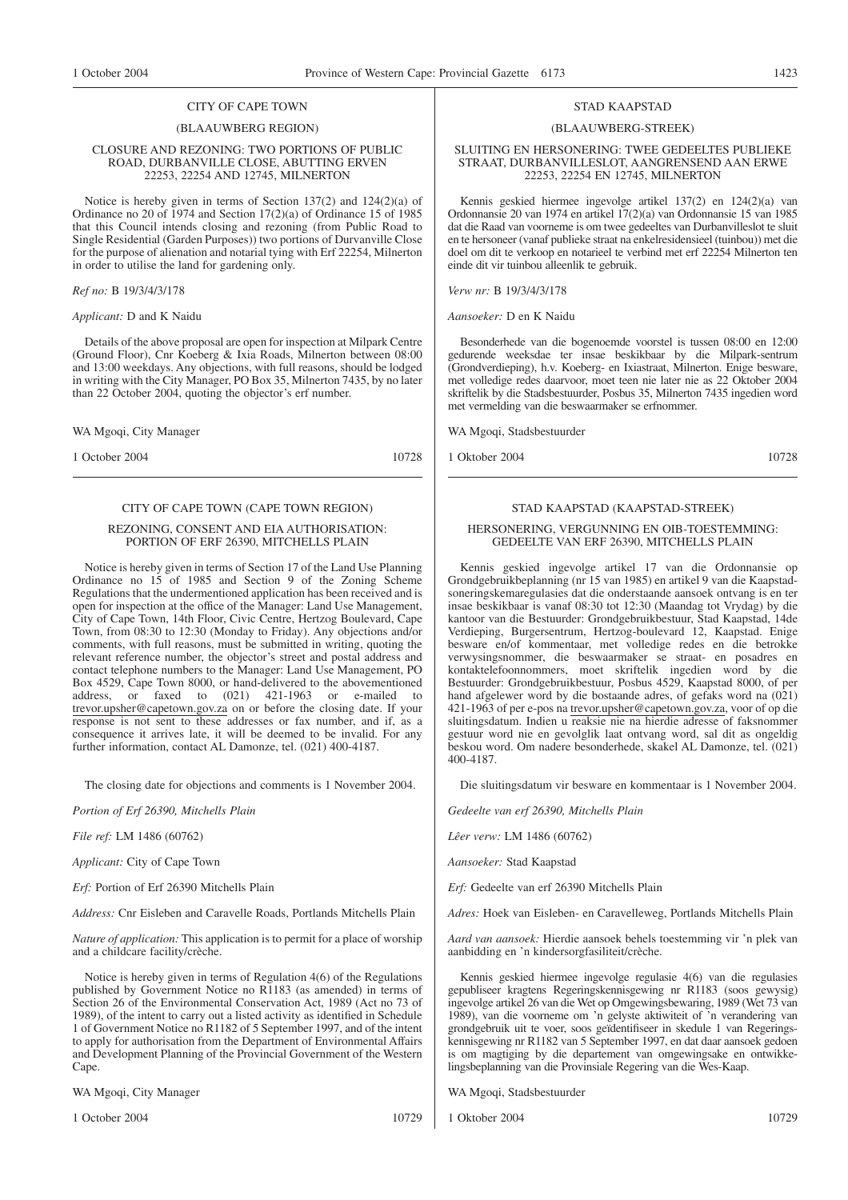#### CITY OF CAPE TOWN

#### (BLAAUWBERG REGION)

#### CLOSURE AND REZONING: TWO PORTIONS OF PUBLIC ROAD, DURBANVILLE CLOSE, ABUTTING ERVEN 22253, 22254 AND 12745, MILNERTON

Notice is hereby given in terms of Section 137(2) and 124(2)(a) of Ordinance no 20 of 1974 and Section 17(2)(a) of Ordinance 15 of 1985 that this Council intends closing and rezoning (from Public Road to Single Residential (Garden Purposes)) two portions of Durvanville Close for the purpose of alienation and notarial tying with Erf 22254, Milnerton in order to utilise the land for gardening only.

#### *Ref no:* B 19/3/4/3/178

#### *Applicant:* D and K Naidu

Details of the above proposal are open for inspection at Milpark Centre (Ground Floor), Cnr Koeberg & Ixia Roads, Milnerton between 08:00 and 13:00 weekdays. Any objections, with full reasons, should be lodged in writing with the City Manager, PO Box 35, Milnerton 7435, by no later than 22 October 2004, quoting the objector's erf number.

WA Mgoqi, City Manager

1 October 2004 10728

# CITY OF CAPE TOWN (CAPE TOWN REGION)

#### REZONING, CONSENT AND EIA AUTHORISATION: PORTION OF ERF 26390, MITCHELLS PLAIN

Notice is hereby given in terms of Section 17 of the Land Use Planning Ordinance no 15 of 1985 and Section 9 of the Zoning Scheme Regulations that the undermentioned application has been received and is open for inspection at the office of the Manager: Land Use Management, City of Cape Town, 14th Floor, Civic Centre, Hertzog Boulevard, Cape Town, from 08:30 to 12:30 (Monday to Friday). Any objections and/or comments, with full reasons, must be submitted in writing, quoting the relevant reference number, the objector's street and postal address and contact telephone numbers to the Manager: Land Use Management, PO Box 4529, Cape Town 8000, or hand-delivered to the abovementioned address. or faxed to  $(021)$  421-1963 or e-mailed to faxed to  $(021)$  421-1963 or e-mailed to trevor.upsher@capetown.gov.za on or before the closing date. If your response is not sent to these addresses or fax number, and if, as a consequence it arrives late, it will be deemed to be invalid. For any further information, contact AL Damonze, tel. (021) 400-4187.

The closing date for objections and comments is 1 November 2004.

*Portion of Erf 26390, Mitchells Plain*

*File ref:* LM 1486 (60762)

*Applicant:* City of Cape Town

*Erf:* Portion of Erf 26390 Mitchells Plain

*Address:* Cnr Eisleben and Caravelle Roads, Portlands Mitchells Plain

*Nature of application:* This application is to permit for a place of worship and a childcare facility/crèche.

Notice is hereby given in terms of Regulation 4(6) of the Regulations published by Government Notice no R1183 (as amended) in terms of Section 26 of the Environmental Conservation Act, 1989 (Act no 73 of 1989), of the intent to carry out a listed activity as identified in Schedule 1 of Government Notice no R1182 of 5 September 1997, and of the intent to apply for authorisation from the Department of Environmental Affairs and Development Planning of the Provincial Government of the Western Cape.

WA Mgoqi, City Manager

1 October 2004 10729

#### STAD KAAPSTAD

#### (BLAAUWBERG-STREEK)

#### SLUITING EN HERSONERING: TWEE GEDEELTES PUBLIEKE STRAAT, DURBANVILLESLOT, AANGRENSEND AAN ERWE 22253, 22254 EN 12745, MILNERTON

Kennis geskied hiermee ingevolge artikel 137(2) en 124(2)(a) van Ordonnansie 20 van 1974 en artikel 17(2)(a) van Ordonnansie 15 van 1985 dat die Raad van voorneme is om twee gedeeltes van Durbanvilleslot te sluit en te hersoneer (vanaf publieke straat na enkelresidensieel (tuinbou)) met die doel om dit te verkoop en notarieel te verbind met erf 22254 Milnerton ten einde dit vir tuinbou alleenlik te gebruik.

*Verw nr:* B 19/3/4/3/178

*Aansoeker:* D en K Naidu

Besonderhede van die bogenoemde voorstel is tussen 08:00 en 12:00 gedurende weeksdae ter insae beskikbaar by die Milpark-sentrum (Grondverdieping), h.v. Koeberg- en Ixiastraat, Milnerton. Enige besware, met volledige redes daarvoor, moet teen nie later nie as 22 Oktober 2004 skriftelik by die Stadsbestuurder, Posbus 35, Milnerton 7435 ingedien word met vermelding van die beswaarmaker se erfnommer.

WA Mgoqi, Stadsbestuurder

1 Oktober 2004 10728

## STAD KAAPSTAD (KAAPSTAD-STREEK)

#### HERSONERING, VERGUNNING EN OIB-TOESTEMMING: GEDEELTE VAN ERF 26390, MITCHELLS PLAIN

Kennis geskied ingevolge artikel 17 van die Ordonnansie op Grondgebruikbeplanning (nr 15 van 1985) en artikel 9 van die Kaapstadsoneringskemaregulasies dat die onderstaande aansoek ontvang is en ter insae beskikbaar is vanaf 08:30 tot 12:30 (Maandag tot Vrydag) by die kantoor van die Bestuurder: Grondgebruikbestuur, Stad Kaapstad, 14de Verdieping, Burgersentrum, Hertzog-boulevard 12, Kaapstad. Enige besware en/of kommentaar, met volledige redes en die betrokke verwysingsnommer, die beswaarmaker se straat- en posadres en kontaktelefoonnommers, moet skriftelik ingedien word by die Bestuurder: Grondgebruikbestuur, Posbus 4529, Kaapstad 8000, of per hand afgelewer word by die bostaande adres, of gefaks word na  $(0\overline{2}1)$ 421-1963 of per e-pos na trevor.upsher@capetown.gov.za, voor of op die sluitingsdatum. Indien u reaksie nie na hierdie adresse of faksnommer gestuur word nie en gevolglik laat ontvang word, sal dit as ongeldig beskou word. Om nadere besonderhede, skakel AL Damonze, tel. (021) 400-4187.

Die sluitingsdatum vir besware en kommentaar is 1 November 2004.

*Gedeelte van erf 26390, Mitchells Plain*

*Lêer verw:* LM 1486 (60762)

*Aansoeker:* Stad Kaapstad

*Erf:* Gedeelte van erf 26390 Mitchells Plain

*Adres:* Hoek van Eisleben- en Caravelleweg, Portlands Mitchells Plain

*Aard van aansoek:* Hierdie aansoek behels toestemming vir 'n plek van aanbidding en 'n kindersorgfasiliteit/crèche.

Kennis geskied hiermee ingevolge regulasie 4(6) van die regulasies gepubliseer kragtens Regeringskennisgewing nr R1183 (soos gewysig) ingevolge artikel 26 van die Wet op Omgewingsbewaring, 1989 (Wet 73 van 1989), van die voorneme om 'n gelyste aktiwiteit of 'n verandering van grondgebruik uit te voer, soos geïdentifiseer in skedule 1 van Regeringskennisgewing nr R1182 van 5 September 1997, en dat daar aansoek gedoen is om magtiging by die departement van omgewingsake en ontwikkelingsbeplanning van die Provinsiale Regering van die Wes-Kaap.

WA Mgoqi, Stadsbestuurder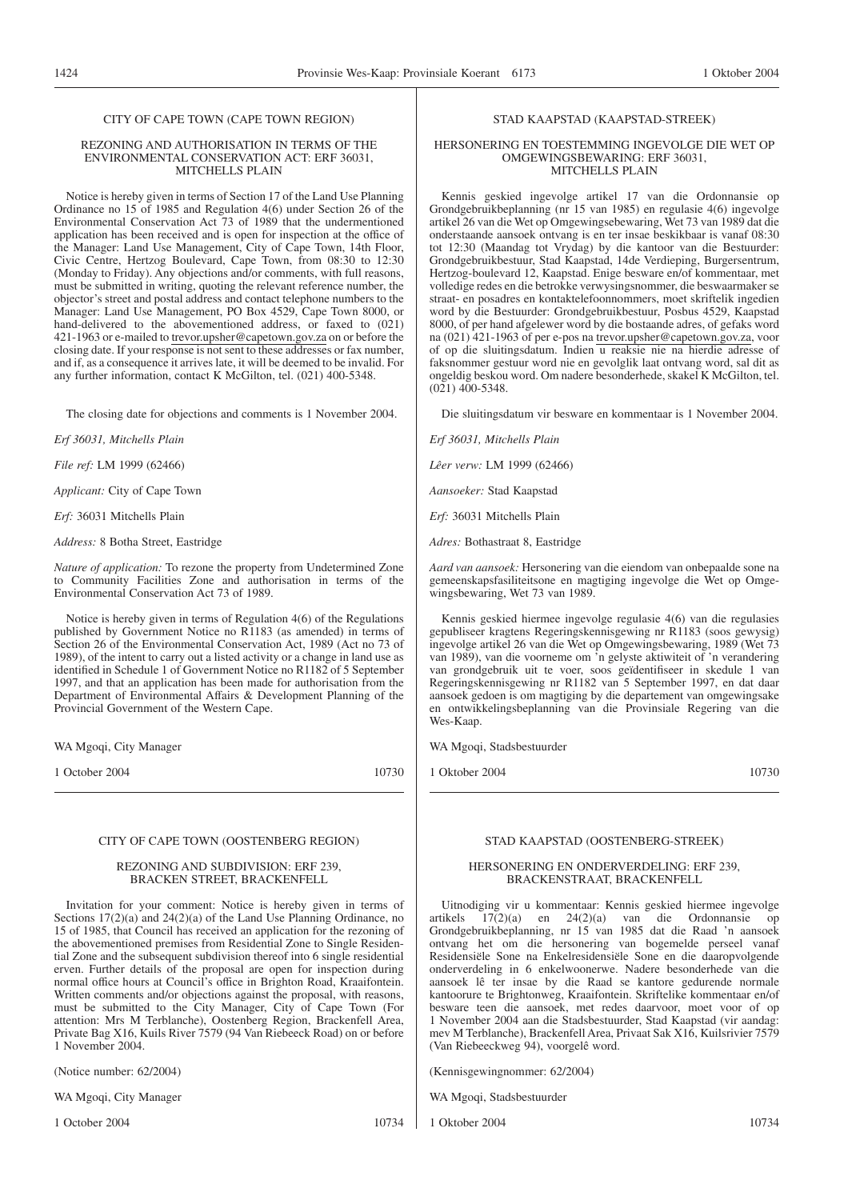#### CITY OF CAPE TOWN (CAPE TOWN REGION)

#### REZONING AND AUTHORISATION IN TERMS OF THE ENVIRONMENTAL CONSERVATION ACT: ERF 36031, MITCHELLS PLAIN

Notice is hereby given in terms of Section 17 of the Land Use Planning Ordinance no 15 of 1985 and Regulation 4(6) under Section 26 of the Environmental Conservation Act 73 of 1989 that the undermentioned application has been received and is open for inspection at the office of the Manager: Land Use Management, City of Cape Town, 14th Floor, Civic Centre, Hertzog Boulevard, Cape Town, from 08:30 to 12:30 (Monday to Friday). Any objections and/or comments, with full reasons, must be submitted in writing, quoting the relevant reference number, the objector's street and postal address and contact telephone numbers to the Manager: Land Use Management, PO Box 4529, Cape Town 8000, or hand-delivered to the abovementioned address, or faxed to (021) 421-1963 or e-mailed to trevor.upsher@capetown.gov.za on or before the closing date. If your response is not sent to these addresses or fax number, and if, as a consequence it arrives late, it will be deemed to be invalid. For any further information, contact K McGilton, tel. (021) 400-5348.

The closing date for objections and comments is 1 November 2004.

*Erf 36031, Mitchells Plain*

*File ref:* LM 1999 (62466)

*Applicant:* City of Cape Town

*Erf:* 36031 Mitchells Plain

*Address:* 8 Botha Street, Eastridge

*Nature of application:* To rezone the property from Undetermined Zone to Community Facilities Zone and authorisation in terms of the Environmental Conservation Act 73 of 1989.

Notice is hereby given in terms of Regulation 4(6) of the Regulations published by Government Notice no R1183 (as amended) in terms of Section 26 of the Environmental Conservation Act, 1989 (Act no 73 of 1989), of the intent to carry out a listed activity or a change in land use as identified in Schedule 1 of Government Notice no R1182 of 5 September 1997, and that an application has been made for authorisation from the Department of Environmental Affairs & Development Planning of the Provincial Government of the Western Cape.

WA Mgoqi, City Manager

1 October 2004 10730

#### CITY OF CAPE TOWN (OOSTENBERG REGION)

#### REZONING AND SUBDIVISION: ERF 239, BRACKEN STREET, BRACKENFELL

Invitation for your comment: Notice is hereby given in terms of Sections 17(2)(a) and 24(2)(a) of the Land Use Planning Ordinance, no 15 of 1985, that Council has received an application for the rezoning of the abovementioned premises from Residential Zone to Single Residential Zone and the subsequent subdivision thereof into 6 single residential erven. Further details of the proposal are open for inspection during normal office hours at Council's office in Brighton Road, Kraaifontein. Written comments and/or objections against the proposal, with reasons, must be submitted to the City Manager, City of Cape Town (For attention: Mrs M Terblanche), Oostenberg Region, Brackenfell Area, Private Bag X16, Kuils River 7579 (94 Van Riebeeck Road) on or before 1 November 2004.

(Notice number: 62/2004)

WA Mgoqi, City Manager

1 October 2004 10734

# STAD KAAPSTAD (KAAPSTAD-STREEK)

#### HERSONERING EN TOESTEMMING INGEVOLGE DIE WET OP OMGEWINGSBEWARING: ERF 36031, MITCHELLS PLAIN

Kennis geskied ingevolge artikel 17 van die Ordonnansie op Grondgebruikbeplanning (nr 15 van 1985) en regulasie 4(6) ingevolge artikel 26 van die Wet op Omgewingsebewaring, Wet 73 van 1989 dat die onderstaande aansoek ontvang is en ter insae beskikbaar is vanaf 08:30 tot 12:30 (Maandag tot Vrydag) by die kantoor van die Bestuurder: Grondgebruikbestuur, Stad Kaapstad, 14de Verdieping, Burgersentrum, Hertzog-boulevard 12, Kaapstad. Enige besware en/of kommentaar, met volledige redes en die betrokke verwysingsnommer, die beswaarmaker se straat- en posadres en kontaktelefoonnommers, moet skriftelik ingedien word by die Bestuurder: Grondgebruikbestuur, Posbus 4529, Kaapstad 8000, of per hand afgelewer word by die bostaande adres, of gefaks word na (021) 421-1963 of per e-pos na trevor.upsher@capetown.gov.za, voor of op die sluitingsdatum. Indien u reaksie nie na hierdie adresse of faksnommer gestuur word nie en gevolglik laat ontvang word, sal dit as ongeldig beskou word. Om nadere besonderhede, skakel K McGilton, tel.  $(021)$  400-5348.

Die sluitingsdatum vir besware en kommentaar is 1 November 2004.

*Erf 36031, Mitchells Plain*

*Lêer verw:* LM 1999 (62466)

*Aansoeker:* Stad Kaapstad

*Erf:* 36031 Mitchells Plain

*Adres:* Bothastraat 8, Eastridge

*Aard van aansoek:* Hersonering van die eiendom van onbepaalde sone na gemeenskapsfasiliteitsone en magtiging ingevolge die Wet op Omgewingsbewaring, Wet 73 van 1989.

Kennis geskied hiermee ingevolge regulasie 4(6) van die regulasies gepubliseer kragtens Regeringskennisgewing nr R1183 (soos gewysig) ingevolge artikel 26 van die Wet op Omgewingsbewaring, 1989 (Wet 73 van 1989), van die voorneme om 'n gelyste aktiwiteit of 'n verandering van grondgebruik uit te voer, soos geïdentifiseer in skedule 1 van Regeringskennisgewing nr R1182 van 5 September 1997, en dat daar aansoek gedoen is om magtiging by die departement van omgewingsake en ontwikkelingsbeplanning van die Provinsiale Regering van die Wes-Kaap.

WA Mgoqi, Stadsbestuurder

1 Oktober 2004 10730

#### STAD KAAPSTAD (OOSTENBERG-STREEK)

#### HERSONERING EN ONDERVERDELING: ERF 239, BRACKENSTRAAT, BRACKENFELL

Uitnodiging vir u kommentaar: Kennis geskied hiermee ingevolge artikels 17(2)(a) en 24(2)(a) van die Ordonnansie op Grondgebruikbeplanning, nr 15 van 1985 dat die Raad 'n aansoek ontvang het om die hersonering van bogemelde perseel vanaf Residensiële Sone na Enkelresidensiële Sone en die daaropvolgende onderverdeling in 6 enkelwoonerwe. Nadere besonderhede van die aansoek lê ter insae by die Raad se kantore gedurende normale kantoorure te Brightonweg, Kraaifontein. Skriftelike kommentaar en/of besware teen die aansoek, met redes daarvoor, moet voor of op 1 November 2004 aan die Stadsbestuurder, Stad Kaapstad (vir aandag: mev M Terblanche), Brackenfell Area, Privaat Sak X16, Kuilsrivier 7579 (Van Riebeeckweg 94), voorgelê word.

(Kennisgewingnommer: 62/2004)

WA Mgoqi, Stadsbestuurder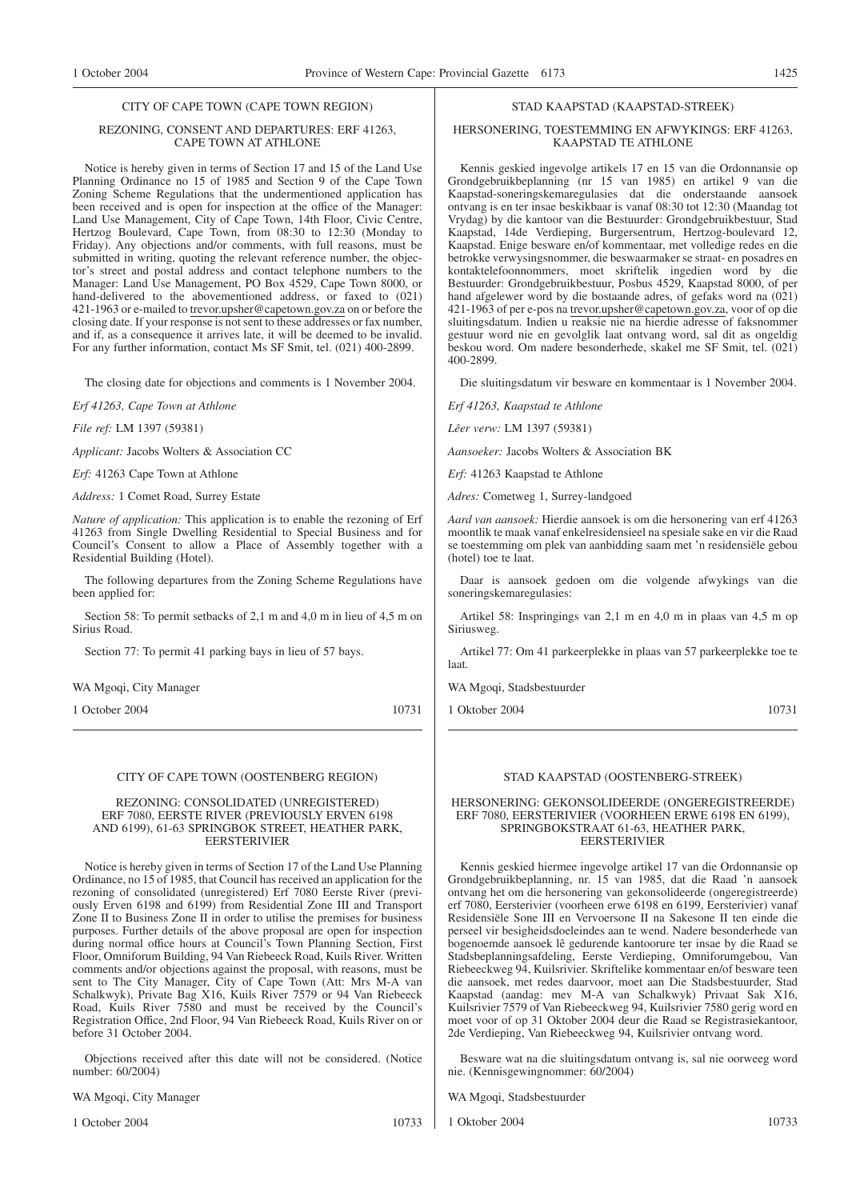#### CITY OF CAPE TOWN (CAPE TOWN REGION)

#### REZONING, CONSENT AND DEPARTURES: ERF 41263, CAPE TOWN AT ATHLONE

Notice is hereby given in terms of Section 17 and 15 of the Land Use Planning Ordinance no 15 of 1985 and Section 9 of the Cape Town Zoning Scheme Regulations that the undermentioned application has been received and is open for inspection at the office of the Manager: Land Use Management, City of Cape Town, 14th Floor, Civic Centre, Hertzog Boulevard, Cape Town, from 08:30 to 12:30 (Monday to Friday). Any objections and/or comments, with full reasons, must be submitted in writing, quoting the relevant reference number, the objector's street and postal address and contact telephone numbers to the Manager: Land Use Management, PO Box 4529, Cape Town 8000, or hand-delivered to the abovementioned address, or faxed to (021) 421-1963 or e-mailed to trevor.upsher@capetown.gov.za on or before the closing date. If your response is not sent to these addresses or fax number, and if, as a consequence it arrives late, it will be deemed to be invalid. For any further information, contact Ms SF Smit, tel. (021) 400-2899.

The closing date for objections and comments is 1 November 2004.

*Erf 41263, Cape Town at Athlone*

*File ref:* LM 1397 (59381)

*Applicant:* Jacobs Wolters & Association CC

*Erf:* 41263 Cape Town at Athlone

*Address:* 1 Comet Road, Surrey Estate

*Nature of application:* This application is to enable the rezoning of Erf 41263 from Single Dwelling Residential to Special Business and for Council's Consent to allow a Place of Assembly together with a Residential Building (Hotel).

The following departures from the Zoning Scheme Regulations have been applied for:

Section 58: To permit setbacks of 2,1 m and 4,0 m in lieu of 4,5 m on Sirius Road.

Section 77: To permit 41 parking bays in lieu of 57 bays.

WA Mgoqi, City Manager

1 October 2004 10731

#### CITY OF CAPE TOWN (OOSTENBERG REGION)

#### REZONING: CONSOLIDATED (UNREGISTERED) ERF 7080, EERSTE RIVER (PREVIOUSLY ERVEN 6198 AND 6199), 61-63 SPRINGBOK STREET, HEATHER PARK, **EERSTERIVIER**

Notice is hereby given in terms of Section 17 of the Land Use Planning Ordinance, no 15 of 1985, that Council has received an application for the rezoning of consolidated (unregistered) Erf 7080 Eerste River (previously Erven 6198 and 6199) from Residential Zone III and Transport Zone II to Business Zone II in order to utilise the premises for business purposes. Further details of the above proposal are open for inspection during normal office hours at Council's Town Planning Section, First Floor, Omniforum Building, 94 Van Riebeeck Road, Kuils River. Written comments and/or objections against the proposal, with reasons, must be sent to The City Manager, City of Cape Town (Att: Mrs M-A van Schalkwyk), Private Bag X16, Kuils River 7579 or 94 Van Riebeeck Road, Kuils River 7580 and must be received by the Council's Registration Office, 2nd Floor, 94 Van Riebeeck Road, Kuils River on or before 31 October 2004.

Objections received after this date will not be considered. (Notice number: 60/2004)

WA Mgoqi, City Manager

1 October 2004 10733

# STAD KAAPSTAD (KAAPSTAD-STREEK)

#### HERSONERING, TOESTEMMING EN AFWYKINGS: ERF 41263, KAAPSTAD TE ATHLONE

Kennis geskied ingevolge artikels 17 en 15 van die Ordonnansie op Grondgebruikbeplanning (nr 15 van 1985) en artikel 9 van die Kaapstad-soneringskemaregulasies dat die onderstaande aansoek ontvang is en ter insae beskikbaar is vanaf 08:30 tot 12:30 (Maandag tot Vrydag) by die kantoor van die Bestuurder: Grondgebruikbestuur, Stad Kaapstad, 14de Verdieping, Burgersentrum, Hertzog-boulevard 12, Kaapstad. Enige besware en/of kommentaar, met volledige redes en die betrokke verwysingsnommer, die beswaarmaker se straat- en posadres en kontaktelefoonnommers, moet skriftelik ingedien word by die Bestuurder: Grondgebruikbestuur, Posbus 4529, Kaapstad 8000, of per hand afgelewer word by die bostaande adres, of gefaks word na  $(0\overline{2}1)$ 421-1963 of per e-pos na trevor.upsher@capetown.gov.za, voor of op die sluitingsdatum. Indien u reaksie nie na hierdie adresse of faksnommer gestuur word nie en gevolglik laat ontvang word, sal dit as ongeldig beskou word. Om nadere besonderhede, skakel me SF Smit, tel. (021) 400-2899.

Die sluitingsdatum vir besware en kommentaar is 1 November 2004.

*Erf 41263, Kaapstad te Athlone*

*Lêer verw:* LM 1397 (59381)

*Aansoeker:* Jacobs Wolters & Association BK

*Erf:* 41263 Kaapstad te Athlone

*Adres:* Cometweg 1, Surrey-landgoed

*Aard van aansoek:* Hierdie aansoek is om die hersonering van erf 41263 moontlik te maak vanaf enkelresidensieel na spesiale sake en vir die Raad se toestemming om plek van aanbidding saam met 'n residensiële gebou (hotel) toe te laat.

Daar is aansoek gedoen om die volgende afwykings van die soneringskemaregulasies:

Artikel 58: Inspringings van 2,1 m en 4,0 m in plaas van 4,5 m op Siriusweg.

Artikel 77: Om 41 parkeerplekke in plaas van 57 parkeerplekke toe te laat.

WA Mgoqi, Stadsbestuurder

1 Oktober 2004 10731

#### STAD KAAPSTAD (OOSTENBERG-STREEK)

#### HERSONERING: GEKONSOLIDEERDE (ONGEREGISTREERDE) ERF 7080, EERSTERIVIER (VOORHEEN ERWE 6198 EN 6199), SPRINGBOKSTRAAT 61-63, HEATHER PARK, EERSTERIVIER

Kennis geskied hiermee ingevolge artikel 17 van die Ordonnansie op Grondgebruikbeplanning, nr. 15 van 1985, dat die Raad 'n aansoek ontvang het om die hersonering van gekonsolideerde (ongeregistreerde) erf 7080, Eersterivier (voorheen erwe 6198 en 6199, Eersterivier) vanaf Residensiële Sone III en Vervoersone II na Sakesone II ten einde die perseel vir besigheidsdoeleindes aan te wend. Nadere besonderhede van bogenoemde aansoek lê gedurende kantoorure ter insae by die Raad se Stadsbeplanningsafdeling, Eerste Verdieping, Omniforumgebou, Van Riebeeckweg 94, Kuilsrivier. Skriftelike kommentaar en/of besware teen die aansoek, met redes daarvoor, moet aan Die Stadsbestuurder, Stad Kaapstad (aandag: mev M-A van Schalkwyk) Privaat Sak X16, Kuilsrivier 7579 of Van Riebeeckweg 94, Kuilsrivier 7580 gerig word en moet voor of op 31 Oktober 2004 deur die Raad se Registrasiekantoor, 2de Verdieping, Van Riebeeckweg 94, Kuilsrivier ontvang word.

Besware wat na die sluitingsdatum ontvang is, sal nie oorweeg word nie. (Kennisgewingnommer: 60/2004)

WA Mgoqi, Stadsbestuurder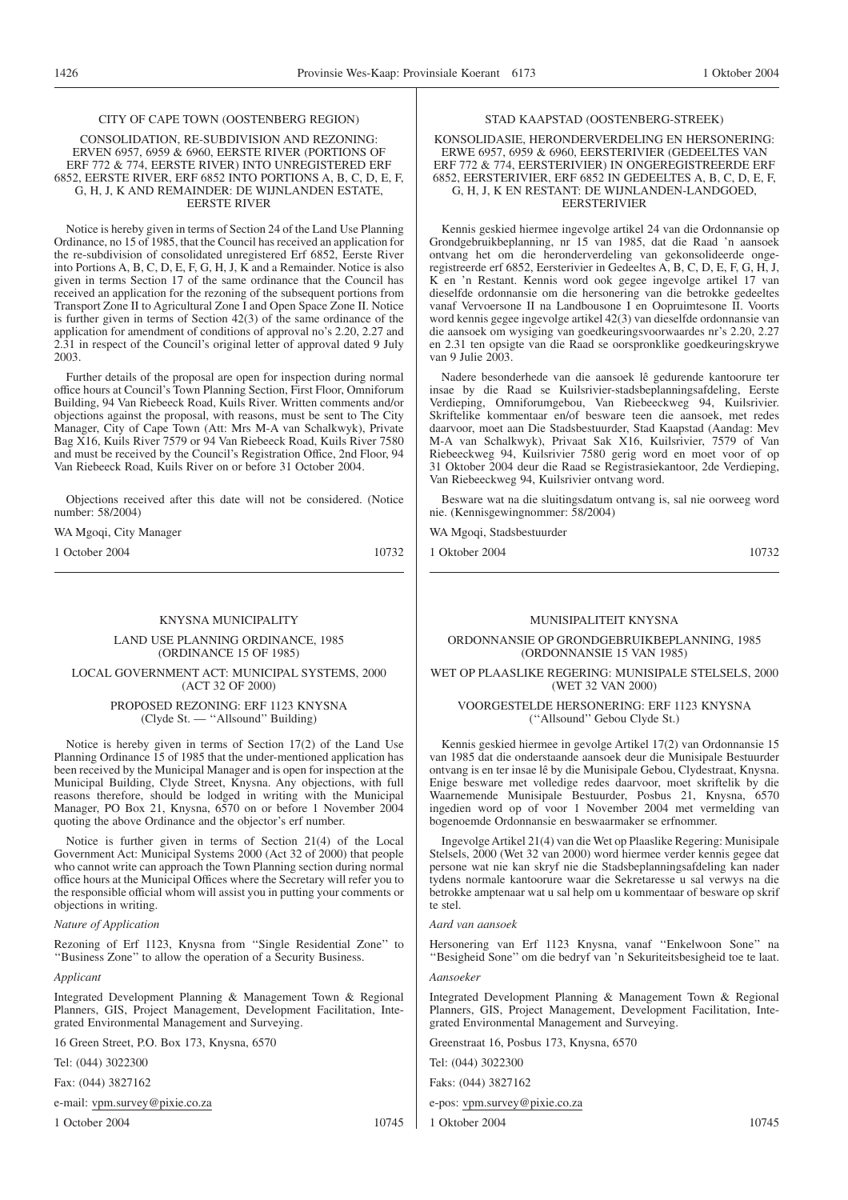#### CITY OF CAPE TOWN (OOSTENBERG REGION)

CONSOLIDATION, RE-SUBDIVISION AND REZONING: ERVEN 6957, 6959 & 6960, EERSTE RIVER (PORTIONS OF ERF 772 & 774, EERSTE RIVER) INTO UNREGISTERED ERF 6852, EERSTE RIVER, ERF 6852 INTO PORTIONS A, B, C, D, E, F, G, H, J, K AND REMAINDER: DE WIJNLANDEN ESTATE, EERSTE RIVER

Notice is hereby given in terms of Section 24 of the Land Use Planning Ordinance, no 15 of 1985, that the Council has received an application for the re-subdivision of consolidated unregistered Erf 6852, Eerste River into Portions A, B, C, D, E, F, G, H, J, K and a Remainder. Notice is also given in terms Section 17 of the same ordinance that the Council has received an application for the rezoning of the subsequent portions from Transport Zone II to Agricultural Zone I and Open Space Zone II. Notice is further given in terms of Section 42(3) of the same ordinance of the application for amendment of conditions of approval no's 2.20, 2.27 and 2.31 in respect of the Council's original letter of approval dated 9 July 2003.

Further details of the proposal are open for inspection during normal office hours at Council's Town Planning Section, First Floor, Omniforum Building, 94 Van Riebeeck Road, Kuils River. Written comments and/or objections against the proposal, with reasons, must be sent to The City Manager, City of Cape Town (Att: Mrs M-A van Schalkwyk), Private Bag X16, Kuils River 7579 or 94 Van Riebeeck Road, Kuils River 7580 and must be received by the Council's Registration Office, 2nd Floor, 94 Van Riebeeck Road, Kuils River on or before 31 October 2004.

Objections received after this date will not be considered. (Notice number: 58/2004)

WA Mgoqi, City Manager

1 October 2004 10732

#### KNYSNA MUNICIPALITY

LAND USE PLANNING ORDINANCE, 1985 (ORDINANCE 15 OF 1985)

LOCAL GOVERNMENT ACT: MUNICIPAL SYSTEMS, 2000 (ACT 32 OF 2000)

PROPOSED REZONING: ERF 1123 KNYSNA (Clyde St. — ''Allsound'' Building)

Notice is hereby given in terms of Section 17(2) of the Land Use Planning Ordinance 15 of 1985 that the under-mentioned application has been received by the Municipal Manager and is open for inspection at the Municipal Building, Clyde Street, Knysna. Any objections, with full reasons therefore, should be lodged in writing with the Municipal Manager, PO Box 21, Knysna, 6570 on or before 1 November 2004 quoting the above Ordinance and the objector's erf number.

Notice is further given in terms of Section 21(4) of the Local Government Act: Municipal Systems 2000 (Act 32 of 2000) that people who cannot write can approach the Town Planning section during normal office hours at the Municipal Offices where the Secretary will refer you to the responsible official whom will assist you in putting your comments or objections in writing.

*Nature of Application*

Rezoning of Erf 1123, Knysna from ''Single Residential Zone'' to ''Business Zone'' to allow the operation of a Security Business.

*Applicant*

Integrated Development Planning & Management Town & Regional Planners, GIS, Project Management, Development Facilitation, Integrated Environmental Management and Surveying.

16 Green Street, P.O. Box 173, Knysna, 6570

Tel: (044) 3022300

Fax: (044) 3827162

e-mail: vpm.survey@pixie.co.za

1 October 2004 10745

# STAD KAAPSTAD (OOSTENBERG-STREEK)

KONSOLIDASIE, HERONDERVERDELING EN HERSONERING: ERWE 6957, 6959 & 6960, EERSTERIVIER (GEDEELTES VAN ERF 772 & 774, EERSTERIVIER) IN ONGEREGISTREERDE ERF 6852, EERSTERIVIER, ERF 6852 IN GEDEELTES A, B, C, D, E, F, G, H, J, K EN RESTANT: DE WIJNLANDEN-LANDGOED, **EERSTERIVIER** 

Kennis geskied hiermee ingevolge artikel 24 van die Ordonnansie op Grondgebruikbeplanning, nr 15 van 1985, dat die Raad 'n aansoek ontvang het om die heronderverdeling van gekonsolideerde ongeregistreerde erf 6852, Eersterivier in Gedeeltes A, B, C, D, E, F, G, H, J, K en 'n Restant. Kennis word ook gegee ingevolge artikel 17 van dieselfde ordonnansie om die hersonering van die betrokke gedeeltes vanaf Vervoersone II na Landbousone I en Oopruimtesone II. Voorts word kennis gegee ingevolge artikel 42(3) van dieselfde ordonnansie van die aansoek om wysiging van goedkeuringsvoorwaardes nr's 2.20, 2.27 en 2.31 ten opsigte van die Raad se oorspronklike goedkeuringskrywe van 9 Julie  $2003$ .

Nadere besonderhede van die aansoek lê gedurende kantoorure ter insae by die Raad se Kuilsrivier-stadsbeplanningsafdeling, Eerste Verdieping, Omniforumgebou, Van Riebeeckweg 94, Kuilsrivier. Skriftelike kommentaar en/of besware teen die aansoek, met redes daarvoor, moet aan Die Stadsbestuurder, Stad Kaapstad (Aandag: Mev M-A van Schalkwyk), Privaat Sak X16, Kuilsrivier, 7579 of Van Riebeeckweg 94, Kuilsrivier 7580 gerig word en moet voor of op 31 Oktober 2004 deur die Raad se Registrasiekantoor, 2de Verdieping, Van Riebeeckweg 94, Kuilsrivier ontvang word.

Besware wat na die sluitingsdatum ontvang is, sal nie oorweeg word nie. (Kennisgewingnommer: 58/2004)

WA Mgoqi, Stadsbestuurder

1 Oktober 2004 10732

#### MUNISIPAL ITEIT KNYSNA

ORDONNANSIE OP GRONDGEBRUIKBEPLANNING, 1985 (ORDONNANSIE 15 VAN 1985)

WET OP PLAASLIKE REGERING: MUNISIPALE STELSELS, 2000 (WET 32 VAN 2000)

VOORGESTELDE HERSONERING: ERF 1123 KNYSNA (''Allsound'' Gebou Clyde St.)

Kennis geskied hiermee in gevolge Artikel 17(2) van Ordonnansie 15 van 1985 dat die onderstaande aansoek deur die Munisipale Bestuurder ontvang is en ter insae lê by die Munisipale Gebou, Clydestraat, Knysna. Enige besware met volledige redes daarvoor, moet skriftelik by die Waarnemende Munisipale Bestuurder, Posbus 21, Knysna, 6570 ingedien word op of voor 1 November 2004 met vermelding van bogenoemde Ordonnansie en beswaarmaker se erfnommer.

Ingevolge Artikel 21(4) van die Wet op Plaaslike Regering: Munisipale Stelsels, 2000 (Wet 32 van 2000) word hiermee verder kennis gegee dat persone wat nie kan skryf nie die Stadsbeplanningsafdeling kan nader tydens normale kantoorure waar die Sekretaresse u sal verwys na die betrokke amptenaar wat u sal help om u kommentaar of besware op skrif te stel.

*Aard van aansoek*

Hersonering van Erf 1123 Knysna, vanaf ''Enkelwoon Sone'' na ''Besigheid Sone'' om die bedryf van 'n Sekuriteitsbesigheid toe te laat.

*Aansoeker*

Integrated Development Planning & Management Town & Regional Planners, GIS, Project Management, Development Facilitation, Integrated Environmental Management and Surveying.

Greenstraat 16, Posbus 173, Knysna, 6570

Tel: (044) 3022300

Faks: (044) 3827162

e-pos: vpm.survey@pixie.co.za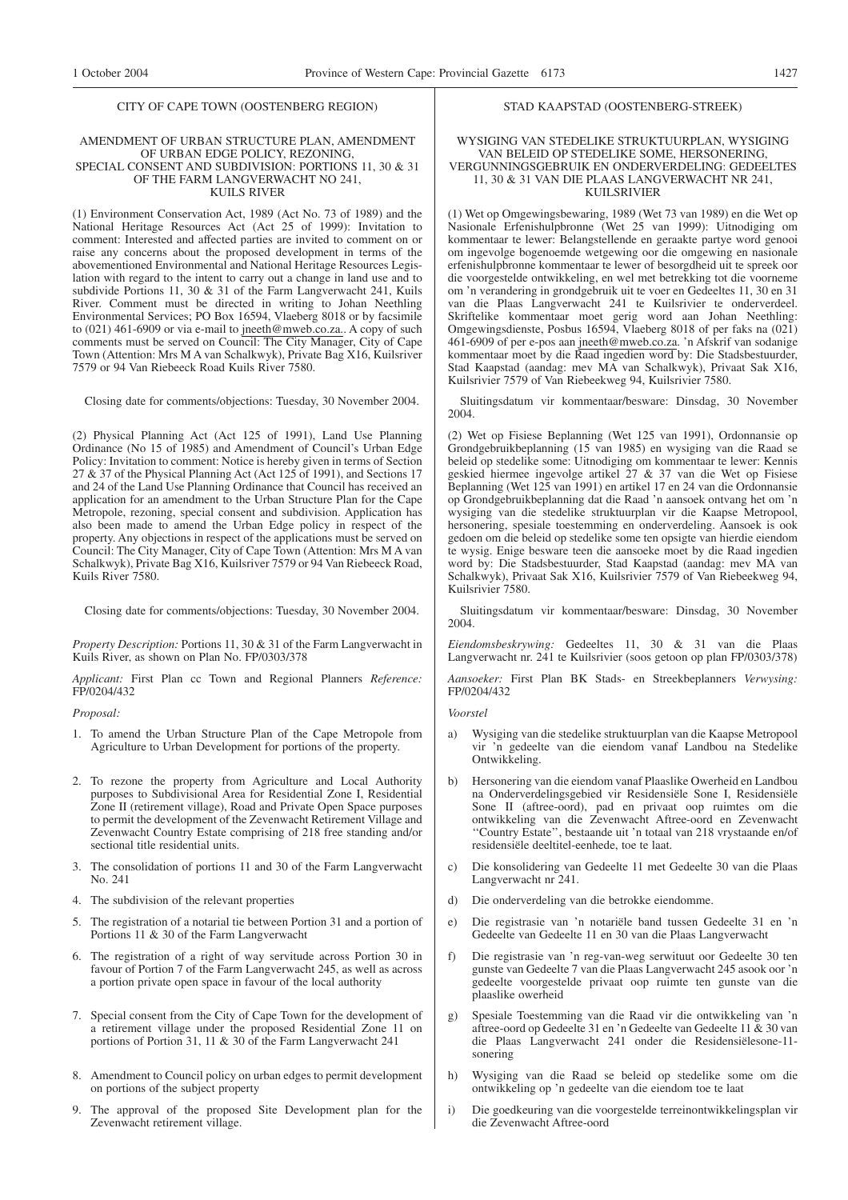#### CITY OF CAPE TOWN (OOSTENBERG REGION)

#### AMENDMENT OF URBAN STRUCTURE PLAN, AMENDMENT OF URBAN EDGE POLICY, REZONING, SPECIAL CONSENT AND SUBDIVISION: PORTIONS 11, 30 & 31 OF THE FARM LANGVERWACHT NO 241, KUILS RIVER

(1) Environment Conservation Act, 1989 (Act No. 73 of 1989) and the National Heritage Resources Act (Act 25 of 1999): Invitation to comment: Interested and affected parties are invited to comment on or raise any concerns about the proposed development in terms of the abovementioned Environmental and National Heritage Resources Legislation with regard to the intent to carry out a change in land use and to subdivide Portions 11, 30 & 31 of the Farm Langverwacht 241, Kuils River. Comment must be directed in writing to Johan Neethling Environmental Services; PO Box 16594, Vlaeberg 8018 or by facsimile to (021) 461-6909 or via e-mail to jneeth@mweb.co.za.. A copy of such comments must be served on Council: The City Manager, City of Cape Town (Attention: Mrs M A van Schalkwyk), Private Bag X16, Kuilsriver 7579 or 94 Van Riebeeck Road Kuils River 7580.

Closing date for comments/objections: Tuesday, 30 November 2004.

(2) Physical Planning Act (Act 125 of 1991), Land Use Planning Ordinance (No 15 of 1985) and Amendment of Council's Urban Edge Policy: Invitation to comment: Notice is hereby given in terms of Section 27  $\&$  37 of the Physical Planning Act (Act 125 of 1991), and Sections 17 and 24 of the Land Use Planning Ordinance that Council has received an application for an amendment to the Urban Structure Plan for the Cape Metropole, rezoning, special consent and subdivision. Application has also been made to amend the Urban Edge policy in respect of the property. Any objections in respect of the applications must be served on Council: The City Manager, City of Cape Town (Attention: Mrs M A van Schalkwyk), Private Bag X16, Kuilsriver 7579 or 94 Van Riebeeck Road, Kuils River 7580.

Closing date for comments/objections: Tuesday, 30 November 2004.

*Property Description:* Portions 11, 30 & 31 of the Farm Langverwacht in Kuils River, as shown on Plan No. FP/0303/378

*Applicant:* First Plan cc Town and Regional Planners *Reference:* FP/0204/432

#### *Proposal:*

- 1. To amend the Urban Structure Plan of the Cape Metropole from Agriculture to Urban Development for portions of the property.
- 2. To rezone the property from Agriculture and Local Authority purposes to Subdivisional Area for Residential Zone I, Residential Zone II (retirement village), Road and Private Open Space purposes to permit the development of the Zevenwacht Retirement Village and Zevenwacht Country Estate comprising of 218 free standing and/or sectional title residential units.
- 3. The consolidation of portions 11 and 30 of the Farm Langverwacht No. 241
- 4. The subdivision of the relevant properties
- 5. The registration of a notarial tie between Portion 31 and a portion of Portions 11 & 30 of the Farm Langverwacht
- The registration of a right of way servitude across Portion 30 in favour of Portion 7 of the Farm Langverwacht 245, as well as across a portion private open space in favour of the local authority
- 7. Special consent from the City of Cape Town for the development of a retirement village under the proposed Residential Zone 11 on portions of Portion 31, 11 & 30 of the Farm Langverwacht 241
- 8. Amendment to Council policy on urban edges to permit development on portions of the subject property
- 9. The approval of the proposed Site Development plan for the Zevenwacht retirement village.

### STAD KAAPSTAD (OOSTENBERG-STREEK)

WYSIGING VAN STEDELIKE STRUKTUURPLAN, WYSIGING VAN BELEID OP STEDELIKE SOME, HERSONERING, VERGUNNINGSGEBRUIK EN ONDERVERDELING: GEDEELTES 11, 30 & 31 VAN DIE PLAAS LANGVERWACHT NR 241, KUILSRIVIER

(1) Wet op Omgewingsbewaring, 1989 (Wet 73 van 1989) en die Wet op Nasionale Erfenishulpbronne (Wet 25 van 1999): Uitnodiging om kommentaar te lewer: Belangstellende en geraakte partye word genooi om ingevolge bogenoemde wetgewing oor die omgewing en nasionale erfenishulpbronne kommentaar te lewer of besorgdheid uit te spreek oor die voorgestelde ontwikkeling, en wel met betrekking tot die voorneme om 'n verandering in grondgebruik uit te voer en Gedeeltes 11, 30 en 31 van die Plaas Langverwacht 241 te Kuilsrivier te onderverdeel. Skriftelike kommentaar moet gerig word aan Johan Neethling: Omgewingsdienste, Posbus 16594, Vlaeberg 8018 of per faks na (021) 461-6909 of per e-pos aan jneeth@mweb.co.za. 'n Afskrif van sodanige kommentaar moet by die Raad ingedien word by: Die Stadsbestuurder, Stad Kaapstad (aandag: mev MA van Schalkwyk), Privaat Sak X16, Kuilsrivier 7579 of Van Riebeekweg 94, Kuilsrivier 7580.

Sluitingsdatum vir kommentaar/besware: Dinsdag, 30 November 2004.

(2) Wet op Fisiese Beplanning (Wet 125 van 1991), Ordonnansie op Grondgebruikbeplanning (15 van 1985) en wysiging van die Raad se beleid op stedelike some: Uitnodiging om kommentaar te lewer: Kennis geskied hiermee ingevolge artikel 27 & 37 van die Wet op Fisiese Beplanning (Wet 125 van 1991) en artikel 17 en 24 van die Ordonnansie op Grondgebruikbeplanning dat die Raad 'n aansoek ontvang het om 'n wysiging van die stedelike struktuurplan vir die Kaapse Metropool, hersonering, spesiale toestemming en onderverdeling. Aansoek is ook gedoen om die beleid op stedelike some ten opsigte van hierdie eiendom te wysig. Enige besware teen die aansoeke moet by die Raad ingedien word by: Die Stadsbestuurder, Stad Kaapstad (aandag: mev MA van Schalkwyk), Privaat Sak X16, Kuilsrivier 7579 of Van Riebeekweg 94, Kuilsrivier 7580.

Sluitingsdatum vir kommentaar/besware: Dinsdag, 30 November 2004.

*Eiendomsbeskrywing:* Gedeeltes 11, 30 & 31 van die Plaas Langverwacht nr. 241 te Kuilsrivier (soos getoon op plan FP/0303/378)

*Aansoeker:* First Plan BK Stads- en Streekbeplanners *Verwysing:* FP/0204/432

*Voorstel*

- a) Wysiging van die stedelike struktuurplan van die Kaapse Metropool vir 'n gedeelte van die eiendom vanaf Landbou na Stedelike Ontwikkeling.
- b) Hersonering van die eiendom vanaf Plaaslike Owerheid en Landbou na Onderverdelingsgebied vir Residensiële Sone I, Residensiële Sone II (aftree-oord), pad en privaat oop ruimtes om die ontwikkeling van die Zevenwacht Aftree-oord en Zevenwacht ''Country Estate'', bestaande uit 'n totaal van 218 vrystaande en/of residensiële deeltitel-eenhede, toe te laat.
- c) Die konsolidering van Gedeelte 11 met Gedeelte 30 van die Plaas Langverwacht nr 241.
- d) Die onderverdeling van die betrokke eiendomme.
- e) Die registrasie van 'n notariële band tussen Gedeelte 31 en 'n Gedeelte van Gedeelte 11 en 30 van die Plaas Langverwacht
- f) Die registrasie van 'n reg-van-weg serwituut oor Gedeelte 30 ten gunste van Gedeelte 7 van die Plaas Langverwacht 245 asook oor 'n gedeelte voorgestelde privaat oop ruimte ten gunste van die plaaslike owerheid
- g) Spesiale Toestemming van die Raad vir die ontwikkeling van 'n aftree-oord op Gedeelte 31 en 'n Gedeelte van Gedeelte 11 & 30 van die Plaas Langverwacht 241 onder die Residensiëlesone-11 sonering
- h) Wysiging van die Raad se beleid op stedelike some om die ontwikkeling op 'n gedeelte van die eiendom toe te laat
- i) Die goedkeuring van die voorgestelde terreinontwikkelingsplan vir die Zevenwacht Aftree-oord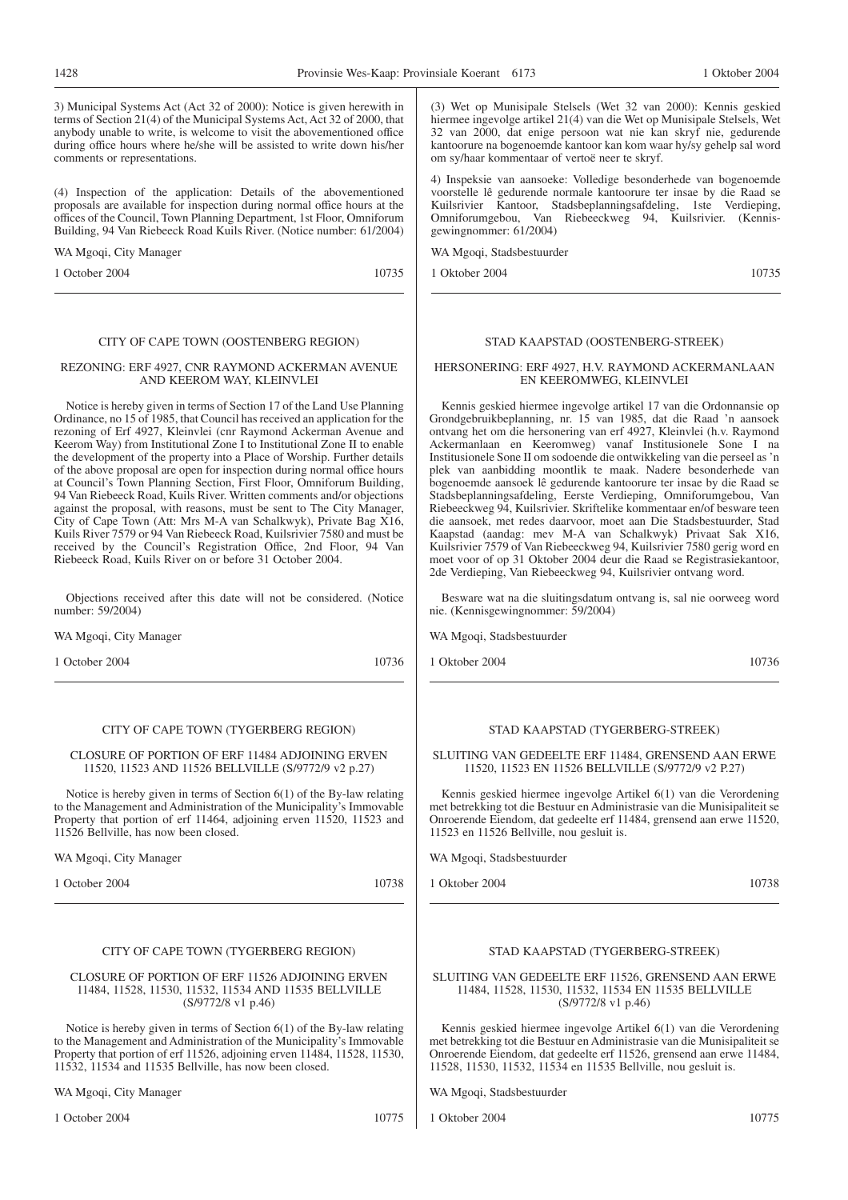3) Municipal Systems Act (Act 32 of 2000): Notice is given herewith in terms of Section 21(4) of the Municipal Systems Act, Act 32 of 2000, that anybody unable to write, is welcome to visit the abovementioned office during office hours where he/she will be assisted to write down his/her comments or representations.

(4) Inspection of the application: Details of the abovementioned proposals are available for inspection during normal office hours at the offices of the Council, Town Planning Department, 1st Floor, Omniforum Building, 94 Van Riebeeck Road Kuils River. (Notice number: 61/2004)

WA Mgoqi, City Manager

1 October 2004 10735

# CITY OF CAPE TOWN (OOSTENBERG REGION)

#### REZONING: ERF 4927, CNR RAYMOND ACKERMAN AVENUE AND KEEROM WAY, KLEINVLEI

Notice is hereby given in terms of Section 17 of the Land Use Planning Ordinance, no 15 of 1985, that Council has received an application for the rezoning of Erf 4927, Kleinvlei (cnr Raymond Ackerman Avenue and Keerom Way) from Institutional Zone I to Institutional Zone II to enable the development of the property into a Place of Worship. Further details of the above proposal are open for inspection during normal office hours at Council's Town Planning Section, First Floor, Omniforum Building, 94 Van Riebeeck Road, Kuils River. Written comments and/or objections against the proposal, with reasons, must be sent to The City Manager, City of Cape Town (Att: Mrs M-A van Schalkwyk), Private Bag X16, Kuils River 7579 or 94 Van Riebeeck Road, Kuilsrivier 7580 and must be received by the Council's Registration Office, 2nd Floor, 94 Van Riebeeck Road, Kuils River on or before 31 October 2004.

Objections received after this date will not be considered. (Notice number: 59/2004)

WA Mgoqi, City Manager

1 October 2004 10736

# CITY OF CAPE TOWN (TYGERBERG REGION)

CLOSURE OF PORTION OF ERF 11484 ADJOINING ERVEN 11520, 11523 AND 11526 BELLVILLE (S/9772/9 v2 p.27)

Notice is hereby given in terms of Section 6(1) of the By-law relating to the Management and Administration of the Municipality's Immovable Property that portion of erf 11464, adjoining erven 11520, 11523 and 11526 Bellville, has now been closed.

WA Mgoqi, City Manager

1 October 2004 10738

# CITY OF CAPE TOWN (TYGERBERG REGION)

CLOSURE OF PORTION OF ERF 11526 ADJOINING ERVEN 11484, 11528, 11530, 11532, 11534 AND 11535 BELLVILLE (S/9772/8 v1 p.46)

Notice is hereby given in terms of Section 6(1) of the By-law relating to the Management and Administration of the Municipality's Immovable Property that portion of erf 11526, adjoining erven 11484, 11528, 11530, 11532, 11534 and 11535 Bellville, has now been closed.

WA Mgoqi, City Manager

1 October 2004 10775

(3) Wet op Munisipale Stelsels (Wet 32 van 2000): Kennis geskied hiermee ingevolge artikel 21(4) van die Wet op Munisipale Stelsels, Wet 32 van 2000, dat enige persoon wat nie kan skryf nie, gedurende kantoorure na bogenoemde kantoor kan kom waar hy/sy gehelp sal word om sy/haar kommentaar of vertoë neer te skryf.

4) Inspeksie van aansoeke: Volledige besonderhede van bogenoemde voorstelle lê gedurende normale kantoorure ter insae by die Raad se Kuilsrivier Kantoor, Stadsbeplanningsafdeling, 1ste Verdieping, Omniforumgebou, Van Riebeeckweg 94, Kuilsrivier. (Kennisgewingnommer: 61/2004)

WA Mgoqi, Stadsbestuurder

1 Oktober 2004 10735

# STAD KAAPSTAD (OOSTENBERG-STREEK)

#### HERSONERING: ERF 4927, H.V. RAYMOND ACKERMANLAAN EN KEEROMWEG, KLEINVLEI

Kennis geskied hiermee ingevolge artikel 17 van die Ordonnansie op Grondgebruikbeplanning, nr. 15 van 1985, dat die Raad 'n aansoek ontvang het om die hersonering van erf 4927, Kleinvlei (h.v. Raymond Ackermanlaan en Keeromweg) vanaf Institusionele Sone I na Institusionele Sone II om sodoende die ontwikkeling van die perseel as 'n plek van aanbidding moontlik te maak. Nadere besonderhede van bogenoemde aansoek lê gedurende kantoorure ter insae by die Raad se Stadsbeplanningsafdeling, Eerste Verdieping, Omniforumgebou, Van Riebeeckweg 94, Kuilsrivier. Skriftelike kommentaar en/of besware teen die aansoek, met redes daarvoor, moet aan Die Stadsbestuurder, Stad Kaapstad (aandag: mev M-A van Schalkwyk) Privaat Sak X16, Kuilsrivier 7579 of Van Riebeeckweg 94, Kuilsrivier 7580 gerig word en moet voor of op 31 Oktober 2004 deur die Raad se Registrasiekantoor, 2de Verdieping, Van Riebeeckweg 94, Kuilsrivier ontvang word.

Besware wat na die sluitingsdatum ontvang is, sal nie oorweeg word nie. (Kennisgewingnommer: 59/2004)

WA Mgoqi, Stadsbestuurder

1 Oktober 2004 10736

#### STAD KAAPSTAD (TYGERBERG-STREEK)

SLUITING VAN GEDEELTE ERF 11484, GRENSEND AAN ERWE 11520, 11523 EN 11526 BELLVILLE (S/9772/9 v2 P.27)

Kennis geskied hiermee ingevolge Artikel 6(1) van die Verordening met betrekking tot die Bestuur en Administrasie van die Munisipaliteit se Onroerende Eiendom, dat gedeelte erf 11484, grensend aan erwe 11520, 11523 en 11526 Bellville, nou gesluit is.

WA Mgoqi, Stadsbestuurder

1 Oktober 2004 10738

#### STAD KAAPSTAD (TYGERBERG-STREEK)

SLUITING VAN GEDEELTE ERF 11526, GRENSEND AAN ERWE 11484, 11528, 11530, 11532, 11534 EN 11535 BELLVILLE (S/9772/8 v1 p.46)

Kennis geskied hiermee ingevolge Artikel 6(1) van die Verordening met betrekking tot die Bestuur en Administrasie van die Munisipaliteit se Onroerende Eiendom, dat gedeelte erf 11526, grensend aan erwe 11484, 11528, 11530, 11532, 11534 en 11535 Bellville, nou gesluit is.

WA Mgoqi, Stadsbestuurder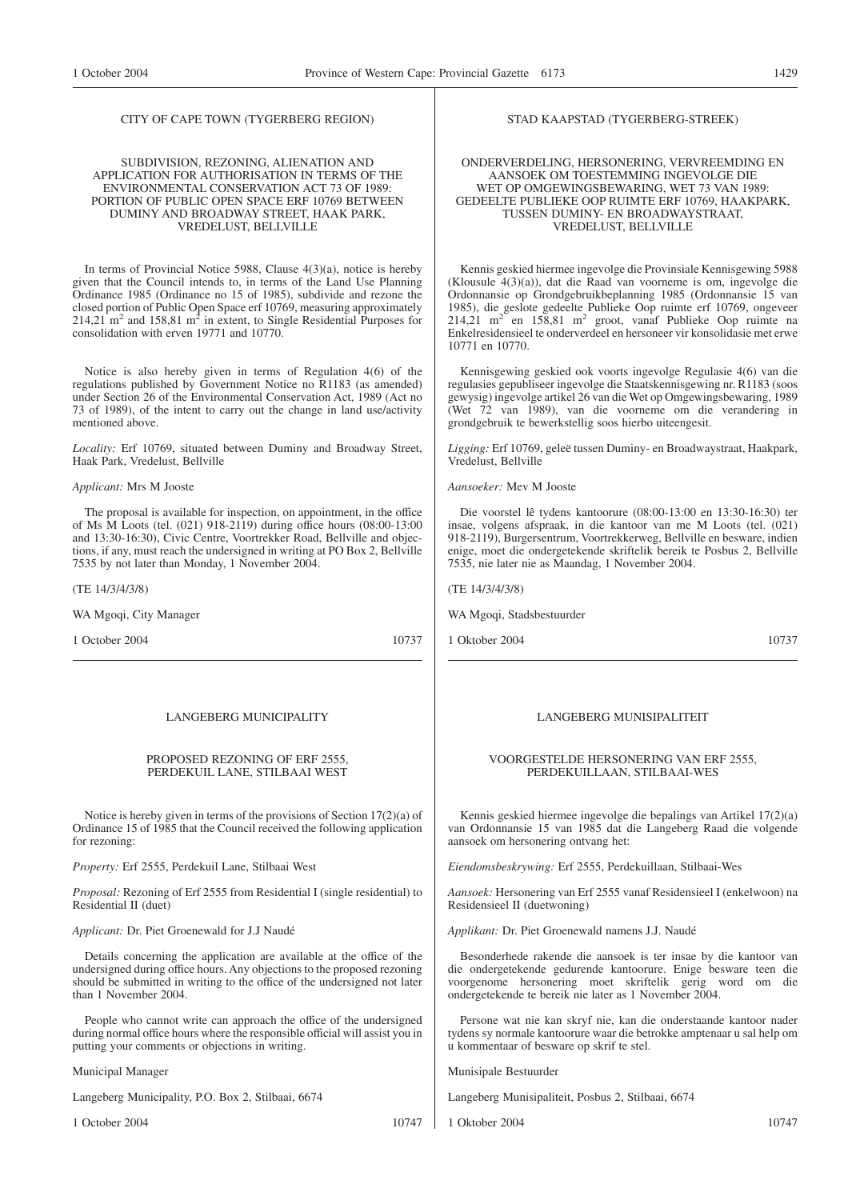#### CITY OF CAPE TOWN (TYGERBERG REGION)

#### SUBDIVISION, REZONING, ALIENATION AND APPLICATION FOR AUTHORISATION IN TERMS OF THE ENVIRONMENTAL CONSERVATION ACT 73 OF 1989: PORTION OF PUBLIC OPEN SPACE ERF 10769 BETWEEN DUMINY AND BROADWAY STREET, HAAK PARK, VREDELUST, BELLVILLE

In terms of Provincial Notice 5988, Clause 4(3)(a), notice is hereby given that the Council intends to, in terms of the Land Use Planning Ordinance 1985 (Ordinance no 15 of 1985), subdivide and rezone the closed portion of Public Open Space erf 10769, measuring approximately  $214,21 \text{ m}^2$  and  $158,81 \text{ m}^2$  in extent, to Single Residential Purposes for consolidation with erven 19771 and 10770.

Notice is also hereby given in terms of Regulation 4(6) of the regulations published by Government Notice no R1183 (as amended) under Section 26 of the Environmental Conservation Act, 1989 (Act no 73 of 1989), of the intent to carry out the change in land use/activity mentioned above.

*Locality:* Erf 10769, situated between Duminy and Broadway Street, Haak Park, Vredelust, Bellville

#### *Applicant:* Mrs M Jooste

The proposal is available for inspection, on appointment, in the office of Ms M Loots (tel. (021) 918-2119) during office hours (08:00-13:00 and 13:30-16:30), Civic Centre, Voortrekker Road, Bellville and objections, if any, must reach the undersigned in writing at PO Box 2, Bellville 7535 by not later than Monday, 1 November 2004.

(TE 14/3/4/3/8)

WA Mgoqi, City Manager

1 October 2004 10737

#### LANGEBERG MUNICIPALITY

PROPOSED REZONING OF ERF 2555, PERDEKUIL LANE, STILBAAI WEST

Notice is hereby given in terms of the provisions of Section 17(2)(a) of Ordinance 15 of 1985 that the Council received the following application for rezoning:

*Property:* Erf 2555, Perdekuil Lane, Stilbaai West

*Proposal:* Rezoning of Erf 2555 from Residential I (single residential) to Residential II (duet)

*Applicant:* Dr. Piet Groenewald for J.J Naudé

Details concerning the application are available at the office of the undersigned during office hours. Any objections to the proposed rezoning should be submitted in writing to the office of the undersigned not later than 1 November 2004.

People who cannot write can approach the office of the undersigned during normal office hours where the responsible official will assist you in putting your comments or objections in writing.

Municipal Manager

Langeberg Municipality, P.O. Box 2, Stilbaai, 6674

1 October 2004 10747

STAD KAAPSTAD (TYGERBERG-STREEK)

#### ONDERVERDELING, HERSONERING, VERVREEMDING EN AANSOEK OM TOESTEMMING INGEVOLGE DIE WET OP OMGEWINGSBEWARING, WET 73 VAN 1989: GEDEELTE PUBLIEKE OOP RUIMTE ERF 10769, HAAKPARK, TUSSEN DUMINY- EN BROADWAYSTRAAT, VREDELUST, BELLVILLE

Kennis geskied hiermee ingevolge die Provinsiale Kennisgewing 5988 (Klousule 4(3)(a)), dat die Raad van voorneme is om, ingevolge die Ordonnansie op Grondgebruikbeplanning 1985 (Ordonnansie 15 van 1985), die geslote gedeelte Publieke Oop ruimte erf 10769, ongeveer  $214,21$  m<sup>2</sup> en 158,81 m<sup>2</sup> groot, vanaf Publieke Oop ruimte na Enkelresidensieel te onderverdeel en hersoneer vir konsolidasie met erwe 10771 en 10770.

Kennisgewing geskied ook voorts ingevolge Regulasie 4(6) van die regulasies gepubliseer ingevolge die Staatskennisgewing nr. R1183 (soos gewysig) ingevolge artikel 26 van die Wet op Omgewingsbewaring, 1989 (Wet 72 van 1989), van die voorneme om die verandering in grondgebruik te bewerkstellig soos hierbo uiteengesit.

*Ligging:* Erf 10769, geleë tussen Duminy- en Broadwaystraat, Haakpark, Vredelust, Bellville

*Aansoeker:* Mev M Jooste

Die voorstel lê tydens kantoorure (08:00-13:00 en 13:30-16:30) ter insae, volgens afspraak, in die kantoor van me M Loots (tel. (021) 918-2119), Burgersentrum, Voortrekkerweg, Bellville en besware, indien enige, moet die ondergetekende skriftelik bereik te Posbus 2, Bellville 7535, nie later nie as Maandag, 1 November 2004.

(TE 14/3/4/3/8)

WA Mgoqi, Stadsbestuurder

1 Oktober 2004 10737

# LANGEBERG MUNISIPALITEIT

#### VOORGESTELDE HERSONERING VAN ERF 2555, PERDEKUILLAAN, STILBAAI-WES

Kennis geskied hiermee ingevolge die bepalings van Artikel 17(2)(a) van Ordonnansie 15 van 1985 dat die Langeberg Raad die volgende aansoek om hersonering ontvang het:

*Eiendomsbeskrywing:* Erf 2555, Perdekuillaan, Stilbaai-Wes

*Aansoek:* Hersonering van Erf 2555 vanaf Residensieel I (enkelwoon) na Residensieel II (duetwoning)

*Applikant:* Dr. Piet Groenewald namens J.J. Naudé

Besonderhede rakende die aansoek is ter insae by die kantoor van die ondergetekende gedurende kantoorure. Enige besware teen die voorgenome hersonering moet skriftelik gerig word om die ondergetekende te bereik nie later as 1 November 2004.

Persone wat nie kan skryf nie, kan die onderstaande kantoor nader tydens sy normale kantoorure waar die betrokke amptenaar u sal help om u kommentaar of besware op skrif te stel.

Munisipale Bestuurder

Langeberg Munisipaliteit, Posbus 2, Stilbaai, 6674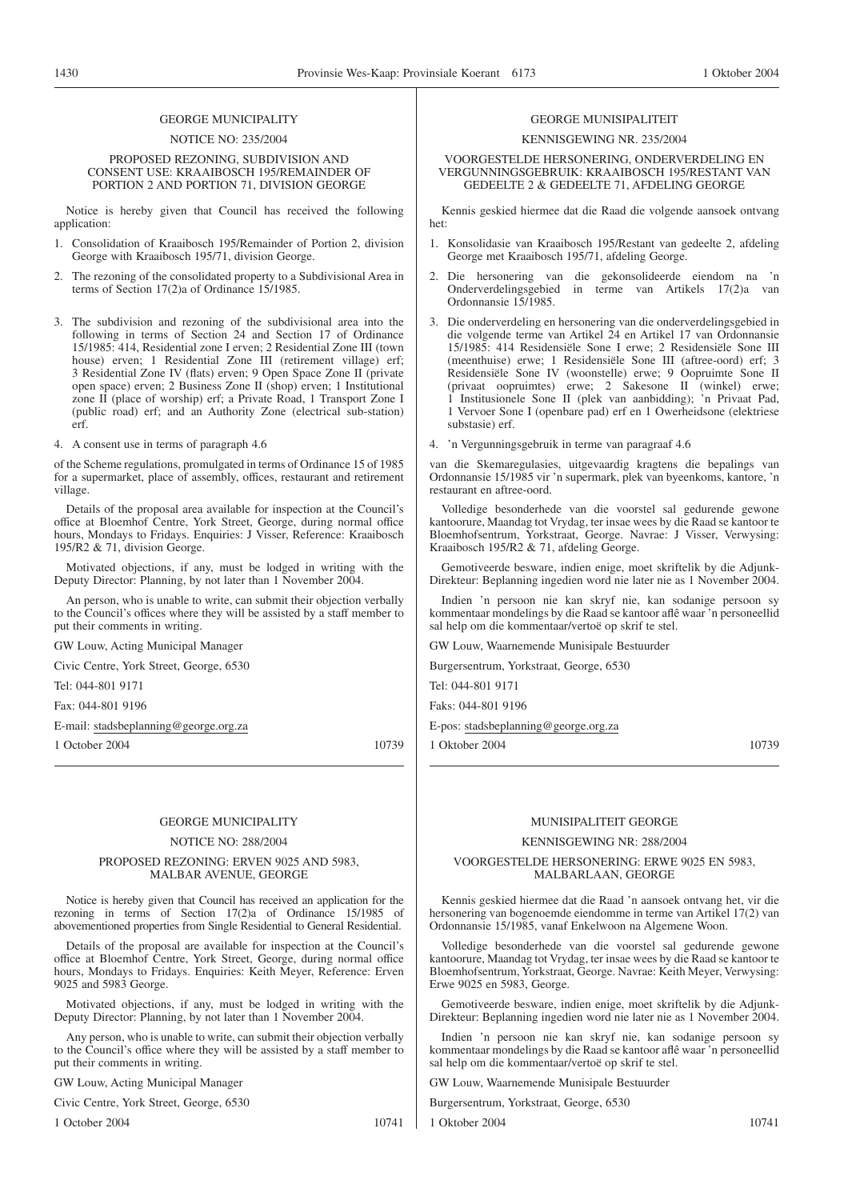#### NOTICE NO: 235/2004

PROPOSED REZONING, SUBDIVISION AND CONSENT USE: KRAAIBOSCH 195/REMAINDER OF PORTION 2 AND PORTION 71, DIVISION GEORGE

Notice is hereby given that Council has received the following application:

- 1. Consolidation of Kraaibosch 195/Remainder of Portion 2, division George with Kraaibosch 195/71, division George.
- 2. The rezoning of the consolidated property to a Subdivisional Area in terms of Section 17(2)a of Ordinance 15/1985.
- 3. The subdivision and rezoning of the subdivisional area into the following in terms of Section 24 and Section 17 of Ordinance 15/1985: 414, Residential zone I erven; 2 Residential Zone III (town house) erven; 1 Residential Zone III (retirement village) erf; 3 Residential Zone IV (flats) erven; 9 Open Space Zone II (private open space) erven; 2 Business Zone II (shop) erven; 1 Institutional zone II (place of worship) erf; a Private Road, 1 Transport Zone I (public road) erf; and an Authority Zone (electrical sub-station) erf.
- 4. A consent use in terms of paragraph 4.6

of the Scheme regulations, promulgated in terms of Ordinance 15 of 1985 for a supermarket, place of assembly, offices, restaurant and retirement village.

Details of the proposal area available for inspection at the Council's office at Bloemhof Centre, York Street, George, during normal office hours, Mondays to Fridays. Enquiries: J Visser, Reference: Kraaibosch 195/R2 & 71, division George.

Motivated objections, if any, must be lodged in writing with the Deputy Director: Planning, by not later than 1 November 2004.

An person, who is unable to write, can submit their objection verbally to the Council's offices where they will be assisted by a staff member to put their comments in writing.

GW Louw, Acting Municipal Manager

Civic Centre, York Street, George, 6530

Tel: 044-801 9171

Fax: 044-801 9196

E-mail: stadsbeplanning@george.org.za

1 October 2004 10739

#### GEORGE MUNICIPALITY

#### NOTICE NO: 288/2004

#### PROPOSED REZONING: ERVEN 9025 AND 5983, MALBAR AVENUE, GEORGE

Notice is hereby given that Council has received an application for the rezoning in terms of Section 17(2)a of Ordinance 15/1985 of abovementioned properties from Single Residential to General Residential.

Details of the proposal are available for inspection at the Council's office at Bloemhof Centre, York Street, George, during normal office hours, Mondays to Fridays. Enquiries: Keith Meyer, Reference: Erven 9025 and 5983 George.

Motivated objections, if any, must be lodged in writing with the Deputy Director: Planning, by not later than 1 November 2004.

Any person, who is unable to write, can submit their objection verbally to the Council's office where they will be assisted by a staff member to put their comments in writing.

GW Louw, Acting Municipal Manager

Civic Centre, York Street, George, 6530

1 October 2004 10741

#### GEORGE MUNISIPALITEIT

# KENNISGEWING NR. 235/2004

VOORGESTELDE HERSONERING, ONDERVERDELING EN VERGUNNINGSGEBRUIK: KRAAIBOSCH 195/RESTANT VAN GEDEELTE 2 & GEDEELTE 71, AFDELING GEORGE

Kennis geskied hiermee dat die Raad die volgende aansoek ontvang het:

- 1. Konsolidasie van Kraaibosch 195/Restant van gedeelte 2, afdeling George met Kraaibosch 195/71, afdeling George.
- 2. Die hersonering van die gekonsolideerde eiendom na 'n Onderverdelingsgebied in terme van Artikels 17(2)a van Ordonnansie 15/1985.
- 3. Die onderverdeling en hersonering van die onderverdelingsgebied in die volgende terme van Artikel 24 en Artikel 17 van Ordonnansie 15/1985: 414 Residensiële Sone I erwe; 2 Residensiële Sone III (meenthuise) erwe; 1 Residensiële Sone III (aftree-oord) erf; 3 Residensiële Sone IV (woonstelle) erwe; 9 Oopruimte Sone II (privaat oopruimtes) erwe; 2 Sakesone II (winkel) erwe; 1 Institusionele Sone II (plek van aanbidding); 'n Privaat Pad, 1 Vervoer Sone I (openbare pad) erf en 1 Owerheidsone (elektriese substasie) erf.
- 4. 'n Vergunningsgebruik in terme van paragraaf 4.6

van die Skemaregulasies, uitgevaardig kragtens die bepalings van Ordonnansie 15/1985 vir 'n supermark, plek van byeenkoms, kantore, 'n restaurant en aftree-oord.

Volledige besonderhede van die voorstel sal gedurende gewone kantoorure, Maandag tot Vrydag, ter insae wees by die Raad se kantoor te Bloemhofsentrum, Yorkstraat, George. Navrae: J Visser, Verwysing: Kraaibosch 195/R2 & 71, afdeling George.

Gemotiveerde besware, indien enige, moet skriftelik by die Adjunk-Direkteur: Beplanning ingedien word nie later nie as 1 November 2004.

Indien 'n persoon nie kan skryf nie, kan sodanige persoon sy kommentaar mondelings by die Raad se kantoor aflê waar 'n personeellid sal help om die kommentaar/vertoë op skrif te stel.

GW Louw, Waarnemende Munisipale Bestuurder

Burgersentrum, Yorkstraat, George, 6530

Tel: 044-801 9171

Faks: 044-801 9196

E-pos: stadsbeplanning@george.org.za

1 Oktober 2004 10739

# MUNISIPALITEIT GEORGE

#### KENNISGEWING NR: 288/2004

VOORGESTELDE HERSONERING: ERWE 9025 EN 5983, MALBARLAAN, GEORGE

Kennis geskied hiermee dat die Raad 'n aansoek ontvang het, vir die hersonering van bogenoemde eiendomme in terme van Artikel 17(2) van Ordonnansie 15/1985, vanaf Enkelwoon na Algemene Woon.

Volledige besonderhede van die voorstel sal gedurende gewone kantoorure, Maandag tot Vrydag, ter insae wees by die Raad se kantoor te Bloemhofsentrum, Yorkstraat, George. Navrae: Keith Meyer, Verwysing: Erwe 9025 en 5983, George.

Gemotiveerde besware, indien enige, moet skriftelik by die Adjunk-Direkteur: Beplanning ingedien word nie later nie as 1 November 2004.

Indien 'n persoon nie kan skryf nie, kan sodanige persoon sy kommentaar mondelings by die Raad se kantoor aflê waar 'n personeellid sal help om die kommentaar/vertoë op skrif te stel.

GW Louw, Waarnemende Munisipale Bestuurder

Burgersentrum, Yorkstraat, George, 6530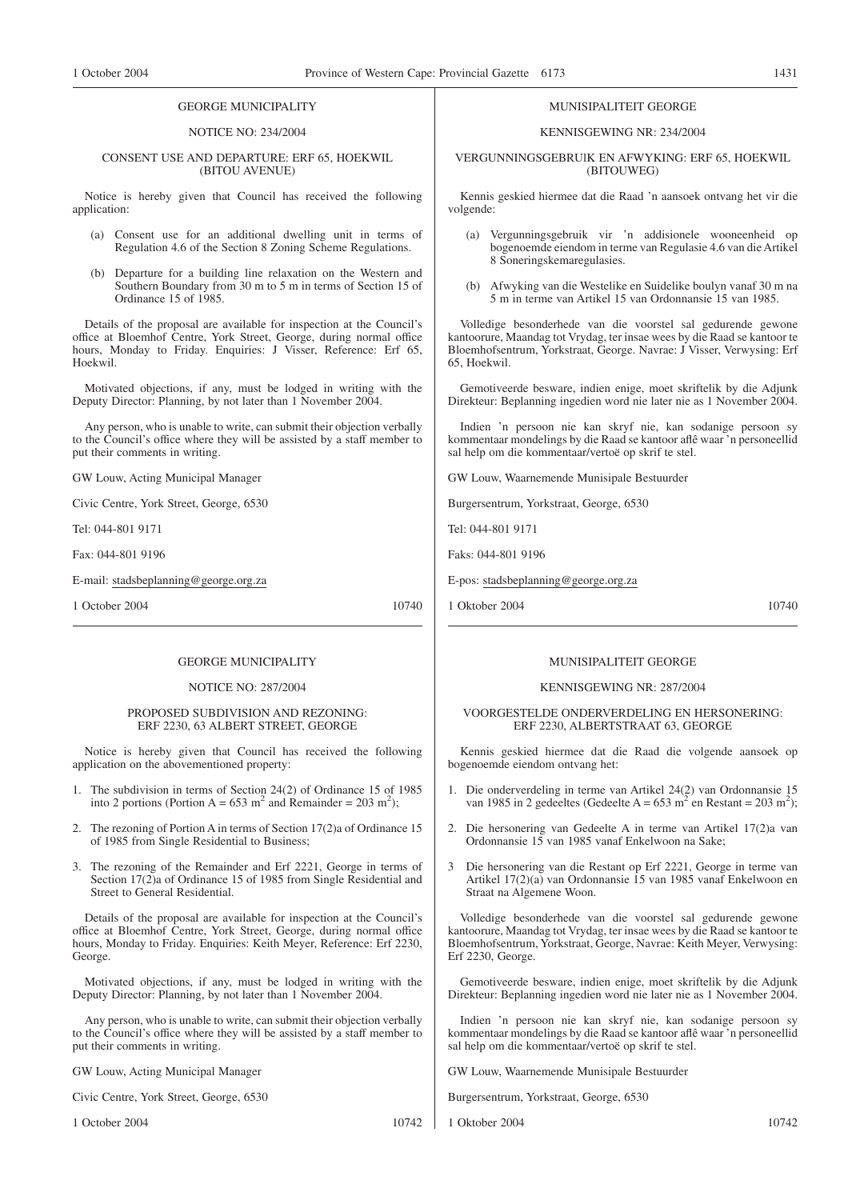#### NOTICE NO: 234/2004

#### CONSENT USE AND DEPARTURE: ERF 65, HOEKWIL (BITOU AVENUE)

Notice is hereby given that Council has received the following application:

- (a) Consent use for an additional dwelling unit in terms of Regulation 4.6 of the Section 8 Zoning Scheme Regulations.
- (b) Departure for a building line relaxation on the Western and Southern Boundary from 30 m to 5 m in terms of Section 15 of Ordinance 15 of 1985.

Details of the proposal are available for inspection at the Council's office at Bloemhof Centre, York Street, George, during normal office hours, Monday to Friday. Enquiries: J Visser, Reference: Erf 65, Hoekwil.

Motivated objections, if any, must be lodged in writing with the Deputy Director: Planning, by not later than 1 November 2004.

Any person, who is unable to write, can submit their objection verbally to the Council's office where they will be assisted by a staff member to put their comments in writing.

GW Louw, Acting Municipal Manager

Civic Centre, York Street, George, 6530

Tel: 044-801 9171

Fax: 044-801 9196

E-mail: stadsbeplanning@george.org.za

1 October 2004 10740

# GEORGE MUNICIPALITY

#### NOTICE NO: 287/2004

#### PROPOSED SUBDIVISION AND REZONING: ERF 2230, 63 ALBERT STREET, GEORGE

Notice is hereby given that Council has received the following application on the abovementioned property:

- 1. The subdivision in terms of Section 24(2) of Ordinance 15 of 1985 into 2 portions (Portion A =  $653 \text{ m}^2$  and Remainder =  $203 \text{ m}^2$ );
- 2. The rezoning of Portion A in terms of Section 17(2)a of Ordinance 15 of 1985 from Single Residential to Business;
- 3. The rezoning of the Remainder and Erf 2221, George in terms of Section 17(2)a of Ordinance 15 of 1985 from Single Residential and Street to General Residential.

Details of the proposal are available for inspection at the Council's office at Bloemhof Centre, York Street, George, during normal office hours, Monday to Friday. Enquiries: Keith Meyer, Reference: Erf 2230, George.

Motivated objections, if any, must be lodged in writing with the Deputy Director: Planning, by not later than 1 November 2004.

Any person, who is unable to write, can submit their objection verbally to the Council's office where they will be assisted by a staff member to put their comments in writing.

GW Louw, Acting Municipal Manager

Civic Centre, York Street, George, 6530

1 October 2004 10742

#### MUNISIPALITEIT GEORGE

#### KENNISGEWING NR: 234/2004

#### VERGUNNINGSGEBRUlK EN AFWYKING: ERF 65, HOEKWIL (BITOUWEG)

Kennis geskied hiermee dat die Raad 'n aansoek ontvang het vir die volgende:

- Vergunningsgebruik vir 'n addisionele wooneenheid op bogenoemde eiendom in terme van Regulasie 4.6 van die Artikel 8 Soneringskemaregulasies.
- (b) Afwyking van die Westelike en Suidelike boulyn vanaf 30 m na 5 m in terme van Artikel 15 van Ordonnansie 15 van 1985.

Volledige besonderhede van die voorstel sal gedurende gewone kantoorure, Maandag tot Vrydag, ter insae wees by die Raad se kantoor te Bloemhofsentrum, Yorkstraat, George. Navrae: J Visser, Verwysing: Erf 65, Hoekwil.

Gemotiveerde besware, indien enige, moet skriftelik by die Adjunk Direkteur: Beplanning ingedien word nie later nie as 1 November 2004.

Indien 'n persoon nie kan skryf nie, kan sodanige persoon sy kommentaar mondelings by die Raad se kantoor aflê waar 'n personeellid sal help om die kommentaar/vertoë op skrif te stel.

GW Louw, Waarnemende Munisipale Bestuurder

Burgersentrum, Yorkstraat, George, 6530

Tel: 044-801 9171

Faks: 044-801 9196

E-pos: stadsbeplanning@george.org.za

1 Oktober 2004 10740

## MUNISIPALITEIT GEORGE

#### KENNISGEWING NR: 287/2004

#### VOORGESTELDE ONDERVERDELING EN HERSONERING: ERF 2230, ALBERTSTRAAT 63, GEORGE

Kennis geskied hiermee dat die Raad die volgende aansoek op bogenoemde eiendom ontvang het:

- 1. Die onderverdeling in terme van Artikel 24(2) van Ordonnansie 15 van 1985 in 2 gedeeltes (Gedeelte A =  $653 \text{ m}^2$  en Restant =  $203 \text{ m}^2$ );
- 2. Die hersonering van Gedeelte A in terme van Artikel 17(2)a van Ordonnansie 15 van 1985 vanaf Enkelwoon na Sake;
- 3 Die hersonering van die Restant op Erf 2221, George in terme van Artikel 17(2)(a) van Ordonnansie 15 van 1985 vanaf Enkelwoon en Straat na Algemene Woon.

Volledige besonderhede van die voorstel sal gedurende gewone kantoorure, Maandag tot Vrydag, ter insae wees by die Raad se kantoor te Bloemhofsentrum, Yorkstraat, George, Navrae: Keith Meyer, Verwysing: Erf 2230, George.

Gemotiveerde besware, indien enige, moet skriftelik by die Adjunk Direkteur: Beplanning ingedien word nie later nie as 1 November 2004.

Indien 'n persoon nie kan skryf nie, kan sodanige persoon sy kommentaar mondelings by die Raad se kantoor aflê waar 'n personeellid sal help om die kommentaar/vertoë op skrif te stel.

GW Louw, Waarnemende Munisipale Bestuurder

Burgersentrum, Yorkstraat, George, 6530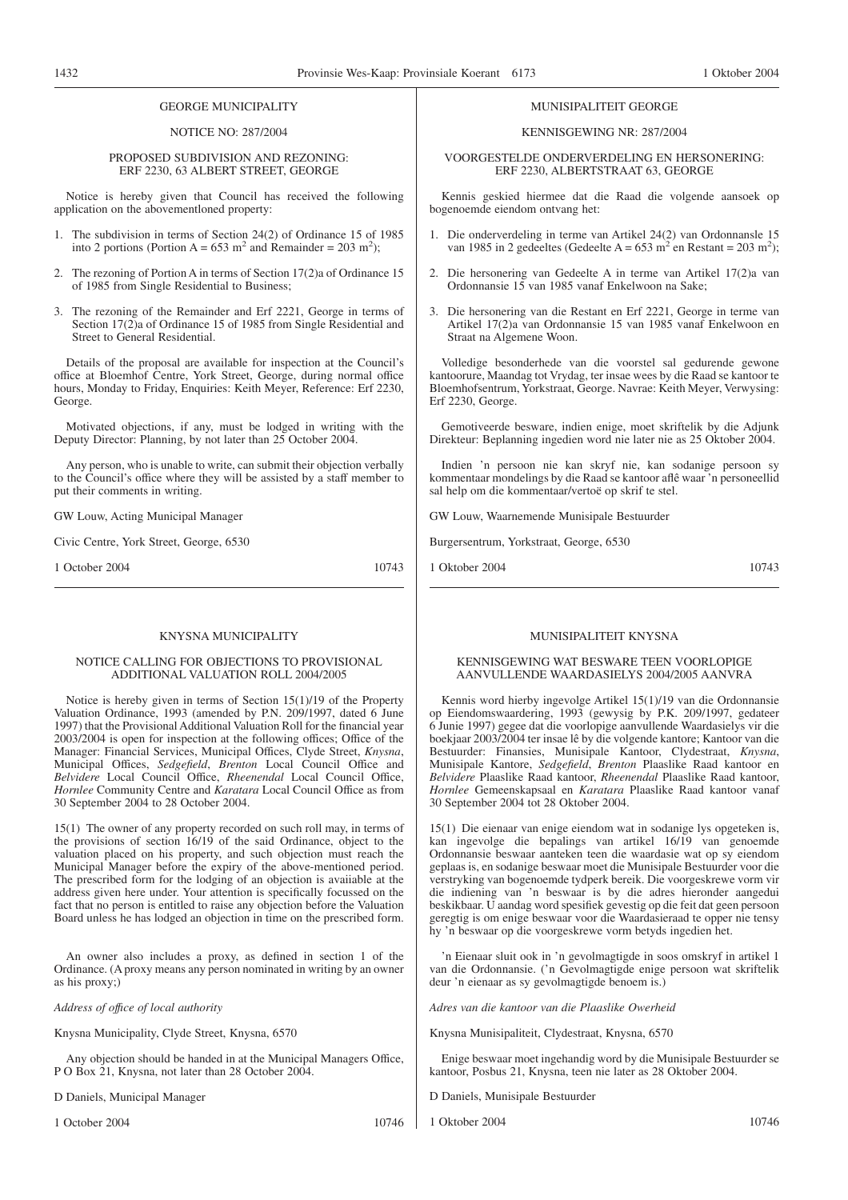#### NOTICE NO: 287/2004

#### PROPOSED SUBDIVISION AND REZONING: ERF 2230, 63 ALBERT STREET, GEORGE

Notice is hereby given that Council has received the following application on the abovementloned property:

- 1. The subdivision in terms of Section 24(2) of Ordinance 15 of 1985 into 2 portions (Portion A =  $653 \text{ m}^2$  and Remainder =  $203 \text{ m}^2$ );
- 2. The rezoning of Portion A in terms of Section 17(2)a of Ordinance 15 of 1985 from Single Residential to Business;
- 3. The rezoning of the Remainder and Erf 2221, George in terms of Section 17(2)a of Ordinance 15 of 1985 from Single Residential and Street to General Residential.

Details of the proposal are available for inspection at the Council's office at Bloemhof Centre, York Street, George, during normal office hours, Monday to Friday, Enquiries: Keith Meyer, Reference: Erf 2230, George.

Motivated objections, if any, must be lodged in writing with the Deputy Director: Planning, by not later than 25 October 2004.

Any person, who is unable to write, can submit their objection verbally to the Council's office where they will be assisted by a staff member to put their comments in writing.

GW Louw, Acting Municipal Manager

Civic Centre, York Street, George, 6530

1 October 2004 10743

#### KNYSNA MUNICIPALITY

#### NOTICE CALLING FOR OBJECTIONS TO PROVISIONAL ADDITIONAL VALUATION ROLL 2004/2005

Notice is hereby given in terms of Section 15(1)/19 of the Property Valuation Ordinance, 1993 (amended by P.N. 209/1997, dated 6 June 1997) that the Provisional Additional Valuation Roll for the financial year 2003/2004 is open for inspection at the following offices; Office of the Manager: Financial Services, Municipal Offices, Clyde Street, *Knysna*, Municipal Offices, *Sedgefield*, *Brenton* Local Council Office and *Belvidere* Local Council Office, *Rheenendal* Local Council Office, *Hornlee* Community Centre and *Karatara* Local Council Office as from 30 September 2004 to 28 October 2004.

15(1) The owner of any property recorded on such roll may, in terms of the provisions of section 16/19 of the said Ordinance, object to the valuation placed on his property, and such objection must reach the Municipal Manager before the expiry of the above-mentioned period. The prescribed form for the lodging of an objection is avaiiable at the address given here under. Your attention is specifically focussed on the fact that no person is entitled to raise any objection before the Valuation Board unless he has lodged an objection in time on the prescribed form.

An owner also includes a proxy, as defined in section 1 of the Ordinance. (A proxy means any person nominated in writing by an owner as his proxy;)

*Address of offıce of local authority*

Knysna Municipality, Clyde Street, Knysna, 6570

Any objection should be handed in at the Municipal Managers Office, P O Box 21, Knysna, not later than 28 October 2004.

D Daniels, Municipal Manager

1 October 2004 10746

#### MUNISIPALITEIT GEORGE

#### KENNISGEWING NR: 287/2004

VOORGESTELDE ONDERVERDELING EN HERSONERING: ERF 2230, ALBERTSTRAAT 63, GEORGE

Kennis geskied hiermee dat die Raad die volgende aansoek op bogenoemde eiendom ontvang het:

- 1. Die onderverdeling in terme van Artikel 24(2) van Ordonnansle 15 van 1985 in 2 gedeeltes (Gedeelte A =  $653 \text{ m}^2$  en Restant =  $203 \text{ m}^2$ );
- 2. Die hersonering van Gedeelte A in terme van Artikel 17(2)a van Ordonnansie 15 van 1985 vanaf Enkelwoon na Sake;
- 3. Die hersonering van die Restant en Erf 2221, George in terme van Artikel 17(2)a van Ordonnansie 15 van 1985 vanaf Enkelwoon en Straat na Algemene Woon.

Volledige besonderhede van die voorstel sal gedurende gewone kantoorure, Maandag tot Vrydag, ter insae wees by die Raad se kantoor te Bloemhofsentrum, Yorkstraat, George. Navrae: Keith Meyer, Verwysing: Erf 2230, George.

Gemotiveerde besware, indien enige, moet skriftelik by die Adjunk Direkteur: Beplanning ingedien word nie later nie as 25 Oktober 2004.

Indien 'n persoon nie kan skryf nie, kan sodanige persoon sy kommentaar mondelings by die Raad se kantoor aflê waar 'n personeellid sal help om die kommentaar/vertoë op skrif te stel.

GW Louw, Waarnemende Munisipale Bestuurder

Burgersentrum, Yorkstraat, George, 6530

1 Oktober 2004 10743

#### MUNISIPALITEIT KNYSNA

#### KENNISGEWING WAT BESWARE TEEN VOORLOPIGE AANVULLENDE WAARDASIELYS 2004/2005 AANVRA

Kennis word hierby ingevolge Artikel 15(1)/19 van die Ordonnansie op Eiendomswaardering, 1993 (gewysig by P.K. 209/1997, gedateer 6 Junie 1997) gegee dat die voorlopige aanvullende Waardasielys vir die boekjaar 2003/2004 ter insae lê by die volgende kantore; Kantoor van die Bestuurder: Finansies, Munisipale Kantoor, Clydestraat, *Knysna*, Munisipale Kantore, *Sedgefield*, *Brenton* Plaaslike Raad kantoor en *Belvidere* Plaaslike Raad kantoor, *Rheenendal* Plaaslike Raad kantoor, *Hornlee* Gemeenskapsaal en *Karatara* Plaaslike Raad kantoor vanaf 30 September 2004 tot 28 Oktober 2004.

15(1) Die eienaar van enige eiendom wat in sodanige lys opgeteken is, kan ingevolge die bepalings van artikel 16/19 van genoemde Ordonnansie beswaar aanteken teen die waardasie wat op sy eiendom geplaas is, en sodanige beswaar moet die Munisipale Bestuurder voor die verstryking van bogenoemde tydperk bereik. Die voorgeskrewe vorm vir die indiening van 'n beswaar is by die adres hieronder aangedui beskikbaar. U aandag word spesifiek gevestig op die feit dat geen persoon geregtig is om enige beswaar voor die Waardasieraad te opper nie tensy hy 'n beswaar op die voorgeskrewe vorm betyds ingedien het.

'n Eienaar sluit ook in 'n gevolmagtigde in soos omskryf in artikel 1 van die Ordonnansie. ('n Gevolmagtigde enige persoon wat skriftelik deur 'n eienaar as sy gevolmagtigde benoem is.)

*Adres van die kantoor van die Plaaslike Owerheid*

Knysna Munisipaliteit, Clydestraat, Knysna, 6570

Enige beswaar moet ingehandig word by die Munisipale Bestuurder se kantoor, Posbus 21, Knysna, teen nie later as 28 Oktober 2004.

D Daniels, Munisipale Bestuurder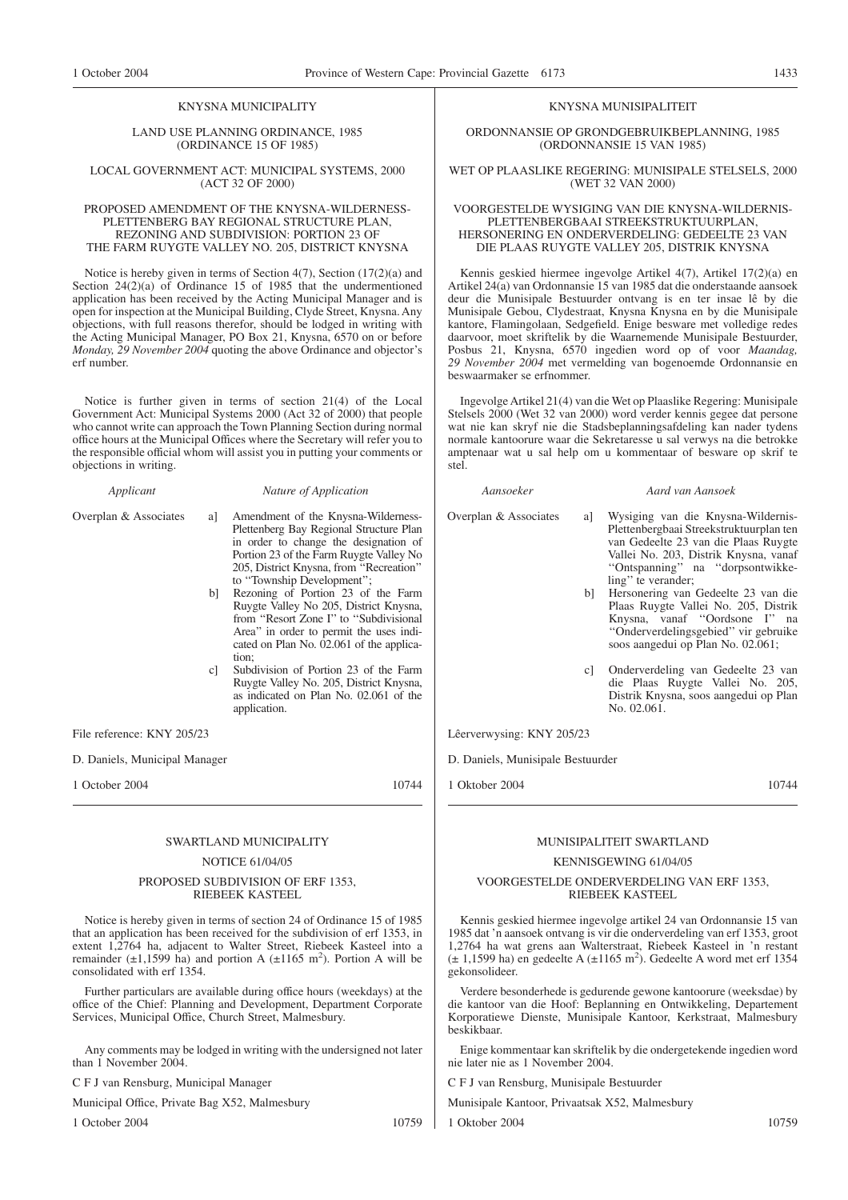#### KNYSNA MUNICIPALITY

#### LAND USE PLANNING ORDINANCE, 1985 (ORDINANCE 15 OF 1985)

#### LOCAL GOVERNMENT ACT: MUNICIPAL SYSTEMS, 2000 (ACT 32 OF 2000)

#### PROPOSED AMENDMENT OF THE KNYSNA-WILDERNESS-PLETTENBERG BAY REGIONAL STRUCTURE PLAN, REZONING AND SUBDIVISION: PORTION 23 OF THE FARM RUYGTE VALLEY NO. 205, DISTRICT KNYSNA

Notice is hereby given in terms of Section 4(7), Section (17(2)(a) and Section 24(2)(a) of Ordinance 15 of 1985 that the undermentioned application has been received by the Acting Municipal Manager and is open for inspection at the Municipal Building, Clyde Street, Knysna. Any objections, with full reasons therefor, should be lodged in writing with the Acting Municipal Manager, PO Box 21, Knysna, 6570 on or before *Monday, 29 November 2004* quoting the above Ordinance and objector's erf number.

Notice is further given in terms of section 21(4) of the Local Government Act: Municipal Systems 2000 (Act 32 of 2000) that people who cannot write can approach the Town Planning Section during normal office hours at the Municipal Offices where the Secretary will refer you to the responsible official whom will assist you in putting your comments or objections in writing.

#### *Applicant Nature of Application*

- Overplan & Associates a] Amendment of the Knysna-Wilderness-Plettenberg Bay Regional Structure Plan in order to change the designation of Portion 23 of the Farm Ruygte Valley No 205, District Knysna, from ''Recreation'' to ''Township Development'';
	- b] Rezoning of Portion 23 of the Farm Ruygte Valley No 205, District Knysna, from "Resort Zone I" to "Subdivisional Area'' in order to permit the uses indicated on Plan No. 02.061 of the application;
	- c] Subdivision of Portion 23 of the Farm Ruygte Valley No. 205, District Knysna, as indicated on Plan No. 02.061 of the application.

File reference: KNY 205/23

D. Daniels, Municipal Manager

1 October 2004 10744

#### SWARTLAND MUNICIPALITY

# NOTICE 61/04/05

#### PROPOSED SUBDIVISION OF ERF 1353, RIEBEEK KASTEEL

Notice is hereby given in terms of section 24 of Ordinance 15 of 1985 that an application has been received for the subdivision of erf 1353, in extent 1,2764 ha, adjacent to Walter Street, Riebeek Kasteel into a remainder  $(\pm 1, 1599)$  ha) and portion A  $(\pm 1165)$  m<sup>2</sup>). Portion A will be consolidated with erf 1354.

Further particulars are available during office hours (weekdays) at the office of the Chief: Planning and Development, Department Corporate Services, Municipal Office, Church Street, Malmesbury.

Any comments may be lodged in writing with the undersigned not later than 1 November 2004.

C F J van Rensburg, Municipal Manager

Municipal Office, Private Bag X52, Malmesbury

1 October 2004 10759

#### KNYSNA MUNISIPALITEIT

ORDONNANSIE OP GRONDGEBRUIKBEPLANNING, 1985 (ORDONNANSIE 15 VAN 1985)

#### WET OP PLAASLIKE REGERING: MUNISIPALE STELSELS, 2000 (WET 32 VAN 2000)

#### VOORGESTELDE WYSIGING VAN DIE KNYSNA-WILDERNIS-PLETTENBERGBAAI STREEKSTRUKTUURPLAN, HERSONERING EN ONDERVERDELING: GEDEELTE 23 VAN DIE PLAAS RUYGTE VALLEY 205, DISTRIK KNYSNA

Kennis geskied hiermee ingevolge Artikel 4(7), Artikel 17(2)(a) en Artikel 24(a) van Ordonnansie 15 van 1985 dat die onderstaande aansoek deur die Munisipale Bestuurder ontvang is en ter insae lê by die Munisipale Gebou, Clydestraat, Knysna Knysna en by die Munisipale kantore, Flamingolaan, Sedgefield. Enige besware met volledige redes daarvoor, moet skriftelik by die Waarnemende Munisipale Bestuurder, Posbus 21, Knysna, 6570 ingedien word op of voor *Maandag, 29 November 2004* met vermelding van bogenoemde Ordonnansie en beswaarmaker se erfnommer.

Ingevolge Artikel 21(4) van die Wet op Plaaslike Regering: Munisipale Stelsels 2000 (Wet 32 van 2000) word verder kennis gegee dat persone wat nie kan skryf nie die Stadsbeplanningsafdeling kan nader tydens normale kantoorure waar die Sekretaresse u sal verwys na die betrokke amptenaar wat u sal help om u kommentaar of besware op skrif te stel.

*Aansoeker Aard van Aansoek*

#### Overplan & Associates a] Wysiging van die Knysna-Wildernis-Plettenbergbaai Streekstruktuurplan ten van Gedeelte 23 van die Plaas Ruygte Vallei No. 203, Distrik Knysna, vanaf ''Ontspanning'' na ''dorpsontwikkeling'' te verander;

- b] Hersonering van Gedeelte 23 van die Plaas Ruygte Vallei No. 205, Distrik Knysna, vanaf ''Oordsone I'' na ''Onderverdelingsgebied'' vir gebruike soos aangedui op Plan No. 02.061;
- c] Onderverdeling van Gedeelte 23 van die Plaas Ruygte Vallei No. 205, Distrik Knysna, soos aangedui op Plan No. 02.061.

Lêerverwysing: KNY 205/23

D. Daniels, Munisipale Bestuurder

1 Oktober 2004 10744

#### MUNISIPALITEIT SWARTLAND

#### KENNISGEWING 61/04/05

### VOORGESTELDE ONDERVERDELING VAN ERF 1353, RIEBEEK KASTEEL

Kennis geskied hiermee ingevolge artikel 24 van Ordonnansie 15 van 1985 dat 'n aansoek ontvang is vir die onderverdeling van erf 1353, groot 1,2764 ha wat grens aan Walterstraat, Riebeek Kasteel in 'n restant  $(\pm 1,1599)$  ha) en gedeelte A  $(\pm 1165 \text{ m}^2)$ . Gedeelte A word met erf 1354 gekonsolideer.

Verdere besonderhede is gedurende gewone kantoorure (weeksdae) by die kantoor van die Hoof: Beplanning en Ontwikkeling, Departement Korporatiewe Dienste, Munisipale Kantoor, Kerkstraat, Malmesbury beskikbaar.

Enige kommentaar kan skriftelik by die ondergetekende ingedien word nie later nie as 1 November 2004.

C F J van Rensburg, Munisipale Bestuurder

Munisipale Kantoor, Privaatsak X52, Malmesbury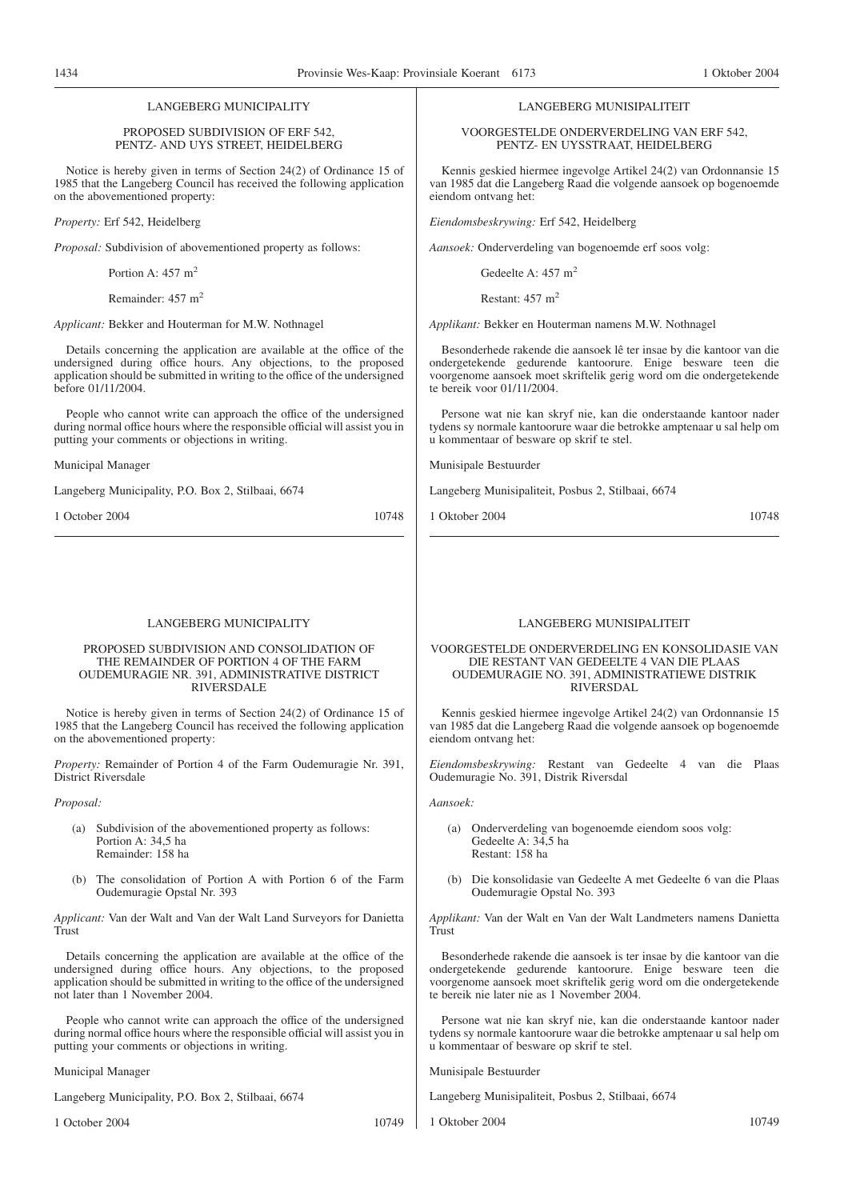# LANGEBERG MUNICIPALITY

#### PROPOSED SUBDIVISION OF ERF 542, PENTZ- AND UYS STREET, HEIDELBERG

Notice is hereby given in terms of Section 24(2) of Ordinance 15 of 1985 that the Langeberg Council has received the following application on the abovementioned property:

*Property:* Erf 542, Heidelberg

*Proposal:* Subdivision of abovementioned property as follows:

Portion A:  $457 \text{ m}^2$ 

Remainder: 457 m<sup>2</sup>

*Applicant:* Bekker and Houterman for M.W. Nothnagel

Details concerning the application are available at the office of the undersigned during office hours. Any objections, to the proposed application should be submitted in writing to the office of the undersigned before 01/11/2004.

People who cannot write can approach the office of the undersigned during normal office hours where the responsible official will assist you in putting your comments or objections in writing.

Municipal Manager

Langeberg Municipality, P.O. Box 2, Stilbaai, 6674

1 October 2004 10748

#### LANGEBERG MUNICIPALITY

#### PROPOSED SUBDIVISION AND CONSOLIDATION OF THE REMAINDER OF PORTION 4 OF THE FARM OUDEMURAGIE NR. 391, ADMINISTRATIVE DISTRICT RIVERSDALE

Notice is hereby given in terms of Section 24(2) of Ordinance 15 of 1985 that the Langeberg Council has received the following application on the abovementioned property:

*Property:* Remainder of Portion 4 of the Farm Oudemuragie Nr. 391, District Riversdale

*Proposal:*

- (a) Subdivision of the abovementioned property as follows: Portion A: 34,5 ha Remainder: 158 ha
- (b) The consolidation of Portion A with Portion 6 of the Farm Oudemuragie Opstal Nr. 393

*Applicant:* Van der Walt and Van der Walt Land Surveyors for Danietta Trust

Details concerning the application are available at the office of the undersigned during office hours. Any objections, to the proposed application should be submitted in writing to the office of the undersigned not later than 1 November 2004.

People who cannot write can approach the office of the undersigned during normal office hours where the responsible official will assist you in putting your comments or objections in writing.

Municipal Manager

Langeberg Municipality, P.O. Box 2, Stilbaai, 6674

1 October 2004 10749

# LANGEBERG MUNISIPALITEIT

VOORGESTELDE ONDERVERDELING VAN ERF 542, PENTZ- EN UYSSTRAAT, HEIDELBERG

Kennis geskied hiermee ingevolge Artikel 24(2) van Ordonnansie 15 van 1985 dat die Langeberg Raad die volgende aansoek op bogenoemde eiendom ontvang het:

*Eiendomsbeskrywing:* Erf 542, Heidelberg

*Aansoek:* Onderverdeling van bogenoemde erf soos volg:

Gedeelte A: 457 m<sup>2</sup>

Restant:  $457 \text{ m}^2$ 

*Applikant:* Bekker en Houterman namens M.W. Nothnagel

Besonderhede rakende die aansoek lê ter insae by die kantoor van die ondergetekende gedurende kantoorure. Enige besware teen die voorgenome aansoek moet skriftelik gerig word om die ondergetekende te bereik voor 01/11/2004.

Persone wat nie kan skryf nie, kan die onderstaande kantoor nader tydens sy normale kantoorure waar die betrokke amptenaar u sal help om u kommentaar of besware op skrif te stel.

Munisipale Bestuurder

Langeberg Munisipaliteit, Posbus 2, Stilbaai, 6674

1 Oktober 2004 10748

#### LANGEBERG MUNISIPALITEIT

VOORGESTELDE ONDERVERDELING EN KONSOLIDASIE VAN DIE RESTANT VAN GEDEELTE 4 VAN DIE PLAAS OUDEMURAGIE NO. 391, ADMINISTRATIEWE DISTRIK RIVERSDAL

Kennis geskied hiermee ingevolge Artikel 24(2) van Ordonnansie 15 van 1985 dat die Langeberg Raad die volgende aansoek op bogenoemde eiendom ontvang het:

*Eiendomsbeskrywing:* Restant van Gedeelte 4 van die Plaas Oudemuragie No. 391, Distrik Riversdal

*Aansoek:*

- (a) Onderverdeling van bogenoemde eiendom soos volg: Gedeelte A: 34,5 ha Restant: 158 ha
- (b) Die konsolidasie van Gedeelte A met Gedeelte 6 van die Plaas Oudemuragie Opstal No. 393

*Applikant:* Van der Walt en Van der Walt Landmeters namens Danietta Trust

Besonderhede rakende die aansoek is ter insae by die kantoor van die ondergetekende gedurende kantoorure. Enige besware teen die voorgenome aansoek moet skriftelik gerig word om die ondergetekende te bereik nie later nie as 1 November 2004.

Persone wat nie kan skryf nie, kan die onderstaande kantoor nader tydens sy normale kantoorure waar die betrokke amptenaar u sal help om u kommentaar of besware op skrif te stel.

Munisipale Bestuurder

Langeberg Munisipaliteit, Posbus 2, Stilbaai, 6674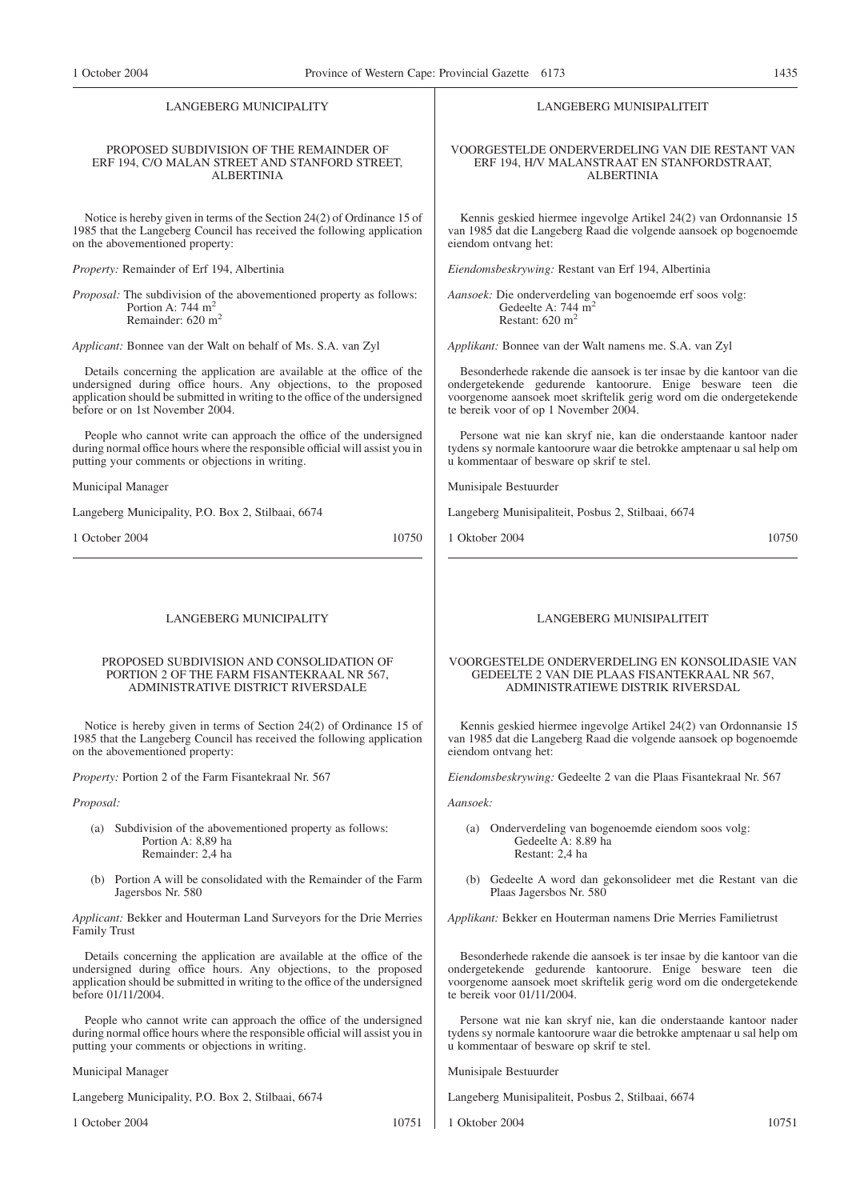#### LANGEBERG MUNICIPALITY

#### PROPOSED SUBDIVISION OF THE REMAINDER OF ERF 194, C/O MALAN STREET AND STANFORD STREET, ALBERTINIA

Notice is hereby given in terms of the Section 24(2) of Ordinance 15 of 1985 that the Langeberg Council has received the following application on the abovementioned property:

*Property:* Remainder of Erf 194, Albertinia

*Proposal:* The subdivision of the abovementioned property as follows: Portion A: 744 m<sup>2</sup> Remainder: 620 m2

*Applicant:* Bonnee van der Walt on behalf of Ms. S.A. van Zyl

Details concerning the application are available at the office of the undersigned during office hours. Any objections, to the proposed application should be submitted in writing to the office of the undersigned before or on 1st November 2004.

People who cannot write can approach the office of the undersigned during normal office hours where the responsible official will assist you in putting your comments or objections in writing.

Municipal Manager

Langeberg Municipality, P.O. Box 2, Stilbaai, 6674

1 October 2004 10750

#### LANGEBERG MUNICIPALITY

#### PROPOSED SUBDIVISION AND CONSOLIDATION OF PORTION 2 OF THE FARM FISANTEKRAAL NR 567, ADMINISTRATIVE DISTRICT RIVERSDALE

Notice is hereby given in terms of Section 24(2) of Ordinance 15 of 1985 that the Langeberg Council has received the following application on the abovementioned property:

*Property:* Portion 2 of the Farm Fisantekraal Nr. 567

*Proposal:*

- (a) Subdivision of the abovementioned property as follows: Portion A: 8,89 ha Remainder: 2,4 ha
- (b) Portion A will be consolidated with the Remainder of the Farm Jagersbos Nr. 580

*Applicant:* Bekker and Houterman Land Surveyors for the Drie Merries Family Trust

Details concerning the application are available at the office of the undersigned during office hours. Any objections, to the proposed application should be submitted in writing to the office of the undersigned before 01/11/2004.

People who cannot write can approach the office of the undersigned during normal office hours where the responsible official will assist you in putting your comments or objections in writing.

Municipal Manager

Langeberg Municipality, P.O. Box 2, Stilbaai, 6674

1 October 2004 10751

LANGEBERG MUNISIPALITEIT

#### VOORGESTELDE ONDERVERDELING VAN DIE RESTANT VAN ERF 194, H/V MALANSTRAAT EN STANFORDSTRAAT, ALBERTINIA

Kennis geskied hiermee ingevolge Artikel 24(2) van Ordonnansie 15 van 1985 dat die Langeberg Raad die volgende aansoek op bogenoemde eiendom ontvang het:

*Eiendomsbeskrywing:* Restant van Erf 194, Albertinia

*Aansoek:* Die onderverdeling van bogenoemde erf soos volg: Gedeelte A: 744 m<sup>2</sup> Restant: 620 m<sup>2</sup>

*Applikant:* Bonnee van der Walt namens me. S.A. van Zyl

Besonderhede rakende die aansoek is ter insae by die kantoor van die ondergetekende gedurende kantoorure. Enige besware teen die voorgenome aansoek moet skriftelik gerig word om die ondergetekende te bereik voor of op 1 November 2004.

Persone wat nie kan skryf nie, kan die onderstaande kantoor nader tydens sy normale kantoorure waar die betrokke amptenaar u sal help om u kommentaar of besware op skrif te stel.

Munisipale Bestuurder

Langeberg Munisipaliteit, Posbus 2, Stilbaai, 6674

1 Oktober 2004 10750

# LANGEBERG MUNISIPALITEIT

#### VOORGESTELDE ONDERVERDELING EN KONSOLIDASIE VAN GEDEELTE 2 VAN DIE PLAAS FISANTEKRAAL NR 567, ADMINISTRATIEWE DISTRIK RIVERSDAL

Kennis geskied hiermee ingevolge Artikel 24(2) van Ordonnansie 15 van 1985 dat die Langeberg Raad die volgende aansoek op bogenoemde eiendom ontvang het:

*Eiendomsbeskrywing:* Gedeelte 2 van die Plaas Fisantekraal Nr. 567

*Aansoek:*

- (a) Onderverdeling van bogenoemde eiendom soos volg: Gedeelte A: 8.89 ha Restant: 2,4 ha
- (b) Gedeelte A word dan gekonsolideer met die Restant van die Plaas Jagersbos Nr. 580

*Applikant:* Bekker en Houterman namens Drie Merries Familietrust

Besonderhede rakende die aansoek is ter insae by die kantoor van die ondergetekende gedurende kantoorure. Enige besware teen die voorgenome aansoek moet skriftelik gerig word om die ondergetekende te bereik voor 01/11/2004.

Persone wat nie kan skryf nie, kan die onderstaande kantoor nader tydens sy normale kantoorure waar die betrokke amptenaar u sal help om u kommentaar of besware op skrif te stel.

Munisipale Bestuurder

Langeberg Munisipaliteit, Posbus 2, Stilbaai, 6674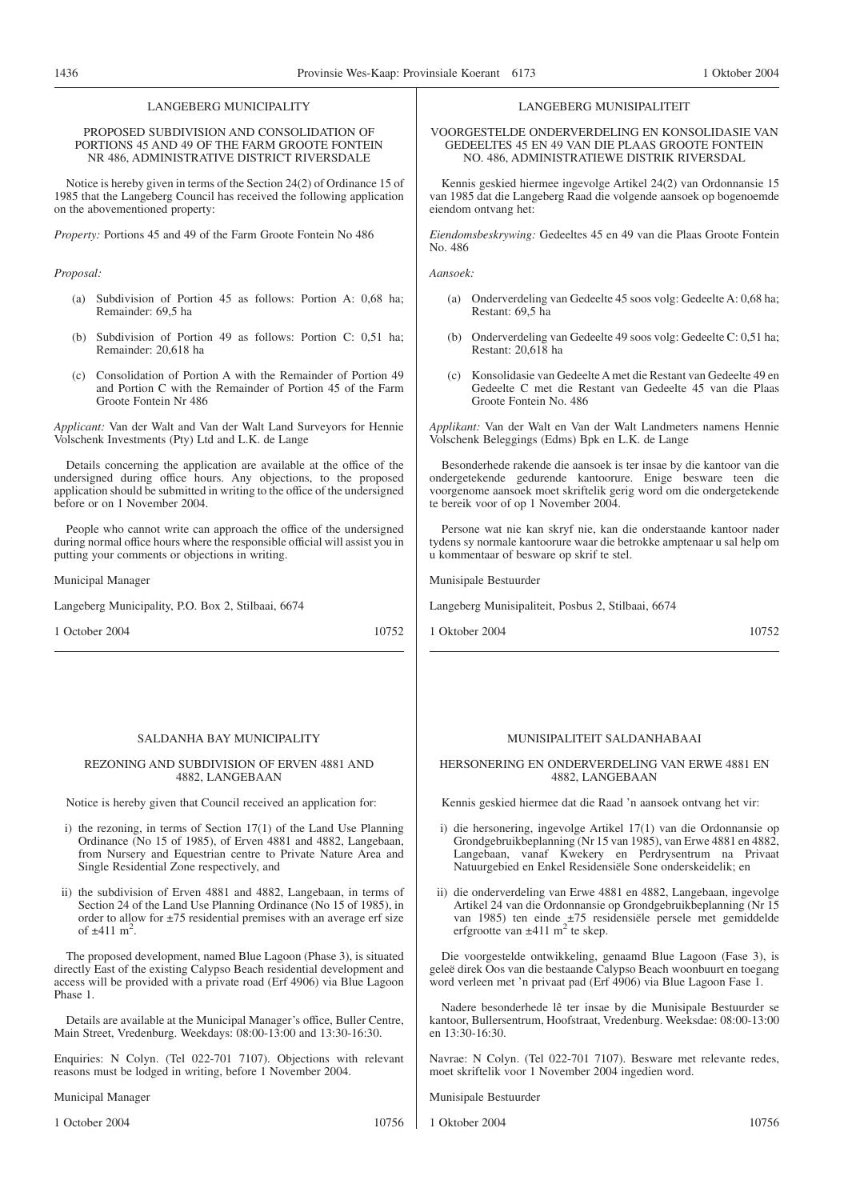## LANGEBERG MUNICIPALITY

#### PROPOSED SUBDIVISION AND CONSOLIDATION OF PORTIONS 45 AND 49 OF THE FARM GROOTE FONTEIN NR 486, ADMINISTRATIVE DISTRICT RIVERSDALE

Notice is hereby given in terms of the Section 24(2) of Ordinance 15 of 1985 that the Langeberg Council has received the following application on the abovementioned property:

*Property:* Portions 45 and 49 of the Farm Groote Fontein No 486

#### *Proposal:*

- (a) Subdivision of Portion 45 as follows: Portion A: 0,68 ha; Remainder: 69,5 ha
- (b) Subdivision of Portion 49 as follows: Portion C: 0,51 ha; Remainder: 20,618 ha
- (c) Consolidation of Portion A with the Remainder of Portion 49 and Portion C with the Remainder of Portion 45 of the Farm Groote Fontein Nr 486

*Applicant:* Van der Walt and Van der Walt Land Surveyors for Hennie Volschenk Investments (Pty) Ltd and L.K. de Lange

Details concerning the application are available at the office of the undersigned during office hours. Any objections, to the proposed application should be submitted in writing to the office of the undersigned before or on 1 November 2004.

People who cannot write can approach the office of the undersigned during normal office hours where the responsible official will assist you in putting your comments or objections in writing.

Municipal Manager

Langeberg Municipality, P.O. Box 2, Stilbaai, 6674

1 October 2004 10752

#### SALDANHA BAY MUNICIPALITY

# REZONING AND SUBDIVISION OF ERVEN 4881 AND 4882, LANGEBAAN

Notice is hereby given that Council received an application for:

- i) the rezoning, in terms of Section 17(1) of the Land Use Planning Ordinance (No 15 of 1985), of Erven 4881 and 4882, Langebaan, from Nursery and Equestrian centre to Private Nature Area and Single Residential Zone respectively, and
- ii) the subdivision of Erven 4881 and 4882, Langebaan, in terms of Section 24 of the Land Use Planning Ordinance (No 15 of 1985), in order to allow for  $\pm 75$  residential premises with an average erf size of  $\pm 411 \text{ m}^2$ .

The proposed development, named Blue Lagoon (Phase 3), is situated directly East of the existing Calypso Beach residential development and access will be provided with a private road (Erf 4906) via Blue Lagoon Phase 1.

Details are available at the Municipal Manager's office, Buller Centre, Main Street, Vredenburg. Weekdays: 08:00-13:00 and 13:30-16:30.

Enquiries: N Colyn. (Tel 022-701 7107). Objections with relevant reasons must be lodged in writing, before 1 November 2004.

Municipal Manager

1 October 2004 10756

#### LANGEBERG MUNISIPALITEIT

VOORGESTELDE ONDERVERDELING EN KONSOLIDASIE VAN GEDEELTES 45 EN 49 VAN DIE PLAAS GROOTE FONTEIN NO. 486, ADMINISTRATIEWE DISTRIK RIVERSDAL

Kennis geskied hiermee ingevolge Artikel 24(2) van Ordonnansie 15 van 1985 dat die Langeberg Raad die volgende aansoek op bogenoemde eiendom ontvang het:

*Eiendomsbeskrywing:* Gedeeltes 45 en 49 van die Plaas Groote Fontein No. 486

*Aansoek:*

- (a) Onderverdeling van Gedeelte 45 soos volg: Gedeelte A: 0,68 ha; Restant: 69,5 ha
- (b) Onderverdeling van Gedeelte 49 soos volg: Gedeelte C: 0,51 ha; Restant: 20,618 ha
- (c) Konsolidasie van Gedeelte A met die Restant van Gedeelte 49 en Gedeelte C met die Restant van Gedeelte 45 van die Plaas Groote Fontein No. 486

*Applikant:* Van der Walt en Van der Walt Landmeters namens Hennie Volschenk Beleggings (Edms) Bpk en L.K. de Lange

Besonderhede rakende die aansoek is ter insae by die kantoor van die ondergetekende gedurende kantoorure. Enige besware teen die voorgenome aansoek moet skriftelik gerig word om die ondergetekende te bereik voor of op 1 November 2004.

Persone wat nie kan skryf nie, kan die onderstaande kantoor nader tydens sy normale kantoorure waar die betrokke amptenaar u sal help om u kommentaar of besware op skrif te stel.

Munisipale Bestuurder

Langeberg Munisipaliteit, Posbus 2, Stilbaai, 6674

1 Oktober 2004 10752

# MUNISIPALITEIT SALDANHABAAI

#### HERSONERING EN ONDERVERDELING VAN ERWE 4881 EN 4882, LANGEBAAN

Kennis geskied hiermee dat die Raad 'n aansoek ontvang het vir:

- i) die hersonering, ingevolge Artikel 17(1) van die Ordonnansie op Grondgebruikbeplanning (Nr 15 van 1985), van Erwe 4881 en 4882, Langebaan, vanaf Kwekery en Perdrysentrum na Privaat Natuurgebied en Enkel Residensiële Sone onderskeidelik; en
- ii) die onderverdeling van Erwe 4881 en 4882, Langebaan, ingevolge Artikel 24 van die Ordonnansie op Grondgebruikbeplanning (Nr 15 van 1985) ten einde ±75 residensiële persele met gemiddelde erfgrootte van  $\pm 411$  m<sup>2</sup> te skep.

Die voorgestelde ontwikkeling, genaamd Blue Lagoon (Fase 3), is geleë direk Oos van die bestaande Calypso Beach woonbuurt en toegang word verleen met 'n privaat pad (Erf 4906) via Blue Lagoon Fase 1.

Nadere besonderhede lê ter insae by die Munisipale Bestuurder se kantoor, Bullersentrum, Hoofstraat, Vredenburg. Weeksdae: 08:00-13:00 en 13:30-16:30.

Navrae: N Colyn. (Tel 022-701 7107). Besware met relevante redes, moet skriftelik voor 1 November 2004 ingedien word.

Munisipale Bestuurder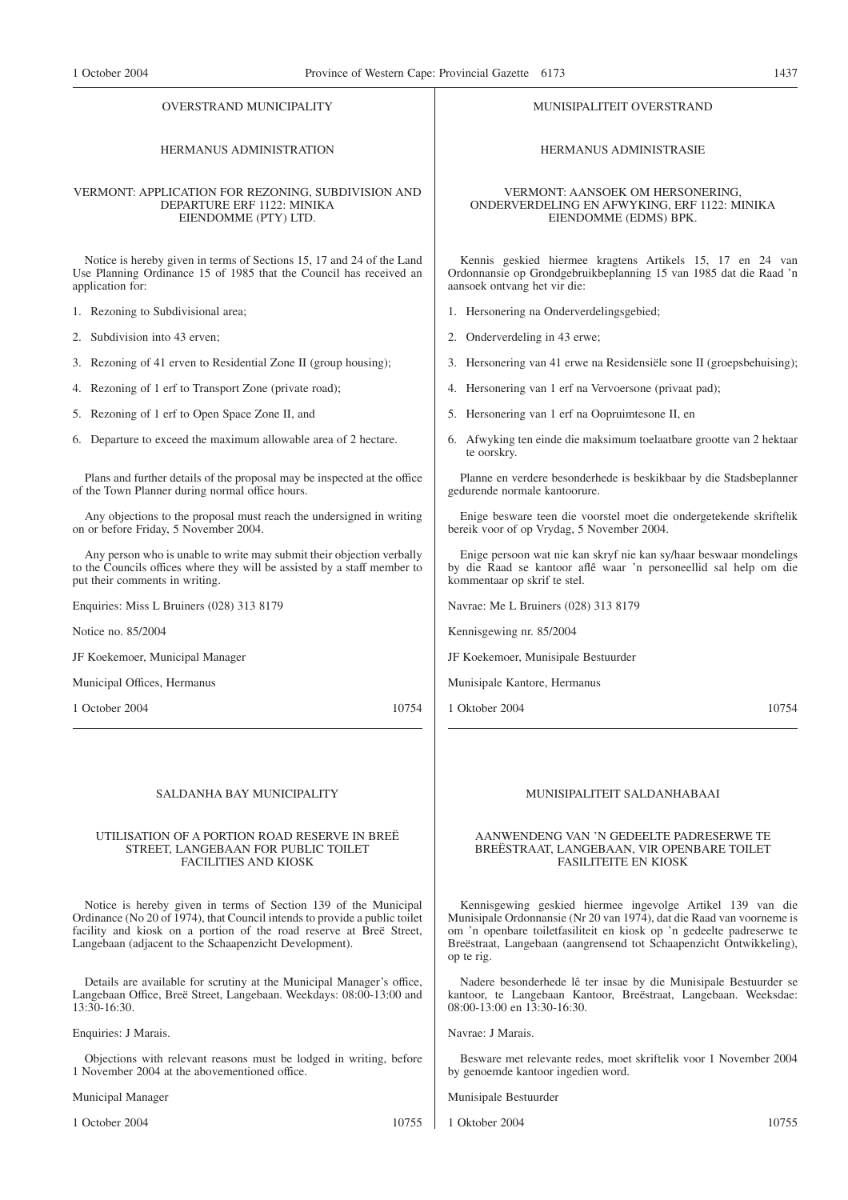#### OVERSTRAND MUNICIPALITY

# HERMANUS ADMINISTRATION

#### VERMONT: APPLICATION FOR REZONING, SUBDIVISION AND DEPARTURE ERF 1122: MINIKA EIENDOMME (PTY) LTD.

Notice is hereby given in terms of Sections 15, 17 and 24 of the Land Use Planning Ordinance 15 of 1985 that the Council has received an application for:

- 1. Rezoning to Subdivisional area;
- 2. Subdivision into 43 erven;
- 3. Rezoning of 41 erven to Residential Zone II (group housing);
- 4. Rezoning of 1 erf to Transport Zone (private road);
- 5. Rezoning of 1 erf to Open Space Zone II, and
- 6. Departure to exceed the maximum allowable area of 2 hectare.

Plans and further details of the proposal may be inspected at the office of the Town Planner during normal office hours.

Any objections to the proposal must reach the undersigned in writing on or before Friday, 5 November 2004.

Any person who is unable to write may submit their objection verbally to the Councils offices where they will be assisted by a staff member to put their comments in writing.

Enquiries: Miss L Bruiners (028) 313 8179

Notice no. 85/2004

JF Koekemoer, Municipal Manager

Municipal Offices, Hermanus

1 October 2004 10754

#### SALDANHA BAY MUNICIPALITY

#### UTILISATION OF A PORTION ROAD RESERVE IN BREË STREET, LANGEBAAN FOR PUBLIC TOILET FACILITIES AND KIOSK

Notice is hereby given in terms of Section 139 of the Municipal Ordinance (No 20 of 1974), that Council intends to provide a public toilet facility and kiosk on a portion of the road reserve at Breë Street, Langebaan (adjacent to the Schaapenzicht Development).

Details are available for scrutiny at the Municipal Manager's office, Langebaan Office, Breë Street, Langebaan. Weekdays: 08:00-13:00 and 13:30-16:30.

#### Enquiries: J Marais.

Objections with relevant reasons must be lodged in writing, before 1 November 2004 at the abovementioned office.

Municipal Manager

1 October 2004 10755

HERMANUS ADMINISTRASIE

MUNISIPALITEIT OVERSTRAND

VERMONT: AANSOEK OM HERSONERING, ONDERVERDELING EN AFWYKING, ERF 1122: MINIKA EIENDOMME (EDMS) BPK.

Kennis geskied hiermee kragtens Artikels 15, 17 en 24 van Ordonnansie op Grondgebruikbeplanning 15 van 1985 dat die Raad 'n aansoek ontvang het vir die:

- 1. Hersonering na Onderverdelingsgebied;
- 2. Onderverdeling in 43 erwe;
- 3. Hersonering van 41 erwe na Residensiële sone II (groepsbehuising);
- 4. Hersonering van 1 erf na Vervoersone (privaat pad);
- 5. Hersonering van 1 erf na Oopruimtesone II, en
- 6. Afwyking ten einde die maksimum toelaatbare grootte van 2 hektaar te oorskry.

Planne en verdere besonderhede is beskikbaar by die Stadsbeplanner gedurende normale kantoorure.

Enige besware teen die voorstel moet die ondergetekende skriftelik bereik voor of op Vrydag, 5 November 2004.

Enige persoon wat nie kan skryf nie kan sy/haar beswaar mondelings by die Raad se kantoor aflê waar 'n personeellid sal help om die kommentaar op skrif te stel.

Navrae: Me L Bruiners (028) 313 8179

Kennisgewing nr. 85/2004

JF Koekemoer, Munisipale Bestuurder

Munisipale Kantore, Hermanus

1 Oktober 2004 10754

# MUNISIPALITEIT SALDANHABAAI

#### AANWENDENG VAN 'N GEDEELTE PADRESERWE TE BREËSTRAAT, LANGEBAAN, VlR OPENBARE TOILET FASILITEITE EN KIOSK

Kennisgewing geskied hiermee ingevolge Artikel 139 van die Munisipale Ordonnansie (Nr 20 van 1974), dat die Raad van voorneme is om 'n openbare toiletfasiliteit en kiosk op 'n gedeelte padreserwe te Breëstraat, Langebaan (aangrensend tot Schaapenzicht Ontwikkeling), op te rig.

Nadere besonderhede lê ter insae by die Munisipale Bestuurder se kantoor, te Langebaan Kantoor, Breëstraat, Langebaan. Weeksdae: 08:00-13:00 en 13:30-16:30.

Navrae: J Marais.

Besware met relevante redes, moet skriftelik voor 1 November 2004 by genoemde kantoor ingedien word.

Munisipale Bestuurder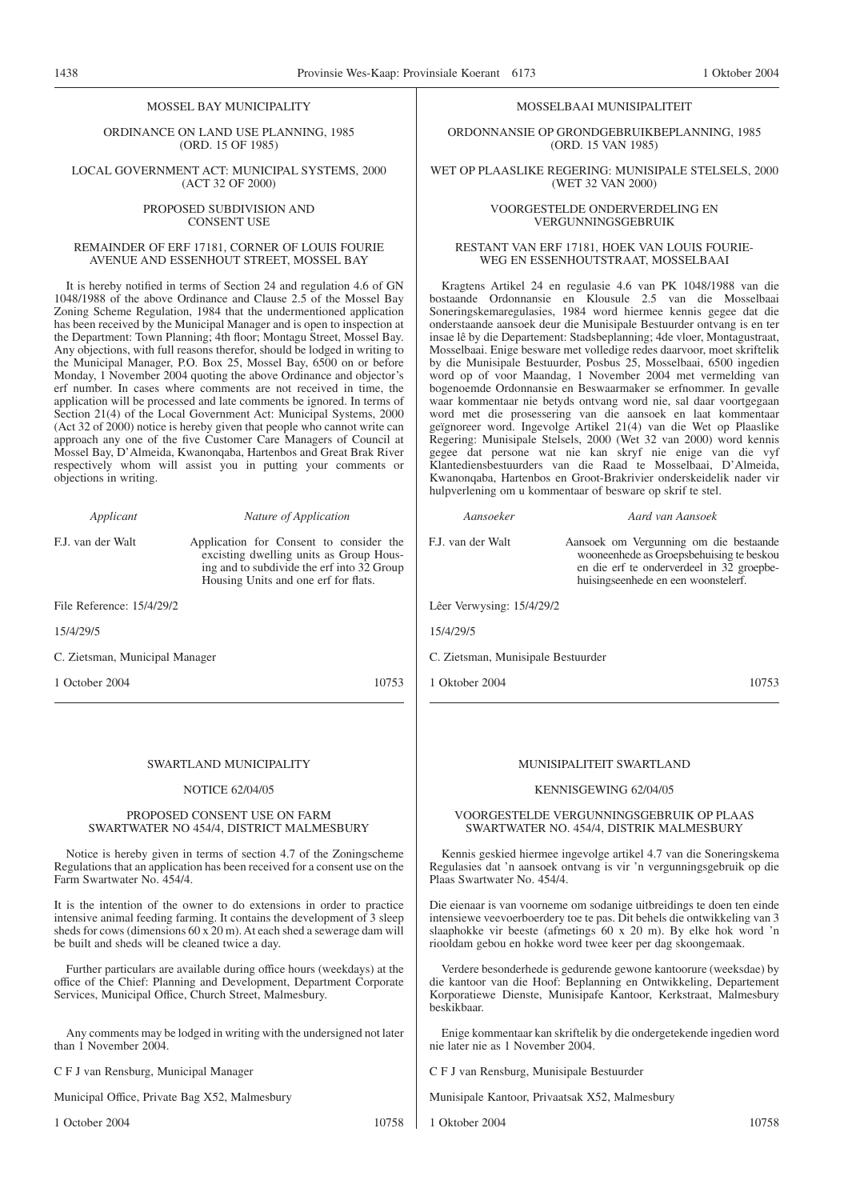#### MOSSEL BAY MUNICIPALITY

ORDINANCE ON LAND USE PLANNING, 1985 (ORD. 15 OF 1985)

LOCAL GOVERNMENT ACT: MUNICIPAL SYSTEMS, 2000 (ACT 32 OF 2000)

> PROPOSED SUBDIVISION AND CONSENT USE

## REMAINDER OF ERF 17181, CORNER OF LOUIS FOURIE AVENUE AND ESSENHOUT STREET, MOSSEL BAY

It is hereby notified in terms of Section 24 and regulation 4.6 of GN 1048/1988 of the above Ordinance and Clause 2.5 of the Mossel Bay Zoning Scheme Regulation, 1984 that the undermentioned application has been received by the Municipal Manager and is open to inspection at the Department: Town Planning; 4th floor; Montagu Street, Mossel Bay. Any objections, with full reasons therefor, should be lodged in writing to the Municipal Manager, P.O. Box 25, Mossel Bay, 6500 on or before Monday, 1 November 2004 quoting the above Ordinance and objector's erf number. In cases where comments are not received in time, the application will be processed and late comments be ignored. In terms of Section 21(4) of the Local Government Act: Municipal Systems, 2000 (Act 32 of 2000) notice is hereby given that people who cannot write can approach any one of the five Customer Care Managers of Council at Mossel Bay, D'Almeida, Kwanonqaba, Hartenbos and Great Brak River respectively whom will assist you in putting your comments or objections in writing.

| Applicant                 | Nature of Application                                                                                                                                                    |
|---------------------------|--------------------------------------------------------------------------------------------------------------------------------------------------------------------------|
| F.J. van der Walt         | Application for Consent to consider the<br>excisting dwelling units as Group Hous-<br>ing and to subdivide the erf into 32 Group<br>Housing Units and one erf for flats. |
| File Reference: 15/4/29/2 |                                                                                                                                                                          |
|                           |                                                                                                                                                                          |

15/4/29/5

C. Zietsman, Municipal Manager

1 October 2004 10753

#### SWARTLAND MUNICIPALITY

#### NOTICE 62/04/05

#### PROPOSED CONSENT USE ON FARM SWARTWATER NO 454/4, DISTRICT MALMESBURY

Notice is hereby given in terms of section 4.7 of the Zoningscheme Regulations that an application has been received for a consent use on the Farm Swartwater No. 454/4.

It is the intention of the owner to do extensions in order to practice intensive animal feeding farming. It contains the development of 3 sleep sheds for cows (dimensions 60 x 20 m). At each shed a sewerage dam will be built and sheds will be cleaned twice a day.

Further particulars are available during office hours (weekdays) at the office of the Chief: Planning and Development, Department Corporate Services, Municipal Office, Church Street, Malmesbury.

Any comments may be lodged in writing with the undersigned not later than 1 November 2004.

C F J van Rensburg, Municipal Manager

Municipal Office, Private Bag X52, Malmesbury

1 October 2004 10758

# MOSSELBAAI MUNISIPALITEIT

ORDONNANSIE OP GRONDGEBRUIKBEPLANNING, 1985 (ORD. 15 VAN 1985)

WET OP PLAASLIKE REGERING: MUNISIPALE STELSELS, 2000 (WET 32 VAN 2000)

#### VOORGESTELDE ONDERVERDELING EN VERGUNNINGSGEBRUIK

#### RESTANT VAN ERF 17181, HOEK VAN LOUIS FOURIE-WEG EN ESSENHOUTSTRAAT, MOSSELBAAI

Kragtens Artikel 24 en regulasie 4.6 van PK 1048/1988 van die bostaande Ordonnansie en Klousule 2.5 van die Mosselbaai Soneringskemaregulasies, 1984 word hiermee kennis gegee dat die onderstaande aansoek deur die Munisipale Bestuurder ontvang is en ter insae lê by die Departement: Stadsbeplanning; 4de vloer, Montagustraat, Mosselbaai. Enige besware met volledige redes daarvoor, moet skriftelik by die Munisipale Bestuurder, Posbus 25, Mosselbaai, 6500 ingedien word op of voor Maandag, 1 November 2004 met vermelding van bogenoemde Ordonnansie en Beswaarmaker se erfnommer. In gevalle waar kommentaar nie betyds ontvang word nie, sal daar voortgegaan word met die prosessering van die aansoek en laat kommentaar geïgnoreer word. Ingevolge Artikel 21(4) van die Wet op Plaaslike Regering: Munisipale Stelsels, 2000 (Wet 32 van 2000) word kennis gegee dat persone wat nie kan skryf nie enige van die vyf Klantediensbestuurders van die Raad te Mosselbaai, D'Almeida, Kwanonqaba, Hartenbos en Groot-Brakrivier onderskeidelik nader vir hulpverlening om u kommentaar of besware op skrif te stel.

F.J. van der Walt Aansoek om Vergunning om die bestaande wooneenhede as Groepsbehuising te beskou en die erf te onderverdeel in 32 groepbehuisingseenhede en een woonstelerf.

*Aansoeker Aard van Aansoek*

Lêer Verwysing: 15/4/29/2

15/4/29/5

C. Zietsman, Munisipale Bestuurder

1 Oktober 2004 10753

#### MUNISIPALITEIT SWARTLAND

#### KENNISGEWING 62/04/05

#### VOORGESTELDE VERGUNNINGSGEBRUIK OP PLAAS SWARTWATER NO. 454/4, DISTRIK MALMESBURY

Kennis geskied hiermee ingevolge artikel 4.7 van die Soneringskema Regulasies dat 'n aansoek ontvang is vir 'n vergunningsgebruik op die Plaas Swartwater No. 454/4.

Die eienaar is van voorneme om sodanige uitbreidings te doen ten einde intensiewe veevoerboerdery toe te pas. Dit behels die ontwikkeling van 3 slaaphokke vir beeste (afmetings 60 x 20 m). By elke hok word 'n riooldam gebou en hokke word twee keer per dag skoongemaak.

Verdere besonderhede is gedurende gewone kantoorure (weeksdae) by die kantoor van die Hoof: Beplanning en Ontwikkeling, Departement Korporatiewe Dienste, Munisipafe Kantoor, Kerkstraat, Malmesbury beskikbaar.

Enige kommentaar kan skriftelik by die ondergetekende ingedien word nie later nie as 1 November 2004.

C F J van Rensburg, Munisipale Bestuurder

Munisipale Kantoor, Privaatsak X52, Malmesbury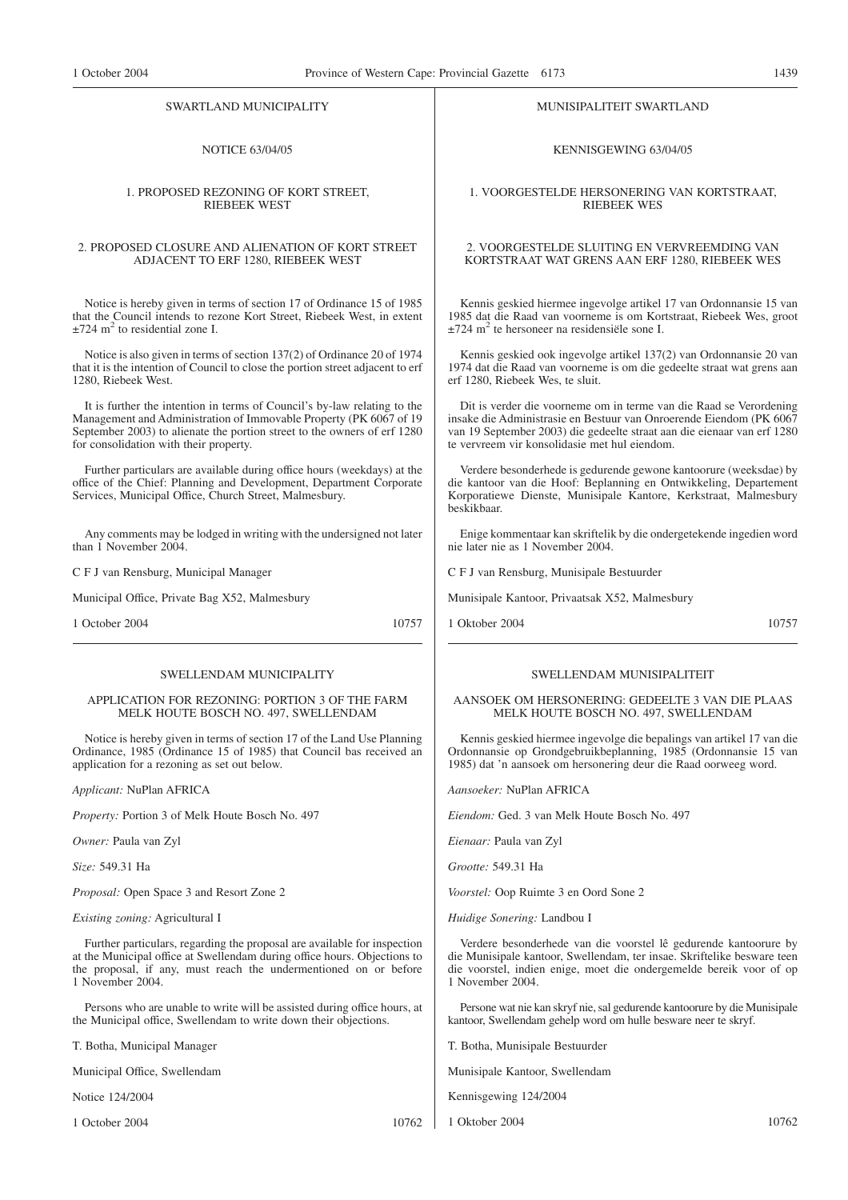#### SWARTLAND MUNICIPALITY

# NOTICE 63/04/05

#### 1. PROPOSED REZONING OF KORT STREET, RIEBEEK WEST

#### 2. PROPOSED CLOSURE AND ALIENATION OF KORT STREET ADJACENT TO ERF 1280, RIEBEEK WEST

Notice is hereby given in terms of section 17 of Ordinance 15 of 1985 that the Council intends to rezone Kort Street, Riebeek West, in extent  $\pm$ 724 m<sup>2</sup> to residential zone I.

Notice is also given in terms of section 137(2) of Ordinance 20 of 1974 that it is the intention of Council to close the portion street adjacent to erf 1280, Riebeek West.

It is further the intention in terms of Council's by-law relating to the Management and Administration of Immovable Property (PK 6067 of 19 September 2003) to alienate the portion street to the owners of erf 1280 for consolidation with their property.

Further particulars are available during office hours (weekdays) at the office of the Chief: Planning and Development, Department Corporate Services, Municipal Office, Church Street, Malmesbury.

Any comments may be lodged in writing with the undersigned not later than 1 November 2004

C F J van Rensburg, Municipal Manager

Municipal Office, Private Bag X52, Malmesbury

1 October 2004 10757

#### SWELLENDAM MUNICIPALITY

#### APPLICATION FOR REZONING: PORTION 3 OF THE FARM MELK HOUTE BOSCH NO. 497, SWELLENDAM

Notice is hereby given in terms of section 17 of the Land Use Planning Ordinance, 1985 (Ordinance 15 of 1985) that Council bas received an application for a rezoning as set out below.

*Applicant:* NuPlan AFRICA

*Property:* Portion 3 of Melk Houte Bosch No. 497

*Owner:* Paula van Zyl

*Size:* 549.31 Ha

*Proposal:* Open Space 3 and Resort Zone 2

*Existing zoning:* Agricultural I

Further particulars, regarding the proposal are available for inspection at the Municipal office at Swellendam during office hours. Objections to the proposal, if any, must reach the undermentioned on or before 1 November 2004.

Persons who are unable to write will be assisted during office hours, at the Municipal office, Swellendam to write down their objections.

T. Botha, Municipal Manager

Municipal Office, Swellendam

Notice 124/2004

1 October 2004 10762

MUNISIPALITEIT SWARTLAND

KENNISGEWING 63/04/05

#### 1. VOORGESTELDE HERSONERING VAN KORTSTRAAT, RIEBEEK WES

#### 2. VOORGESTELDE SLUITlNG EN VERVREEMDING VAN KORTSTRAAT WAT GRENS AAN ERF 1280, RIEBEEK WES

Kennis geskied hiermee ingevolge artikel 17 van Ordonnansie 15 van 1985 dat die Raad van voorneme is om Kortstraat, Riebeek Wes, groot  $\pm$ 724 m<sup>2</sup> te hersoneer na residensiële sone I.

Kennis geskied ook ingevolge artikel 137(2) van Ordonnansie 20 van 1974 dat die Raad van voorneme is om die gedeelte straat wat grens aan erf 1280, Riebeek Wes, te sluit.

Dit is verder die voorneme om in terme van die Raad se Verordening insake die Administrasie en Bestuur van Onroerende Eiendom (PK 6067 van 19 September 2003) die gedeelte straat aan die eienaar van erf 1280 te vervreem vir konsolidasie met hul eiendom.

Verdere besonderhede is gedurende gewone kantoorure (weeksdae) by die kantoor van die Hoof: Beplanning en Ontwikkeling, Departement Korporatiewe Dienste, Munisipale Kantore, Kerkstraat, Malmesbury beskikbaar.

Enige kommentaar kan skriftelik by die ondergetekende ingedien word nie later nie as 1 November 2004.

C F J van Rensburg, Munisipale Bestuurder

Munisipale Kantoor, Privaatsak X52, Malmesbury

1 Oktober 2004 10757

#### SWELLENDAM MUNISIPALITEIT

AANSOEK OM HERSONERING: GEDEELTE 3 VAN DIE PLAAS MELK HOUTE BOSCH NO. 497, SWELLENDAM

Kennis geskied hiermee ingevolge die bepalings van artikel 17 van die Ordonnansie op Grondgebruikbeplanning, 1985 (Ordonnansie 15 van 1985) dat 'n aansoek om hersonering deur die Raad oorweeg word.

*Aansoeker:* NuPlan AFRICA

*Eiendom:* Ged. 3 van Melk Houte Bosch No. 497

*Eienaar:* Paula van Zyl

*Grootte:* 549.31 Ha

*Voorstel:* Oop Ruimte 3 en Oord Sone 2

*Huidige Sonering:* Landbou I

Verdere besonderhede van die voorstel lê gedurende kantoorure by die Munisipale kantoor, Swellendam, ter insae. Skriftelike besware teen die voorstel, indien enige, moet die ondergemelde bereik voor of op 1 November 2004.

Persone wat nie kan skryf nie, sal gedurende kantoorure by die Munisipale kantoor, Swellendam gehelp word om hulle besware neer te skryf.

T. Botha, Munisipale Bestuurder

Munisipale Kantoor, Swellendam

Kennisgewing 124/2004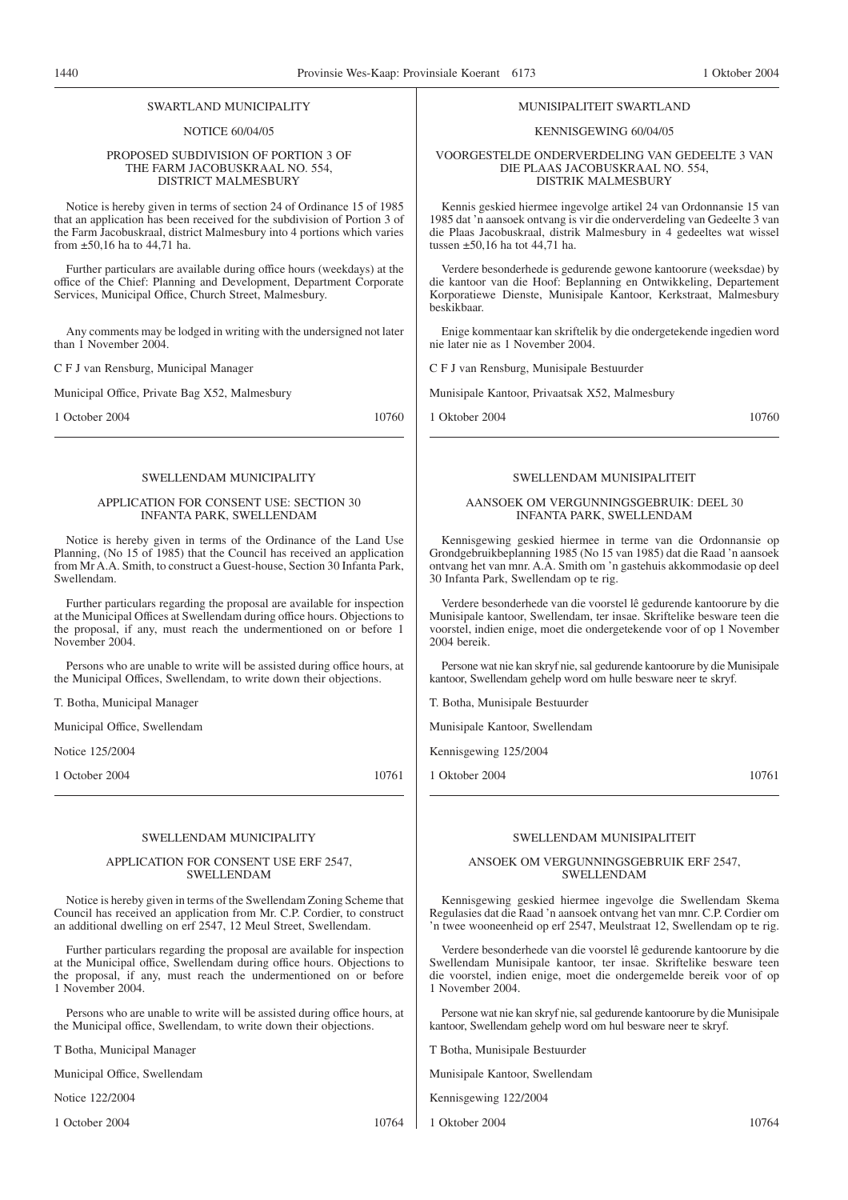#### SWARTLAND MUNICIPALITY

NOTICE 60/04/05

#### PROPOSED SUBDIVISION OF PORTION 3 OF THE FARM JACOBUSKRAAL NO. 554, DISTRICT MALMESBURY

Notice is hereby given in terms of section 24 of Ordinance 15 of 1985 that an application has been received for the subdivision of Portion 3 of the Farm Jacobuskraal, district Malmesbury into 4 portions which varies from  $\pm$ 50,16 ha to 44,71 ha.

Further particulars are available during office hours (weekdays) at the office of the Chief: Planning and Development, Department Corporate Services, Municipal Office, Church Street, Malmesbury.

Any comments may be lodged in writing with the undersigned not later than 1 November 2004.

C F J van Rensburg, Municipal Manager

Municipal Office, Private Bag X52, Malmesbury

1 October 2004 10760

#### SWELL ENDAM MUNICIPALITY

#### APPLICATION FOR CONSENT USE: SECTION 30 INFANTA PARK, SWELLENDAM

Notice is hereby given in terms of the Ordinance of the Land Use Planning, (No 15 of 1985) that the Council has received an application from Mr A.A. Smith, to construct a Guest-house, Section 30 Infanta Park, Swellendam.

Further particulars regarding the proposal are available for inspection at the Municipal Offices at Swellendam during office hours. Objections to the proposal, if any, must reach the undermentioned on or before 1 November 2004.

Persons who are unable to write will be assisted during office hours, at the Municipal Offices, Swellendam, to write down their objections.

T. Botha, Municipal Manager

Municipal Office, Swellendam

Notice 125/2004

1 October 2004 10761

#### SWELLENDAM MUNICIPALITY

#### APPLICATION FOR CONSENT USE ERF 2547, SWELLENDAM

Notice is hereby given in terms of the Swellendam Zoning Scheme that Council has received an application from Mr. C.P. Cordier, to construct an additional dwelling on erf 2547, 12 Meul Street, Swellendam.

Further particulars regarding the proposal are available for inspection at the Municipal office, Swellendam during office hours. Objections to the proposal, if any, must reach the undermentioned on or before 1 November 2004.

Persons who are unable to write will be assisted during office hours, at the Municipal office, Swellendam, to write down their objections.

T Botha, Municipal Manager

Municipal Office, Swellendam

Notice 122/2004

1 October 2004 10764

#### MUNISIPALITEIT SWARTLAND

#### KENNISGEWING 60/04/05

VOORGESTELDE ONDERVERDELING VAN GEDEELTE 3 VAN DIE PLAAS JACOBUSKRAAL NO. 554, DISTRIK MALMESBURY

Kennis geskied hiermee ingevolge artikel 24 van Ordonnansie 15 van 1985 dat 'n aansoek ontvang is vir die onderverdeling van Gedeelte 3 van die Plaas Jacobuskraal, distrik Malmesbury in 4 gedeeltes wat wissel tussen  $\pm$ 50,16 ha tot 44,71 ha.

Verdere besonderhede is gedurende gewone kantoorure (weeksdae) by die kantoor van die Hoof: Beplanning en Ontwikkeling, Departement Korporatiewe Dienste, Munisipale Kantoor, Kerkstraat, Malmesbury beskikbaar.

Enige kommentaar kan skriftelik by die ondergetekende ingedien word nie later nie as 1 November 2004.

C F J van Rensburg, Munisipale Bestuurder

Munisipale Kantoor, Privaatsak X52, Malmesbury

1 Oktober 2004 10760

#### SWELL ENDAM MUNISIPAL ITEIT

#### AANSOEK OM VERGUNNINGSGEBRUIK: DEEL 30 INFANTA PARK, SWELLENDAM

Kennisgewing geskied hiermee in terme van die Ordonnansie op Grondgebruikbeplanning 1985 (No 15 van 1985) dat die Raad 'n aansoek ontvang het van mnr. A.A. Smith om 'n gastehuis akkommodasie op deel 30 Infanta Park, Swellendam op te rig.

Verdere besonderhede van die voorstel lê gedurende kantoorure by die Munisipale kantoor, Swellendam, ter insae. Skriftelike besware teen die voorstel, indien enige, moet die ondergetekende voor of op 1 November 2004 bereik.

Persone wat nie kan skryf nie, sal gedurende kantoorure by die Munisipale kantoor, Swellendam gehelp word om hulle besware neer te skryf.

T. Botha, Munisipale Bestuurder

Munisipale Kantoor, Swellendam

Kennisgewing 125/2004

1 Oktober 2004 10761

# SWELLENDAM MUNISIPALITEIT

### ANSOEK OM VERGUNNINGSGEBRUIK ERF 2547, SWELLENDAM

Kennisgewing geskied hiermee ingevolge die Swellendam Skema Regulasies dat die Raad 'n aansoek ontvang het van mnr. C.P. Cordier om 'n twee wooneenheid op erf 2547, Meulstraat 12, Swellendam op te rig.

Verdere besonderhede van die voorstel lê gedurende kantoorure by die Swellendam Munisipale kantoor, ter insae. Skriftelike besware teen die voorstel, indien enige, moet die ondergemelde bereik voor of op 1 November 2004.

Persone wat nie kan skryf nie, sal gedurende kantoorure by die Munisipale kantoor, Swellendam gehelp word om hul besware neer te skryf.

T Botha, Munisipale Bestuurder

Munisipale Kantoor, Swellendam

Kennisgewing 122/2004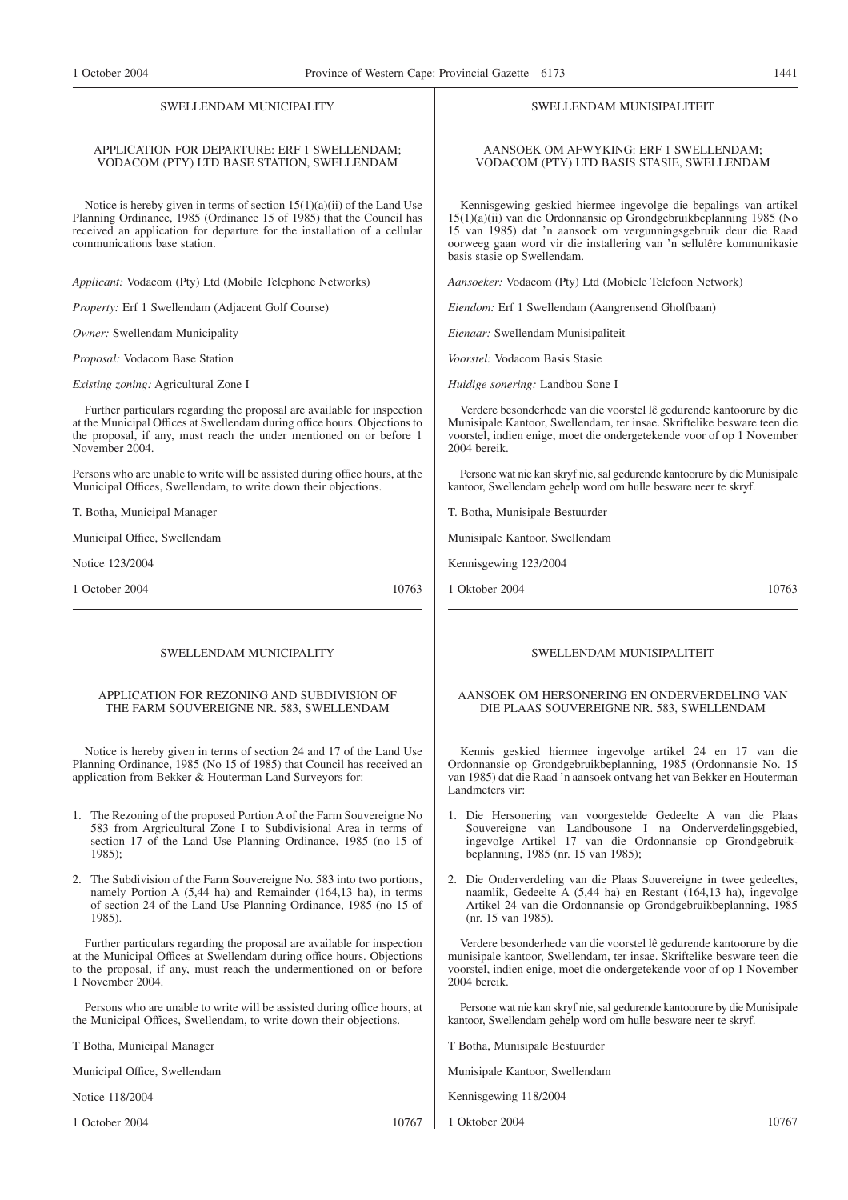## APPLICATION FOR DEPARTURE: ERF 1 SWELLENDAM; VODACOM (PTY) LTD BASE STATION, SWELLENDAM

Notice is hereby given in terms of section 15(1)(a)(ii) of the Land Use Planning Ordinance, 1985 (Ordinance 15 of 1985) that the Council has received an application for departure for the installation of a cellular communications base station.

*Applicant:* Vodacom (Pty) Ltd (Mobile Telephone Networks)

*Property:* Erf 1 Swellendam (Adjacent Golf Course)

*Owner:* Swellendam Municipality

*Proposal:* Vodacom Base Station

*Existing zoning:* Agricultural Zone I

Further particulars regarding the proposal are available for inspection at the Municipal Offices at Swellendam during office hours. Objections to the proposal, if any, must reach the under mentioned on or before 1 November 2004.

Persons who are unable to write will be assisted during office hours, at the Municipal Offices, Swellendam, to write down their objections.

T. Botha, Municipal Manager

Municipal Office, Swellendam

Notice 123/2004

1 October 2004 10763

#### SWELLENDAM MUNICIPALITY

#### APPLICATION FOR REZONING AND SUBDIVISION OF THE FARM SOUVEREIGNE NR. 583, SWELLENDAM

Notice is hereby given in terms of section 24 and 17 of the Land Use Planning Ordinance, 1985 (No 15 of 1985) that Council has received an application from Bekker & Houterman Land Surveyors for:

- 1. The Rezoning of the proposed Portion A of the Farm Souvereigne No 583 from Argricultural Zone I to Subdivisional Area in terms of section 17 of the Land Use Planning Ordinance, 1985 (no 15 of 1985);
- 2. The Subdivision of the Farm Souvereigne No. 583 into two portions, namely Portion A (5,44 ha) and Remainder (164,13 ha), in terms of section 24 of the Land Use Planning Ordinance, 1985 (no 15 of 1985).

Further particulars regarding the proposal are available for inspection at the Municipal Offices at Swellendam during office hours. Objections to the proposal, if any, must reach the undermentioned on or before 1 November 2004.

Persons who are unable to write will be assisted during office hours, at the Municipal Offices, Swellendam, to write down their objections.

T Botha, Municipal Manager

Municipal Office, Swellendam

Notice 118/2004

1 October 2004 10767

SWELLENDAM MUNISIPALITEIT

AANSOEK OM AFWYKING: ERF 1 SWELLENDAM; VODACOM (PTY) LTD BASIS STASIE, SWELLENDAM

Kennisgewing geskied hiermee ingevolge die bepalings van artikel 15(1)(a)(ii) van die Ordonnansie op Grondgebruikbeplanning 1985 (No 15 van 1985) dat 'n aansoek om vergunningsgebruik deur die Raad oorweeg gaan word vir die installering van 'n sellulêre kommunikasie basis stasie op Swellendam.

*Aansoeker:* Vodacom (Pty) Ltd (Mobiele Telefoon Network)

*Eiendom:* Erf 1 Swellendam (Aangrensend Gholfbaan)

*Eienaar:* Swellendam Munisipaliteit

*Voorstel:* Vodacom Basis Stasie

*Huidige sonering:* Landbou Sone I

Verdere besonderhede van die voorstel lê gedurende kantoorure by die Munisipale Kantoor, Swellendam, ter insae. Skriftelike besware teen die voorstel, indien enige, moet die ondergetekende voor of op 1 November 2004 bereik.

Persone wat nie kan skryf nie, sal gedurende kantoorure by die Munisipale kantoor, Swellendam gehelp word om hulle besware neer te skryf.

T. Botha, Munisipale Bestuurder

Munisipale Kantoor, Swellendam

Kennisgewing 123/2004

1 Oktober 2004 10763

### SWELLENDAM MUNISIPALITEIT

#### AANSOEK OM HERSONERING EN ONDERVERDELING VAN DIE PLAAS SOUVEREIGNE NR. 583, SWELLENDAM

Kennis geskied hiermee ingevolge artikel 24 en 17 van die Ordonnansie op Grondgebruikbeplanning, 1985 (Ordonnansie No. 15 van 1985) dat die Raad 'n aansoek ontvang het van Bekker en Houterman Landmeters vir:

- 1. Die Hersonering van voorgestelde Gedeelte A van die Plaas Souvereigne van Landbousone I na Onderverdelingsgebied, ingevolge Artikel 17 van die Ordonnansie op Grondgebruikbeplanning, 1985 (nr. 15 van 1985);
- 2. Die Onderverdeling van die Plaas Souvereigne in twee gedeeltes, naamlik, Gedeelte A (5,44 ha) en Restant (164,13 ha), ingevolge Artikel 24 van die Ordonnansie op Grondgebruikbeplanning, 1985 (nr. 15 van 1985).

Verdere besonderhede van die voorstel lê gedurende kantoorure by die munisipale kantoor, Swellendam, ter insae. Skriftelike besware teen die voorstel, indien enige, moet die ondergetekende voor of op 1 November 2004 bereik.

Persone wat nie kan skryf nie, sal gedurende kantoorure by die Munisipale kantoor, Swellendam gehelp word om hulle besware neer te skryf.

T Botha, Munisipale Bestuurder

Munisipale Kantoor, Swellendam

Kennisgewing 118/2004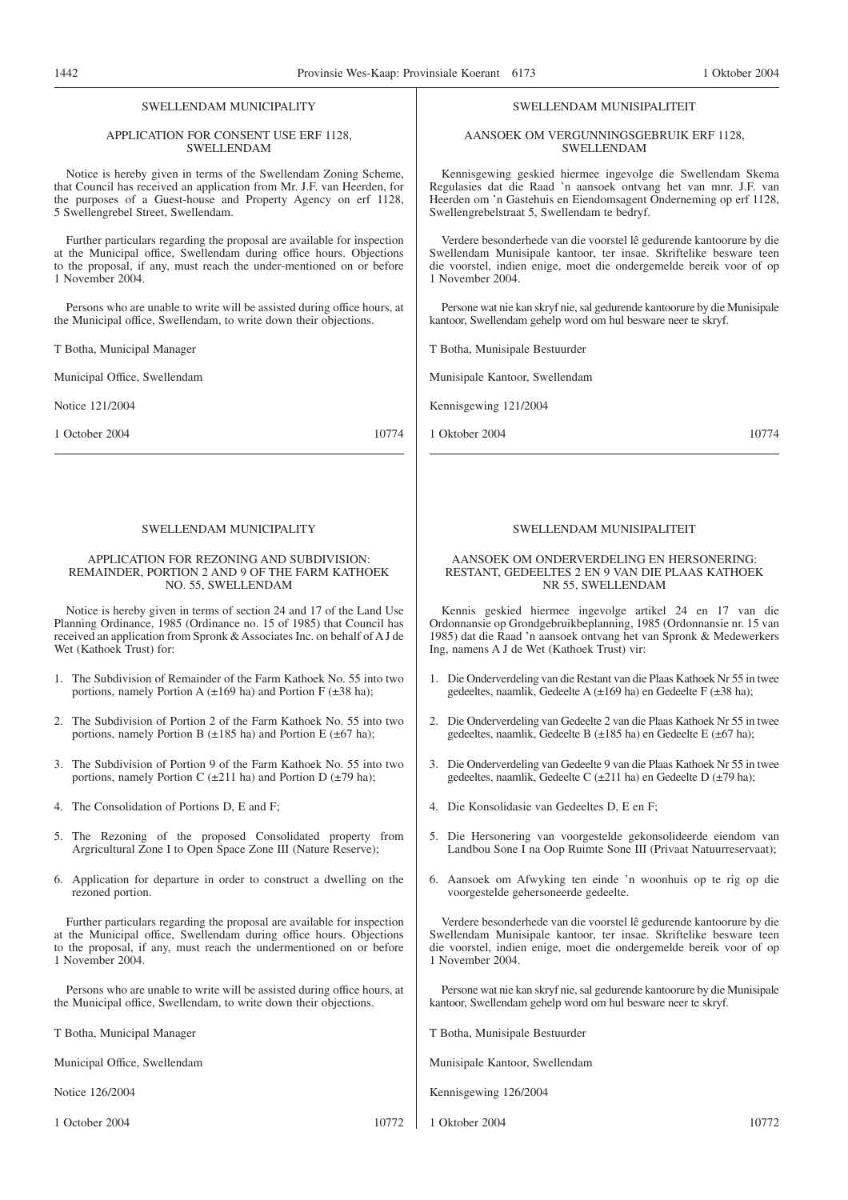#### APPLICATION FOR CONSENT USE ERF 1128, SWELLENDAM

Notice is hereby given in terms of the Swellendam Zoning Scheme, that Council has received an application from Mr. J.F. van Heerden, for the purposes of a Guest-house and Property Agency on erf 1128, 5 Swellengrebel Street, Swellendam.

Further particulars regarding the proposal are available for inspection at the Municipal office, Swellendam during office hours. Objections to the proposal, if any, must reach the under-mentioned on or before 1 November 2004.

Persons who are unable to write will be assisted during office hours, at the Municipal office, Swellendam, to write down their objections.

T Botha, Municipal Manager

Municipal Office, Swellendam

Notice 121/2004

1 October 2004 10774

#### SWELLENDAM MUNICIPALITY

#### APPLICATION FOR REZONING AND SUBDIVISION: REMAINDER, PORTION 2 AND 9 OF THE FARM KATHOEK NO. 55, SWELLENDAM

Notice is hereby given in terms of section 24 and 17 of the Land Use Planning Ordinance, 1985 (Ordinance no. 15 of 1985) that Council has received an application from Spronk & Associates Inc. on behalf of A J de Wet (Kathoek Trust) for:

- 1. The Subdivision of Remainder of the Farm Kathoek No. 55 into two portions, namely Portion A  $(\pm 169$  ha) and Portion F  $(\pm 38$  ha);
- 2. The Subdivision of Portion 2 of the Farm Kathoek No. 55 into two portions, namely Portion B  $(\pm 185 \text{ ha})$  and Portion E  $(\pm 67 \text{ ha})$ ;
- 3. The Subdivision of Portion 9 of the Farm Kathoek No. 55 into two portions, namely Portion C  $(\pm 211$  ha) and Portion D  $(\pm 79$  ha);
- 4. The Consolidation of Portions D, E and F;
- 5. The Rezoning of the proposed Consolidated property from Argricultural Zone I to Open Space Zone III (Nature Reserve);
- 6. Application for departure in order to construct a dwelling on the rezoned portion.

Further particulars regarding the proposal are available for inspection at the Municipal office, Swellendam during office hours. Objections to the proposal, if any, must reach the undermentioned on or before 1 November 2004.

Persons who are unable to write will be assisted during office hours, at the Municipal office, Swellendam, to write down their objections.

T Botha, Municipal Manager

Municipal Office, Swellendam

Notice 126/2004

1 October 2004 10772

#### SWELLENDAM MUNISIPALITEIT

AANSOEK OM VERGUNNINGSGEBRUIK ERF 1128, SWELLENDAM

Kennisgewing geskied hiermee ingevolge die Swellendam Skema Regulasies dat die Raad 'n aansoek ontvang het van mnr. J.F. van Heerden om 'n Gastehuis en Eiendomsagent Onderneming op erf 1128, Swellengrebelstraat 5, Swellendam te bedryf.

Verdere besonderhede van die voorstel lê gedurende kantoorure by die Swellendam Munisipale kantoor, ter insae. Skriftelike besware teen die voorstel, indien enige, moet die ondergemelde bereik voor of op 1 November 2004.

Persone wat nie kan skryf nie, sal gedurende kantoorure by die Munisipale kantoor, Swellendam gehelp word om hul besware neer te skryf.

T Botha, Munisipale Bestuurder

Munisipale Kantoor, Swellendam

Kennisgewing 121/2004

1 Oktober 2004 10774

#### SWELLENDAM MUNISIPALITEIT

#### AANSOEK OM ONDERVERDELING EN HERSONERING: RESTANT, GEDEELTES 2 EN 9 VAN DIE PLAAS KATHOEK NR 55, SWELLENDAM

Kennis geskied hiermee ingevolge artikel 24 en 17 van die Ordonnansie op Grondgebruikbeplanning, 1985 (Ordonnansie nr. 15 van 1985) dat die Raad 'n aansoek ontvang het van Spronk & Medewerkers Ing, namens A J de Wet (Kathoek Trust) vir:

- 1. Die Onderverdeling van die Restant van die Plaas Kathoek Nr 55 in twee gedeeltes, naamlik, Gedeelte A (±169 ha) en Gedeelte F (±38 ha);
- 2. Die Onderverdeling van Gedeelte 2 van die Plaas Kathoek Nr 55 in twee gedeeltes, naamlik, Gedeelte B (±185 ha) en Gedeelte E (±67 ha);
- 3. Die Onderverdeling van Gedeelte 9 van die Plaas Kathoek Nr 55 in twee gedeeltes, naamlik, Gedeelte C (±211 ha) en Gedeelte D (±79 ha);
- 4. Die Konsolidasie van Gedeeltes D, E en F;
- 5. Die Hersonering van voorgestelde gekonsolideerde eiendom van Landbou Sone I na Oop Ruimte Sone III (Privaat Natuurreservaat);
- 6. Aansoek om Afwyking ten einde 'n woonhuis op te rig op die voorgestelde gehersoneerde gedeelte.

Verdere besonderhede van die voorstel lê gedurende kantoorure by die Swellendam Munisipale kantoor, ter insae. Skriftelike besware teen die voorstel, indien enige, moet die ondergemelde bereik voor of op 1 November 2004.

Persone wat nie kan skryf nie, sal gedurende kantoorure by die Munisipale kantoor, Swellendam gehelp word om hul besware neer te skryf.

T Botha, Munisipale Bestuurder

Munisipale Kantoor, Swellendam

Kennisgewing 126/2004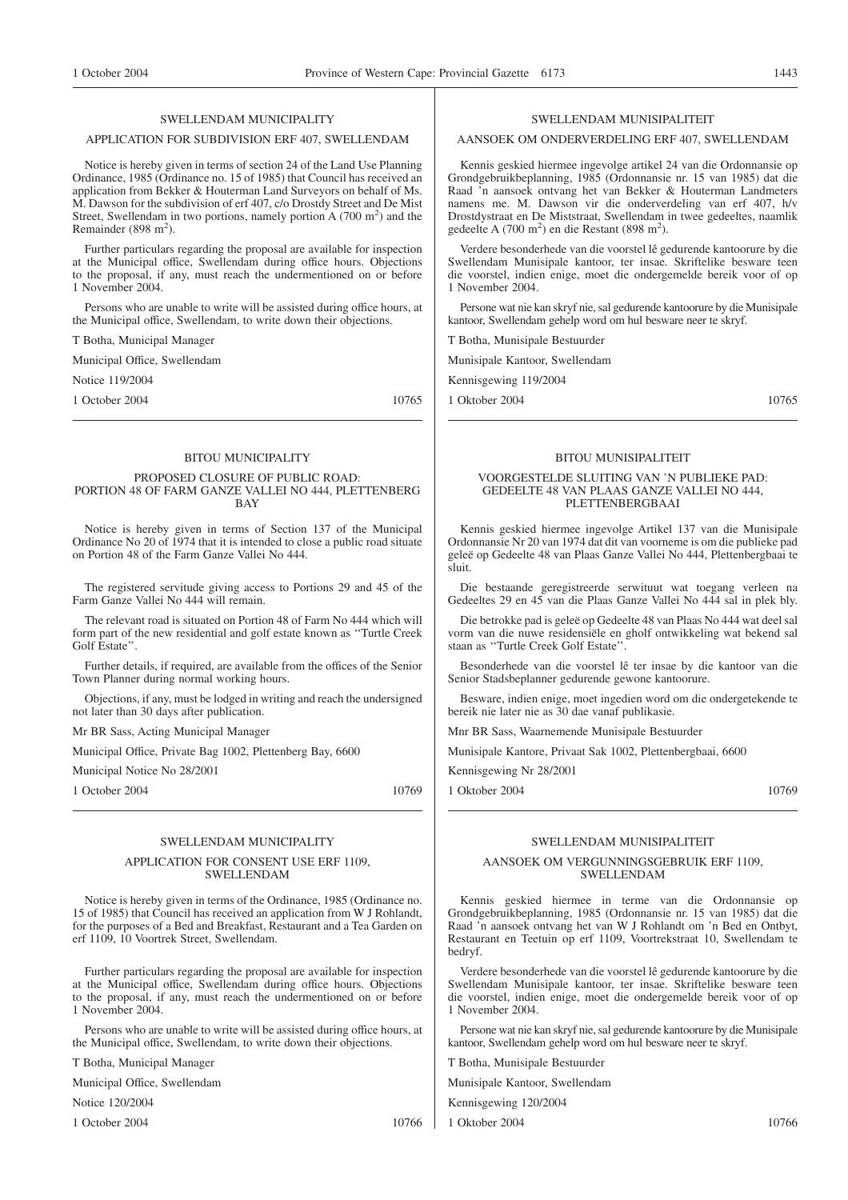#### APPLICATION FOR SUBDIVISION ERF 407, SWELLENDAM

Notice is hereby given in terms of section 24 of the Land Use Planning Ordinance, 1985 (Ordinance no. 15 of 1985) that Council has received an application from Bekker & Houterman Land Surveyors on behalf of Ms. M. Dawson for the subdivision of erf 407, c/o Drostdy Street and De Mist Street, Swellendam in two portions, namely portion A  $(700 \text{ m}^2)$  and the Remainder  $(898 \text{ m}^2)$ .

Further particulars regarding the proposal are available for inspection at the Municipal office, Swellendam during office hours. Objections to the proposal, if any, must reach the undermentioned on or before 1 November 2004.

Persons who are unable to write will be assisted during office hours, at the Municipal office, Swellendam, to write down their objections.

T Botha, Municipal Manager

Municipal Office, Swellendam

Notice 119/2004

1 October 2004 10765

# BITOU MUNICIPALITY

#### PROPOSED CLOSURE OF PUBLIC ROAD: PORTION 48 OF FARM GANZE VALLEI NO 444, PLETTENBERG BAY

Notice is hereby given in terms of Section 137 of the Municipal Ordinance No 20 of 1974 that it is intended to close a public road situate on Portion 48 of the Farm Ganze Vallei No 444.

The registered servitude giving access to Portions 29 and 45 of the Farm Ganze Vallei No 444 will remain.

The relevant road is situated on Portion 48 of Farm No 444 which will form part of the new residential and golf estate known as ''Turtle Creek Golf Estate''.

Further details, if required, are available from the offices of the Senior Town Planner during normal working hours.

Objections, if any, must be lodged in writing and reach the undersigned not later than 30 days after publication.

Mr BR Sass, Acting Municipal Manager

Municipal Office, Private Bag 1002, Plettenberg Bay, 6600

Municipal Notice No 28/2001

1 October 2004 10769

#### SWELLENDAM MUNICIPALITY

#### APPLICATION FOR CONSENT USE ERF 1109, SWELLENDAM

Notice is hereby given in terms of the Ordinance, 1985 (Ordinance no. 15 of 1985) that Council has received an application from W J Rohlandt, for the purposes of a Bed and Breakfast, Restaurant and a Tea Garden on erf 1109, 10 Voortrek Street, Swellendam.

Further particulars regarding the proposal are available for inspection at the Municipal office, Swellendam during office hours. Objections to the proposal, if any, must reach the undermentioned on or before 1 November 2004.

Persons who are unable to write will be assisted during office hours, at the Municipal office, Swellendam, to write down their objections.

T Botha, Municipal Manager

Municipal Office, Swellendam

Notice 120/2004

1 October 2004 10766

#### SWELLENDAM MUNISIPALITEIT

#### AANSOEK OM ONDERVERDELING ERF 407, SWELLENDAM

Kennis geskied hiermee ingevolge artikel 24 van die Ordonnansie op Grondgebruikbeplanning, 1985 (Ordonnansie nr. 15 van 1985) dat die Raad 'n aansoek ontvang het van Bekker & Houterman Landmeters namens me. M. Dawson vir die onderverdeling van erf 407, h/v Drostdystraat en De Miststraat, Swellendam in twee gedeeltes, naamlik gedeelte A  $(700 \text{ m}^2)$  en die Restant  $(898 \text{ m}^2)$ .

Verdere besonderhede van die voorstel lê gedurende kantoorure by die Swellendam Munisipale kantoor, ter insae. Skriftelike besware teen die voorstel, indien enige, moet die ondergemelde bereik voor of op 1 November 2004.

Persone wat nie kan skryf nie, sal gedurende kantoorure by die Munisipale kantoor, Swellendam gehelp word om hul besware neer te skryf.

T Botha, Munisipale Bestuurder

Munisipale Kantoor, Swellendam

Kennisgewing 119/2004

1 Oktober 2004 10765

# BITOU MUNISIPALITEIT

#### VOORGESTELDE SLUITING VAN 'N PUBLIEKE PAD: GEDEELTE 48 VAN PLAAS GANZE VALLEI NO 444, PLETTENBERGBAAI

Kennis geskied hiermee ingevolge Artikel 137 van die Munisipale Ordonnansie Nr 20 van 1974 dat dit van voorneme is om die publieke pad geleë op Gedeelte 48 van Plaas Ganze Vallei No 444, Plettenbergbaai te sluit.

Die bestaande geregistreerde serwituut wat toegang verleen na Gedeeltes 29 en 45 van die Plaas Ganze Vallei No 444 sal in plek bly.

Die betrokke pad is geleë op Gedeelte 48 van Plaas No 444 wat deel sal vorm van die nuwe residensiële en gholf ontwikkeling wat bekend sal staan as ''Turtle Creek Golf Estate''.

Besonderhede van die voorstel lê ter insae by die kantoor van die Senior Stadsbeplanner gedurende gewone kantoorure.

Besware, indien enige, moet ingedien word om die ondergetekende te bereik nie later nie as 30 dae vanaf publikasie.

Mnr BR Sass, Waarnemende Munisipale Bestuurder

Munisipale Kantore, Privaat Sak 1002, Plettenbergbaai, 6600

Kennisgewing Nr 28/2001

1 Oktober 2004 10769

# SWELLENDAM MUNISIPALITEIT

#### AANSOEK OM VERGUNNINGSGEBRUIK ERF 1109, SWELLENDAM

Kennis geskied hiermee in terme van die Ordonnansie op Grondgebruikbeplanning, 1985 (Ordonnansie nr. 15 van 1985) dat die Raad 'n aansoek ontvang het van W J Rohlandt om 'n Bed en Ontbyt, Restaurant en Teetuin op erf 1109, Voortrekstraat 10, Swellendam te bedryf.

Verdere besonderhede van die voorstel lê gedurende kantoorure by die Swellendam Munisipale kantoor, ter insae. Skriftelike besware teen die voorstel, indien enige, moet die ondergemelde bereik voor of op 1 November 2004.

Persone wat nie kan skryf nie, sal gedurende kantoorure by die Munisipale kantoor, Swellendam gehelp word om hul besware neer te skryf.

T Botha, Munisipale Bestuurder

Munisipale Kantoor, Swellendam

Kennisgewing 120/2004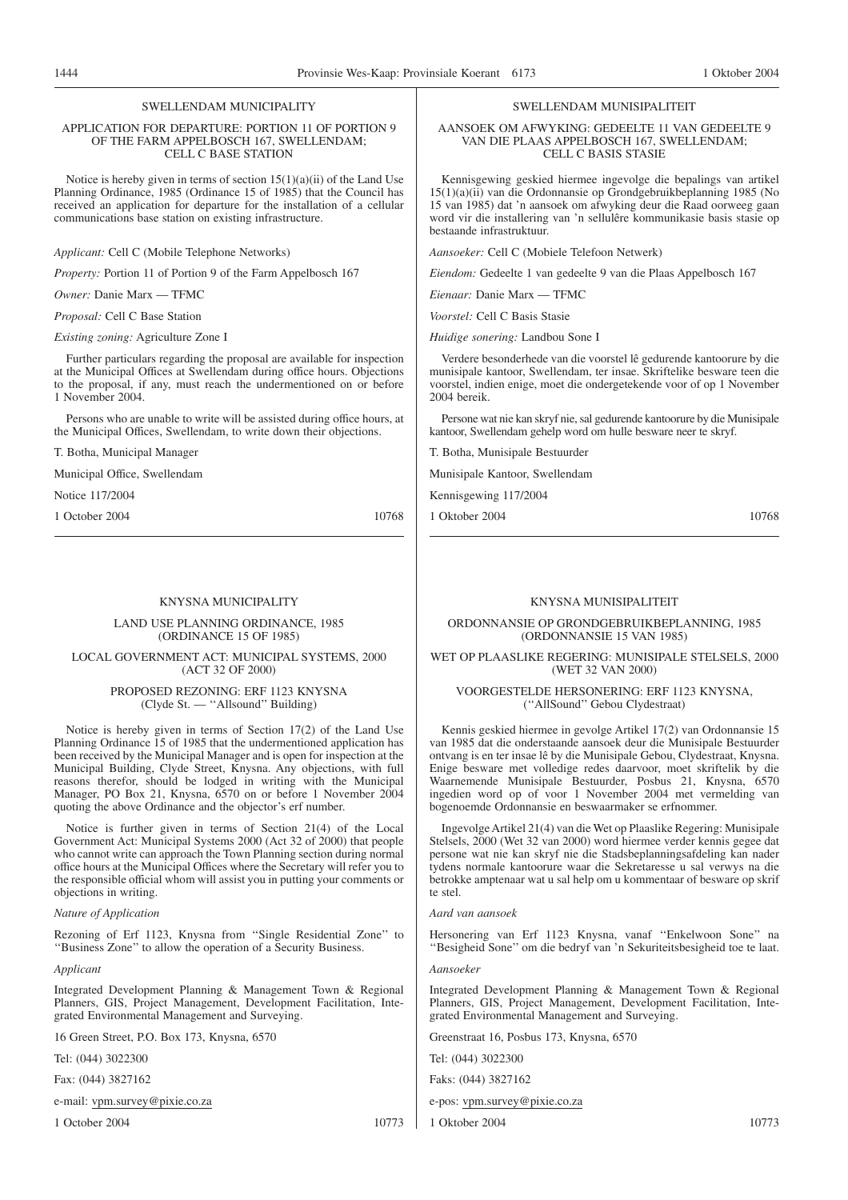#### APPLICATION FOR DEPARTURE: PORTION 11 OF PORTION 9 OF THE FARM APPELBOSCH 167, SWELLENDAM; CELL C BASE STATION

Notice is hereby given in terms of section  $15(1)(a)(ii)$  of the Land Use Planning Ordinance, 1985 (Ordinance 15 of 1985) that the Council has received an application for departure for the installation of a cellular communications base station on existing infrastructure.

*Applicant:* Cell C (Mobile Telephone Networks)

*Property:* Portion 11 of Portion 9 of the Farm Appelbosch 167

*Owner:* Danie Marx — TFMC *Proposal:* Cell C Base Station

*Existing zoning:* Agriculture Zone I

Further particulars regarding the proposal are available for inspection at the Municipal Offices at Swellendam during office hours. Objections to the proposal, if any, must reach the undermentioned on or before 1 November 2004.

Persons who are unable to write will be assisted during office hours, at the Municipal Offices, Swellendam, to write down their objections.

T. Botha, Municipal Manager

Municipal Office, Swellendam

Notice 117/2004

1 October 2004 10768

#### KNYSNA MUNICIPALITY

LAND USE PLANNING ORDINANCE, 1985 (ORDINANCE 15 OF 1985)

LOCAL GOVERNMENT ACT: MUNICIPAL SYSTEMS, 2000 (ACT 32 OF 2000)

> PROPOSED REZONING: ERF 1123 KNYSNA (Clyde St. — ''Allsound'' Building)

Notice is hereby given in terms of Section 17(2) of the Land Use Planning Ordinance 15 of 1985 that the undermentioned application has been received by the Municipal Manager and is open for inspection at the Municipal Building, Clyde Street, Knysna. Any objections, with full reasons therefor, should be lodged in writing with the Municipal Manager, PO Box 21, Knysna, 6570 on or before 1 November 2004 quoting the above Ordinance and the objector's erf number.

Notice is further given in terms of Section 21(4) of the Local Government Act: Municipal Systems 2000 (Act 32 of 2000) that people who cannot write can approach the Town Planning section during normal office hours at the Municipal Offices where the Secretary will refer you to the responsible official whom will assist you in putting your comments or objections in writing.

#### *Nature of Application*

Rezoning of Erf 1123, Knysna from ''Single Residential Zone'' to ''Business Zone'' to allow the operation of a Security Business.

*Applicant*

Integrated Development Planning & Management Town & Regional Planners, GIS, Project Management, Development Facilitation, Integrated Environmental Management and Surveying.

16 Green Street, P.O. Box 173, Knysna, 6570

Tel: (044) 3022300

Fax: (044) 3827162

e-mail: vpm.survey@pixie.co.za

1 October 2004 10773

#### SWELLENDAM MUNISIPALITEIT

#### AANSOEK OM AFWYKING: GEDEELTE 11 VAN GEDEELTE 9 VAN DIE PLAAS APPELBOSCH 167, SWELLENDAM; CELL C BASIS STASIE

Kennisgewing geskied hiermee ingevolge die bepalings van artikel 15(1)(a)(ii) van die Ordonnansie op Grondgebruikbeplanning 1985 (No 15 van 1985) dat 'n aansoek om afwyking deur die Raad oorweeg gaan word vir die installering van 'n sellulêre kommunikasie basis stasie op bestaande infrastruktuur.

*Aansoeker:* Cell C (Mobiele Telefoon Netwerk)

*Eiendom:* Gedeelte 1 van gedeelte 9 van die Plaas Appelbosch 167

*Eienaar:* Danie Marx — TFMC

*Voorstel:* Cell C Basis Stasie

*Huidige sonering:* Landbou Sone I

Verdere besonderhede van die voorstel lê gedurende kantoorure by die munisipale kantoor, Swellendam, ter insae. Skriftelike besware teen die voorstel, indien enige, moet die ondergetekende voor of op 1 November 2004 bereik.

Persone wat nie kan skryf nie, sal gedurende kantoorure by die Munisipale kantoor, Swellendam gehelp word om hulle besware neer te skryf.

T. Botha, Munisipale Bestuurder

Munisipale Kantoor, Swellendam

Kennisgewing 117/2004

1 Oktober 2004 10768

#### KNYSNA MUNISIPALITEIT

ORDONNANSIE OP GRONDGEBRUIKBEPLANNING, 1985 (ORDONNANSIE 15 VAN 1985)

WET OP PLAASLIKE REGERING: MUNISIPALE STELSELS, 2000 (WET 32 VAN 2000)

VOORGESTELDE HERSONERING: ERF 1123 KNYSNA, (''AllSound'' Gebou Clydestraat)

Kennis geskied hiermee in gevolge Artikel 17(2) van Ordonnansie 15 van 1985 dat die onderstaande aansoek deur die Munisipale Bestuurder ontvang is en ter insae lê by die Munisipale Gebou, Clydestraat, Knysna. Enige besware met volledige redes daarvoor, moet skriftelik by die Waarnemende Munisipale Bestuurder, Posbus 21, Knysna, 6570 ingedien word op of voor 1 November 2004 met vermelding van bogenoemde Ordonnansie en beswaarmaker se erfnommer.

Ingevolge Artikel 21(4) van die Wet op Plaaslike Regering: Munisipale Stelsels, 2000 (Wet 32 van 2000) word hiermee verder kennis gegee dat persone wat nie kan skryf nie die Stadsbeplanningsafdeling kan nader tydens normale kantoorure waar die Sekretaresse u sal verwys na die betrokke amptenaar wat u sal help om u kommentaar of besware op skrif te stel.

#### *Aard van aansoek*

Hersonering van Erf 1123 Knysna, vanaf ''Enkelwoon Sone'' na ''Besigheid Sone'' om die bedryf van 'n Sekuriteitsbesigheid toe te laat.

## *Aansoeker*

Integrated Development Planning & Management Town & Regional Planners, GIS, Project Management, Development Facilitation, Integrated Environmental Management and Surveying.

Greenstraat 16, Posbus 173, Knysna, 6570

Tel: (044) 3022300

Faks: (044) 3827162

e-pos: vpm.survey@pixie.co.za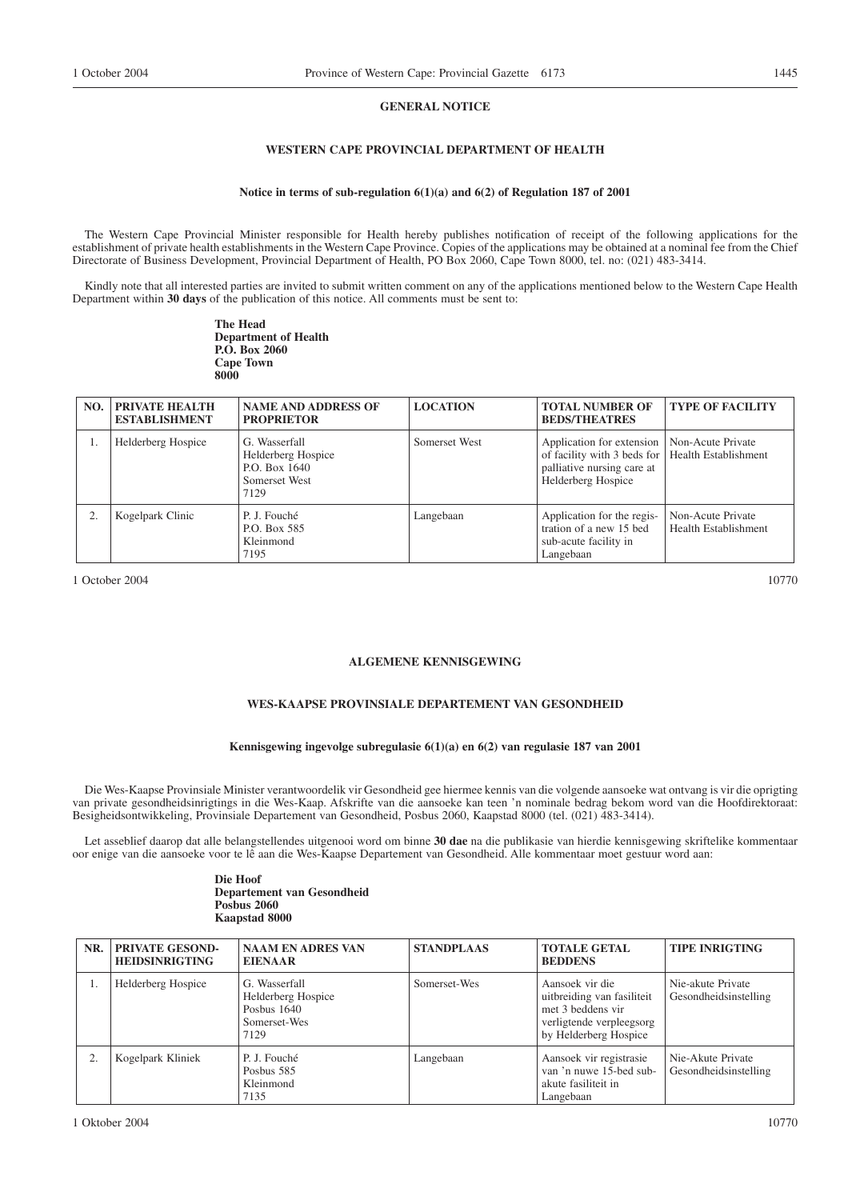#### **GENERAL NOTICE**

# **WESTERN CAPE PROVINCIAL DEPARTMENT OF HEALTH**

#### **Notice in terms of sub-regulation 6(1)(a) and 6(2) of Regulation 187 of 2001**

The Western Cape Provincial Minister responsible for Health hereby publishes notification of receipt of the following applications for the establishment of private health establishments in the Western Cape Province. Copies of the applications may be obtained at a nominal fee from the Chief Directorate of Business Development, Provincial Department of Health, PO Box 2060, Cape Town 8000, tel. no: (021) 483-3414.

Kindly note that all interested parties are invited to submit written comment on any of the applications mentioned below to the Western Cape Health Department within **30 days** of the publication of this notice. All comments must be sent to:

> **The Head Department of Health P.O. Box 2060 Cape Town 8000**

| NO. | <b>PRIVATE HEALTH</b><br><b>ESTABLISHMENT</b> | <b>NAME AND ADDRESS OF</b><br><b>PROPRIETOR</b>                               | <b>LOCATION</b> | <b>TOTAL NUMBER OF</b><br><b>BEDS/THEATRES</b>                                                                                                          | <b>TYPE OF FACILITY</b>                   |
|-----|-----------------------------------------------|-------------------------------------------------------------------------------|-----------------|---------------------------------------------------------------------------------------------------------------------------------------------------------|-------------------------------------------|
|     | Helderberg Hospice                            | G. Wasserfall<br>Helderberg Hospice<br>P.O. Box 1640<br>Somerset West<br>7129 | Somerset West   | Application for extension   Non-Acute Private<br>of facility with 3 beds for   Health Establishment<br>palliative nursing care at<br>Helderberg Hospice |                                           |
|     | Kogelpark Clinic                              | P. J. Fouché<br>P.O. Box 585<br>Kleinmond<br>7195                             | Langebaan       | Application for the regis-<br>tration of a new 15 bed<br>sub-acute facility in<br>Langebaan                                                             | Non-Acute Private<br>Health Establishment |

1 October 2004 10770

# **ALGEMENE KENNISGEWING**

# **WES-KAAPSE PROVINSIALE DEPARTEMENT VAN GESONDHEID**

#### **Kennisgewing ingevolge subregulasie 6(1)(a) en 6(2) van regulasie 187 van 2001**

Die Wes-Kaapse Provinsiale Minister verantwoordelik vir Gesondheid gee hiermee kennis van die volgende aansoeke wat ontvang is vir die oprigting van private gesondheidsinrigtings in die Wes-Kaap. Afskrifte van die aansoeke kan teen 'n nominale bedrag bekom word van die Hoofdirektoraat: Besigheidsontwikkeling, Provinsiale Departement van Gesondheid, Posbus 2060, Kaapstad 8000 (tel. (021) 483-3414).

Let asseblief daarop dat alle belangstellendes uitgenooi word om binne **30 dae** na die publikasie van hierdie kennisgewing skriftelike kommentaar oor enige van die aansoeke voor te lê aan die Wes-Kaapse Departement van Gesondheid. Alle kommentaar moet gestuur word aan:

#### **Die Hoof Departement van Gesondheid Posbus 2060 Kaapstad 8000**

| NR. | PRIVATE GESOND-<br><b>HEIDSINRIGTING</b> | <b>NAAM EN ADRES VAN</b><br><b>EIENAAR</b>                                 | <b>STANDPLAAS</b> | <b>TOTALE GETAL</b><br><b>BEDDENS</b>                                                                                   | <b>TIPE INRIGTING</b>                      |
|-----|------------------------------------------|----------------------------------------------------------------------------|-------------------|-------------------------------------------------------------------------------------------------------------------------|--------------------------------------------|
| 1.  | Helderberg Hospice                       | G. Wasserfall<br>Helderberg Hospice<br>Posbus 1640<br>Somerset-Wes<br>7129 | Somerset-Wes      | Aansoek vir die<br>uitbreiding van fasiliteit<br>met 3 beddens vir<br>verligtende verpleegsorg<br>by Helderberg Hospice | Nie-akute Private<br>Gesondheidsinstelling |
| 2.  | Kogelpark Kliniek                        | P. J. Fouché<br>Posbus 585<br>Kleinmond<br>7135                            | Langebaan         | Aansoek vir registrasie<br>van 'n nuwe 15-bed sub-<br>akute fasiliteit in<br>Langebaan                                  | Nie-Akute Private<br>Gesondheidsinstelling |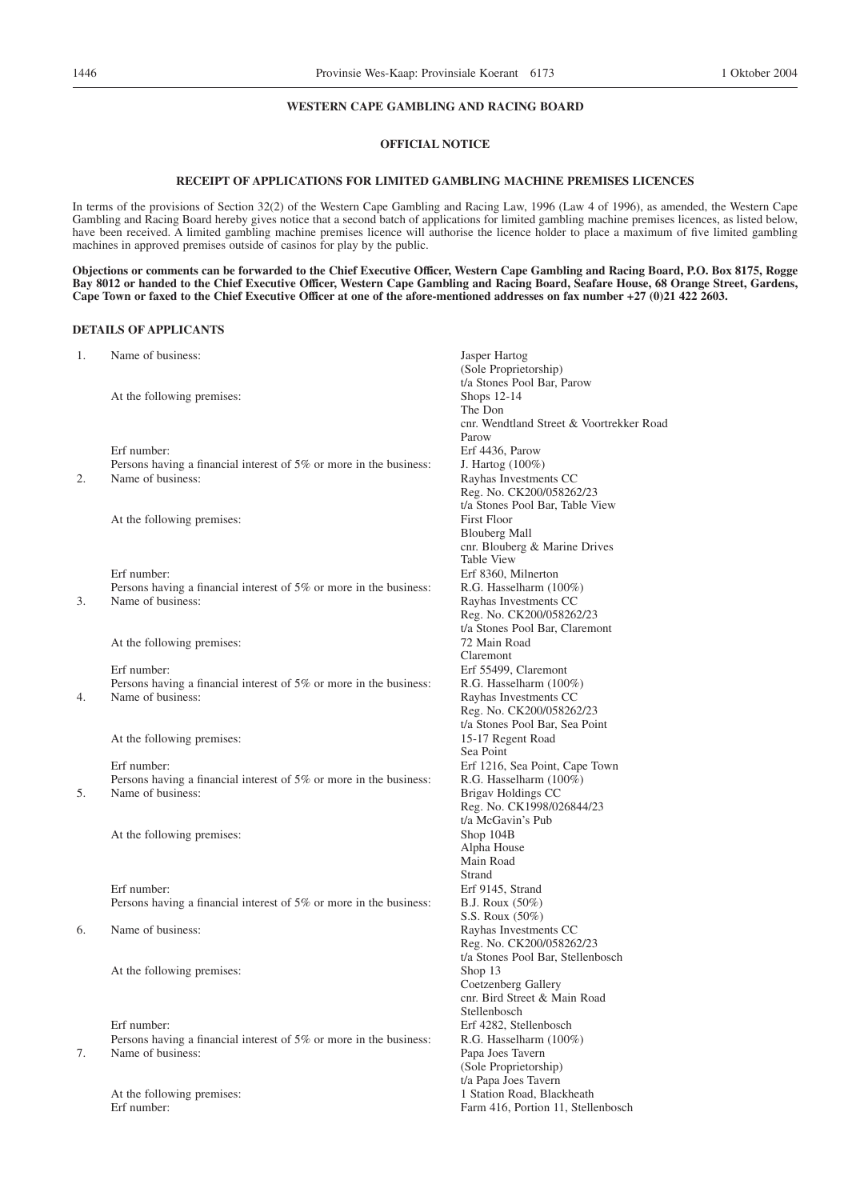# **WESTERN CAPE GAMBLING AND RACING BOARD**

# **OFFICIAL NOTICE**

#### **RECEIPT OF APPLICATIONS FOR LIMITED GAMBLING MACHINE PREMISES LICENCES**

In terms of the provisions of Section 32(2) of the Western Cape Gambling and Racing Law, 1996 (Law 4 of 1996), as amended, the Western Cape Gambling and Racing Board hereby gives notice that a second batch of applications for limited gambling machine premises licences, as listed below, have been received. A limited gambling machine premises licence will authorise the licence holder to place a maximum of five limited gambling machines in approved premises outside of casinos for play by the public.

**Objections or comments can be forwarded to the Chief Executive Officer, Western Cape Gambling and Racing Board, P.O. Box 8175, Rogge Bay 8012 or handed to the Chief Executive Officer, Western Cape Gambling and Racing Board, Seafare House, 68 Orange Street, Gardens, Cape Town or faxed to the Chief Executive Officer at one of the afore-mentioned addresses on fax number +27 (0)21 422 2603.**

#### **DETAILS OF APPLICANTS**

| 1. | Name of business:                                                                       | Jasper Hartog<br>(Sole Proprietorship)            |
|----|-----------------------------------------------------------------------------------------|---------------------------------------------------|
|    |                                                                                         | t/a Stones Pool Bar, Parow                        |
|    | At the following premises:                                                              | Shops $12-14$                                     |
|    |                                                                                         | The Don                                           |
|    |                                                                                         | cnr. Wendtland Street & Voortrekker Road          |
|    |                                                                                         | Parow                                             |
|    | Erf number:                                                                             | Erf 4436, Parow                                   |
|    | Persons having a financial interest of 5% or more in the business:                      | J. Hartog (100%)                                  |
| 2. | Name of business:                                                                       | Rayhas Investments CC                             |
|    |                                                                                         | Reg. No. CK200/058262/23                          |
|    |                                                                                         | t/a Stones Pool Bar, Table View                   |
|    | At the following premises:                                                              | <b>First Floor</b>                                |
|    |                                                                                         | <b>Blouberg Mall</b>                              |
|    |                                                                                         | cnr. Blouberg & Marine Drives                     |
|    |                                                                                         | <b>Table View</b>                                 |
|    | Erf number:                                                                             | Erf 8360, Milnerton                               |
|    | Persons having a financial interest of 5% or more in the business:                      | R.G. Hasselharm (100%)                            |
| 3. | Name of business:                                                                       | Rayhas Investments CC                             |
|    |                                                                                         | Reg. No. CK200/058262/23                          |
|    |                                                                                         | t/a Stones Pool Bar, Claremont                    |
|    | At the following premises:                                                              | 72 Main Road                                      |
|    |                                                                                         | Claremont                                         |
|    | Erf number:                                                                             | Erf 55499, Claremont                              |
|    | Persons having a financial interest of 5% or more in the business:<br>Name of business: | R.G. Hasselharm (100%)                            |
| 4. |                                                                                         | Rayhas Investments CC<br>Reg. No. CK200/058262/23 |
|    |                                                                                         | t/a Stones Pool Bar, Sea Point                    |
|    | At the following premises:                                                              | 15-17 Regent Road                                 |
|    |                                                                                         | Sea Point                                         |
|    | Erf number:                                                                             | Erf 1216, Sea Point, Cape Town                    |
|    | Persons having a financial interest of 5% or more in the business:                      | R.G. Hasselharm (100%)                            |
| 5. | Name of business:                                                                       | Brigav Holdings CC                                |
|    |                                                                                         | Reg. No. CK1998/026844/23                         |
|    |                                                                                         | t/a McGavin's Pub                                 |
|    | At the following premises:                                                              | Shop 104B                                         |
|    |                                                                                         | Alpha House                                       |
|    |                                                                                         | Main Road                                         |
|    |                                                                                         | Strand                                            |
|    | Erf number:                                                                             | Erf 9145, Strand                                  |
|    | Persons having a financial interest of 5% or more in the business:                      | <b>B.J. Roux</b> (50%)                            |
|    |                                                                                         | S.S. Roux (50%)                                   |
| 6. | Name of business:                                                                       | Rayhas Investments CC                             |
|    |                                                                                         | Reg. No. CK200/058262/23                          |
|    |                                                                                         | t/a Stones Pool Bar, Stellenbosch                 |
|    | At the following premises:                                                              | Shop 13                                           |
|    |                                                                                         | Coetzenberg Gallery                               |
|    |                                                                                         | cnr. Bird Street & Main Road                      |
|    |                                                                                         | Stellenbosch                                      |
|    | Erf number:                                                                             | Erf 4282, Stellenbosch                            |
|    | Persons having a financial interest of 5% or more in the business:                      | R.G. Hasselharm (100%)                            |
| 7. | Name of business:                                                                       | Papa Joes Tavern                                  |

(Sole Proprietorship) t/a Papa Joes Tavern

At the following premises: 1 Station Road, Blackheath Erf number: Farm 416, Portion 11, Stellenbosch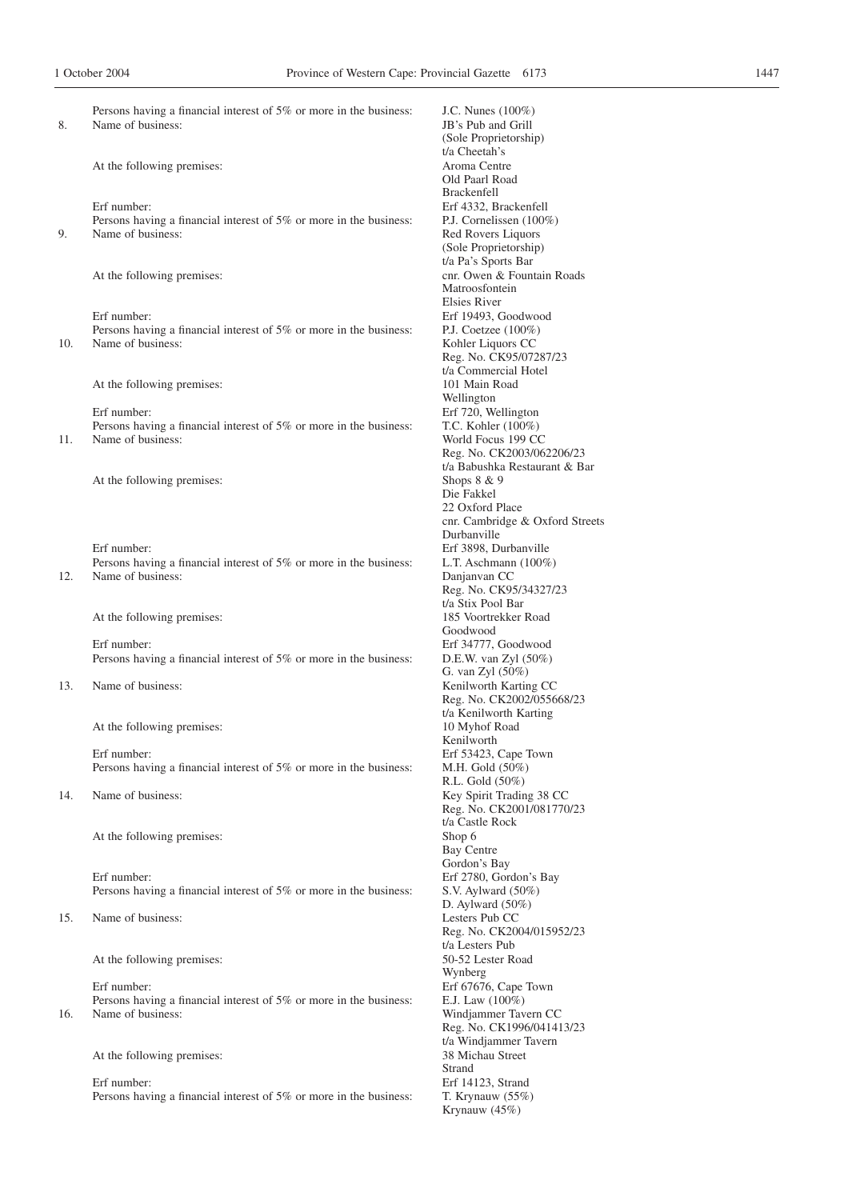| 1 October 2004 |                                                                                         | Province of Western Cape: Provincial Gazette 6173 |  |
|----------------|-----------------------------------------------------------------------------------------|---------------------------------------------------|--|
|                |                                                                                         |                                                   |  |
|                | Persons having a financial interest of 5% or more in the business:                      | J.C. Nunes $(100\%)$                              |  |
| 8.             | Name of business:                                                                       | JB's Pub and Grill                                |  |
|                |                                                                                         | (Sole Proprietorship)                             |  |
|                |                                                                                         | t/a Cheetah's                                     |  |
|                | At the following premises:                                                              | Aroma Centre                                      |  |
|                |                                                                                         | Old Paarl Road                                    |  |
|                | Erf number:                                                                             | <b>Brackenfell</b><br>Erf 4332, Brackenfell       |  |
|                |                                                                                         | P.J. Cornelissen $(100\%)$                        |  |
| 9.             | Persons having a financial interest of 5% or more in the business:<br>Name of business: | Red Rovers Liquors                                |  |
|                |                                                                                         |                                                   |  |
|                |                                                                                         | (Sole Proprietorship)<br>t/a Pa's Sports Bar      |  |
|                | At the following premises:                                                              | cnr. Owen & Fountain Roads                        |  |
|                |                                                                                         | Matroosfontein                                    |  |
|                |                                                                                         | Elsies River                                      |  |
|                | Erf number:                                                                             | Erf 19493, Goodwood                               |  |
|                | Persons having a financial interest of 5% or more in the business:                      | P.J. Coetzee $(100\%)$                            |  |
| 10.            | Name of business:                                                                       | Kohler Liquors CC                                 |  |
|                |                                                                                         | Reg. No. CK95/07287/23                            |  |
|                |                                                                                         | t/a Commercial Hotel                              |  |
|                |                                                                                         | 101 Main Road                                     |  |
|                | At the following premises:                                                              |                                                   |  |
|                | Erf number:                                                                             | Wellington<br>Erf 720, Wellington                 |  |
|                |                                                                                         |                                                   |  |
|                | Persons having a financial interest of 5% or more in the business:<br>Name of business: | T.C. Kohler (100%)<br>World Focus 199 CC          |  |
| 11.            |                                                                                         |                                                   |  |
|                |                                                                                         | Reg. No. CK2003/062206/23                         |  |
|                |                                                                                         | t/a Babushka Restaurant & Bar                     |  |
|                | At the following premises:                                                              | Shops 8 & 9                                       |  |
|                |                                                                                         | Die Fakkel<br>22 Oxford Place                     |  |
|                |                                                                                         |                                                   |  |
|                |                                                                                         | cnr. Cambridge & Oxford Streets<br>Durbanville    |  |
|                | Erf number:                                                                             | Erf 3898, Durbanville                             |  |
|                | Persons having a financial interest of 5% or more in the business:                      | L.T. Aschmann $(100\%)$                           |  |
| 12.            | Name of business:                                                                       | Danjanyan CC                                      |  |
|                |                                                                                         | Reg. No. CK95/34327/23                            |  |
|                |                                                                                         | t/a Stix Pool Bar                                 |  |
|                | At the following premises:                                                              | 185 Voortrekker Road                              |  |
|                |                                                                                         | Goodwood                                          |  |
|                | Erf number:                                                                             | Erf 34777, Goodwood                               |  |
|                | Persons having a financial interest of 5% or more in the business:                      | D.E.W. van Zyl (50%)                              |  |
|                |                                                                                         | G. van Zyl (50%)                                  |  |
| 13.            | Name of business:                                                                       | Kenilworth Karting CC                             |  |
|                |                                                                                         | Reg. No. CK2002/055668/23                         |  |
|                |                                                                                         | t/a Kenilworth Karting                            |  |
|                | At the following premises:                                                              | 10 Myhof Road                                     |  |
|                |                                                                                         | Kenilworth                                        |  |
|                | Erf number:                                                                             | Erf 53423, Cape Town                              |  |
|                | Persons having a financial interest of 5% or more in the business:                      | M.H. Gold $(50\%)$                                |  |
|                |                                                                                         | R.L. Gold (50%)                                   |  |
| 14.            | Name of business:                                                                       | Key Spirit Trading 38 CC                          |  |
|                |                                                                                         | Reg. No. CK2001/081770/23                         |  |
|                |                                                                                         | t/a Castle Rock                                   |  |
|                | At the following premises:                                                              | Shop 6                                            |  |
|                |                                                                                         | Bay Centre                                        |  |
|                |                                                                                         | Gordon's Bay                                      |  |
|                | Erf number:                                                                             | Erf 2780, Gordon's Bay                            |  |
|                | Persons having a financial interest of 5% or more in the business:                      | S.V. Aylward $(50\%)$                             |  |
|                |                                                                                         | D. Aylward $(50\%)$                               |  |
| 15.            | Name of business:                                                                       | Lesters Pub CC                                    |  |
|                |                                                                                         | Reg. No. CK2004/015952/23                         |  |
|                |                                                                                         | t/a Lesters Pub                                   |  |
|                | At the following premises:                                                              | 50-52 Lester Road                                 |  |
|                |                                                                                         | Wynberg                                           |  |
|                | Erf number:                                                                             | Erf 67676, Cape Town                              |  |
|                | Persons having a financial interest of 5% or more in the business:                      | E.J. Law $(100\%)$                                |  |
|                |                                                                                         |                                                   |  |

16. Name of business: Windjammer Tavern CC

At the following premises: 38 Michau Street

Erf number: Erf number: Erf 14123, Strand<br>Persons having a financial interest of 5% or more in the business: T. Krynauw (55%) Persons having a financial interest of  $5\%$  or more in the business:

J.C. Nunes  $(100\%)$ JB's Pub and Grill (Sole Proprietorship) t/a Cheetah's Aroma Centre Old Paarl Road Brackenfell Erf 4332, Brackenfell P.J. Cornelissen (100%) Red Rovers Liquors (Sole Proprietorship) t/a Pa's Sports Bar cnr. Owen & Fountain Roads Matroosfontein Elsies River Erf 19493, Goodwood P.J. Coetzee (100%) Kohler Liquors CC Reg. No. CK95/07287/23 t/a Commercial Hotel 101 Main Road Wellington Erf 720, Wellington T.C. Kohler (100%) World Focus 199 CC Reg. No. CK2003/062206/23 t/a Babushka Restaurant & Bar Shops 8 & 9 Die Fakkel 22 Oxford Place cnr. Cambridge & Oxford Streets Durbanville Erf 3898, Durbanville L.T. Aschmann (100%) Danjanvan CC Reg. No. CK95/34327/23 t/a Stix Pool Bar 185 Voortrekker Road Goodwood Erf 34777, Goodwood D.E.W. van Zyl $(50\%)$ G. van Zyl (50%) Kenilworth Karting CC Reg. No. CK2002/055668/23 t/a Kenilworth Karting 10 Myhof Road Kenilworth Erf 53423, Cape Town M.H. Gold  $(50\%)$ R.L. Gold (50%) Key Spirit Trading 38 CC Reg. No. CK2001/081770/23 t/a Castle Rock<br>Shop 6 Bay Centre Gordon's Bay Erf 2780, Gordon's Bay S.V. Aylward (50%) D. Aylward (50%) Lesters Pub CC Reg. No. CK2004/015952/23 t/a Lesters Pub 50-52 Lester Road Wynberg Erf 67676, Cape Town E.J. Law  $(100\%)$ Reg. No. CK1996/041413/23 t/a Windjammer Tavern Strand

Krynauw (45%)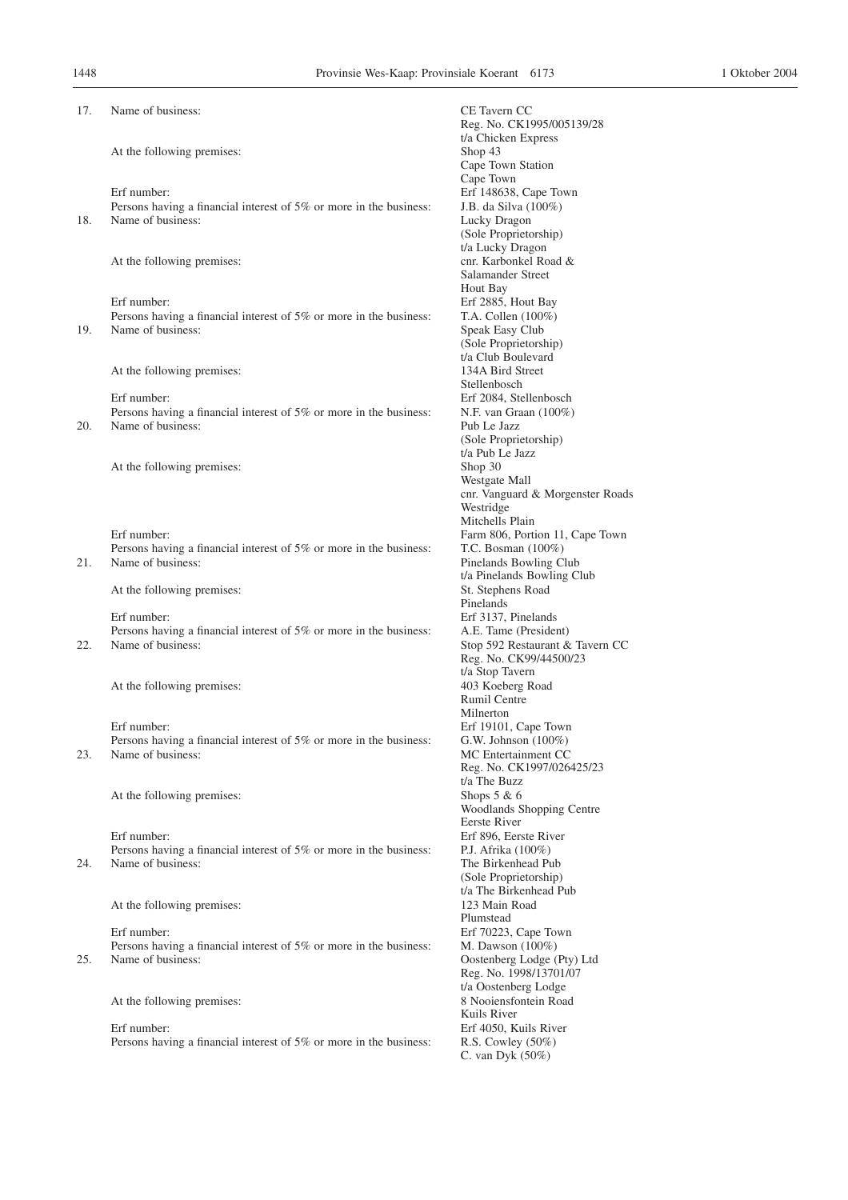| 17. | Name of business:                                                                       | CE Tavern CC                                             |
|-----|-----------------------------------------------------------------------------------------|----------------------------------------------------------|
|     |                                                                                         | Reg. No. CK1995/005139/28                                |
|     |                                                                                         | t/a Chicken Express                                      |
|     | At the following premises:                                                              | Shop 43                                                  |
|     |                                                                                         | Cape Town Station<br>Cape Town                           |
|     | Erf number:                                                                             | Erf 148638, Cape Town                                    |
|     | Persons having a financial interest of 5% or more in the business:                      | J.B. da Silva (100%)                                     |
| 18. | Name of business:                                                                       | Lucky Dragon                                             |
|     |                                                                                         | (Sole Proprietorship)                                    |
|     |                                                                                         | t/a Lucky Dragon                                         |
|     | At the following premises:                                                              | cnr. Karbonkel Road &                                    |
|     |                                                                                         | Salamander Street                                        |
|     | Erf number:                                                                             | Hout Bay<br>Erf 2885, Hout Bay                           |
|     | Persons having a financial interest of 5% or more in the business:                      | T.A. Collen $(100\%)$                                    |
| 19. | Name of business:                                                                       | Speak Easy Club                                          |
|     |                                                                                         | (Sole Proprietorship)                                    |
|     |                                                                                         | t/a Club Boulevard                                       |
|     | At the following premises:                                                              | 134A Bird Street                                         |
|     |                                                                                         | Stellenbosch                                             |
|     | Erf number:                                                                             | Erf 2084, Stellenbosch                                   |
| 20. | Persons having a financial interest of 5% or more in the business:<br>Name of business: | N.F. van Graan (100%)<br>Pub Le Jazz                     |
|     |                                                                                         | (Sole Proprietorship)                                    |
|     |                                                                                         | t/a Pub Le Jazz                                          |
|     | At the following premises:                                                              | Shop 30                                                  |
|     |                                                                                         | Westgate Mall                                            |
|     |                                                                                         | cnr. Vanguard & Morgenster Roads                         |
|     |                                                                                         | Westridge                                                |
|     | Erf number:                                                                             | Mitchells Plain                                          |
|     | Persons having a financial interest of 5% or more in the business:                      | Farm 806, Portion 11, Cape Town<br>T.C. Bosman $(100\%)$ |
| 21. | Name of business:                                                                       | Pinelands Bowling Club                                   |
|     |                                                                                         | t/a Pinelands Bowling Club                               |
|     | At the following premises:                                                              | St. Stephens Road                                        |
|     |                                                                                         | Pinelands                                                |
|     | Erf number:                                                                             | Erf 3137, Pinelands                                      |
|     | Persons having a financial interest of 5% or more in the business:                      | A.E. Tame (President)                                    |
| 22. | Name of business:                                                                       | Stop 592 Restaurant & Tavern CC                          |
|     |                                                                                         | Reg. No. CK99/44500/23<br>t/a Stop Tavern                |
|     | At the following premises:                                                              | 403 Koeberg Road                                         |
|     |                                                                                         | Rumil Centre                                             |
|     |                                                                                         | Milnerton                                                |
|     | Erf number:                                                                             | Erf 19101, Cape Town                                     |
|     | Persons having a financial interest of 5% or more in the business:                      | G.W. Johnson $(100\%)$                                   |
| 23. | Name of business:                                                                       | MC Entertainment CC                                      |
|     |                                                                                         | Reg. No. CK1997/026425/23<br>t/a The Buzz                |
|     | At the following premises:                                                              | Shops $5 & 6$                                            |
|     |                                                                                         | Woodlands Shopping Centre                                |
|     |                                                                                         | Eerste River                                             |
|     | Erf number:                                                                             | Erf 896, Eerste River                                    |
|     | Persons having a financial interest of 5% or more in the business:                      | P.J. Afrika (100%)                                       |
| 24. | Name of business:                                                                       | The Birkenhead Pub                                       |
|     |                                                                                         | (Sole Proprietorship)<br>t/a The Birkenhead Pub          |
|     | At the following premises:                                                              | 123 Main Road                                            |
|     |                                                                                         | Plumstead                                                |
|     | Erf number:                                                                             | Erf 70223, Cape Town                                     |
|     | Persons having a financial interest of 5% or more in the business:                      | M. Dawson $(100\%)$                                      |
| 25. | Name of business:                                                                       | Oostenberg Lodge (Pty) Ltd                               |
|     |                                                                                         | Reg. No. 1998/13701/07                                   |
|     |                                                                                         | t/a Oostenberg Lodge                                     |
|     | At the following premises:                                                              | 8 Nooiensfontein Road<br>Kuils River                     |
|     | Erf number:                                                                             | Erf 4050, Kuils River                                    |
|     | Persons having a financial interest of 5% or more in the business:                      | R.S. Cowley (50%)                                        |
|     |                                                                                         | C. van Dyk $(50\%)$                                      |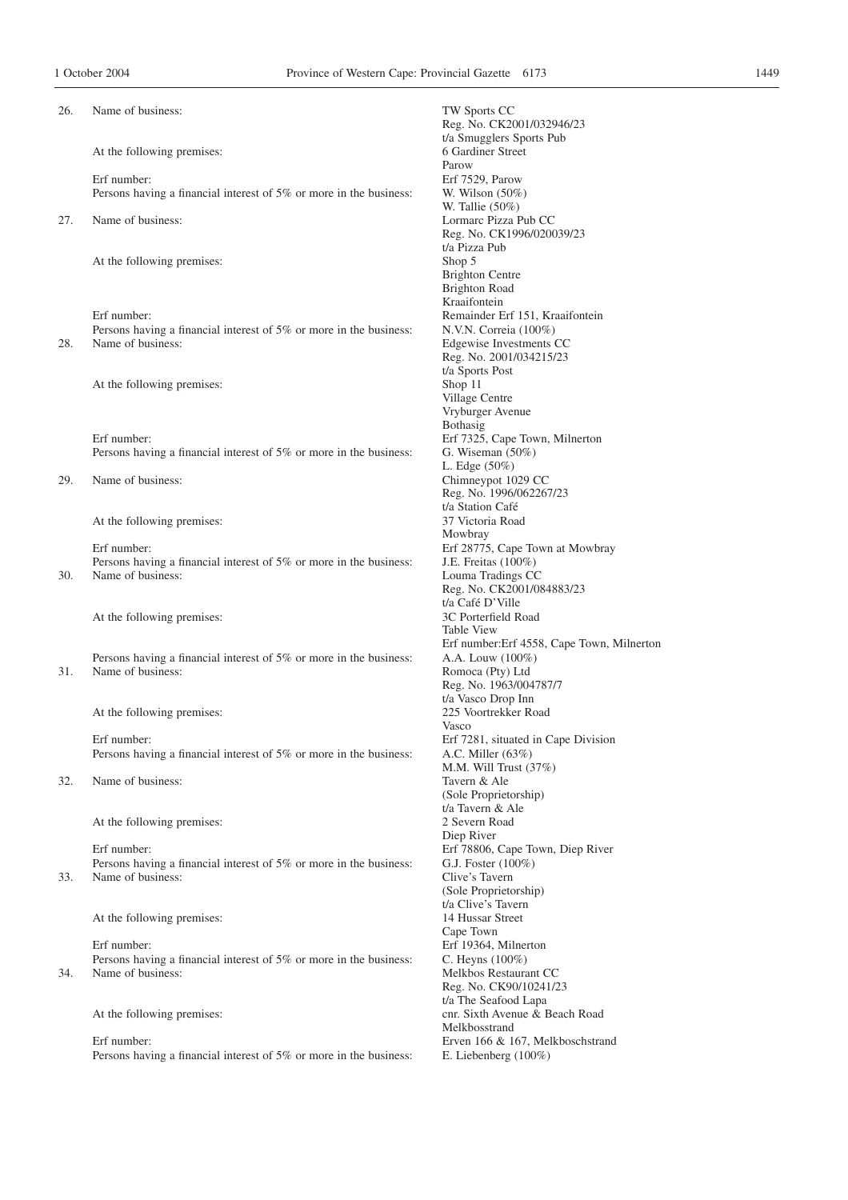| 26. | Name of business:                                                                       | TW Sports CC<br>Reg. No. CK2001/032946/23     |
|-----|-----------------------------------------------------------------------------------------|-----------------------------------------------|
|     | At the following premises:                                                              | t/a Smugglers Sports Pub<br>6 Gardiner Street |
|     |                                                                                         | Parow                                         |
|     | Erf number:<br>Persons having a financial interest of 5% or more in the business:       | Erf 7529, Parow                               |
|     |                                                                                         | W. Wilson $(50\%)$<br>W. Tallie $(50\%)$      |
| 27. | Name of business:                                                                       | Lormarc Pizza Pub CC                          |
|     |                                                                                         | Reg. No. CK1996/020039/23                     |
|     |                                                                                         | t/a Pizza Pub                                 |
|     | At the following premises:                                                              | Shop 5                                        |
|     |                                                                                         | <b>Brighton Centre</b>                        |
|     |                                                                                         | <b>Brighton Road</b>                          |
|     |                                                                                         | Kraaifontein                                  |
|     | Erf number:                                                                             | Remainder Erf 151, Kraaifontein               |
|     | Persons having a financial interest of 5% or more in the business:                      | N.V.N. Correia (100%)                         |
| 28. | Name of business:                                                                       | Edgewise Investments CC                       |
|     |                                                                                         | Reg. No. 2001/034215/23                       |
|     |                                                                                         | t/a Sports Post                               |
|     | At the following premises:                                                              | Shop 11                                       |
|     |                                                                                         | Village Centre<br>Vryburger Avenue            |
|     |                                                                                         | Bothasig                                      |
|     | Erf number:                                                                             | Erf 7325, Cape Town, Milnerton                |
|     | Persons having a financial interest of 5% or more in the business:                      | G. Wiseman $(50\%)$                           |
|     |                                                                                         | L. Edge $(50\%)$                              |
| 29. | Name of business:                                                                       | Chimneypot 1029 CC                            |
|     |                                                                                         | Reg. No. 1996/062267/23                       |
|     |                                                                                         | t/a Station Café                              |
|     | At the following premises:                                                              | 37 Victoria Road                              |
|     |                                                                                         | Mowbray                                       |
|     | Erf number:                                                                             | Erf 28775, Cape Town at Mowbray               |
|     | Persons having a financial interest of 5% or more in the business:                      | J.E. Freitas (100%)                           |
| 30. | Name of business:                                                                       | Louma Tradings CC                             |
|     |                                                                                         | Reg. No. CK2001/084883/23<br>t/a Café D'Ville |
|     | At the following premises:                                                              | 3C Porterfield Road                           |
|     |                                                                                         | <b>Table View</b>                             |
|     |                                                                                         | Erf number: Erf 4558, Cape Town, Milnerton    |
|     | Persons having a financial interest of 5% or more in the business:                      | A.A. Louw $(100\%)$                           |
| 31. | Name of business:                                                                       | Romoca (Pty) Ltd                              |
|     |                                                                                         | Reg. No. 1963/004787/7                        |
|     |                                                                                         | t/a Vasco Drop Inn                            |
|     | At the following premises:                                                              | 225 Voortrekker Road                          |
|     |                                                                                         | Vasco                                         |
|     | Erf number:                                                                             | Erf 7281, situated in Cape Division           |
|     | Persons having a financial interest of 5% or more in the business:                      | A.C. Miller $(63%)$                           |
| 32. | Name of business:                                                                       | M.M. Will Trust $(37%)$<br>Tavern & Ale       |
|     |                                                                                         | (Sole Proprietorship)                         |
|     |                                                                                         | t/a Tavern & Ale                              |
|     | At the following premises:                                                              | 2 Severn Road                                 |
|     |                                                                                         | Diep River                                    |
|     | Erf number:                                                                             | Erf 78806, Cape Town, Diep River              |
|     | Persons having a financial interest of 5% or more in the business:                      | G.J. Foster (100%)                            |
| 33. | Name of business:                                                                       | Clive's Tavern                                |
|     |                                                                                         | (Sole Proprietorship)                         |
|     |                                                                                         | t/a Clive's Tavern                            |
|     | At the following premises:                                                              | 14 Hussar Street                              |
|     |                                                                                         | Cape Town                                     |
|     | Erf number:                                                                             | Erf 19364, Milnerton                          |
|     | Persons having a financial interest of 5% or more in the business:<br>Name of business: | C. Heyns (100%)<br>Melkbos Restaurant CC      |
| 34. |                                                                                         | Reg. No. CK90/10241/23                        |
|     |                                                                                         | t/a The Seafood Lapa                          |
|     | At the following premises:                                                              | cnr. Sixth Avenue & Beach Road                |
|     |                                                                                         | Melkbosstrand                                 |
|     | Erf number:                                                                             | Erven 166 & 167, Melkboschstrand              |
|     | Persons having a financial interest of 5% or more in the business:                      | E. Liebenberg $(100\%)$                       |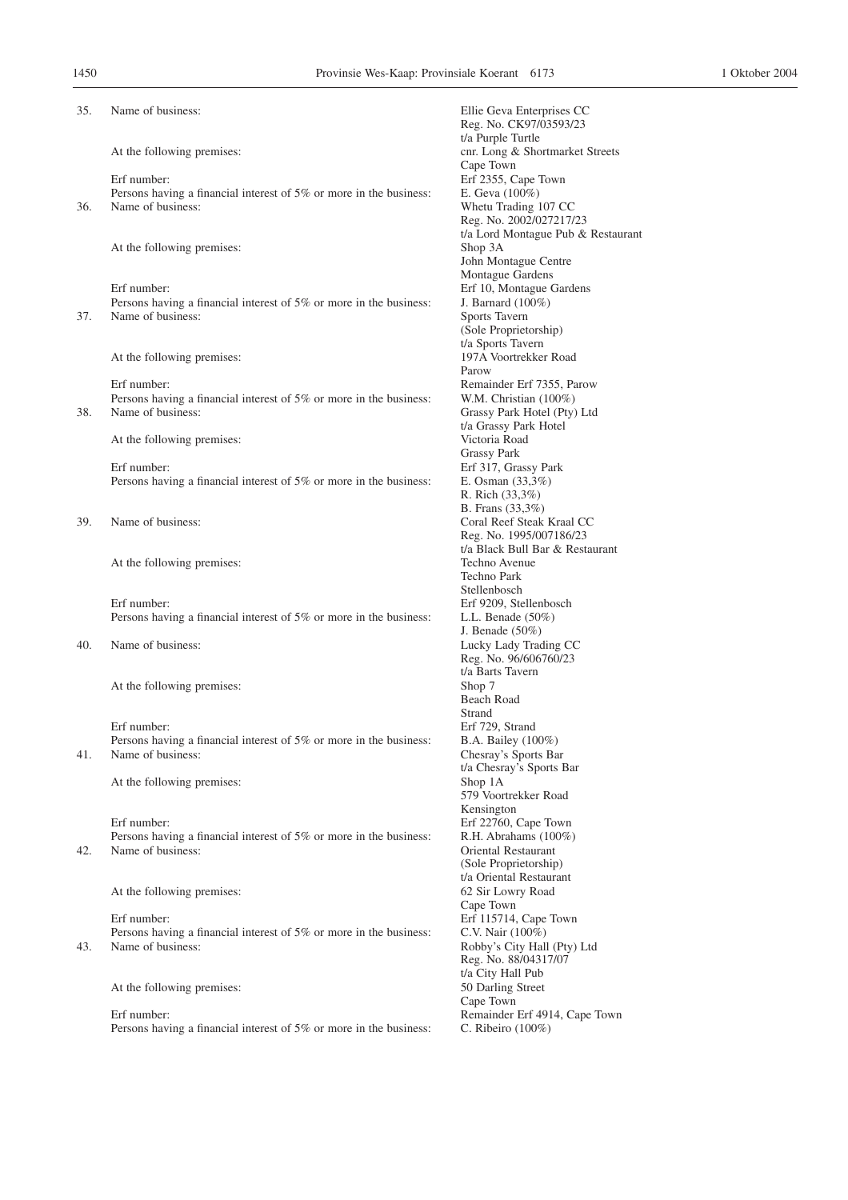| 35. | Name of business:                                                                                      | Ellie Geva Enterprises CC<br>Reg. No. CK97/03593/23                                                        |
|-----|--------------------------------------------------------------------------------------------------------|------------------------------------------------------------------------------------------------------------|
|     | At the following premises:                                                                             | t/a Purple Turtle<br>cnr. Long & Shortmarket Streets<br>Cape Town                                          |
|     | Erf number:<br>Persons having a financial interest of 5% or more in the business:                      | Erf 2355, Cape Town<br>E. Geva (100%)                                                                      |
| 36. | Name of business:                                                                                      | Whetu Trading 107 CC<br>Reg. No. 2002/027217/23<br>t/a Lord Montague Pub & Restaurant                      |
|     | At the following premises:                                                                             | Shop 3A<br>John Montague Centre<br>Montague Gardens                                                        |
|     | Erf number:<br>Persons having a financial interest of 5% or more in the business:                      | Erf 10, Montague Gardens<br>J. Barnard (100%)                                                              |
| 37. | Name of business:                                                                                      | Sports Tavern<br>(Sole Proprietorship)<br>t/a Sports Tavern                                                |
|     | At the following premises:                                                                             | 197A Voortrekker Road<br>Parow                                                                             |
| 38. | Erf number:<br>Persons having a financial interest of 5% or more in the business:<br>Name of business: | Remainder Erf 7355, Parow<br>W.M. Christian $(100\%)$<br>Grassy Park Hotel (Pty) Ltd                       |
|     | At the following premises:                                                                             | t/a Grassy Park Hotel<br>Victoria Road<br><b>Grassy Park</b>                                               |
|     | Erf number:<br>Persons having a financial interest of 5% or more in the business:                      | Erf 317, Grassy Park<br>E. Osman $(33,3%)$<br>R. Rich (33,3%)                                              |
| 39. | Name of business:                                                                                      | B. Frans (33,3%)<br>Coral Reef Steak Kraal CC<br>Reg. No. 1995/007186/23                                   |
|     | At the following premises:                                                                             | t/a Black Bull Bar & Restaurant<br>Techno Avenue<br>Techno Park                                            |
|     | Erf number:<br>Persons having a financial interest of 5% or more in the business:                      | Stellenbosch<br>Erf 9209, Stellenbosch<br>L.L. Benade $(50\%)$                                             |
| 40. | Name of business:                                                                                      | J. Benade $(50\%)$<br>Lucky Lady Trading CC<br>Reg. No. 96/606760/23                                       |
|     | At the following premises:                                                                             | t/a Barts Tavern<br>Shop 7<br>Beach Road                                                                   |
| 41. | Erf number:<br>Persons having a financial interest of 5% or more in the business:<br>Name of business: | Strand<br>Erf 729, Strand<br>B.A. Bailey (100%)<br>Chesray's Sports Bar                                    |
|     | At the following premises:                                                                             | t/a Chesray's Sports Bar<br>Shop 1A<br>579 Voortrekker Road                                                |
| 42. | Erf number:<br>Persons having a financial interest of 5% or more in the business:<br>Name of business: | Kensington<br>Erf 22760, Cape Town<br>R.H. Abrahams (100%)<br>Oriental Restaurant<br>(Sole Proprietorship) |
|     | At the following premises:                                                                             | t/a Oriental Restaurant<br>62 Sir Lowry Road                                                               |
| 43. | Erf number:<br>Persons having a financial interest of 5% or more in the business:<br>Name of business: | Cape Town<br>Erf 115714, Cape Town<br>C.V. Nair (100%)<br>Robby's City Hall (Pty) Ltd                      |
|     | At the following premises:                                                                             | Reg. No. 88/04317/07<br>t/a City Hall Pub<br>50 Darling Street<br>Cape Town                                |
|     | Erf number:<br>Persons having a financial interest of 5% or more in the business:                      | Remainder Erf 4914, Cape Town<br>C. Ribeiro (100%)                                                         |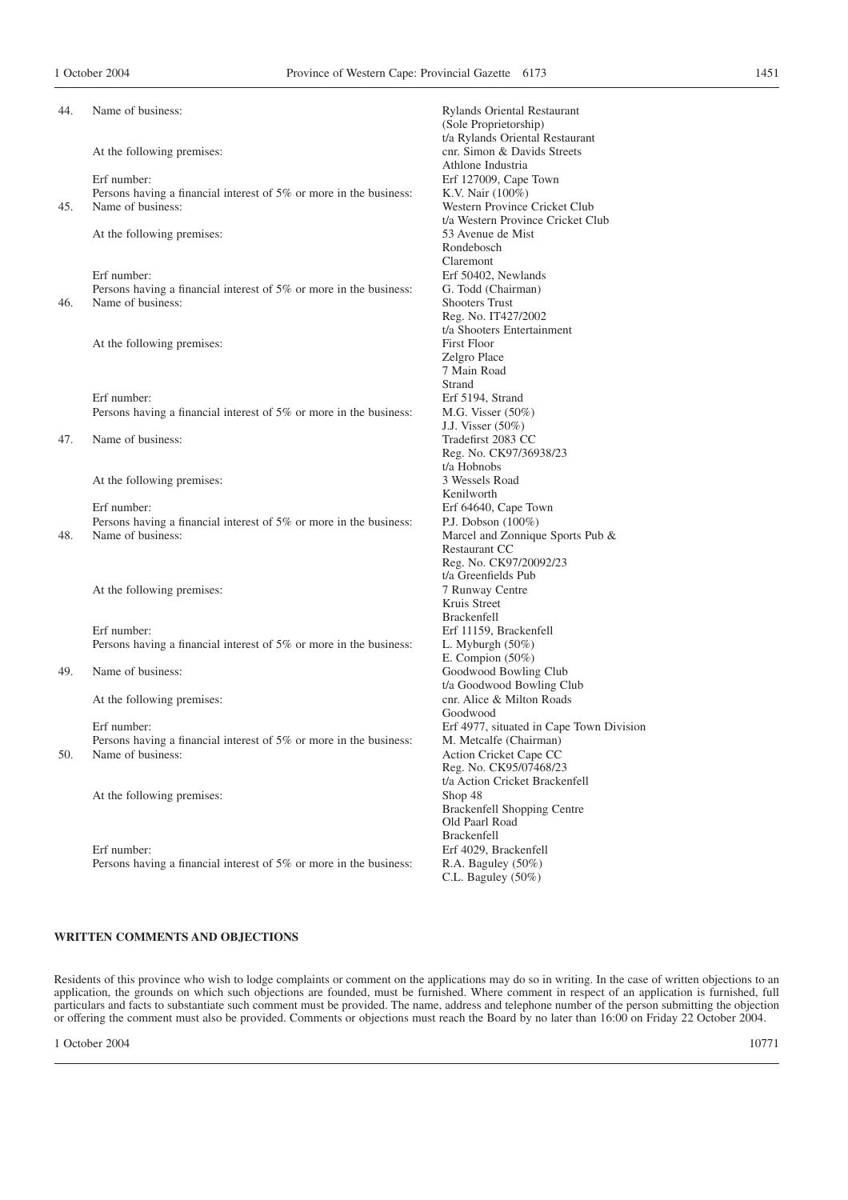| 44. | Name of business:                                                                       | Rylands Oriental Restaurant<br>(Sole Proprietorship)                                |
|-----|-----------------------------------------------------------------------------------------|-------------------------------------------------------------------------------------|
|     | At the following premises:                                                              | t/a Rylands Oriental Restaurant<br>cnr. Simon & Davids Streets<br>Athlone Industria |
|     | Erf number:                                                                             | Erf 127009, Cape Town                                                               |
|     | Persons having a financial interest of 5% or more in the business:                      | K.V. Nair (100%)                                                                    |
| 45. | Name of business:                                                                       | Western Province Cricket Club                                                       |
|     |                                                                                         | t/a Western Province Cricket Club                                                   |
|     | At the following premises:                                                              | 53 Avenue de Mist                                                                   |
|     |                                                                                         | Rondebosch                                                                          |
|     |                                                                                         | Claremont                                                                           |
|     | Erf number:                                                                             | Erf 50402, Newlands                                                                 |
|     | Persons having a financial interest of 5% or more in the business:                      | G. Todd (Chairman)                                                                  |
| 46. | Name of business:                                                                       | <b>Shooters Trust</b>                                                               |
|     |                                                                                         |                                                                                     |
|     |                                                                                         | Reg. No. IT427/2002                                                                 |
|     |                                                                                         | t/a Shooters Entertainment<br><b>First Floor</b>                                    |
|     | At the following premises:                                                              |                                                                                     |
|     |                                                                                         | Zelgro Place                                                                        |
|     |                                                                                         | 7 Main Road                                                                         |
|     |                                                                                         | Strand                                                                              |
|     | Erf number:                                                                             | Erf 5194, Strand                                                                    |
|     | Persons having a financial interest of 5% or more in the business:                      | M.G. Visser $(50\%)$                                                                |
|     |                                                                                         | J.J. Visser (50%)                                                                   |
| 47. | Name of business:                                                                       | Tradefirst 2083 CC                                                                  |
|     |                                                                                         | Reg. No. CK97/36938/23                                                              |
|     |                                                                                         | t/a Hobnobs<br>3 Wessels Road                                                       |
|     | At the following premises:                                                              | Kenilworth                                                                          |
|     |                                                                                         |                                                                                     |
|     | Erf number:                                                                             | Erf 64640, Cape Town                                                                |
| 48. | Persons having a financial interest of 5% or more in the business:<br>Name of business: | P.J. Dobson (100%)                                                                  |
|     |                                                                                         | Marcel and Zonnique Sports Pub &<br>Restaurant CC                                   |
|     |                                                                                         | Reg. No. CK97/20092/23                                                              |
|     |                                                                                         | t/a Greenfields Pub                                                                 |
|     | At the following premises:                                                              | 7 Runway Centre                                                                     |
|     |                                                                                         | Kruis Street                                                                        |
|     |                                                                                         | <b>Brackenfell</b>                                                                  |
|     | Erf number:                                                                             | Erf 11159, Brackenfell                                                              |
|     | Persons having a financial interest of 5% or more in the business:                      | L. Myburgh $(50\%)$                                                                 |
|     |                                                                                         | E. Compion $(50\%)$                                                                 |
| 49. | Name of business:                                                                       | Goodwood Bowling Club                                                               |
|     |                                                                                         | t/a Goodwood Bowling Club                                                           |
|     | At the following premises:                                                              | cnr. Alice & Milton Roads                                                           |
|     |                                                                                         | Goodwood                                                                            |
|     | Erf number:                                                                             | Erf 4977, situated in Cape Town Division                                            |
|     |                                                                                         |                                                                                     |
|     | Persons having a financial interest of 5% or more in the business:<br>Name of business: | M. Metcalfe (Chairman)                                                              |
| 50. |                                                                                         | Action Cricket Cape CC<br>Reg. No. CK95/07468/23                                    |
|     |                                                                                         | t/a Action Cricket Brackenfell                                                      |
|     | At the following premises:                                                              | Shop 48                                                                             |
|     |                                                                                         | <b>Brackenfell Shopping Centre</b>                                                  |
|     |                                                                                         | Old Paarl Road                                                                      |
|     |                                                                                         | <b>Brackenfell</b>                                                                  |
|     | Erf number:                                                                             | Erf 4029, Brackenfell                                                               |
|     |                                                                                         |                                                                                     |
|     | Persons having a financial interest of 5% or more in the business:                      | R.A. Baguley (50%)<br>C.L. Baguley (50%)                                            |
|     |                                                                                         |                                                                                     |
|     |                                                                                         |                                                                                     |

#### **WRITTEN COMMENTS AND OBJECTIONS**

Residents of this province who wish to lodge complaints or comment on the applications may do so in writing. In the case of written objections to an application, the grounds on which such objections are founded, must be furnished. Where comment in respect of an application is furnished, full particulars and facts to substantiate such comment must be provided. The name, address and telephone number of the person submitting the objection or offering the comment must also be provided. Comments or objections must reach the Board by no later than 16:00 on Friday 22 October 2004.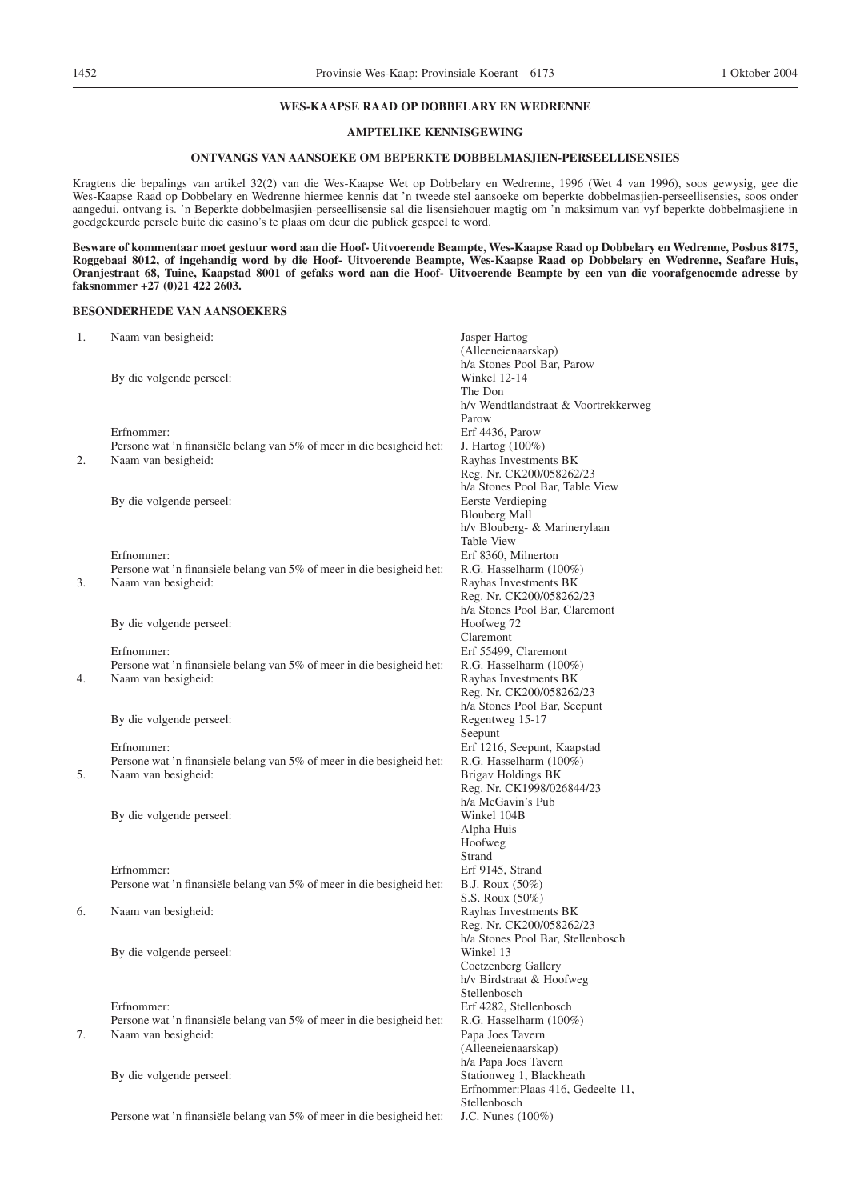#### **WES-KAAPSE RAAD OP DOBBELARY EN WEDRENNE**

# **AMPTELIKE KENNISGEWING**

#### **ONTVANGS VAN AANSOEKE OM BEPERKTE DOBBELMASJIEN-PERSEELLISENSIES**

Kragtens die bepalings van artikel 32(2) van die Wes-Kaapse Wet op Dobbelary en Wedrenne, 1996 (Wet 4 van 1996), soos gewysig, gee die Wes-Kaapse Raad op Dobbelary en Wedrenne hiermee kennis dat 'n tweede stel aansoeke om beperkte dobbelmasjien-perseellisensies, soos onder aangedui, ontvang is. 'n Beperkte dobbelmasjien-perseellisensie sal die lisensiehouer magtig om 'n maksimum van vyf beperkte dobbelmasjiene in goedgekeurde persele buite die casino's te plaas om deur die publiek gespeel te word.

**Besware of kommentaar moet gestuur word aan die Hoof- Uitvoerende Beampte, Wes-Kaapse Raad op Dobbelary en Wedrenne, Posbus 8175, Roggebaai 8012, of ingehandig word by die Hoof- Uitvoerende Beampte, Wes-Kaapse Raad op Dobbelary en Wedrenne, Seafare Huis, Oranjestraat 68, Tuine, Kaapstad 8001 of gefaks word aan die Hoof- Uitvoerende Beampte by een van die voorafgenoemde adresse by faksnommer +27 (0)21 422 2603.**

#### **BESONDERHEDE VAN AANSOEKERS**

| 1. | Naam van besigheid:                                                   | Jasper Hartog                                   |
|----|-----------------------------------------------------------------------|-------------------------------------------------|
|    |                                                                       | (Alleeneienaarskap)                             |
|    |                                                                       | h/a Stones Pool Bar, Parow                      |
|    | By die volgende perseel:                                              | Winkel 12-14                                    |
|    |                                                                       | The Don                                         |
|    |                                                                       | h/v Wendtlandstraat & Voortrekkerweg            |
|    |                                                                       | Parow                                           |
|    | Erfnommer:                                                            | Erf 4436, Parow                                 |
|    | Persone wat 'n finansiële belang van 5% of meer in die besigheid het: | J. Hartog (100%)                                |
| 2. | Naam van besigheid:                                                   | Rayhas Investments BK                           |
|    |                                                                       | Reg. Nr. CK200/058262/23                        |
|    |                                                                       | h/a Stones Pool Bar, Table View                 |
|    | By die volgende perseel:                                              | Eerste Verdieping                               |
|    |                                                                       | <b>Blouberg Mall</b>                            |
|    |                                                                       | h/v Blouberg- & Marinerylaan                    |
|    |                                                                       | <b>Table View</b>                               |
|    | Erfnommer:                                                            | Erf 8360, Milnerton                             |
|    | Persone wat 'n finansiële belang van 5% of meer in die besigheid het: | R.G. Hasselharm (100%)                          |
| 3. | Naam van besigheid:                                                   | Rayhas Investments BK                           |
|    |                                                                       | Reg. Nr. CK200/058262/23                        |
|    |                                                                       | h/a Stones Pool Bar, Claremont                  |
|    | By die volgende perseel:                                              | Hoofweg 72                                      |
|    |                                                                       | Claremont                                       |
|    | Erfnommer:                                                            | Erf 55499, Claremont                            |
|    |                                                                       |                                                 |
| 4. | Persone wat 'n finansiële belang van 5% of meer in die besigheid het: | R.G. Hasselharm (100%)<br>Rayhas Investments BK |
|    | Naam van besigheid:                                                   | Reg. Nr. CK200/058262/23                        |
|    |                                                                       | h/a Stones Pool Bar, Seepunt                    |
|    |                                                                       | Regentweg 15-17                                 |
|    | By die volgende perseel:                                              | Seepunt                                         |
|    | Erfnommer:                                                            |                                                 |
|    |                                                                       | Erf 1216, Seepunt, Kaapstad                     |
|    | Persone wat 'n finansiële belang van 5% of meer in die besigheid het: | R.G. Hasselharm (100%)                          |
| 5. | Naam van besigheid:                                                   | Brigav Holdings BK                              |
|    |                                                                       | Reg. Nr. CK1998/026844/23                       |
|    |                                                                       | h/a McGavin's Pub                               |
|    | By die volgende perseel:                                              | Winkel 104B                                     |
|    |                                                                       | Alpha Huis                                      |
|    |                                                                       | Hoofweg                                         |
|    |                                                                       | Strand                                          |
|    | Erfnommer:                                                            | Erf 9145, Strand                                |
|    | Persone wat 'n finansiële belang van 5% of meer in die besigheid het: | B.J. Roux (50%)                                 |
|    |                                                                       | S.S. Roux (50%)                                 |
| 6. | Naam van besigheid:                                                   | Rayhas Investments BK                           |
|    |                                                                       | Reg. Nr. CK200/058262/23                        |
|    |                                                                       | h/a Stones Pool Bar, Stellenbosch               |
|    | By die volgende perseel:                                              | Winkel 13                                       |
|    |                                                                       | Coetzenberg Gallery                             |
|    |                                                                       | h/v Birdstraat & Hoofweg                        |
|    |                                                                       | Stellenbosch                                    |
|    | Erfnommer:                                                            | Erf 4282, Stellenbosch                          |
|    | Persone wat 'n finansiële belang van 5% of meer in die besigheid het: | R.G. Hasselharm (100%)                          |
| 7. | Naam van besigheid:                                                   | Papa Joes Tavern                                |
|    |                                                                       | (Alleeneienaarskap)                             |
|    |                                                                       | h/a Papa Joes Tavern                            |
|    | By die volgende perseel:                                              | Stationweg 1, Blackheath                        |
|    |                                                                       | Erfnommer: Plaas 416, Gedeelte 11,              |
|    |                                                                       | Stellenbosch                                    |
|    | Persone wat 'n finansiële belang van 5% of meer in die besigheid het: | J.C. Nunes (100%)                               |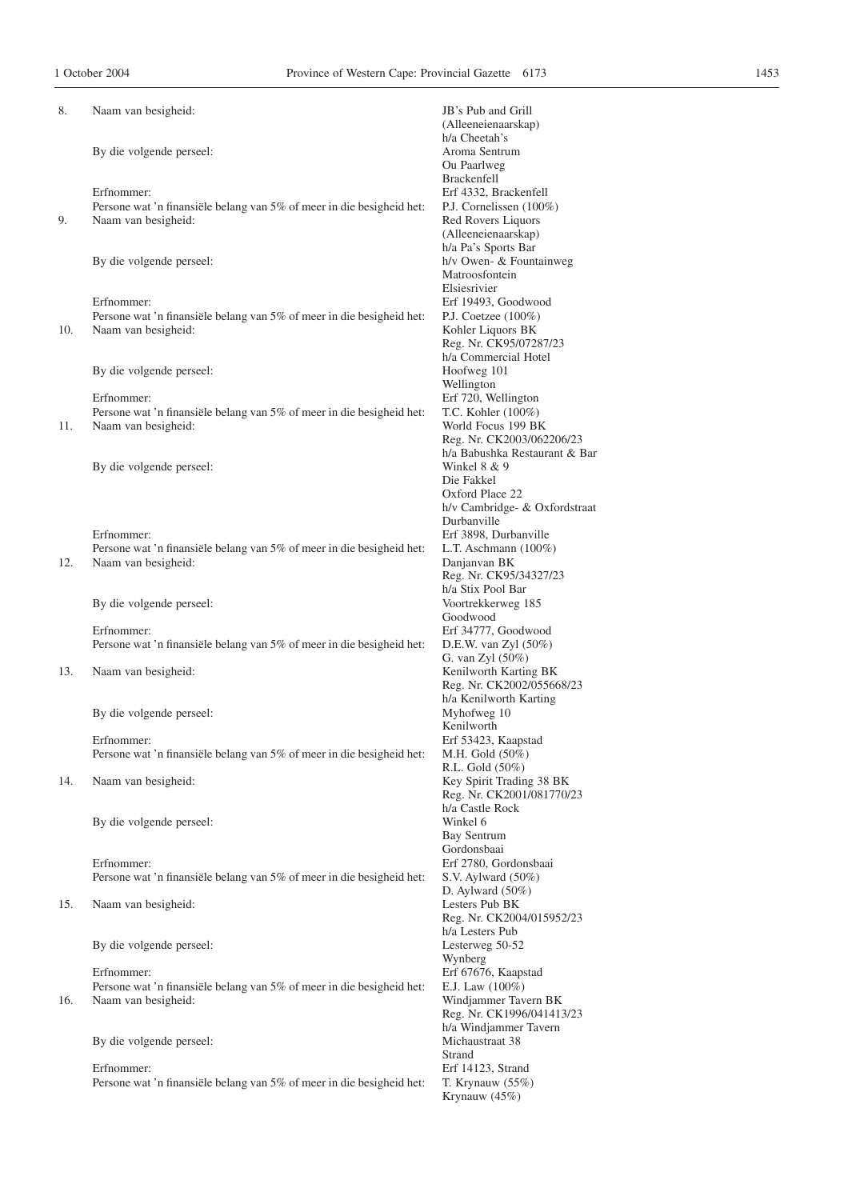Krynauw (45%)

| 8.  | Naam van besigheid:                                                                          | JB's Pub and Grill                                    |
|-----|----------------------------------------------------------------------------------------------|-------------------------------------------------------|
|     |                                                                                              | (Alleeneienaarskap)<br>h/a Cheetah's                  |
|     | By die volgende perseel:                                                                     | Aroma Sentrum                                         |
|     |                                                                                              | Ou Paarlweg                                           |
|     | Erfnommer:                                                                                   | Brackenfell<br>Erf 4332, Brackenfell                  |
|     | Persone wat 'n finansiële belang van 5% of meer in die besigheid het:                        | P.J. Cornelissen (100%)                               |
| 9.  | Naam van besigheid:                                                                          | Red Rovers Liquors                                    |
|     |                                                                                              | (Alleeneienaarskap)                                   |
|     | By die volgende perseel:                                                                     | h/a Pa's Sports Bar<br>h/v Owen- & Fountainweg        |
|     |                                                                                              | Matroosfontein                                        |
|     |                                                                                              | Elsiesrivier                                          |
|     | Erfnommer:<br>Persone wat 'n finansiële belang van 5% of meer in die besigheid het:          | Erf 19493, Goodwood<br>P.J. Coetzee $(100\%)$         |
| 10. | Naam van besigheid:                                                                          | Kohler Liquors BK                                     |
|     |                                                                                              | Reg. Nr. CK95/07287/23                                |
|     | By die volgende perseel:                                                                     | h/a Commercial Hotel<br>Hoofweg 101                   |
|     |                                                                                              | Wellington                                            |
|     | Erfnommer:                                                                                   | Erf 720, Wellington                                   |
| 11. | Persone wat 'n finansiële belang van 5% of meer in die besigheid het:<br>Naam van besigheid: | T.C. Kohler (100%)<br>World Focus 199 BK              |
|     |                                                                                              | Reg. Nr. CK2003/062206/23                             |
|     |                                                                                              | h/a Babushka Restaurant & Bar                         |
|     | By die volgende perseel:                                                                     | Winkel 8 & 9<br>Die Fakkel                            |
|     |                                                                                              | Oxford Place 22                                       |
|     |                                                                                              | h/v Cambridge- & Oxfordstraat                         |
|     | Erfnommer:                                                                                   | Durbanville<br>Erf 3898, Durbanville                  |
|     | Persone wat 'n finansiële belang van 5% of meer in die besigheid het:                        | L.T. Aschmann $(100\%)$                               |
| 12. | Naam van besigheid:                                                                          | Danjanvan BK                                          |
|     |                                                                                              | Reg. Nr. CK95/34327/23<br>h/a Stix Pool Bar           |
|     | By die volgende perseel:                                                                     | Voortrekkerweg 185                                    |
|     | Erfnommer:                                                                                   | Goodwood<br>Erf 34777, Goodwood                       |
|     | Persone wat 'n finansiële belang van 5% of meer in die besigheid het:                        | D.E.W. van Zyl $(50\%)$                               |
|     |                                                                                              | G. van Zyl (50%)                                      |
| 13. | Naam van besigheid:                                                                          | Kenilworth Karting BK<br>Reg. Nr. CK2002/055668/23    |
|     |                                                                                              | h/a Kenilworth Karting                                |
|     | By die volgende perseel:                                                                     | Myhofweg 10                                           |
|     | Erfnommer:                                                                                   | Kenilworth<br>Erf 53423, Kaapstad                     |
|     | Persone wat 'n finansiële belang van 5% of meer in die besigheid het:                        | M.H. Gold (50%)                                       |
|     |                                                                                              | R.L. Gold (50%)                                       |
| 14. | Naam van besigheid:                                                                          | Key Spirit Trading 38 BK<br>Reg. Nr. CK2001/081770/23 |
|     |                                                                                              | h/a Castle Rock                                       |
|     | By die volgende perseel:                                                                     | Winkel 6                                              |
|     |                                                                                              | Bay Sentrum<br>Gordonsbaai                            |
|     | Erfnommer:                                                                                   | Erf 2780, Gordonsbaai                                 |
|     | Persone wat 'n finansiële belang van 5% of meer in die besigheid het:                        | S.V. Aylward $(50\%)$                                 |
| 15. | Naam van besigheid:                                                                          | D. Aylward $(50\%)$<br>Lesters Pub BK                 |
|     |                                                                                              | Reg. Nr. CK2004/015952/23                             |
|     |                                                                                              | h/a Lesters Pub                                       |
|     | By die volgende perseel:                                                                     | Lesterweg 50-52<br>Wynberg                            |
|     | Erfnommer:                                                                                   | Erf 67676, Kaapstad                                   |
|     | Persone wat 'n finansiële belang van 5% of meer in die besigheid het:                        | E.J. Law $(100\%)$                                    |
| 16. | Naam van besigheid:                                                                          | Windjammer Tavern BK<br>Reg. Nr. CK1996/041413/23     |
|     |                                                                                              | h/a Windjammer Tavern                                 |
|     | By die volgende perseel:                                                                     | Michaustraat 38                                       |
|     | Erfnommer:                                                                                   | Strand<br>Erf 14123, Strand                           |
|     | Persone wat 'n finansiële belang van 5% of meer in die besigheid het:                        | T. Krynauw $(55\%)$                                   |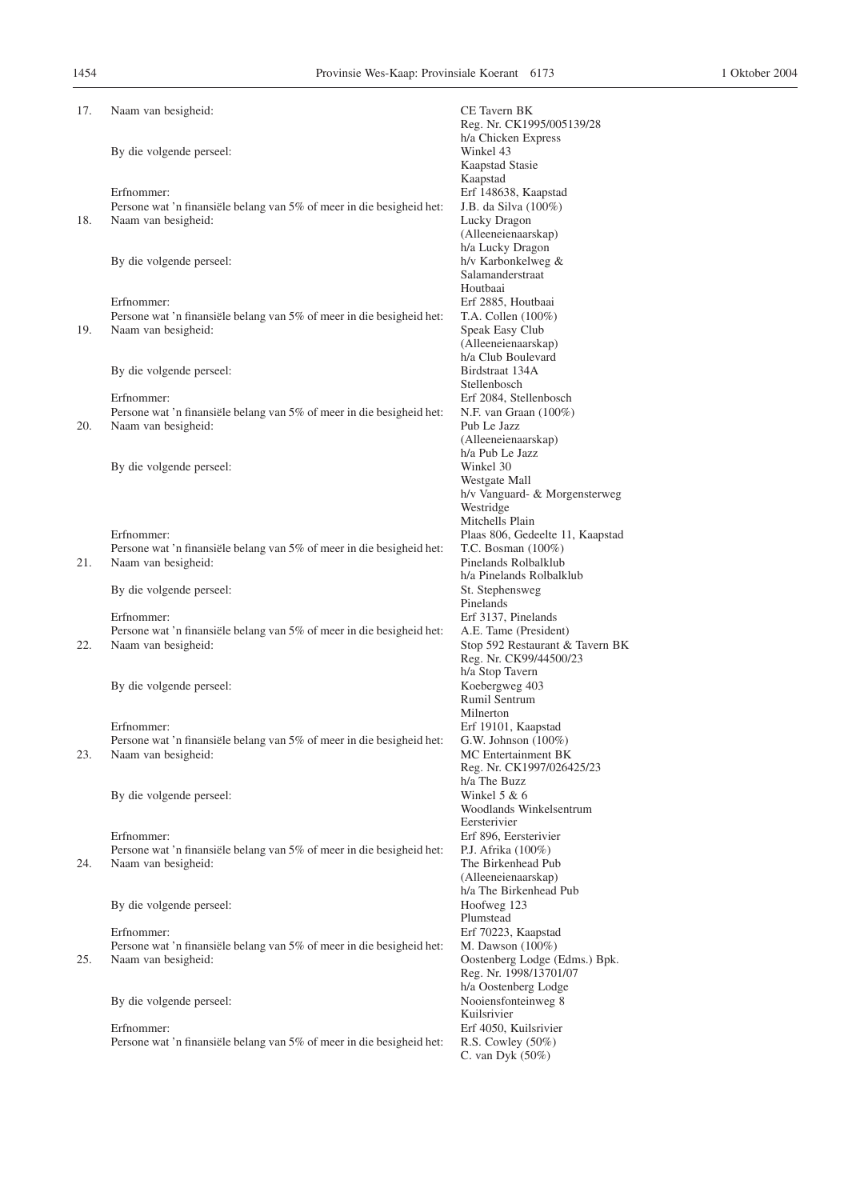| 17. | Naam van besigheid:                                                                                        | <b>CE</b> Tavern BK<br>Reg. Nr. CK1995/005139/28                                                                                 |
|-----|------------------------------------------------------------------------------------------------------------|----------------------------------------------------------------------------------------------------------------------------------|
|     | By die volgende perseel:                                                                                   | h/a Chicken Express<br>Winkel 43<br>Kaapstad Stasie<br>Kaapstad                                                                  |
| 18. | Erfnommer:<br>Persone wat 'n finansiële belang van 5% of meer in die besigheid het:<br>Naam van besigheid: | Erf 148638, Kaapstad<br>J.B. da Silva (100%)<br>Lucky Dragon<br>(Alleeneienaarskap)                                              |
|     | By die volgende perseel:                                                                                   | h/a Lucky Dragon<br>h/v Karbonkelweg &<br>Salamanderstraat                                                                       |
| 19. | Erfnommer:<br>Persone wat 'n finansiële belang van 5% of meer in die besigheid het:<br>Naam van besigheid: | Houtbaai<br>Erf 2885, Houtbaai<br>T.A. Collen $(100\%)$<br>Speak Easy Club<br>(Alleeneienaarskap)<br>h/a Club Boulevard          |
|     | By die volgende perseel:                                                                                   | Birdstraat 134A<br>Stellenbosch                                                                                                  |
| 20. | Erfnommer:<br>Persone wat 'n finansiële belang van 5% of meer in die besigheid het:<br>Naam van besigheid: | Erf 2084, Stellenbosch<br>N.F. van Graan $(100\%)$<br>Pub Le Jazz<br>(Alleeneienaarskap)                                         |
|     | By die volgende perseel:                                                                                   | h/a Pub Le Jazz<br>Winkel 30<br>Westgate Mall<br>h/v Vanguard- & Morgensterweg<br>Westridge                                      |
| 21. | Erfnommer:<br>Persone wat 'n finansiële belang van 5% of meer in die besigheid het:<br>Naam van besigheid: | Mitchells Plain<br>Plaas 806, Gedeelte 11, Kaapstad<br>T.C. Bosman $(100\%)$<br>Pinelands Rolbalklub<br>h/a Pinelands Rolbalklub |
|     | By die volgende perseel:                                                                                   | St. Stephensweg<br>Pinelands                                                                                                     |
| 22. | Erfnommer:<br>Persone wat 'n finansiële belang van 5% of meer in die besigheid het:<br>Naam van besigheid: | Erf 3137, Pinelands<br>A.E. Tame (President)<br>Stop 592 Restaurant & Tavern BK<br>Reg. Nr. CK99/44500/23                        |
|     | By die volgende perseel:                                                                                   | h/a Stop Tavern<br>Koebergweg 403<br>Rumil Sentrum<br>Milnerton                                                                  |
| 23. | Erfnommer:<br>Persone wat 'n finansiële belang van 5% of meer in die besigheid het:<br>Naam van besigheid: | Erf 19101, Kaapstad<br>G.W. Johnson $(100\%)$<br>MC Entertainment BK<br>Reg. Nr. CK1997/026425/23<br>h/a The Buzz                |
|     | By die volgende perseel:                                                                                   | Winkel $5 & 6$<br>Woodlands Winkelsentrum<br>Eersterivier                                                                        |
| 24. | Erfnommer:<br>Persone wat 'n finansiële belang van 5% of meer in die besigheid het:<br>Naam van besigheid: | Erf 896, Eersterivier<br>P.J. Afrika (100%)<br>The Birkenhead Pub<br>(Alleeneienaarskap)                                         |
|     | By die volgende perseel:                                                                                   | h/a The Birkenhead Pub<br>Hoofweg 123<br>Plumstead                                                                               |
| 25. | Erfnommer:<br>Persone wat 'n finansiële belang van 5% of meer in die besigheid het:<br>Naam van besigheid: | Erf 70223, Kaapstad<br>M. Dawson (100%)<br>Oostenberg Lodge (Edms.) Bpk.<br>Reg. Nr. 1998/13701/07                               |
|     | By die volgende perseel:                                                                                   | h/a Oostenberg Lodge<br>Nooiensfonteinweg 8<br>Kuilsrivier                                                                       |
|     | Erfnommer:<br>Persone wat 'n finansiële belang van 5% of meer in die besigheid het:                        | Erf 4050, Kuilsrivier<br>R.S. Cowley $(50\%)$<br>C. van Dyk $(50\%)$                                                             |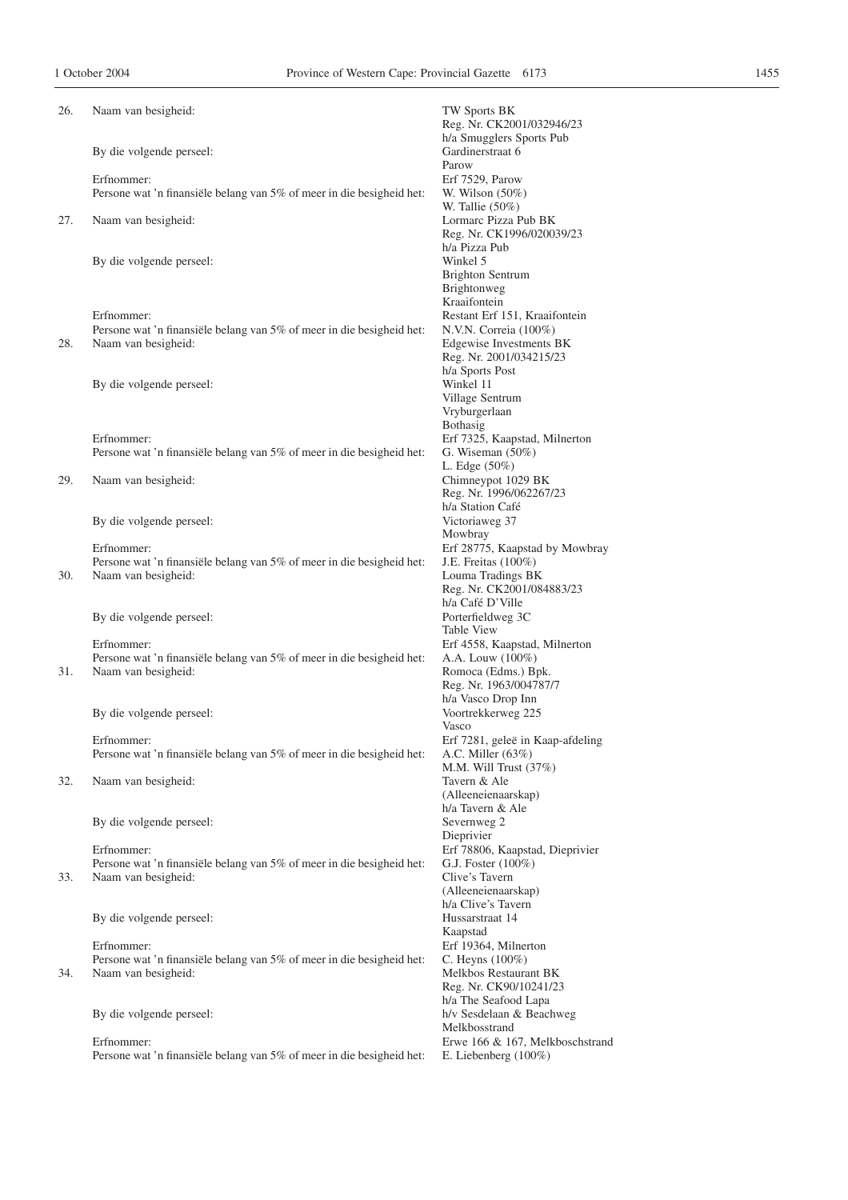| 26. | Naam van besigheid:                                                                          | TW Sports BK<br>Reg. Nr. CK2001/032946/23               |
|-----|----------------------------------------------------------------------------------------------|---------------------------------------------------------|
|     | By die volgende perseel:                                                                     | h/a Smugglers Sports Pub<br>Gardinerstraat 6<br>Parow   |
|     | Erfnommer:                                                                                   | Erf 7529, Parow                                         |
|     | Persone wat 'n finansiële belang van 5% of meer in die besigheid het:                        | W. Wilson $(50\%)$                                      |
|     |                                                                                              | W. Tallie $(50\%)$                                      |
| 27. | Naam van besigheid:                                                                          | Lormarc Pizza Pub BK                                    |
|     |                                                                                              | Reg. Nr. CK1996/020039/23                               |
|     |                                                                                              | h/a Pizza Pub                                           |
|     | By die volgende perseel:                                                                     | Winkel 5<br><b>Brighton Sentrum</b>                     |
|     |                                                                                              | Brightonweg                                             |
|     |                                                                                              | Kraaifontein                                            |
|     | Erfnommer:                                                                                   | Restant Erf 151, Kraaifontein                           |
|     | Persone wat 'n finansiële belang van 5% of meer in die besigheid het:                        | N.V.N. Correia (100%)                                   |
| 28. | Naam van besigheid:                                                                          | Edgewise Investments BK                                 |
|     |                                                                                              | Reg. Nr. 2001/034215/23                                 |
|     | By die volgende perseel:                                                                     | h/a Sports Post<br>Winkel 11                            |
|     |                                                                                              | Village Sentrum                                         |
|     |                                                                                              | Vryburgerlaan                                           |
|     |                                                                                              | Bothasig                                                |
|     | Erfnommer:                                                                                   | Erf 7325, Kaapstad, Milnerton                           |
|     | Persone wat 'n finansiële belang van 5% of meer in die besigheid het:                        | G. Wiseman $(50\%)$                                     |
| 29. | Naam van besigheid:                                                                          | L. Edge $(50\%)$<br>Chimneypot 1029 BK                  |
|     |                                                                                              | Reg. Nr. 1996/062267/23                                 |
|     |                                                                                              | h/a Station Café                                        |
|     | By die volgende perseel:                                                                     | Victoriaweg 37                                          |
|     |                                                                                              | Mowbray                                                 |
|     | Erfnommer:                                                                                   | Erf 28775, Kaapstad by Mowbray                          |
| 30. | Persone wat 'n finansiële belang van 5% of meer in die besigheid het:<br>Naam van besigheid: | J.E. Freitas (100%)<br>Louma Tradings BK                |
|     |                                                                                              | Reg. Nr. CK2001/084883/23                               |
|     |                                                                                              | h/a Café D'Ville                                        |
|     | By die volgende perseel:                                                                     | Porterfieldweg 3C                                       |
|     |                                                                                              | <b>Table View</b>                                       |
|     | Erfnommer:                                                                                   | Erf 4558, Kaapstad, Milnerton                           |
| 31. | Persone wat 'n finansiële belang van 5% of meer in die besigheid het:<br>Naam van besigheid: | A.A. Louw (100%)<br>Romoca (Edms.) Bpk.                 |
|     |                                                                                              | Reg. Nr. 1963/004787/7                                  |
|     |                                                                                              | h/a Vasco Drop Inn                                      |
|     | By die volgende perseel:                                                                     | Voortrekkerweg 225                                      |
|     |                                                                                              | Vasco                                                   |
|     | Erfnommer:<br>Persone wat 'n finansiële belang van 5% of meer in die besigheid het:          | Erf 7281, geleë in Kaap-afdeling<br>A.C. Miller $(63%)$ |
|     |                                                                                              | M.M. Will Trust $(37%)$                                 |
| 32. | Naam van besigheid:                                                                          | Tavern & Ale                                            |
|     |                                                                                              | (Alleeneienaarskap)                                     |
|     |                                                                                              | h/a Tavern & Ale                                        |
|     | By die volgende perseel:                                                                     | Severnweg 2                                             |
|     | Erfnommer:                                                                                   | Dieprivier<br>Erf 78806, Kaapstad, Dieprivier           |
|     | Persone wat 'n finansiële belang van 5% of meer in die besigheid het:                        | G.J. Foster (100%)                                      |
| 33. | Naam van besigheid:                                                                          | Clive's Tavern                                          |
|     |                                                                                              | (Alleeneienaarskap)                                     |
|     |                                                                                              | h/a Clive's Tavern                                      |
|     | By die volgende perseel:                                                                     | Hussarstraat 14<br>Kaapstad                             |
|     | Erfnommer:                                                                                   | Erf 19364, Milnerton                                    |
|     | Persone wat 'n finansiële belang van 5% of meer in die besigheid het:                        | C. Heyns (100%)                                         |
| 34. | Naam van besigheid:                                                                          | Melkbos Restaurant BK                                   |
|     |                                                                                              | Reg. Nr. CK90/10241/23                                  |
|     |                                                                                              | h/a The Seafood Lapa                                    |
|     | By die volgende perseel:                                                                     | h/v Sesdelaan & Beachweg<br>Melkbosstrand               |
|     | Erfnommer:                                                                                   | Erwe 166 & 167, Melkboschstrand                         |
|     | Persone wat 'n finansiële belang van 5% of meer in die besigheid het:                        | E. Liebenberg $(100\%)$                                 |
|     |                                                                                              |                                                         |
|     |                                                                                              |                                                         |
|     |                                                                                              |                                                         |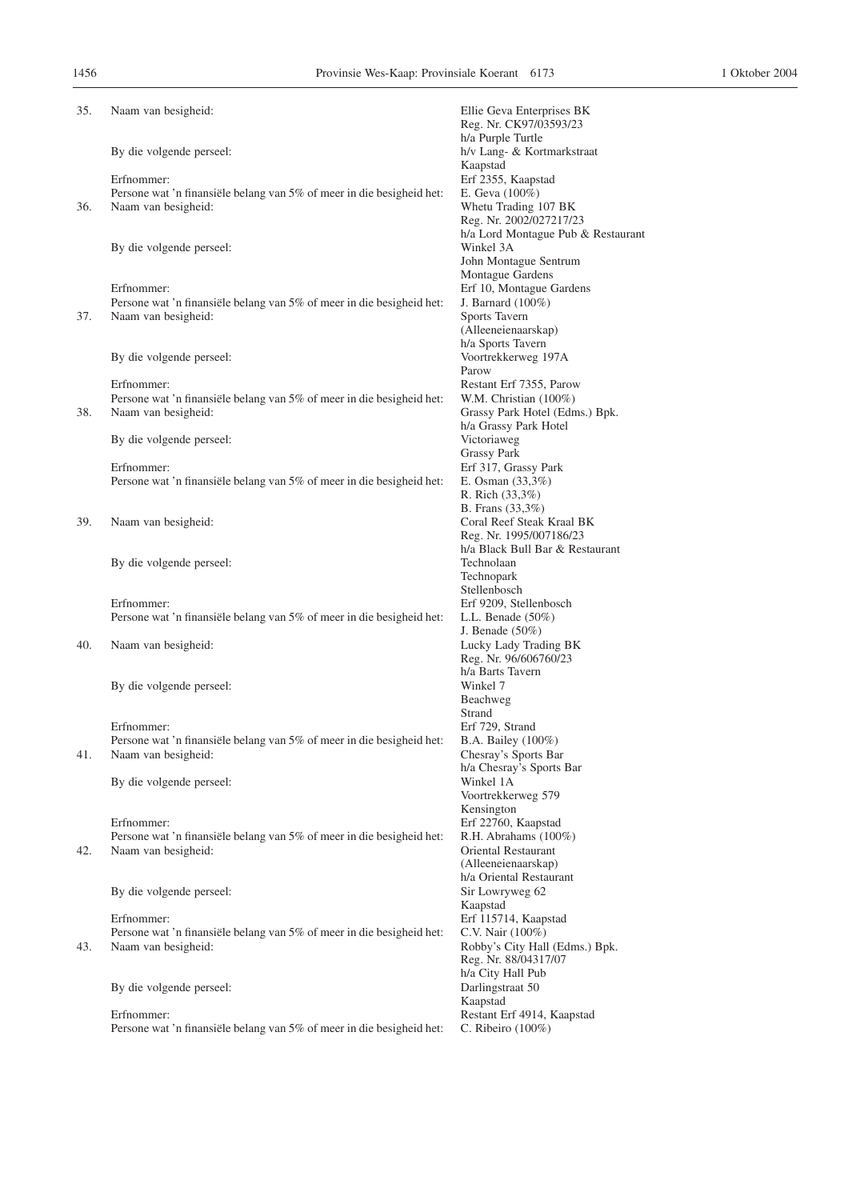| 35. | Naam van besigheid:                                                                          | Ellie Geva Enterprises BK<br>Reg. Nr. CK97/03593/23         |
|-----|----------------------------------------------------------------------------------------------|-------------------------------------------------------------|
|     | By die volgende perseel:                                                                     | h/a Purple Turtle<br>h/v Lang- & Kortmarkstraat<br>Kaapstad |
|     | Erfnommer:                                                                                   | Erf 2355, Kaapstad                                          |
|     | Persone wat 'n finansiële belang van 5% of meer in die besigheid het:                        | E. Geva $(100\%)$                                           |
| 36. | Naam van besigheid:                                                                          | Whetu Trading 107 BK<br>Reg. Nr. 2002/027217/23             |
|     |                                                                                              | h/a Lord Montague Pub & Restaurant                          |
|     | By die volgende perseel:                                                                     | Winkel 3A                                                   |
|     |                                                                                              | John Montague Sentrum                                       |
|     |                                                                                              | Montague Gardens                                            |
|     | Erfnommer:                                                                                   | Erf 10, Montague Gardens                                    |
| 37. | Persone wat 'n finansiële belang van 5% of meer in die besigheid het:<br>Naam van besigheid: | J. Barnard $(100\%)$<br>Sports Tavern                       |
|     |                                                                                              | (Alleeneienaarskap)                                         |
|     |                                                                                              | h/a Sports Tavern                                           |
|     | By die volgende perseel:                                                                     | Voortrekkerweg 197A                                         |
|     |                                                                                              | Parow                                                       |
|     | Erfnommer:<br>Persone wat 'n finansiële belang van 5% of meer in die besigheid het:          | Restant Erf 7355, Parow<br>W.M. Christian $(100\%)$         |
| 38. | Naam van besigheid:                                                                          | Grassy Park Hotel (Edms.) Bpk.                              |
|     |                                                                                              | h/a Grassy Park Hotel                                       |
|     | By die volgende perseel:                                                                     | Victoriaweg                                                 |
|     |                                                                                              | <b>Grassy Park</b>                                          |
|     | Erfnommer:<br>Persone wat 'n finansiële belang van 5% of meer in die besigheid het:          | Erf 317, Grassy Park<br>E. Osman $(33,3\%)$                 |
|     |                                                                                              | R. Rich (33,3%)                                             |
|     |                                                                                              | B. Frans (33,3%)                                            |
| 39. | Naam van besigheid:                                                                          | Coral Reef Steak Kraal BK                                   |
|     |                                                                                              | Reg. Nr. 1995/007186/23                                     |
|     | By die volgende perseel:                                                                     | h/a Black Bull Bar & Restaurant<br>Technolaan               |
|     |                                                                                              | Technopark                                                  |
|     |                                                                                              | Stellenbosch                                                |
|     | Erfnommer:                                                                                   | Erf 9209, Stellenbosch                                      |
|     | Persone wat 'n finansiële belang van 5% of meer in die besigheid het:                        | L.L. Benade $(50\%)$                                        |
| 40. | Naam van besigheid:                                                                          | J. Benade $(50\%)$<br>Lucky Lady Trading BK                 |
|     |                                                                                              | Reg. Nr. 96/606760/23                                       |
|     |                                                                                              | h/a Barts Tavern                                            |
|     | By die volgende perseel:                                                                     | Winkel 7                                                    |
|     |                                                                                              | Beachweg                                                    |
|     | Erfnommer:                                                                                   | Strand<br>Erf 729, Strand                                   |
|     | Persone wat 'n finansiële belang van 5% of meer in die besigheid het:                        | B.A. Bailey (100%)                                          |
| 41. | Naam van besigheid:                                                                          | Chesray's Sports Bar                                        |
|     |                                                                                              | h/a Chesray's Sports Bar                                    |
|     | By die volgende perseel:                                                                     | Winkel 1A                                                   |
|     |                                                                                              | Voortrekkerweg 579<br>Kensington                            |
|     | Erfnommer:                                                                                   | Erf 22760, Kaapstad                                         |
|     | Persone wat 'n finansiële belang van 5% of meer in die besigheid het:                        | R.H. Abrahams (100%)                                        |
| 42. | Naam van besigheid:                                                                          | Oriental Restaurant                                         |
|     |                                                                                              | (Alleeneienaarskap)                                         |
|     | By die volgende perseel:                                                                     | h/a Oriental Restaurant<br>Sir Lowryweg 62                  |
|     |                                                                                              | Kaapstad                                                    |
|     | Erfnommer:                                                                                   | Erf 115714, Kaapstad                                        |
|     | Persone wat 'n finansiële belang van 5% of meer in die besigheid het:                        | C.V. Nair (100%)                                            |
| 43. | Naam van besigheid:                                                                          | Robby's City Hall (Edms.) Bpk.<br>Reg. Nr. 88/04317/07      |
|     |                                                                                              | h/a City Hall Pub                                           |
|     | By die volgende perseel:                                                                     | Darlingstraat 50                                            |
|     |                                                                                              | Kaapstad                                                    |
|     | Erfnommer:                                                                                   | Restant Erf 4914, Kaapstad                                  |
|     | Persone wat 'n finansiële belang van 5% of meer in die besigheid het:                        | C. Ribeiro (100%)                                           |
|     |                                                                                              |                                                             |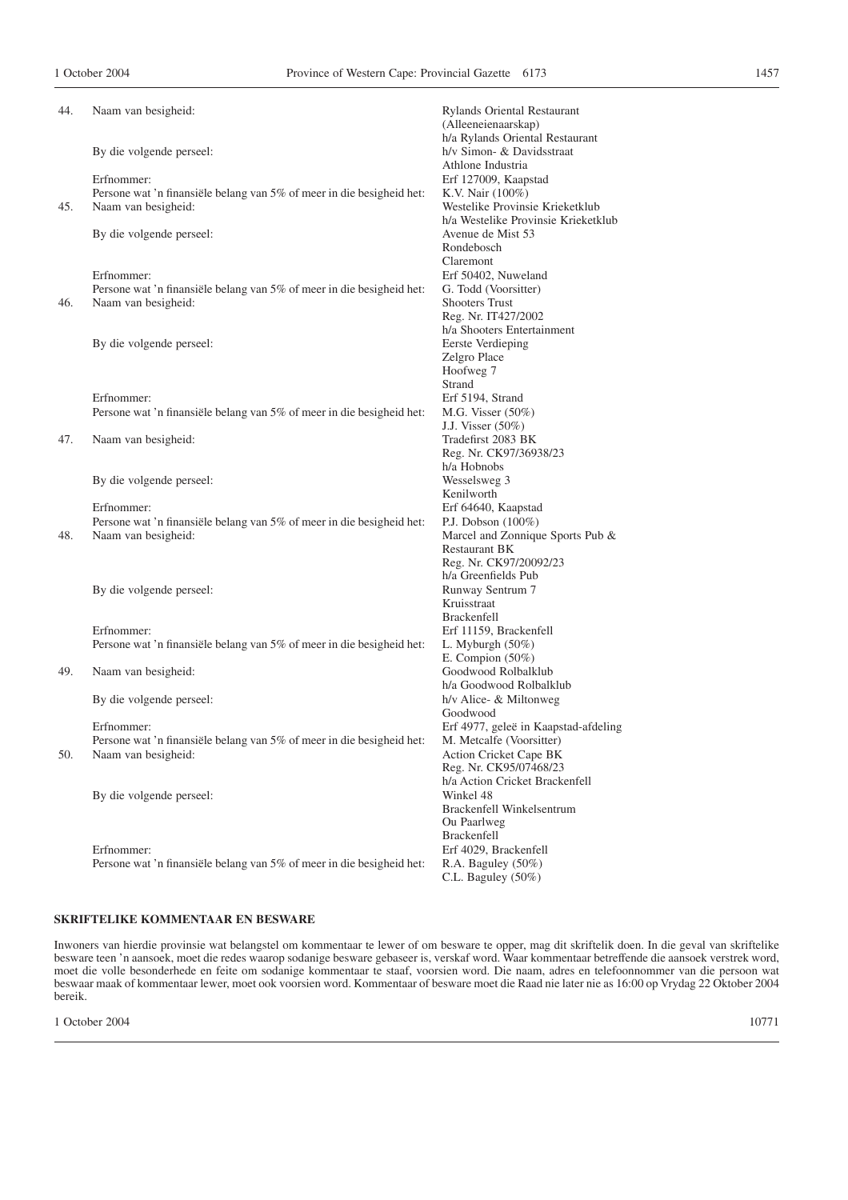| 44. | Naam van besigheid:                                                   | Rylands Oriental Restaurant<br>(Alleeneienaarskap) |
|-----|-----------------------------------------------------------------------|----------------------------------------------------|
|     |                                                                       | h/a Rylands Oriental Restaurant                    |
|     | By die volgende perseel:                                              | h/v Simon- & Davidsstraat                          |
|     |                                                                       | Athlone Industria                                  |
|     | Erfnommer:                                                            | Erf 127009, Kaapstad                               |
|     | Persone wat 'n finansiële belang van 5% of meer in die besigheid het: | K.V. Nair (100%)                                   |
| 45. | Naam van besigheid:                                                   | Westelike Provinsie Krieketklub                    |
|     |                                                                       | h/a Westelike Provinsie Krieketklub                |
|     | By die volgende perseel:                                              | Avenue de Mist 53                                  |
|     |                                                                       | Rondebosch                                         |
|     |                                                                       | Claremont                                          |
|     | Erfnommer:                                                            | Erf 50402, Nuweland                                |
|     | Persone wat 'n finansiële belang van 5% of meer in die besigheid het: | G. Todd (Voorsitter)                               |
| 46. | Naam van besigheid:                                                   | <b>Shooters Trust</b>                              |
|     |                                                                       | Reg. Nr. IT427/2002                                |
|     |                                                                       | h/a Shooters Entertainment                         |
|     | By die volgende perseel:                                              | Eerste Verdieping                                  |
|     |                                                                       | Zelgro Place                                       |
|     |                                                                       | Hoofweg 7                                          |
|     |                                                                       | Strand                                             |
|     | Erfnommer:                                                            | Erf 5194, Strand                                   |
|     | Persone wat 'n finansiële belang van 5% of meer in die besigheid het: | M.G. Visser $(50\%)$                               |
|     |                                                                       | J.J. Visser $(50\%)$                               |
| 47. | Naam van besigheid:                                                   | Tradefirst 2083 BK                                 |
|     |                                                                       | Reg. Nr. CK97/36938/23                             |
|     |                                                                       | h/a Hobnobs                                        |
|     | By die volgende perseel:                                              | Wesselsweg 3                                       |
|     |                                                                       | Kenilworth                                         |
|     | Erfnommer:                                                            | Erf 64640, Kaapstad                                |
|     | Persone wat 'n finansiële belang van 5% of meer in die besigheid het: | P.J. Dobson (100%)                                 |
| 48. | Naam van besigheid:                                                   | Marcel and Zonnique Sports Pub &                   |
|     |                                                                       | <b>Restaurant BK</b>                               |
|     |                                                                       | Reg. Nr. CK97/20092/23                             |
|     |                                                                       | h/a Greenfields Pub                                |
|     | By die volgende perseel:                                              | Runway Sentrum 7                                   |
|     |                                                                       | Kruisstraat                                        |
|     |                                                                       | <b>Brackenfell</b>                                 |
|     | Erfnommer:                                                            | Erf 11159, Brackenfell                             |
|     | Persone wat 'n finansiële belang van 5% of meer in die besigheid het: | L. Myburgh $(50\%)$                                |
|     |                                                                       | E. Compion $(50\%)$                                |
| 49. | Naam van besigheid:                                                   | Goodwood Rolbalklub                                |
|     |                                                                       | h/a Goodwood Rolbalklub                            |
|     | By die volgende perseel:                                              | h/v Alice- & Miltonweg                             |
|     |                                                                       | Goodwood                                           |
|     | Erfnommer:                                                            | Erf 4977, geleë in Kaapstad-afdeling               |
|     | Persone wat 'n finansiële belang van 5% of meer in die besigheid het: | M. Metcalfe (Voorsitter)                           |
| 50. | Naam van besigheid:                                                   | Action Cricket Cape BK<br>Reg. Nr. CK95/07468/23   |
|     |                                                                       | h/a Action Cricket Brackenfell                     |
|     | By die volgende perseel:                                              | Winkel 48                                          |
|     |                                                                       | Brackenfell Winkelsentrum                          |
|     |                                                                       | Ou Paarlweg                                        |
|     |                                                                       | Brackenfell                                        |
|     | Erfnommer:                                                            | Erf 4029, Brackenfell                              |
|     | Persone wat 'n finansiële belang van 5% of meer in die besigheid het: | R.A. Baguley (50%)                                 |
|     |                                                                       | C.L. Baguley (50%)                                 |
|     |                                                                       |                                                    |

# **SKRIFTELIKE KOMMENTAAR EN BESWARE**

Inwoners van hierdie provinsie wat belangstel om kommentaar te lewer of om besware te opper, mag dit skriftelik doen. In die geval van skriftelike besware teen 'n aansoek, moet die redes waarop sodanige besware gebaseer is, verskaf word. Waar kommentaar betreffende die aansoek verstrek word, moet die volle besonderhede en feite om sodanige kommentaar te staaf, voorsien word. Die naam, adres en telefoonnommer van die persoon wat beswaar maak of kommentaar lewer, moet ook voorsien word. Kommentaar of besware moet die Raad nie later nie as 16:00 op Vrydag 22 Oktober 2004 bereik.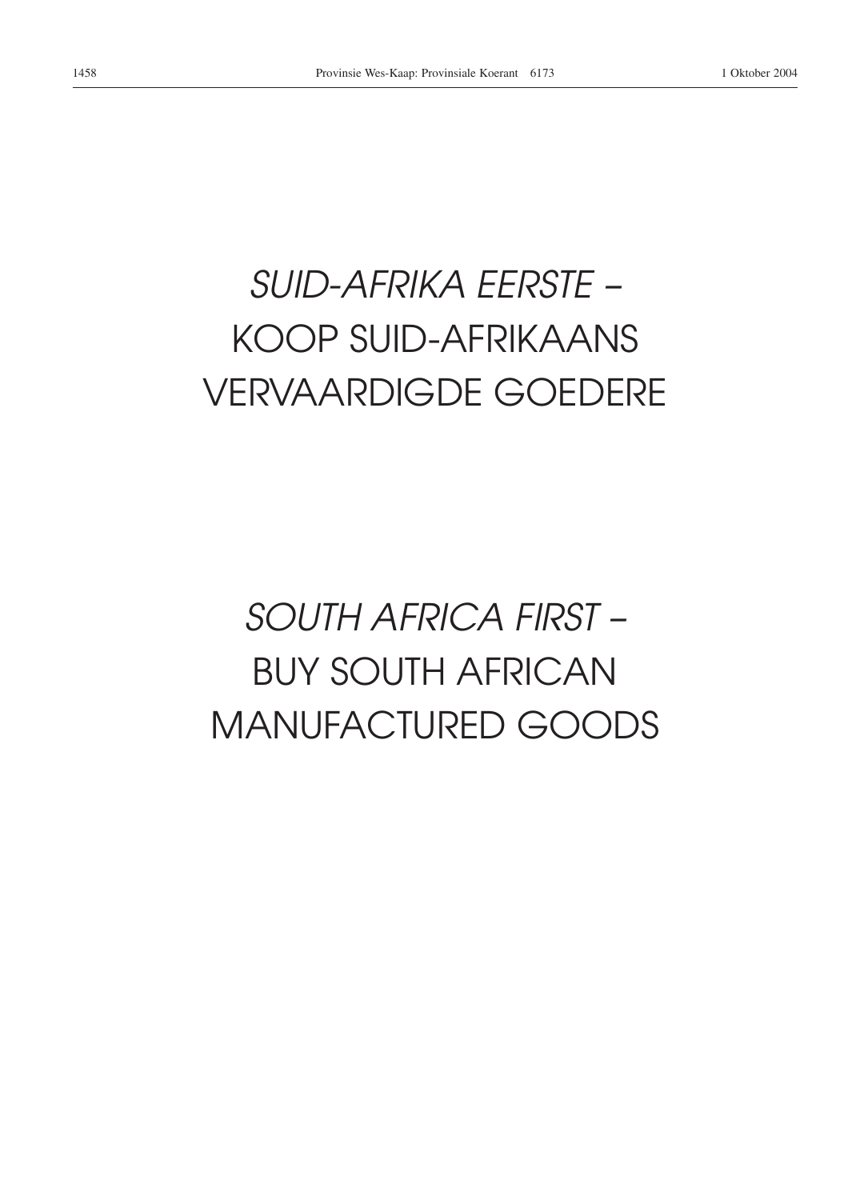# *SUID-AFRIKA EERSTE –* KOOP SUID-AFRIKAANS VERVAARDIGDE GOEDERE

# *SOUTH AFRICA FIRST –* BUY SOUTH AFRICAN MANUFACTURED GOODS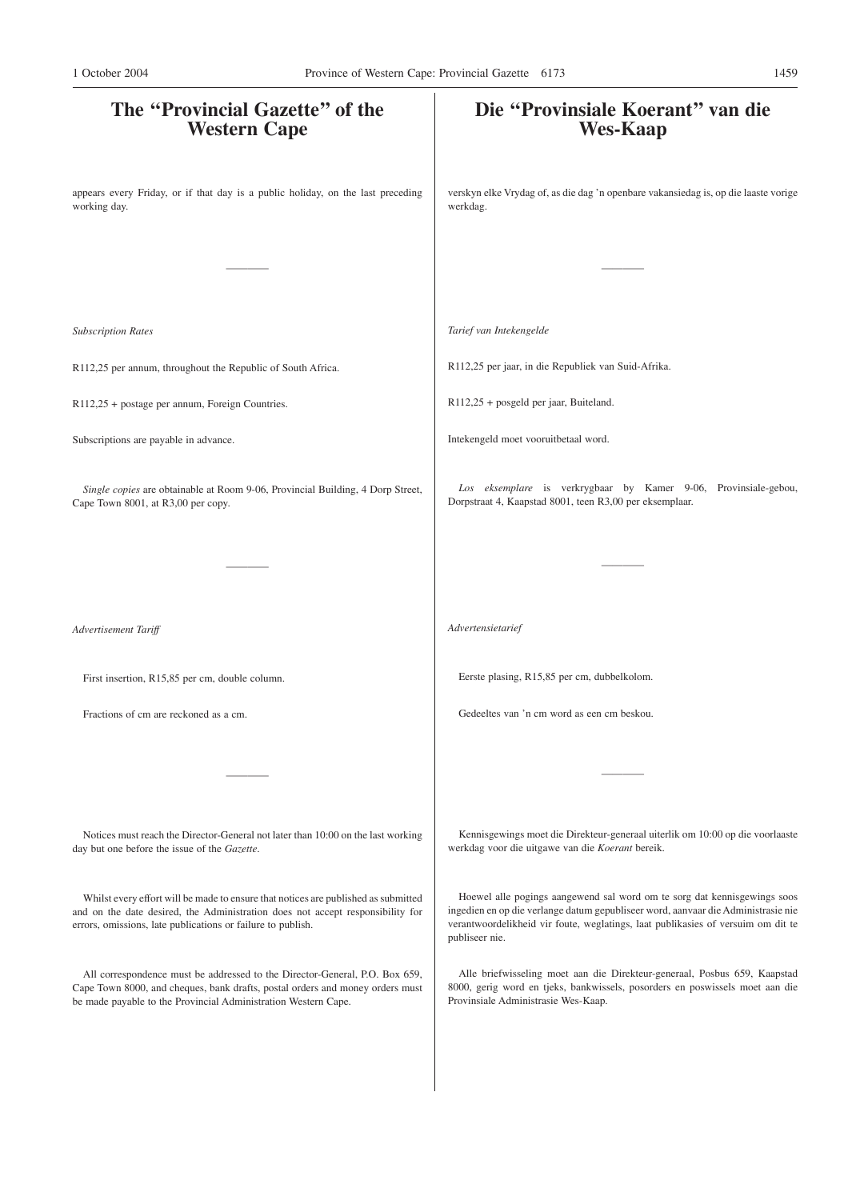| The "Provincial Gazette" of the<br><b>Western Cape</b>                                                                                                                                                                              | Die "Provinsiale Koerant" van die<br><b>Wes-Kaap</b>                                                                                                                                                                                                                |
|-------------------------------------------------------------------------------------------------------------------------------------------------------------------------------------------------------------------------------------|---------------------------------------------------------------------------------------------------------------------------------------------------------------------------------------------------------------------------------------------------------------------|
| appears every Friday, or if that day is a public holiday, on the last preceding<br>working day.                                                                                                                                     | verskyn elke Vrydag of, as die dag 'n openbare vakansiedag is, op die laaste vorige<br>werkdag.                                                                                                                                                                     |
|                                                                                                                                                                                                                                     |                                                                                                                                                                                                                                                                     |
| <b>Subscription Rates</b>                                                                                                                                                                                                           | Tarief van Intekengelde                                                                                                                                                                                                                                             |
| R112,25 per annum, throughout the Republic of South Africa.                                                                                                                                                                         | R112,25 per jaar, in die Republiek van Suid-Afrika.                                                                                                                                                                                                                 |
| R112,25 + postage per annum, Foreign Countries.                                                                                                                                                                                     | R112,25 + posgeld per jaar, Buiteland.                                                                                                                                                                                                                              |
| Subscriptions are payable in advance.                                                                                                                                                                                               | Intekengeld moet vooruitbetaal word.                                                                                                                                                                                                                                |
| Single copies are obtainable at Room 9-06, Provincial Building, 4 Dorp Street,<br>Cape Town 8001, at R3,00 per copy.                                                                                                                | Los eksemplare is verkrygbaar by Kamer 9-06, Provinsiale-gebou,<br>Dorpstraat 4, Kaapstad 8001, teen R3,00 per eksemplaar.                                                                                                                                          |
|                                                                                                                                                                                                                                     |                                                                                                                                                                                                                                                                     |
| Advertisement Tariff                                                                                                                                                                                                                | Advertensietarief                                                                                                                                                                                                                                                   |
| First insertion, R15,85 per cm, double column.                                                                                                                                                                                      | Eerste plasing, R15,85 per cm, dubbelkolom.                                                                                                                                                                                                                         |
| Fractions of cm are reckoned as a cm.                                                                                                                                                                                               | Gedeeltes van 'n cm word as een cm beskou.                                                                                                                                                                                                                          |
|                                                                                                                                                                                                                                     |                                                                                                                                                                                                                                                                     |
| Notices must reach the Director-General not later than 10:00 on the last working<br>day but one before the issue of the Gazette.                                                                                                    | Kennisgewings moet die Direkteur-generaal uiterlik om 10:00 op die voorlaaste<br>werkdag voor die uitgawe van die Koerant bereik.                                                                                                                                   |
| Whilst every effort will be made to ensure that notices are published as submitted<br>and on the date desired, the Administration does not accept responsibility for<br>errors, omissions, late publications or failure to publish. | Hoewel alle pogings aangewend sal word om te sorg dat kennisgewings soos<br>ingedien en op die verlange datum gepubliseer word, aanvaar die Administrasie nie<br>verantwoordelikheid vir foute, weglatings, laat publikasies of versuim om dit te<br>publiseer nie. |
| All correspondence must be addressed to the Director-General, P.O. Box 659,<br>Cape Town 8000, and cheques, bank drafts, postal orders and money orders must<br>be made payable to the Provincial Administration Western Cape.      | Alle briefwisseling moet aan die Direkteur-generaal, Posbus 659, Kaapstad<br>8000, gerig word en tjeks, bankwissels, posorders en poswissels moet aan die<br>Provinsiale Administrasie Wes-Kaap.                                                                    |
|                                                                                                                                                                                                                                     |                                                                                                                                                                                                                                                                     |
|                                                                                                                                                                                                                                     |                                                                                                                                                                                                                                                                     |